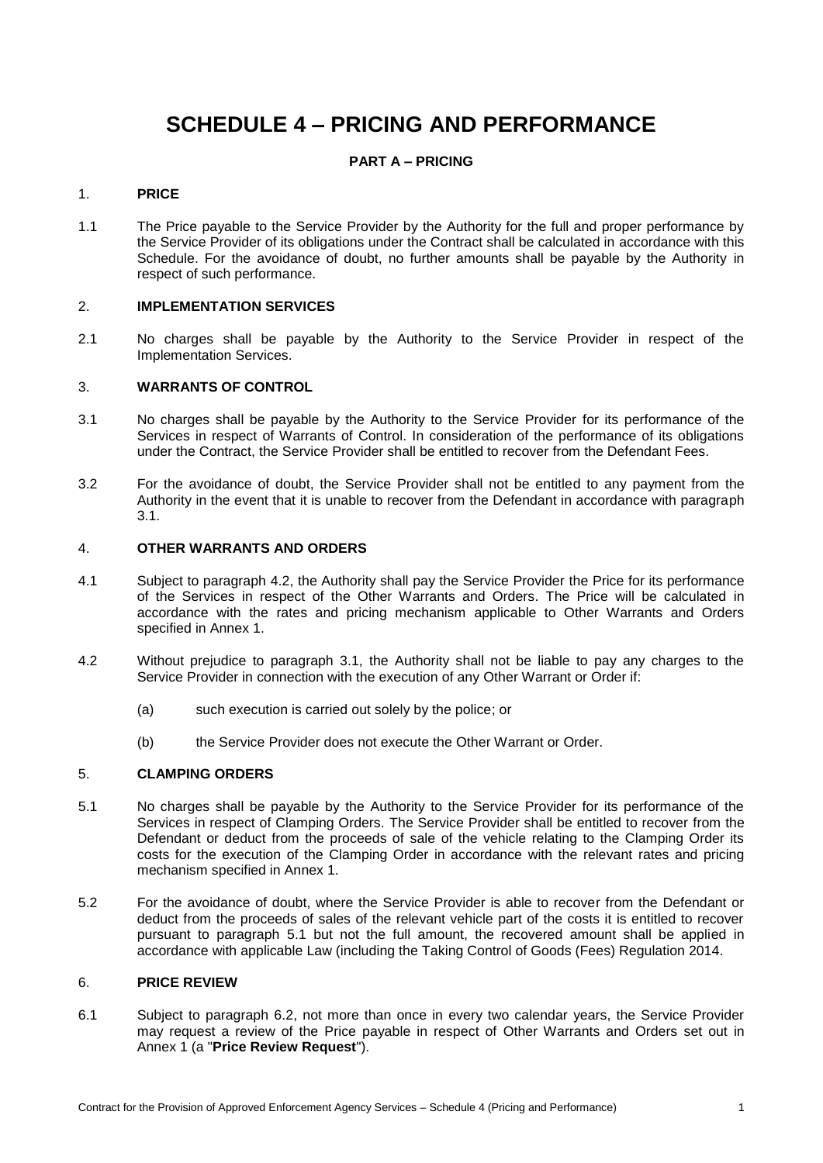# **SCHEDULE 4 – PRICING AND PERFORMANCE**

# **PART A – PRICING**

### 1. **PRICE**

1.1 The Price payable to the Service Provider by the Authority for the full and proper performance by the Service Provider of its obligations under the Contract shall be calculated in accordance with this Schedule. For the avoidance of doubt, no further amounts shall be payable by the Authority in respect of such performance.

### 2. **IMPLEMENTATION SERVICES**

2.1 No charges shall be payable by the Authority to the Service Provider in respect of the Implementation Services.

### 3. **WARRANTS OF CONTROL**

- <span id="page-0-0"></span>3.1 No charges shall be payable by the Authority to the Service Provider for its performance of the Services in respect of Warrants of Control. In consideration of the performance of its obligations under the Contract, the Service Provider shall be entitled to recover from the Defendant Fees.
- 3.2 For the avoidance of doubt, the Service Provider shall not be entitled to any payment from the Authority in the event that it is unable to recover from the Defendant in accordance with paragraph [3.1.](#page-0-0)

### <span id="page-0-3"></span>4. **OTHER WARRANTS AND ORDERS**

- 4.1 Subject to paragraph [4.2,](#page-0-1) the Authority shall pay the Service Provider the Price for its performance of the Services in respect of the Other Warrants and Orders. The Price will be calculated in accordance with the rates and pricing mechanism applicable to Other Warrants and Orders specified in Annex 1.
- <span id="page-0-1"></span>4.2 Without prejudice to paragraph [3.1,](#page-0-0) the Authority shall not be liable to pay any charges to the Service Provider in connection with the execution of any Other Warrant or Order if:
	- (a) such execution is carried out solely by the police; or
	- (b) the Service Provider does not execute the Other Warrant or Order.

### 5. **CLAMPING ORDERS**

- <span id="page-0-2"></span>5.1 No charges shall be payable by the Authority to the Service Provider for its performance of the Services in respect of Clamping Orders. The Service Provider shall be entitled to recover from the Defendant or deduct from the proceeds of sale of the vehicle relating to the Clamping Order its costs for the execution of the Clamping Order in accordance with the relevant rates and pricing mechanism specified in Annex 1.
- 5.2 For the avoidance of doubt, where the Service Provider is able to recover from the Defendant or deduct from the proceeds of sales of the relevant vehicle part of the costs it is entitled to recover pursuant to paragraph [5.1](#page-0-2) but not the full amount, the recovered amount shall be applied in accordance with applicable Law (including the Taking Control of Goods (Fees) Regulation 2014.

### 6. **PRICE REVIEW**

6.1 Subject to paragraph [6.2,](#page-1-0) not more than once in every two calendar years, the Service Provider may request a review of the Price payable in respect of Other Warrants and Orders set out in Annex 1 (a "**Price Review Request**").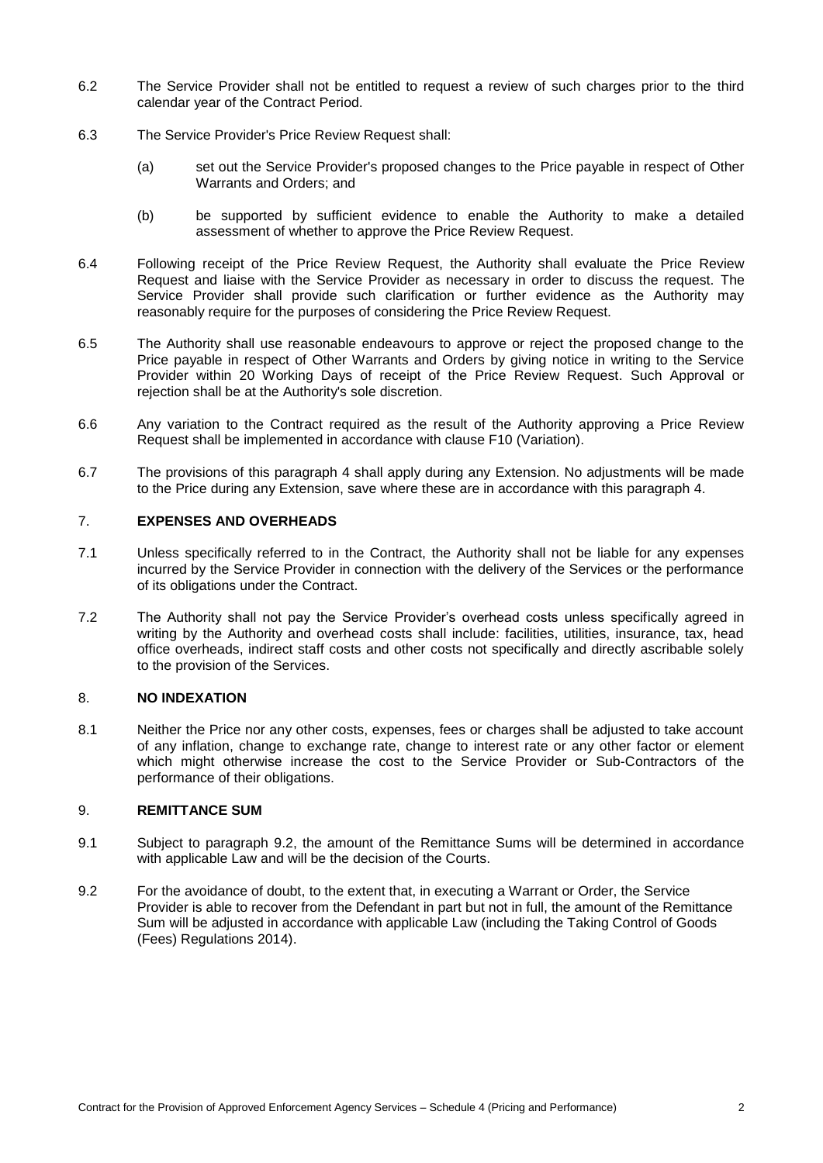- <span id="page-1-0"></span>6.2 The Service Provider shall not be entitled to request a review of such charges prior to the third calendar year of the Contract Period.
- 6.3 The Service Provider's Price Review Request shall:
	- (a) set out the Service Provider's proposed changes to the Price payable in respect of Other Warrants and Orders; and
	- (b) be supported by sufficient evidence to enable the Authority to make a detailed assessment of whether to approve the Price Review Request.
- 6.4 Following receipt of the Price Review Request, the Authority shall evaluate the Price Review Request and liaise with the Service Provider as necessary in order to discuss the request. The Service Provider shall provide such clarification or further evidence as the Authority may reasonably require for the purposes of considering the Price Review Request.
- 6.5 The Authority shall use reasonable endeavours to approve or reject the proposed change to the Price payable in respect of Other Warrants and Orders by giving notice in writing to the Service Provider within 20 Working Days of receipt of the Price Review Request. Such Approval or rejection shall be at the Authority's sole discretion.
- 6.6 Any variation to the Contract required as the result of the Authority approving a Price Review Request shall be implemented in accordance with clause F10 (Variation).
- 6.7 The provisions of this paragraph [4](#page-0-3) shall apply during any Extension. No adjustments will be made to the Price during any Extension, save where these are in accordance with this paragraph [4.](#page-0-3)

# 7. **EXPENSES AND OVERHEADS**

- 7.1 Unless specifically referred to in the Contract, the Authority shall not be liable for any expenses incurred by the Service Provider in connection with the delivery of the Services or the performance of its obligations under the Contract.
- 7.2 The Authority shall not pay the Service Provider's overhead costs unless specifically agreed in writing by the Authority and overhead costs shall include: facilities, utilities, insurance, tax, head office overheads, indirect staff costs and other costs not specifically and directly ascribable solely to the provision of the Services.

# 8. **NO INDEXATION**

8.1 Neither the Price nor any other costs, expenses, fees or charges shall be adjusted to take account of any inflation, change to exchange rate, change to interest rate or any other factor or element which might otherwise increase the cost to the Service Provider or Sub-Contractors of the performance of their obligations.

### 9. **REMITTANCE SUM**

- 9.1 Subject to paragraph [9.2,](#page-1-1) the amount of the Remittance Sums will be determined in accordance with applicable Law and will be the decision of the Courts.
- <span id="page-1-1"></span>9.2 For the avoidance of doubt, to the extent that, in executing a Warrant or Order, the Service Provider is able to recover from the Defendant in part but not in full, the amount of the Remittance Sum will be adjusted in accordance with applicable Law (including the Taking Control of Goods (Fees) Regulations 2014).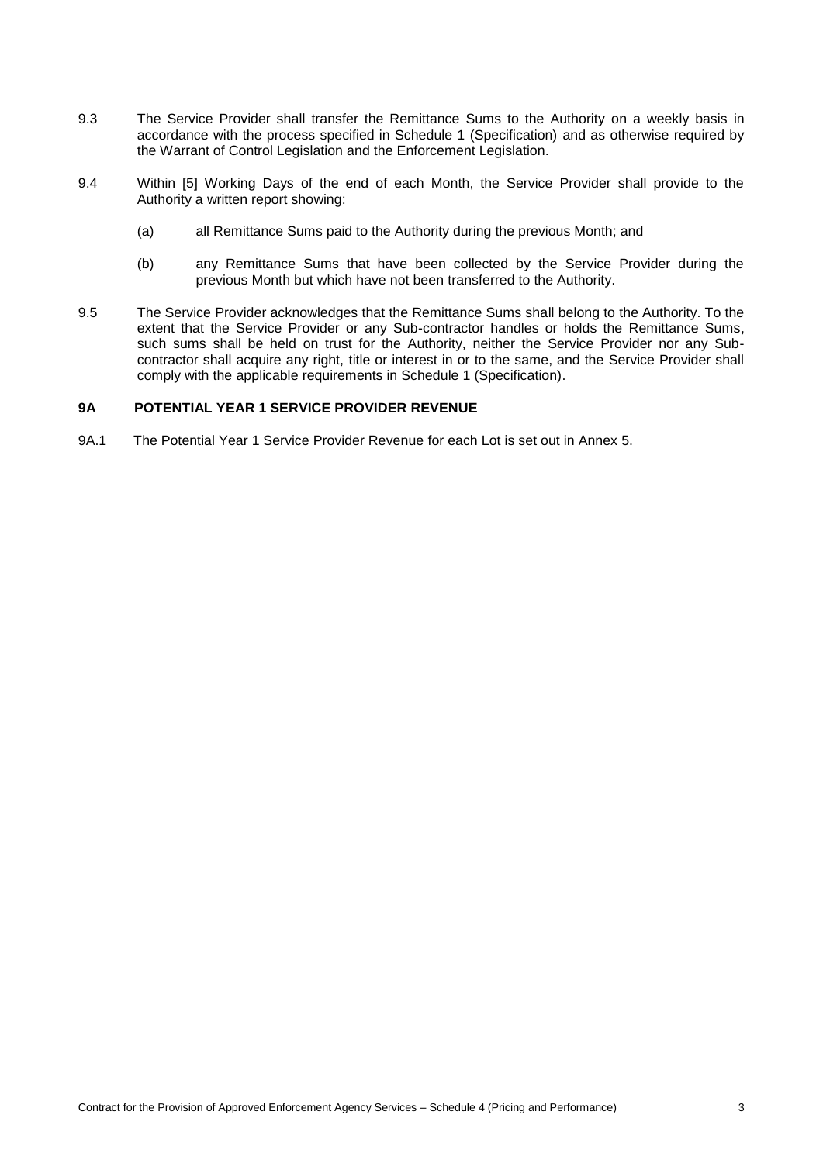- 9.3 The Service Provider shall transfer the Remittance Sums to the Authority on a weekly basis in accordance with the process specified in Schedule 1 (Specification) and as otherwise required by the Warrant of Control Legislation and the Enforcement Legislation.
- 9.4 Within [5] Working Days of the end of each Month, the Service Provider shall provide to the Authority a written report showing:
	- (a) all Remittance Sums paid to the Authority during the previous Month; and
	- (b) any Remittance Sums that have been collected by the Service Provider during the previous Month but which have not been transferred to the Authority.
- 9.5 The Service Provider acknowledges that the Remittance Sums shall belong to the Authority. To the extent that the Service Provider or any Sub-contractor handles or holds the Remittance Sums, such sums shall be held on trust for the Authority, neither the Service Provider nor any Subcontractor shall acquire any right, title or interest in or to the same, and the Service Provider shall comply with the applicable requirements in Schedule 1 (Specification).

### **9A POTENTIAL YEAR 1 SERVICE PROVIDER REVENUE**

9A.1 The Potential Year 1 Service Provider Revenue for each Lot is set out in Annex 5.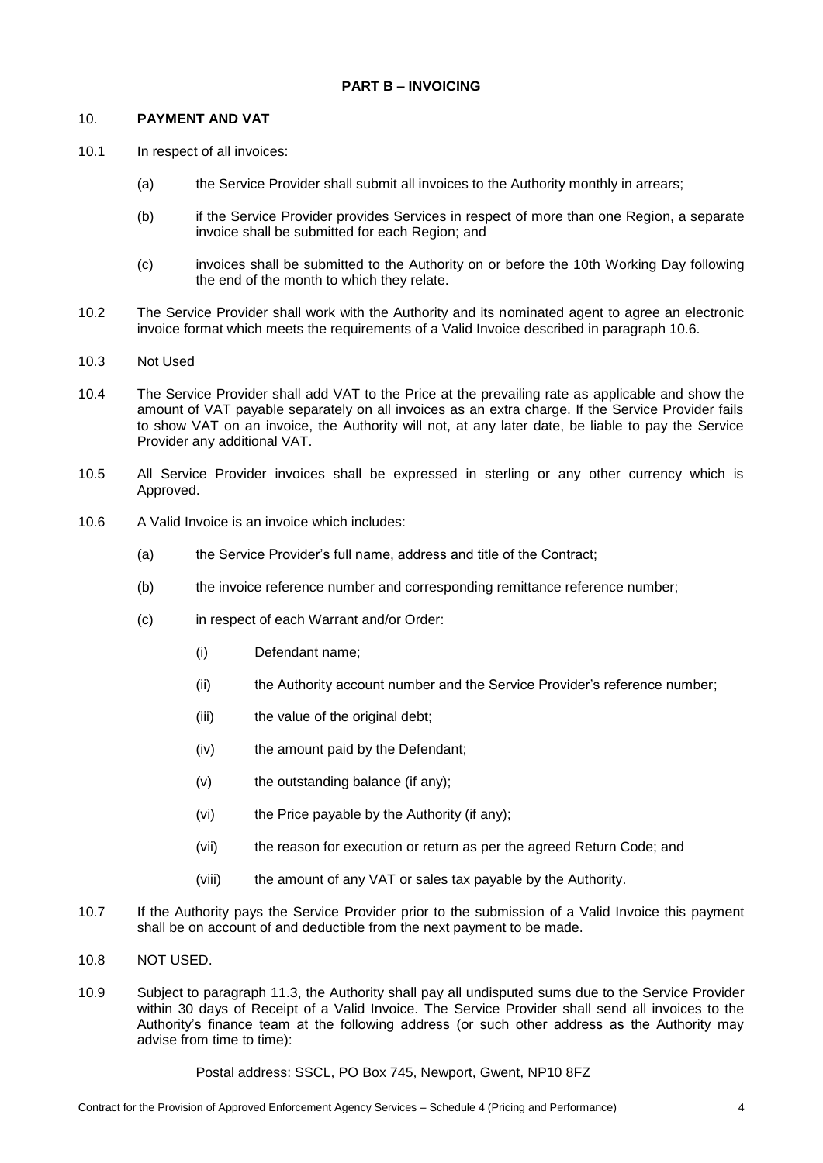### 10. **PAYMENT AND VAT**

- <span id="page-3-1"></span>10.1 In respect of all invoices:
	- (a) the Service Provider shall submit all invoices to the Authority monthly in arrears;
	- (b) if the Service Provider provides Services in respect of more than one Region, a separate invoice shall be submitted for each Region; and
	- (c) invoices shall be submitted to the Authority on or before the 10th Working Day following the end of the month to which they relate.
- 10.2 The Service Provider shall work with the Authority and its nominated agent to agree an electronic invoice format which meets the requirements of a Valid Invoice described in paragraph [10.6.](#page-3-0)
- 10.3 Not Used
- 10.4 The Service Provider shall add VAT to the Price at the prevailing rate as applicable and show the amount of VAT payable separately on all invoices as an extra charge. If the Service Provider fails to show VAT on an invoice, the Authority will not, at any later date, be liable to pay the Service Provider any additional VAT.
- 10.5 All Service Provider invoices shall be expressed in sterling or any other currency which is Approved.
- <span id="page-3-0"></span>10.6 A Valid Invoice is an invoice which includes:
	- (a) the Service Provider's full name, address and title of the Contract;
	- (b) the invoice reference number and corresponding remittance reference number;
	- (c) in respect of each Warrant and/or Order:
		- (i) Defendant name;
		- (ii) the Authority account number and the Service Provider's reference number;
		- (iii) the value of the original debt;
		- (iv) the amount paid by the Defendant;
		- (v) the outstanding balance (if any);
		- (vi) the Price payable by the Authority (if any);
		- (vii) the reason for execution or return as per the agreed Return Code; and
		- (viii) the amount of any VAT or sales tax payable by the Authority.
- 10.7 If the Authority pays the Service Provider prior to the submission of a Valid Invoice this payment shall be on account of and deductible from the next payment to be made.
- 10.8 NOT USED.
- <span id="page-3-2"></span>10.9 Subject to paragraph [11.3,](#page-4-0) the Authority shall pay all undisputed sums due to the Service Provider within 30 days of Receipt of a Valid Invoice. The Service Provider shall send all invoices to the Authority's finance team at the following address (or such other address as the Authority may advise from time to time):

#### Postal address: SSCL, PO Box 745, Newport, Gwent, NP10 8FZ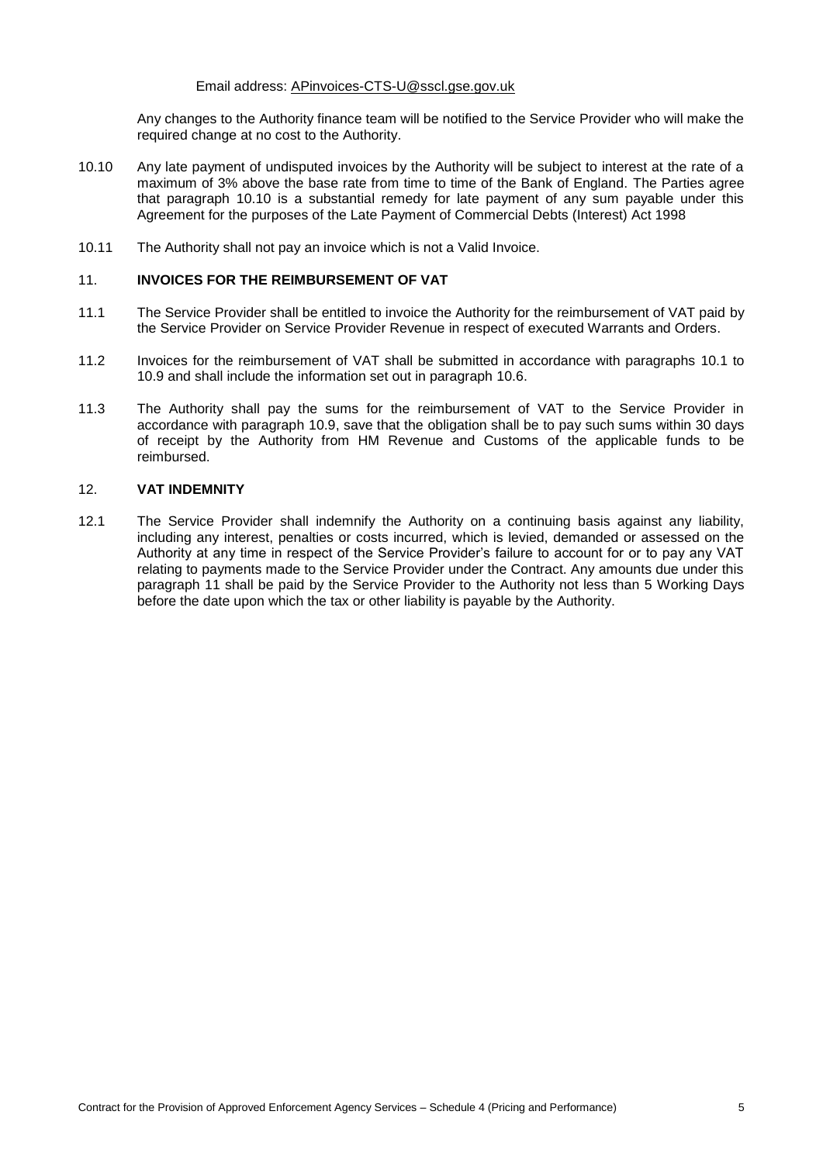#### Email address: APinvoices-CTS-U@sscl.gse.gov.uk

Any changes to the Authority finance team will be notified to the Service Provider who will make the required change at no cost to the Authority.

- <span id="page-4-1"></span>10.10 Any late payment of undisputed invoices by the Authority will be subject to interest at the rate of a maximum of 3% above the base rate from time to time of the Bank of England. The Parties agree that paragraph [10.10](#page-4-1) is a substantial remedy for late payment of any sum payable under this Agreement for the purposes of the Late Payment of Commercial Debts (Interest) Act 1998
- 10.11 The Authority shall not pay an invoice which is not a Valid Invoice.

### <span id="page-4-2"></span>11. **INVOICES FOR THE REIMBURSEMENT OF VAT**

- 11.1 The Service Provider shall be entitled to invoice the Authority for the reimbursement of VAT paid by the Service Provider on Service Provider Revenue in respect of executed Warrants and Orders.
- 11.2 Invoices for the reimbursement of VAT shall be submitted in accordance with paragraphs [10.1](#page-3-1) to [10.9](#page-3-2) and shall include the information set out in paragraph [10.6.](#page-3-0)
- <span id="page-4-0"></span>11.3 The Authority shall pay the sums for the reimbursement of VAT to the Service Provider in accordance with paragraph [10.9,](#page-3-2) save that the obligation shall be to pay such sums within 30 days of receipt by the Authority from HM Revenue and Customs of the applicable funds to be reimbursed.

#### 12. **VAT INDEMNITY**

12.1 The Service Provider shall indemnify the Authority on a continuing basis against any liability, including any interest, penalties or costs incurred, which is levied, demanded or assessed on the Authority at any time in respect of the Service Provider's failure to account for or to pay any VAT relating to payments made to the Service Provider under the Contract. Any amounts due under this paragraph [11](#page-4-2) shall be paid by the Service Provider to the Authority not less than 5 Working Days before the date upon which the tax or other liability is payable by the Authority.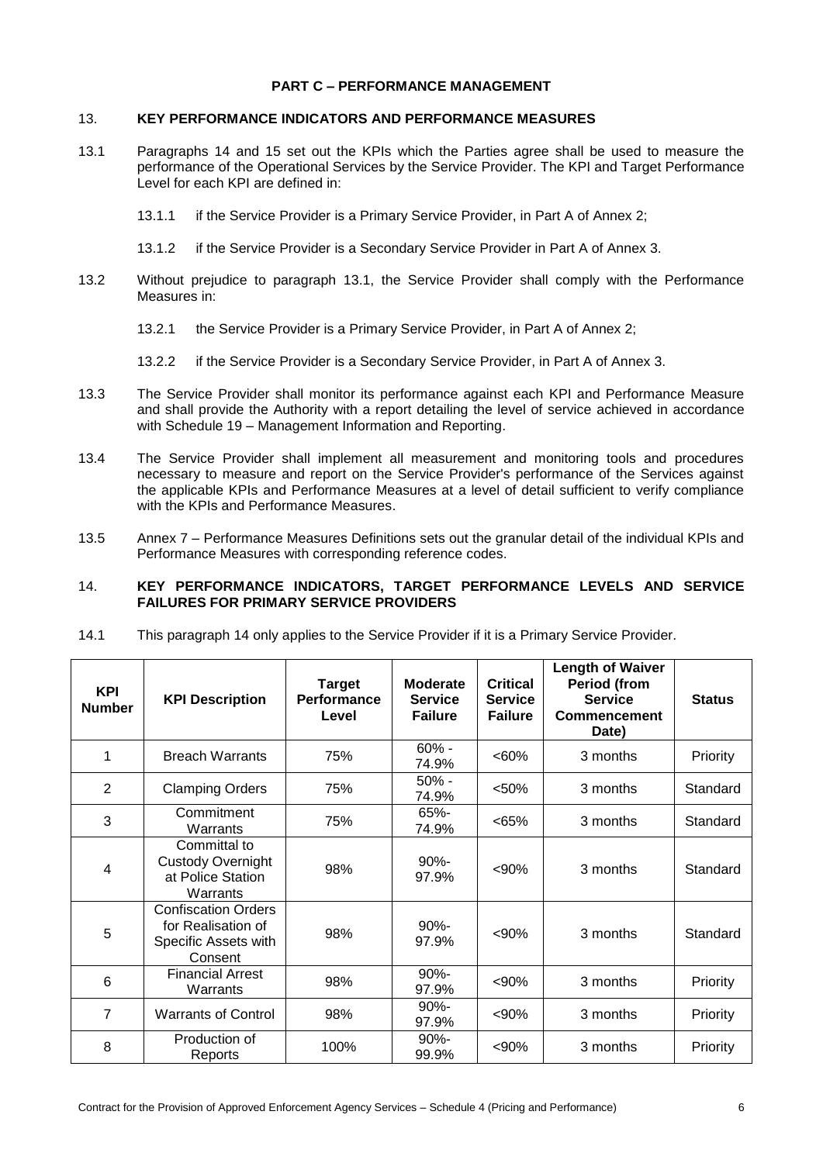### **PART C – PERFORMANCE MANAGEMENT**

### 13. **KEY PERFORMANCE INDICATORS AND PERFORMANCE MEASURES**

- <span id="page-5-1"></span>13.1 Paragraphs [14](#page-5-0) and [15](#page-6-0) set out the KPIs which the Parties agree shall be used to measure the performance of the Operational Services by the Service Provider. The KPI and Target Performance Level for each KPI are defined in:
	- 13.1.1 if the Service Provider is a Primary Service Provider, in Part A of Annex 2;
	- 13.1.2 if the Service Provider is a Secondary Service Provider in Part A of Annex 3.
- 13.2 Without prejudice to paragraph [13.1,](#page-5-1) the Service Provider shall comply with the Performance Measures in:
	- 13.2.1 the Service Provider is a Primary Service Provider, in Part A of Annex 2;
	- 13.2.2 if the Service Provider is a Secondary Service Provider, in Part A of Annex 3.
- 13.3 The Service Provider shall monitor its performance against each KPI and Performance Measure and shall provide the Authority with a report detailing the level of service achieved in accordance with Schedule 19 – Management Information and Reporting.
- 13.4 The Service Provider shall implement all measurement and monitoring tools and procedures necessary to measure and report on the Service Provider's performance of the Services against the applicable KPIs and Performance Measures at a level of detail sufficient to verify compliance with the KPIs and Performance Measures.
- 13.5 Annex 7 Performance Measures Definitions sets out the granular detail of the individual KPIs and Performance Measures with corresponding reference codes.

### <span id="page-5-0"></span>14. **KEY PERFORMANCE INDICATORS, TARGET PERFORMANCE LEVELS AND SERVICE FAILURES FOR PRIMARY SERVICE PROVIDERS**

14.1 This paragraph [14](#page-5-0) only applies to the Service Provider if it is a Primary Service Provider.

| <b>KPI</b><br><b>Number</b> | <b>KPI Description</b>                                                              | <b>Target</b><br><b>Performance</b><br>Level | <b>Moderate</b><br><b>Service</b><br><b>Failure</b> | <b>Critical</b><br><b>Service</b><br><b>Failure</b> | <b>Length of Waiver</b><br><b>Period (from</b><br><b>Service</b><br><b>Commencement</b><br>Date) | <b>Status</b> |
|-----------------------------|-------------------------------------------------------------------------------------|----------------------------------------------|-----------------------------------------------------|-----------------------------------------------------|--------------------------------------------------------------------------------------------------|---------------|
| 1                           | <b>Breach Warrants</b>                                                              | 75%                                          | $60% -$<br>74.9%                                    | $<60\%$                                             | 3 months                                                                                         | Priority      |
| 2                           | <b>Clamping Orders</b>                                                              | 75%                                          | $50% -$<br>74.9%                                    | < 50%                                               | 3 months                                                                                         | Standard      |
| 3                           | Commitment<br>Warrants                                                              | 75%                                          | $65% -$<br>74.9%                                    | <65%                                                | 3 months                                                                                         | Standard      |
| 4                           | Committal to<br><b>Custody Overnight</b><br>at Police Station<br>Warrants           | 98%                                          | $90% -$<br>97.9%                                    | $90%$                                               | 3 months                                                                                         | Standard      |
| 5                           | <b>Confiscation Orders</b><br>for Realisation of<br>Specific Assets with<br>Consent | 98%                                          | $90% -$<br>97.9%                                    | $90%$                                               | 3 months                                                                                         | Standard      |
| 6                           | <b>Financial Arrest</b><br>Warrants                                                 | 98%                                          | $90% -$<br>97.9%                                    | < 90%                                               | 3 months                                                                                         | Priority      |
| $\overline{7}$              | <b>Warrants of Control</b>                                                          | 98%                                          | $90% -$<br>97.9%                                    | < 90%                                               | 3 months                                                                                         | Priority      |
| 8                           | Production of<br>Reports                                                            | 100%                                         | $90% -$<br>99.9%                                    | < 90%                                               | 3 months                                                                                         | Priority      |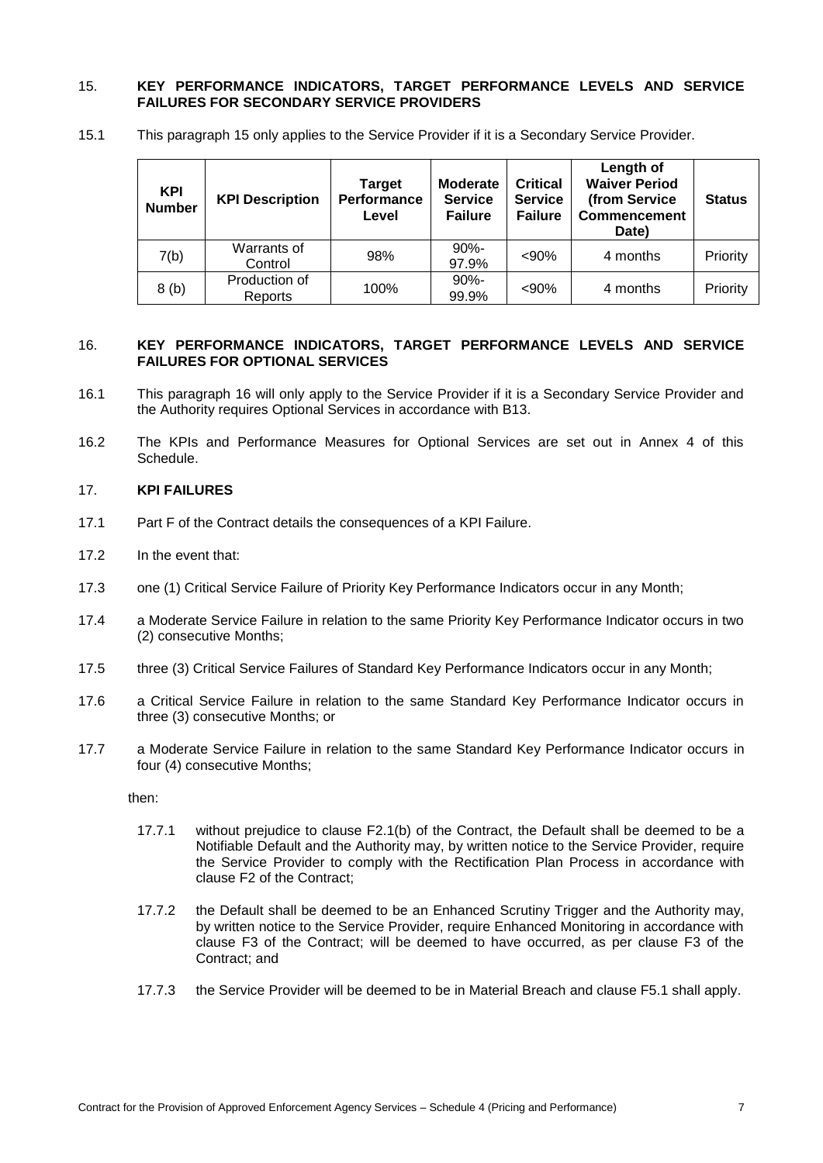### <span id="page-6-0"></span>15. **KEY PERFORMANCE INDICATORS, TARGET PERFORMANCE LEVELS AND SERVICE FAILURES FOR SECONDARY SERVICE PROVIDERS**

15.1 This paragraph [15](#page-6-0) only applies to the Service Provider if it is a Secondary Service Provider.

| <b>KPI</b><br><b>Number</b> | <b>KPI Description</b>   | <b>Target</b><br><b>Performance</b><br>Level | <b>Moderate</b><br><b>Service</b><br><b>Failure</b> | <b>Critical</b><br><b>Service</b><br><b>Failure</b> | Length of<br><b>Waiver Period</b><br>(from Service<br><b>Commencement</b><br>Date) | <b>Status</b> |
|-----------------------------|--------------------------|----------------------------------------------|-----------------------------------------------------|-----------------------------------------------------|------------------------------------------------------------------------------------|---------------|
| 7(b)                        | Warrants of<br>Control   | 98%                                          | $90% -$<br>97.9%                                    | < 90%                                               | 4 months                                                                           | Priority      |
| 8(b)                        | Production of<br>Reports | 100%                                         | $90% -$<br>99.9%                                    | < 90%                                               | 4 months                                                                           | Priority      |

### <span id="page-6-1"></span>16. **KEY PERFORMANCE INDICATORS, TARGET PERFORMANCE LEVELS AND SERVICE FAILURES FOR OPTIONAL SERVICES**

- 16.1 This paragraph [16](#page-6-1) will only apply to the Service Provider if it is a Secondary Service Provider and the Authority requires Optional Services in accordance with B13.
- 16.2 The KPIs and Performance Measures for Optional Services are set out in Annex 4 of this Schedule.

### 17. **KPI FAILURES**

- 17.1 Part F of the Contract details the consequences of a KPI Failure.
- 17.2 In the event that:
- 17.3 one (1) Critical Service Failure of Priority Key Performance Indicators occur in any Month;
- 17.4 a Moderate Service Failure in relation to the same Priority Key Performance Indicator occurs in two (2) consecutive Months;
- 17.5 three (3) Critical Service Failures of Standard Key Performance Indicators occur in any Month;
- 17.6 a Critical Service Failure in relation to the same Standard Key Performance Indicator occurs in three (3) consecutive Months; or
- 17.7 a Moderate Service Failure in relation to the same Standard Key Performance Indicator occurs in four (4) consecutive Months;

then:

- 17.7.1 without prejudice to clause F2.1(b) of the Contract, the Default shall be deemed to be a Notifiable Default and the Authority may, by written notice to the Service Provider, require the Service Provider to comply with the Rectification Plan Process in accordance with clause F2 of the Contract;
- 17.7.2 the Default shall be deemed to be an Enhanced Scrutiny Trigger and the Authority may, by written notice to the Service Provider, require Enhanced Monitoring in accordance with clause F3 of the Contract; will be deemed to have occurred, as per clause F3 of the Contract; and
- 17.7.3 the Service Provider will be deemed to be in Material Breach and clause F5.1 shall apply.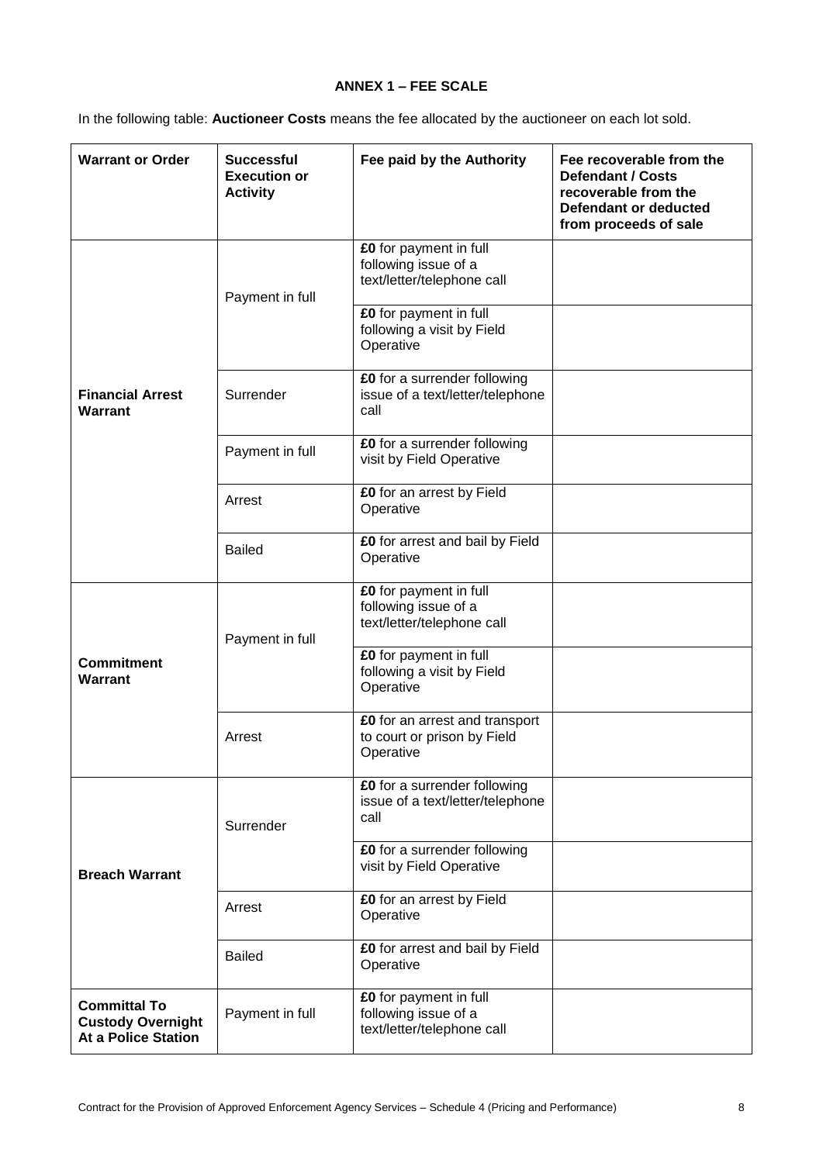# **ANNEX 1 – FEE SCALE**

In the following table: **Auctioneer Costs** means the fee allocated by the auctioneer on each lot sold.

| <b>Warrant or Order</b>                                                       | <b>Successful</b><br><b>Execution or</b><br><b>Activity</b> | Fee paid by the Authority                                                    | Fee recoverable from the<br><b>Defendant / Costs</b><br>recoverable from the<br>Defendant or deducted<br>from proceeds of sale |
|-------------------------------------------------------------------------------|-------------------------------------------------------------|------------------------------------------------------------------------------|--------------------------------------------------------------------------------------------------------------------------------|
|                                                                               | Payment in full                                             | £0 for payment in full<br>following issue of a<br>text/letter/telephone call |                                                                                                                                |
|                                                                               |                                                             | £0 for payment in full<br>following a visit by Field<br>Operative            |                                                                                                                                |
| <b>Financial Arrest</b><br>Warrant                                            | Surrender                                                   | £0 for a surrender following<br>issue of a text/letter/telephone<br>call     |                                                                                                                                |
|                                                                               | Payment in full                                             | £0 for a surrender following<br>visit by Field Operative                     |                                                                                                                                |
|                                                                               | Arrest                                                      | £0 for an arrest by Field<br>Operative                                       |                                                                                                                                |
|                                                                               | <b>Bailed</b>                                               | £0 for arrest and bail by Field<br>Operative                                 |                                                                                                                                |
|                                                                               | Payment in full                                             | £0 for payment in full<br>following issue of a<br>text/letter/telephone call |                                                                                                                                |
| <b>Commitment</b><br>Warrant                                                  |                                                             | £0 for payment in full<br>following a visit by Field<br>Operative            |                                                                                                                                |
|                                                                               | Arrest                                                      | £0 for an arrest and transport<br>to court or prison by Field<br>Operative   |                                                                                                                                |
|                                                                               | Surrender                                                   | £0 for a surrender following<br>issue of a text/letter/telephone<br>call     |                                                                                                                                |
| <b>Breach Warrant</b>                                                         |                                                             | £0 for a surrender following<br>visit by Field Operative                     |                                                                                                                                |
|                                                                               | Arrest                                                      | £0 for an arrest by Field<br>Operative                                       |                                                                                                                                |
|                                                                               | <b>Bailed</b>                                               | £0 for arrest and bail by Field<br>Operative                                 |                                                                                                                                |
| <b>Committal To</b><br><b>Custody Overnight</b><br><b>At a Police Station</b> | Payment in full                                             | £0 for payment in full<br>following issue of a<br>text/letter/telephone call |                                                                                                                                |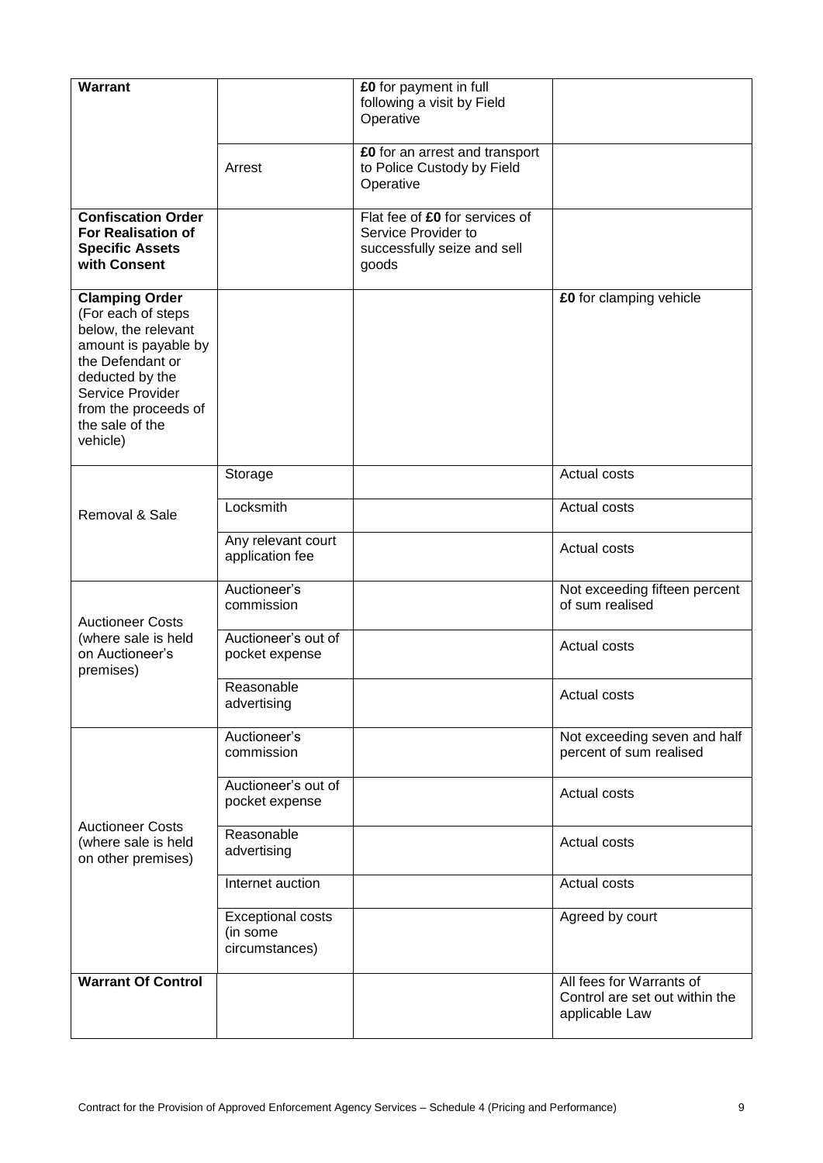| <b>Warrant</b>                                                                                                                                                                                               |                                                        | £0 for payment in full                                                    |                                                                              |
|--------------------------------------------------------------------------------------------------------------------------------------------------------------------------------------------------------------|--------------------------------------------------------|---------------------------------------------------------------------------|------------------------------------------------------------------------------|
|                                                                                                                                                                                                              |                                                        | following a visit by Field<br>Operative                                   |                                                                              |
|                                                                                                                                                                                                              |                                                        |                                                                           |                                                                              |
|                                                                                                                                                                                                              | Arrest                                                 | £0 for an arrest and transport<br>to Police Custody by Field<br>Operative |                                                                              |
| <b>Confiscation Order</b>                                                                                                                                                                                    |                                                        | Flat fee of £0 for services of                                            |                                                                              |
| <b>For Realisation of</b><br><b>Specific Assets</b><br>with Consent                                                                                                                                          |                                                        | Service Provider to<br>successfully seize and sell<br>goods               |                                                                              |
| <b>Clamping Order</b><br>(For each of steps<br>below, the relevant<br>amount is payable by<br>the Defendant or<br>deducted by the<br>Service Provider<br>from the proceeds of<br>the sale of the<br>vehicle) |                                                        |                                                                           | £0 for clamping vehicle                                                      |
|                                                                                                                                                                                                              | Storage                                                |                                                                           | Actual costs                                                                 |
| Removal & Sale                                                                                                                                                                                               | Locksmith                                              |                                                                           | Actual costs                                                                 |
|                                                                                                                                                                                                              | Any relevant court<br>application fee                  |                                                                           | Actual costs                                                                 |
| <b>Auctioneer Costs</b>                                                                                                                                                                                      | Auctioneer's<br>commission                             |                                                                           | Not exceeding fifteen percent<br>of sum realised                             |
| (where sale is held<br>on Auctioneer's<br>premises)                                                                                                                                                          | Auctioneer's out of<br>pocket expense                  |                                                                           | Actual costs                                                                 |
|                                                                                                                                                                                                              | Reasonable<br>advertising                              |                                                                           | Actual costs                                                                 |
|                                                                                                                                                                                                              | Auctioneer's<br>commission                             |                                                                           | Not exceeding seven and half<br>percent of sum realised                      |
|                                                                                                                                                                                                              | Auctioneer's out of<br>pocket expense                  |                                                                           | Actual costs                                                                 |
| <b>Auctioneer Costs</b><br>(where sale is held<br>on other premises)                                                                                                                                         | Reasonable<br>advertising                              |                                                                           | Actual costs                                                                 |
|                                                                                                                                                                                                              | Internet auction                                       |                                                                           | Actual costs                                                                 |
|                                                                                                                                                                                                              | <b>Exceptional costs</b><br>(in some<br>circumstances) |                                                                           | Agreed by court                                                              |
| <b>Warrant Of Control</b>                                                                                                                                                                                    |                                                        |                                                                           | All fees for Warrants of<br>Control are set out within the<br>applicable Law |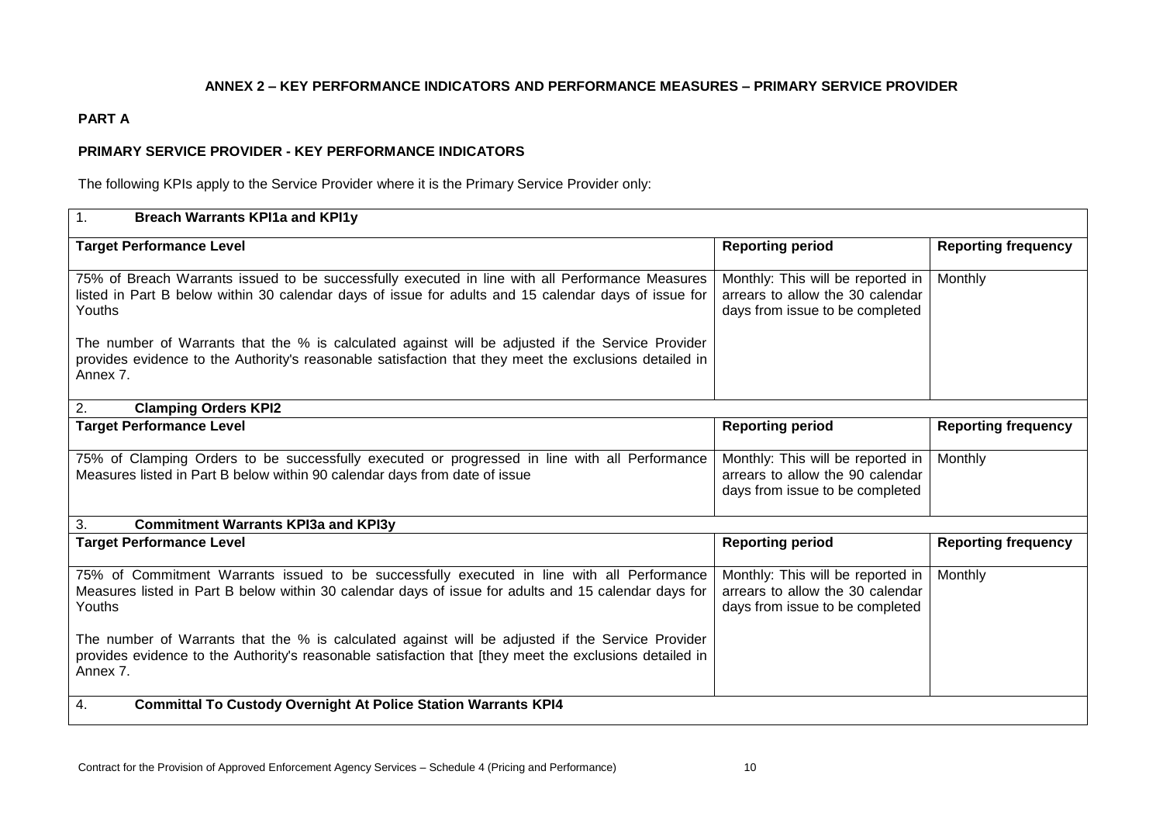### **ANNEX 2 – KEY PERFORMANCE INDICATORS AND PERFORMANCE MEASURES – PRIMARY SERVICE PROVIDER**

# **PART A**

# **PRIMARY SERVICE PROVIDER - KEY PERFORMANCE INDICATORS**

The following KPIs apply to the Service Provider where it is the Primary Service Provider only:

| 1.<br><b>Breach Warrants KPI1a and KPI1y</b>                                                                                                                                                                            |                                                                                                          |                            |
|-------------------------------------------------------------------------------------------------------------------------------------------------------------------------------------------------------------------------|----------------------------------------------------------------------------------------------------------|----------------------------|
| <b>Target Performance Level</b>                                                                                                                                                                                         | <b>Reporting period</b>                                                                                  | <b>Reporting frequency</b> |
| 75% of Breach Warrants issued to be successfully executed in line with all Performance Measures<br>listed in Part B below within 30 calendar days of issue for adults and 15 calendar days of issue for<br>Youths       | Monthly: This will be reported in<br>arrears to allow the 30 calendar<br>days from issue to be completed | Monthly                    |
| The number of Warrants that the % is calculated against will be adjusted if the Service Provider<br>provides evidence to the Authority's reasonable satisfaction that they meet the exclusions detailed in<br>Annex 7.  |                                                                                                          |                            |
| <b>Clamping Orders KPI2</b><br>2.                                                                                                                                                                                       |                                                                                                          |                            |
| <b>Target Performance Level</b>                                                                                                                                                                                         | <b>Reporting period</b>                                                                                  | <b>Reporting frequency</b> |
| 75% of Clamping Orders to be successfully executed or progressed in line with all Performance<br>Measures listed in Part B below within 90 calendar days from date of issue                                             | Monthly: This will be reported in<br>arrears to allow the 90 calendar<br>days from issue to be completed | Monthly                    |
| 3.<br><b>Commitment Warrants KPI3a and KPI3y</b>                                                                                                                                                                        |                                                                                                          |                            |
| <b>Target Performance Level</b>                                                                                                                                                                                         | <b>Reporting period</b>                                                                                  | <b>Reporting frequency</b> |
| 75% of Commitment Warrants issued to be successfully executed in line with all Performance<br>Measures listed in Part B below within 30 calendar days of issue for adults and 15 calendar days for<br>Youths            | Monthly: This will be reported in<br>arrears to allow the 30 calendar<br>days from issue to be completed | Monthly                    |
| The number of Warrants that the % is calculated against will be adjusted if the Service Provider<br>provides evidence to the Authority's reasonable satisfaction that [they meet the exclusions detailed in<br>Annex 7. |                                                                                                          |                            |
| 4.<br><b>Committal To Custody Overnight At Police Station Warrants KPI4</b>                                                                                                                                             |                                                                                                          |                            |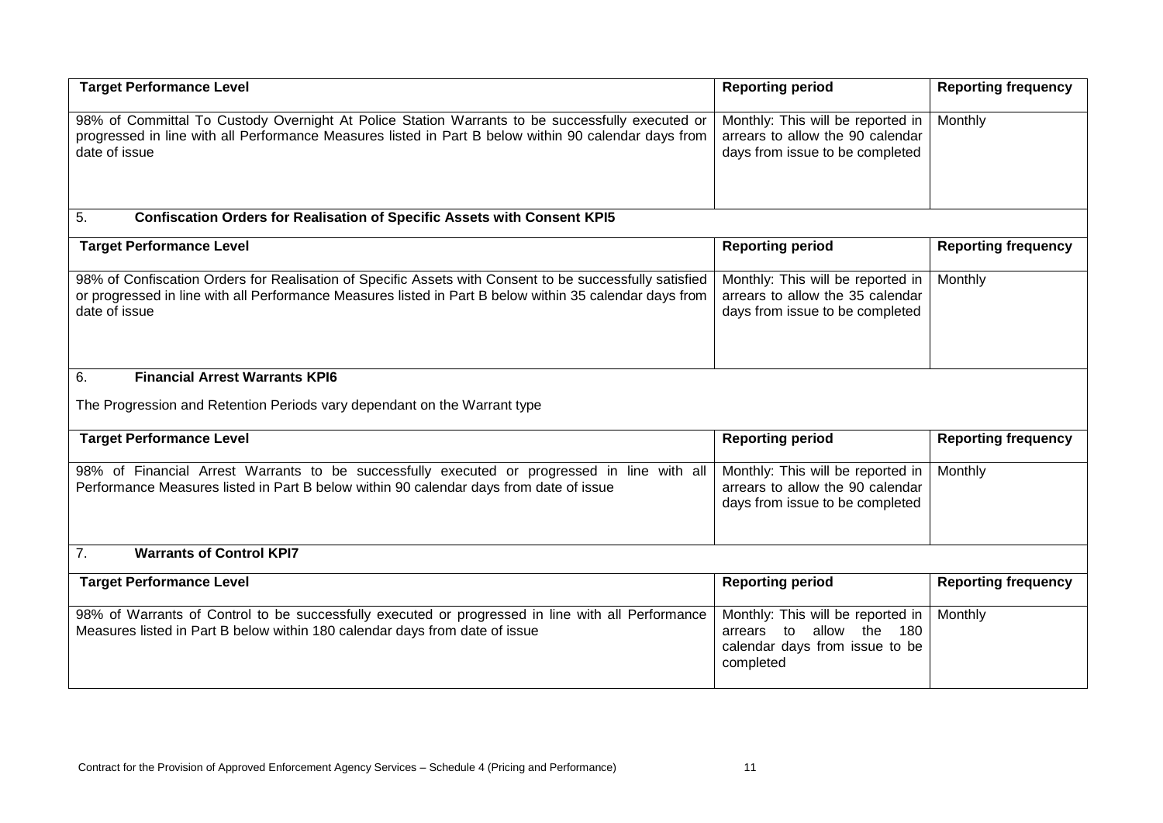| <b>Target Performance Level</b>                                                                                                                                                                                                     | <b>Reporting period</b>                                                                                            | <b>Reporting frequency</b> |
|-------------------------------------------------------------------------------------------------------------------------------------------------------------------------------------------------------------------------------------|--------------------------------------------------------------------------------------------------------------------|----------------------------|
| 98% of Committal To Custody Overnight At Police Station Warrants to be successfully executed or<br>progressed in line with all Performance Measures listed in Part B below within 90 calendar days from<br>date of issue            | Monthly: This will be reported in<br>arrears to allow the 90 calendar<br>days from issue to be completed           | Monthly                    |
| 5.<br><b>Confiscation Orders for Realisation of Specific Assets with Consent KPI5</b>                                                                                                                                               |                                                                                                                    |                            |
| <b>Target Performance Level</b>                                                                                                                                                                                                     | <b>Reporting period</b>                                                                                            | <b>Reporting frequency</b> |
| 98% of Confiscation Orders for Realisation of Specific Assets with Consent to be successfully satisfied<br>or progressed in line with all Performance Measures listed in Part B below within 35 calendar days from<br>date of issue | Monthly: This will be reported in<br>arrears to allow the 35 calendar<br>days from issue to be completed           | Monthly                    |
| <b>Financial Arrest Warrants KPI6</b><br>6.                                                                                                                                                                                         |                                                                                                                    |                            |
| The Progression and Retention Periods vary dependant on the Warrant type                                                                                                                                                            |                                                                                                                    |                            |
| <b>Target Performance Level</b>                                                                                                                                                                                                     | <b>Reporting period</b>                                                                                            | <b>Reporting frequency</b> |
| 98% of Financial Arrest Warrants to be successfully executed or progressed in line with all<br>Performance Measures listed in Part B below within 90 calendar days from date of issue                                               | Monthly: This will be reported in<br>arrears to allow the 90 calendar<br>days from issue to be completed           | Monthly                    |
| 7.<br><b>Warrants of Control KPI7</b>                                                                                                                                                                                               |                                                                                                                    |                            |
| <b>Target Performance Level</b>                                                                                                                                                                                                     | <b>Reporting period</b>                                                                                            | <b>Reporting frequency</b> |
| 98% of Warrants of Control to be successfully executed or progressed in line with all Performance<br>Measures listed in Part B below within 180 calendar days from date of issue                                                    | Monthly: This will be reported in<br>allow the<br>arrears to<br>180<br>calendar days from issue to be<br>completed | Monthly                    |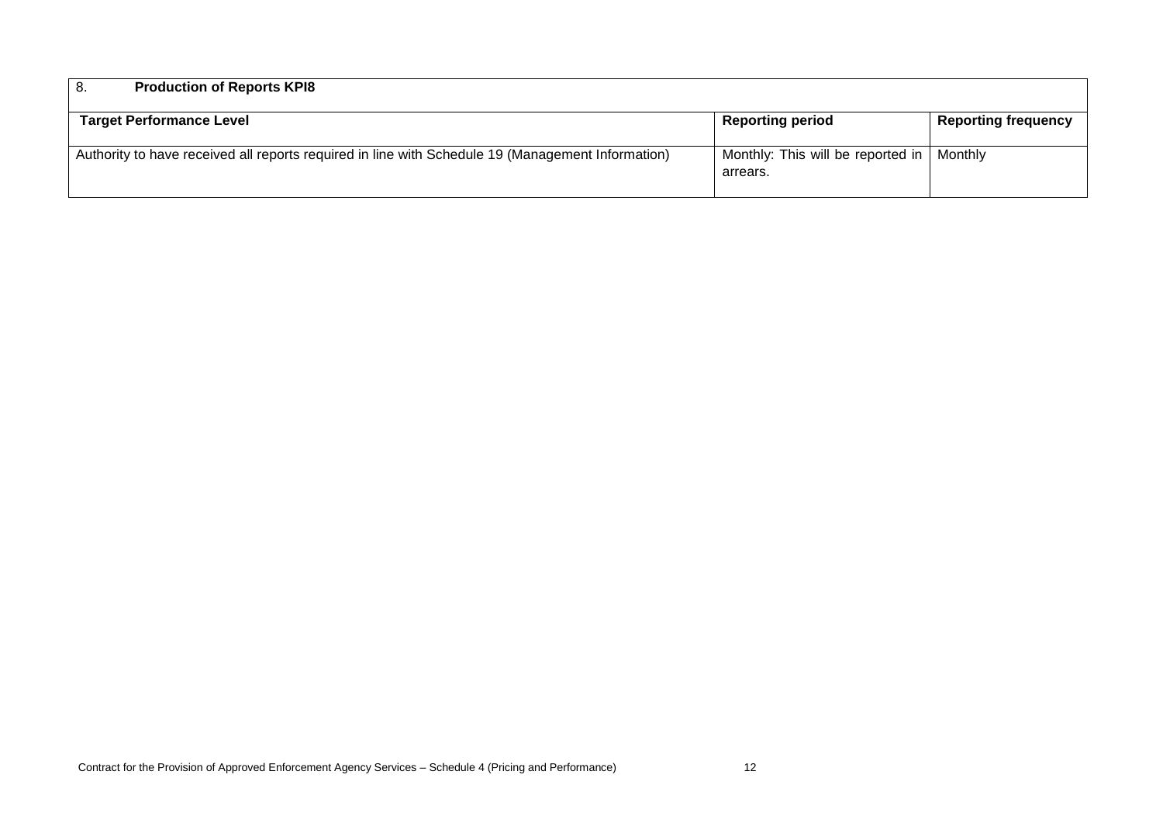| <b>Production of Reports KPI8</b><br>-8.                                                          |                                                         |                            |
|---------------------------------------------------------------------------------------------------|---------------------------------------------------------|----------------------------|
| <b>Target Performance Level</b>                                                                   | <b>Reporting period</b>                                 | <b>Reporting frequency</b> |
| Authority to have received all reports required in line with Schedule 19 (Management Information) | Monthly: This will be reported in   Monthly<br>arrears. |                            |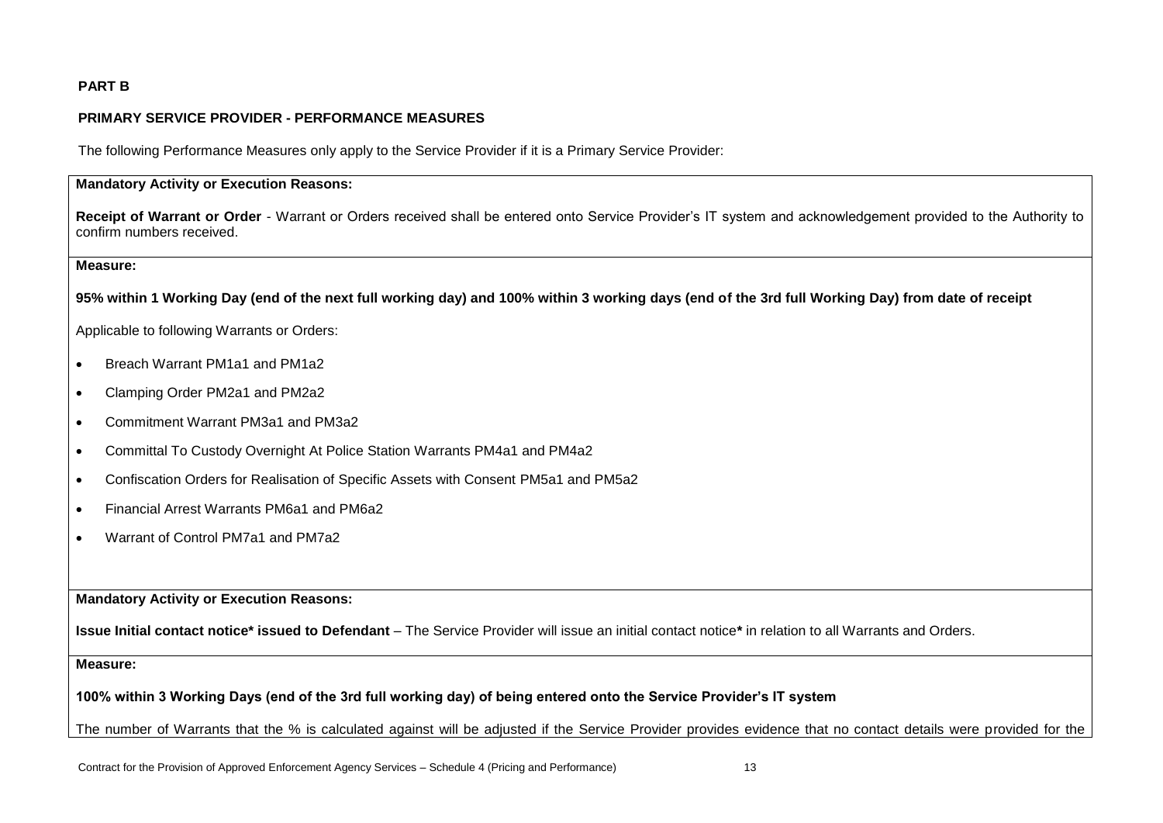# **PART B**

# **PRIMARY SERVICE PROVIDER - PERFORMANCE MEASURES**

The following Performance Measures only apply to the Service Provider if it is a Primary Service Provider:

# **Mandatory Activity or Execution Reasons:**

**Receipt of Warrant or Order** - Warrant or Orders received shall be entered onto Service Provider's IT system and acknowledgement provided to the Authority to confirm numbers received.

#### **Measure:**

**95% within 1 Working Day (end of the next full working day) and 100% within 3 working days (end of the 3rd full Working Day) from date of receipt** 

Applicable to following Warrants or Orders:

- Breach Warrant PM1a1 and PM1a2
- Clamping Order PM2a1 and PM2a2
- Commitment Warrant PM3a1 and PM3a2
- Committal To Custody Overnight At Police Station Warrants PM4a1 and PM4a2
- Confiscation Orders for Realisation of Specific Assets with Consent PM5a1 and PM5a2
- Financial Arrest Warrants PM6a1 and PM6a2
- Warrant of Control PM7a1 and PM7a2

**Mandatory Activity or Execution Reasons:**

**Issue Initial contact notice\* issued to Defendant** – The Service Provider will issue an initial contact notice**\*** in relation to all Warrants and Orders.

**Measure:**

**100% within 3 Working Days (end of the 3rd full working day) of being entered onto the Service Provider's IT system**

The number of Warrants that the % is calculated against will be adjusted if the Service Provider provides evidence that no contact details were provided for the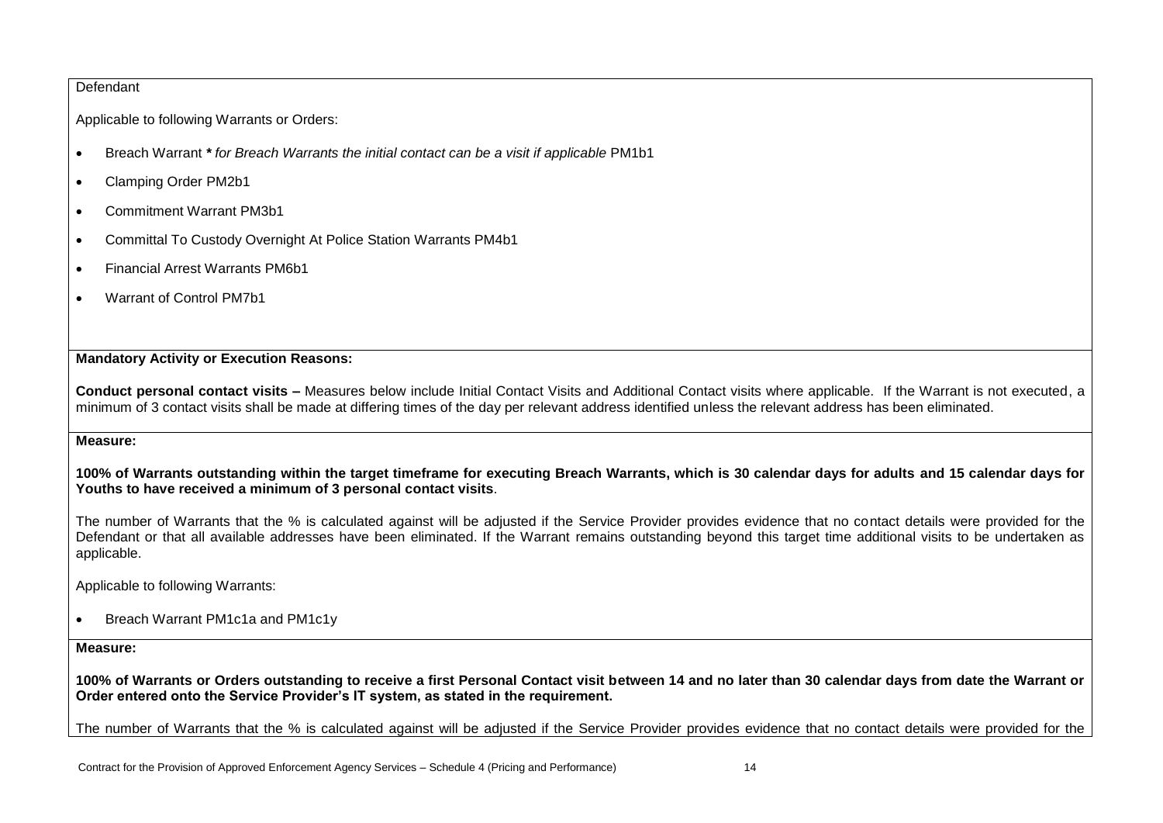### Defendant

Applicable to following Warrants or Orders:

- Breach Warrant *\* for Breach Warrants the initial contact can be a visit if applicable* PM1b1
- Clamping Order PM2b1
- Commitment Warrant PM3b1
- Committal To Custody Overnight At Police Station Warrants PM4b1
- Financial Arrest Warrants PM6b1
- Warrant of Control PM7b1

# **Mandatory Activity or Execution Reasons:**

**Conduct personal contact visits –** Measures below include Initial Contact Visits and Additional Contact visits where applicable. If the Warrant is not executed, a minimum of 3 contact visits shall be made at differing times of the day per relevant address identified unless the relevant address has been eliminated.

## **Measure:**

**100% of Warrants outstanding within the target timeframe for executing Breach Warrants, which is 30 calendar days for adults and 15 calendar days for Youths to have received a minimum of 3 personal contact visits**.

The number of Warrants that the % is calculated against will be adjusted if the Service Provider provides evidence that no contact details were provided for the Defendant or that all available addresses have been eliminated. If the Warrant remains outstanding beyond this target time additional visits to be undertaken as applicable.

Applicable to following Warrants:

• Breach Warrant PM1c1a and PM1c1y

**Measure:**

**100% of Warrants or Orders outstanding to receive a first Personal Contact visit between 14 and no later than 30 calendar days from date the Warrant or Order entered onto the Service Provider's IT system, as stated in the requirement.**

The number of Warrants that the % is calculated against will be adjusted if the Service Provider provides evidence that no contact details were provided for the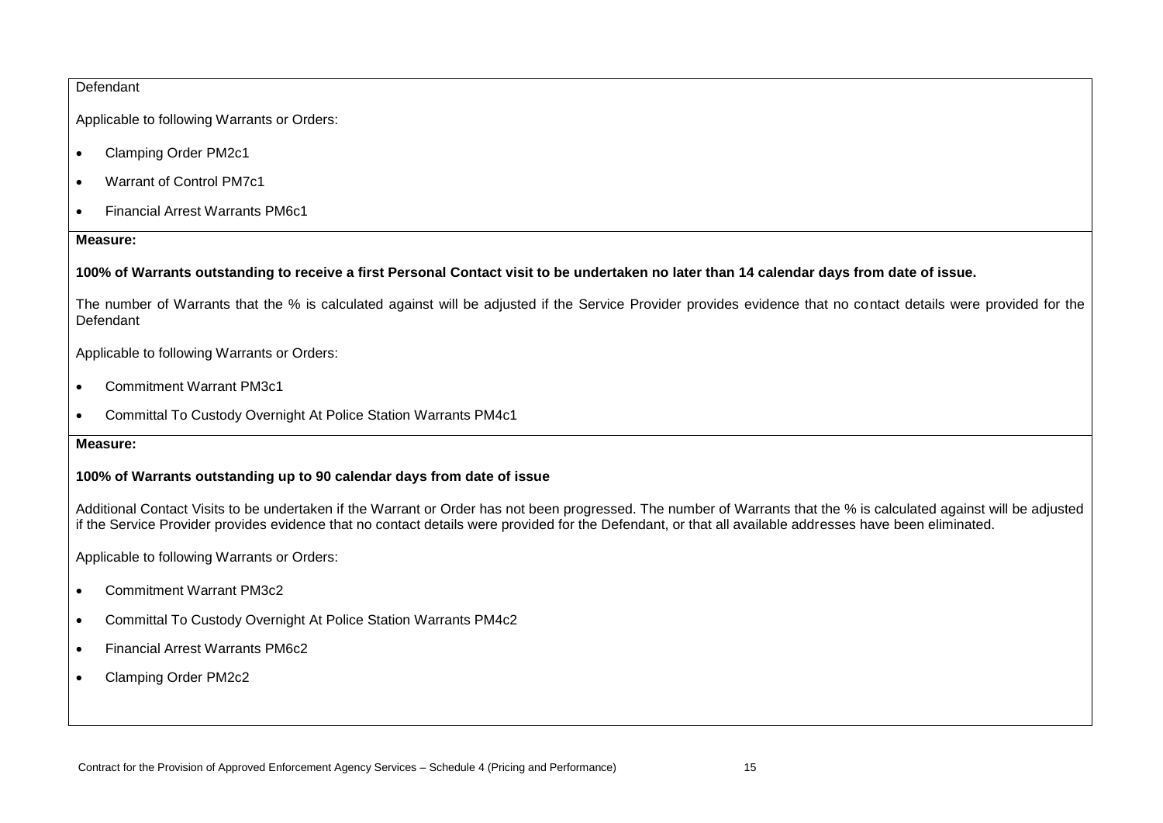### Defendant

Applicable to following Warrants or Orders:

- Clamping Order PM2c1
- Warrant of Control PM7c1
- Financial Arrest Warrants PM6c1

### **Measure:**

## **100% of Warrants outstanding to receive a first Personal Contact visit to be undertaken no later than 14 calendar days from date of issue.**

The number of Warrants that the % is calculated against will be adjusted if the Service Provider provides evidence that no contact details were provided for the Defendant

Applicable to following Warrants or Orders:

- Commitment Warrant PM3c1
- Committal To Custody Overnight At Police Station Warrants PM4c1

### **Measure:**

# **100% of Warrants outstanding up to 90 calendar days from date of issue**

Additional Contact Visits to be undertaken if the Warrant or Order has not been progressed. The number of Warrants that the % is calculated against will be adjusted if the Service Provider provides evidence that no contact details were provided for the Defendant, or that all available addresses have been eliminated.

Applicable to following Warrants or Orders:

- Commitment Warrant PM3c2
- Committal To Custody Overnight At Police Station Warrants PM4c2
- Financial Arrest Warrants PM6c2
- Clamping Order PM2c2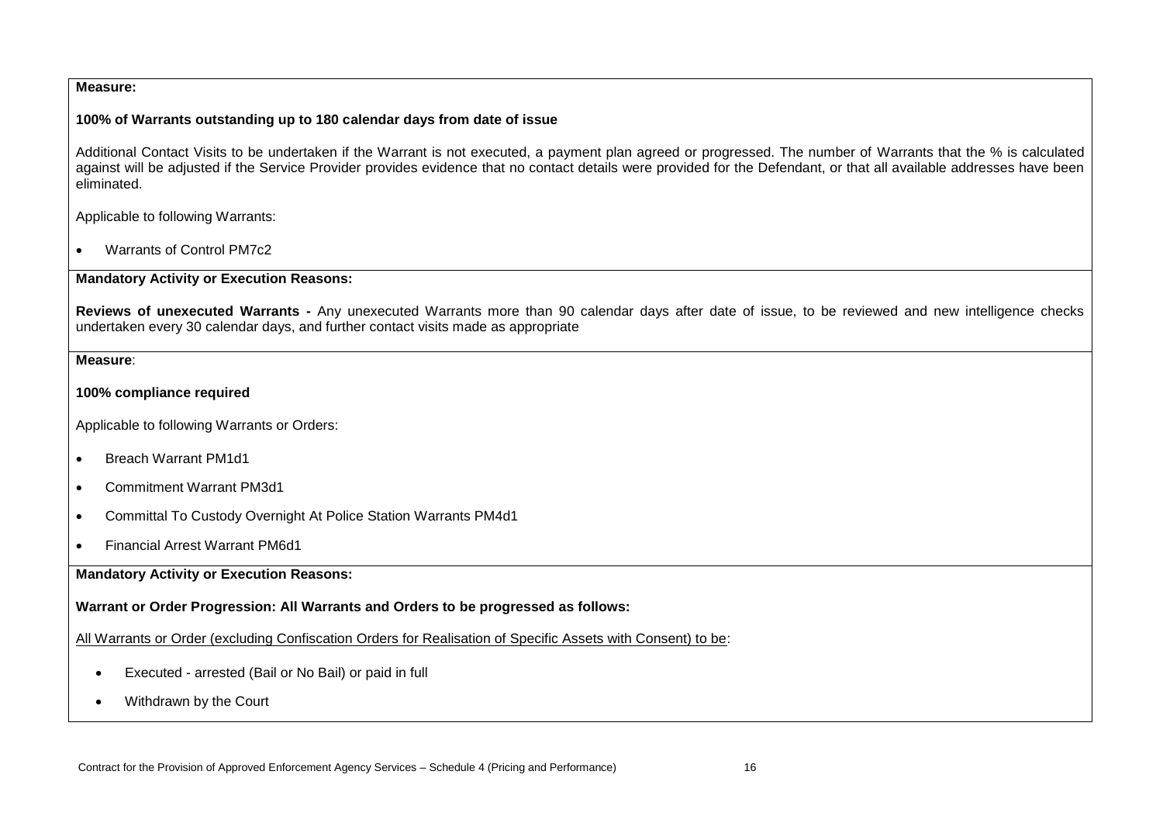### **Measure:**

### **100% of Warrants outstanding up to 180 calendar days from date of issue**

Additional Contact Visits to be undertaken if the Warrant is not executed, a payment plan agreed or progressed. The number of Warrants that the % is calculated against will be adjusted if the Service Provider provides evidence that no contact details were provided for the Defendant, or that all available addresses have been eliminated.

Applicable to following Warrants:

• Warrants of Control PM7c2

### **Mandatory Activity or Execution Reasons:**

**Reviews of unexecuted Warrants -** Any unexecuted Warrants more than 90 calendar days after date of issue, to be reviewed and new intelligence checks undertaken every 30 calendar days, and further contact visits made as appropriate

**Measure**:

### **100% compliance required**

Applicable to following Warrants or Orders:

- Breach Warrant PM1d1
- Commitment Warrant PM3d1
- Committal To Custody Overnight At Police Station Warrants PM4d1
- Financial Arrest Warrant PM6d1

**Mandatory Activity or Execution Reasons:**

**Warrant or Order Progression: All Warrants and Orders to be progressed as follows:** 

All Warrants or Order (excluding Confiscation Orders for Realisation of Specific Assets with Consent) to be:

- Executed arrested (Bail or No Bail) or paid in full
- Withdrawn by the Court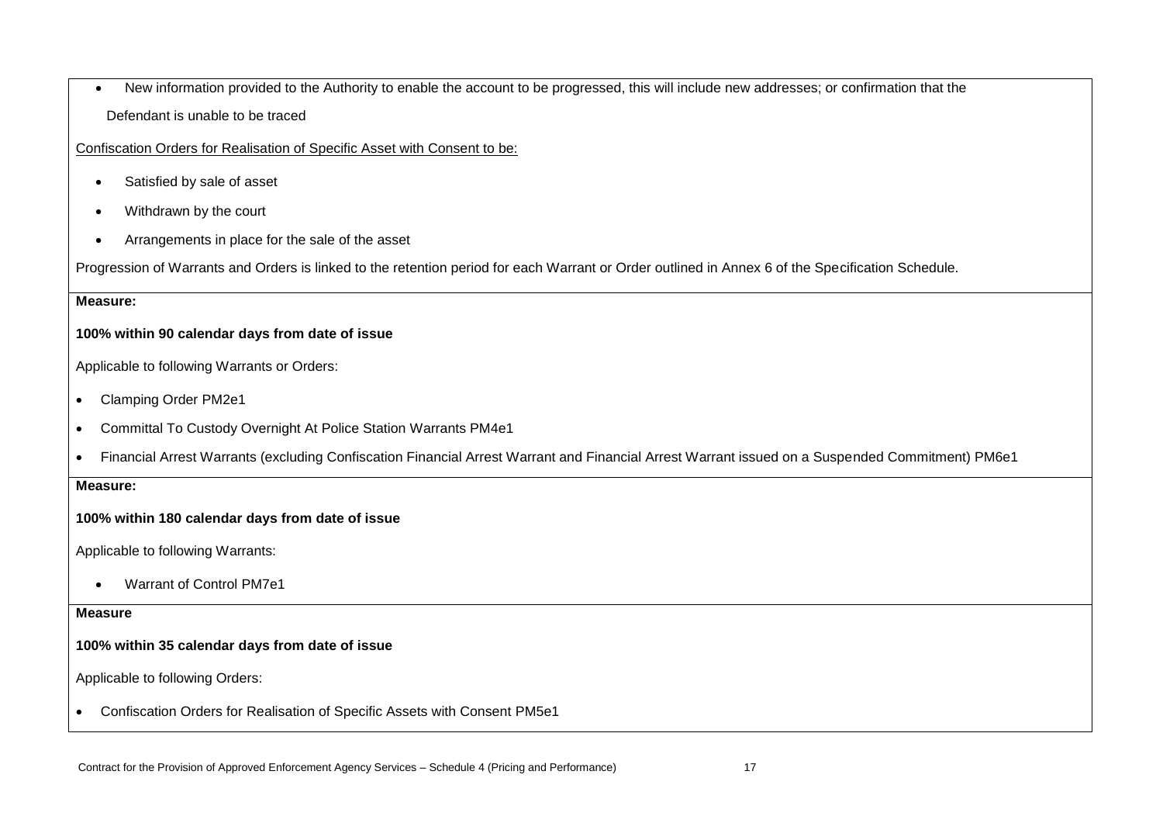• New information provided to the Authority to enable the account to be progressed, this will include new addresses; or confirmation that the Defendant is unable to be traced

Confiscation Orders for Realisation of Specific Asset with Consent to be:

- Satisfied by sale of asset
- Withdrawn by the court
- Arrangements in place for the sale of the asset

Progression of Warrants and Orders is linked to the retention period for each Warrant or Order outlined in Annex 6 of the Specification Schedule.

### **Measure:**

# **100% within 90 calendar days from date of issue**

Applicable to following Warrants or Orders:

- Clamping Order PM2e1
- Committal To Custody Overnight At Police Station Warrants PM4e1
- Financial Arrest Warrants (excluding Confiscation Financial Arrest Warrant and Financial Arrest Warrant issued on a Suspended Commitment) PM6e1

#### **Measure:**

## **100% within 180 calendar days from date of issue**

Applicable to following Warrants:

• Warrant of Control PM7e1

#### **Measure**

# **100% within 35 calendar days from date of issue**

Applicable to following Orders:

• Confiscation Orders for Realisation of Specific Assets with Consent PM5e1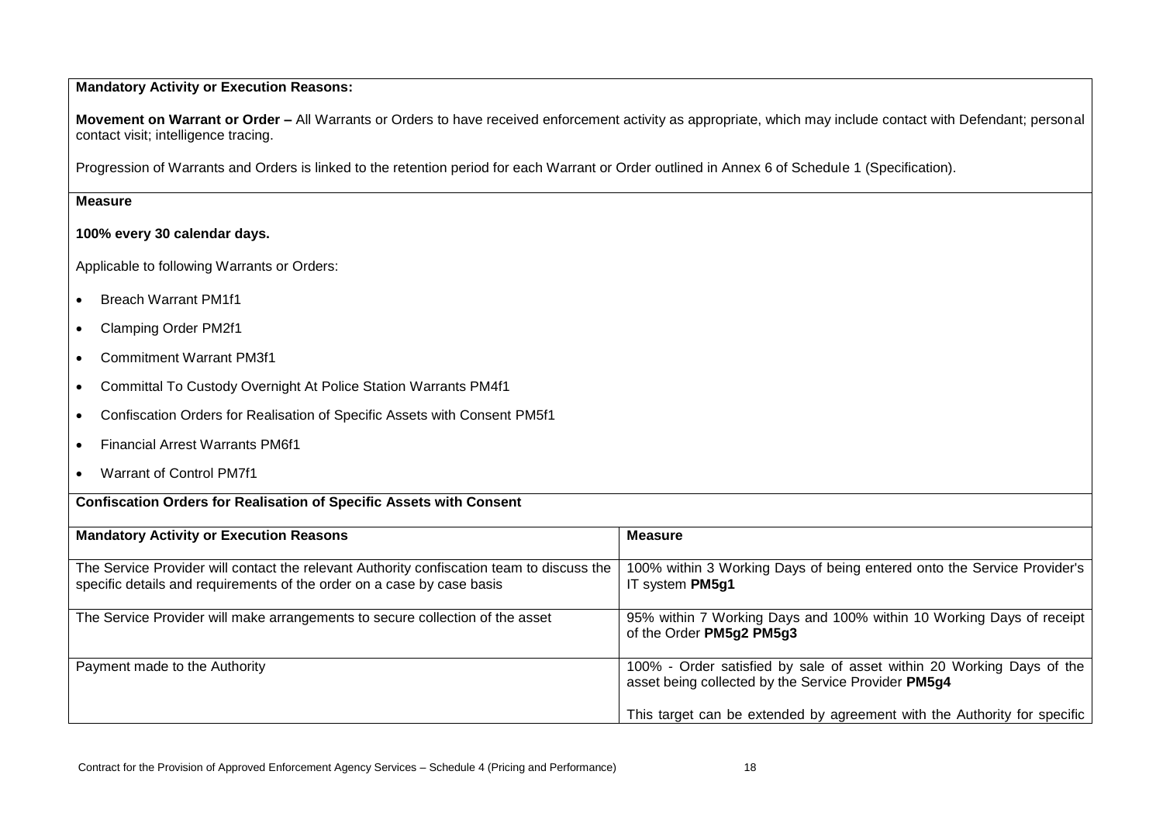# **Mandatory Activity or Execution Reasons:**

**Movement on Warrant or Order –** All Warrants or Orders to have received enforcement activity as appropriate, which may include contact with Defendant; personal contact visit; intelligence tracing.

Progression of Warrants and Orders is linked to the retention period for each Warrant or Order outlined in Annex 6 of Schedule 1 (Specification).

# **Measure**

# **100% every 30 calendar days.**

Applicable to following Warrants or Orders:

- Breach Warrant PM1f1
- Clamping Order PM2f1
- Commitment Warrant PM3f1
- Committal To Custody Overnight At Police Station Warrants PM4f1

**Confiscation Orders for Realisation of Specific Assets with Consent** 

- Confiscation Orders for Realisation of Specific Assets with Consent PM5f1
- Financial Arrest Warrants PM6f1
- Warrant of Control PM7f1

| <b>Mandatory Activity or Execution Reasons</b>                                            | <b>Measure</b>                                                           |
|-------------------------------------------------------------------------------------------|--------------------------------------------------------------------------|
|                                                                                           |                                                                          |
| The Service Provider will contact the relevant Authority confiscation team to discuss the | 100% within 3 Working Days of being entered onto the Service Provider's  |
| specific details and requirements of the order on a case by case basis                    | IT system PM5g1                                                          |
|                                                                                           |                                                                          |
| The Service Provider will make arrangements to secure collection of the asset             | 95% within 7 Working Days and 100% within 10 Working Days of receipt     |
|                                                                                           | of the Order PM5g2 PM5g3                                                 |
|                                                                                           |                                                                          |
| Payment made to the Authority                                                             | 100% - Order satisfied by sale of asset within 20 Working Days of the    |
|                                                                                           | asset being collected by the Service Provider PM5g4                      |
|                                                                                           |                                                                          |
|                                                                                           | This target can be extended by agreement with the Authority for specific |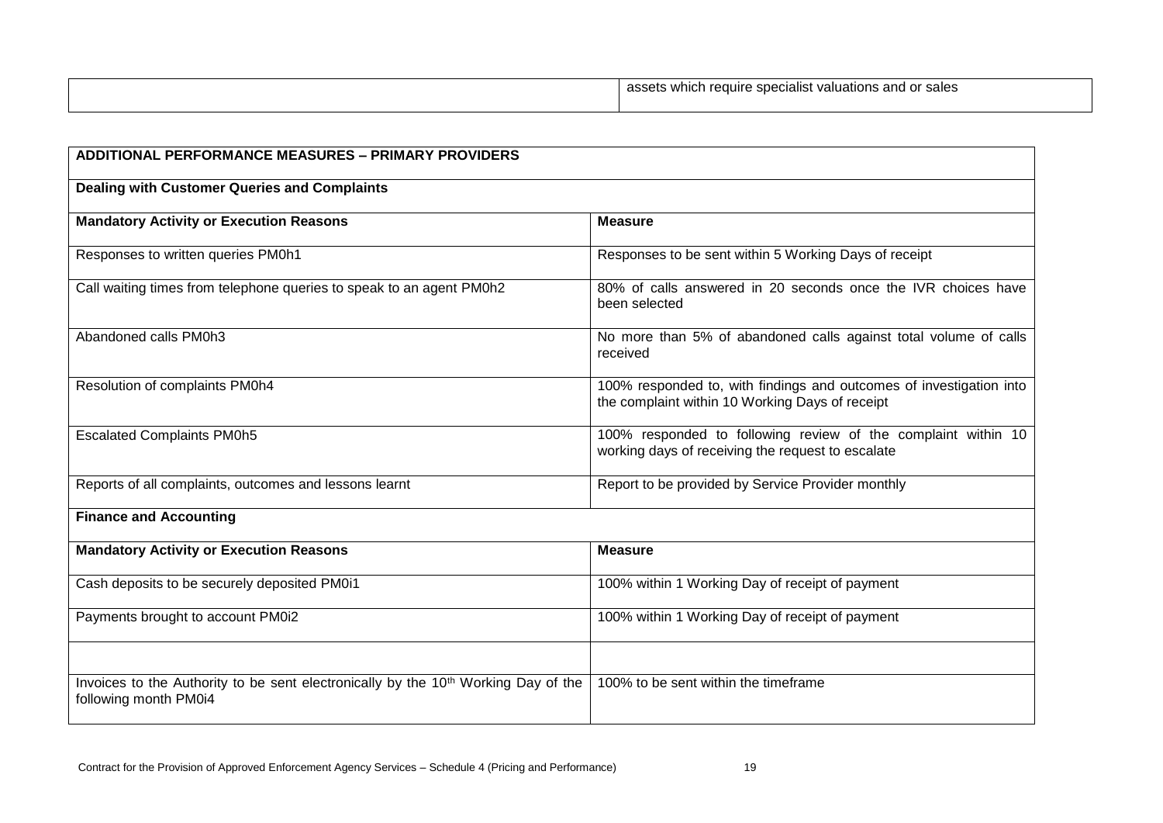| .<br>assets which<br>, and or<br>sales<br>$\overline{\phantom{a}}$<br>uations<br>require<br>: specialist<br>. עם |
|------------------------------------------------------------------------------------------------------------------|
|                                                                                                                  |

| <b>ADDITIONAL PERFORMANCE MEASURES - PRIMARY PROVIDERS</b>                                                              |                                                                                                                        |
|-------------------------------------------------------------------------------------------------------------------------|------------------------------------------------------------------------------------------------------------------------|
| <b>Dealing with Customer Queries and Complaints</b>                                                                     |                                                                                                                        |
| <b>Mandatory Activity or Execution Reasons</b>                                                                          | <b>Measure</b>                                                                                                         |
| Responses to written queries PM0h1                                                                                      | Responses to be sent within 5 Working Days of receipt                                                                  |
| Call waiting times from telephone queries to speak to an agent PM0h2                                                    | 80% of calls answered in 20 seconds once the IVR choices have<br>been selected                                         |
| Abandoned calls PM0h3                                                                                                   | No more than 5% of abandoned calls against total volume of calls<br>received                                           |
| Resolution of complaints PM0h4                                                                                          | 100% responded to, with findings and outcomes of investigation into<br>the complaint within 10 Working Days of receipt |
| <b>Escalated Complaints PM0h5</b>                                                                                       | 100% responded to following review of the complaint within 10<br>working days of receiving the request to escalate     |
| Reports of all complaints, outcomes and lessons learnt                                                                  | Report to be provided by Service Provider monthly                                                                      |
| <b>Finance and Accounting</b>                                                                                           |                                                                                                                        |
| <b>Mandatory Activity or Execution Reasons</b>                                                                          | <b>Measure</b>                                                                                                         |
| Cash deposits to be securely deposited PM0i1                                                                            | 100% within 1 Working Day of receipt of payment                                                                        |
| Payments brought to account PM0i2                                                                                       | 100% within 1 Working Day of receipt of payment                                                                        |
| Invoices to the Authority to be sent electronically by the 10 <sup>th</sup> Working Day of the<br>following month PM0i4 | 100% to be sent within the timeframe                                                                                   |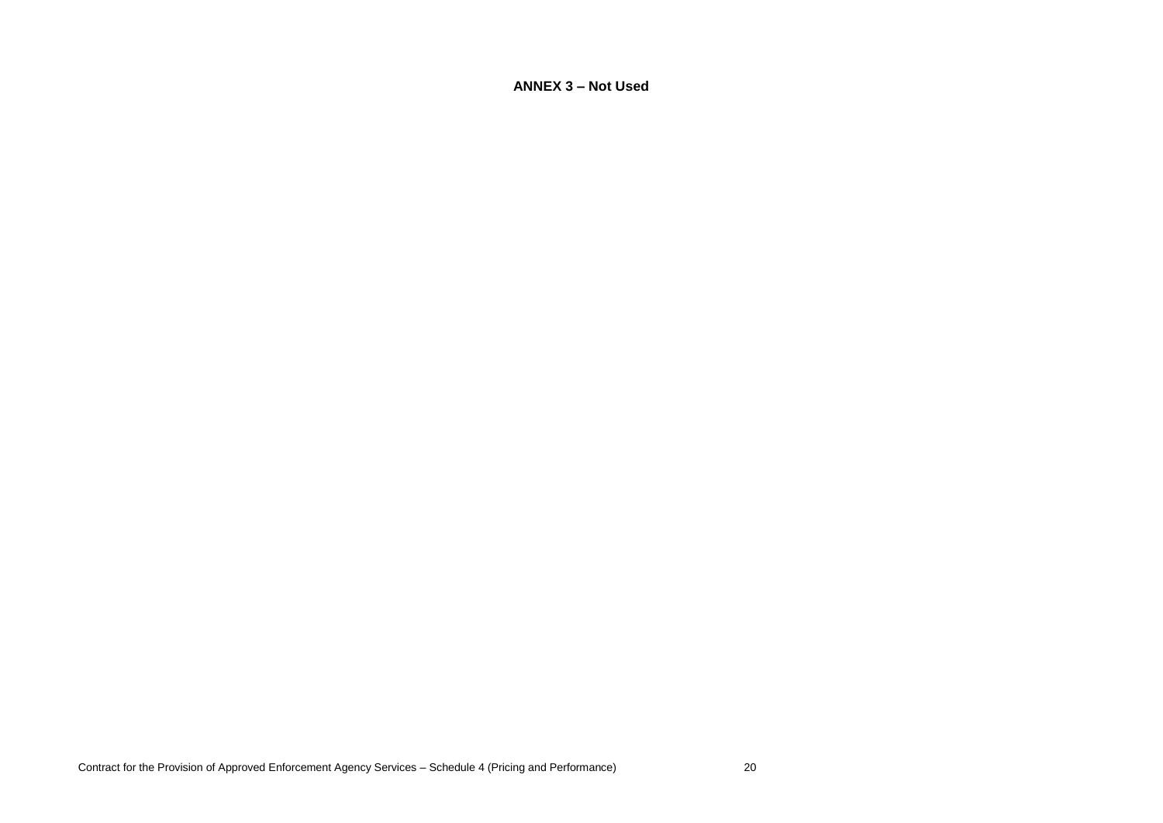**ANNEX 3 – Not Used**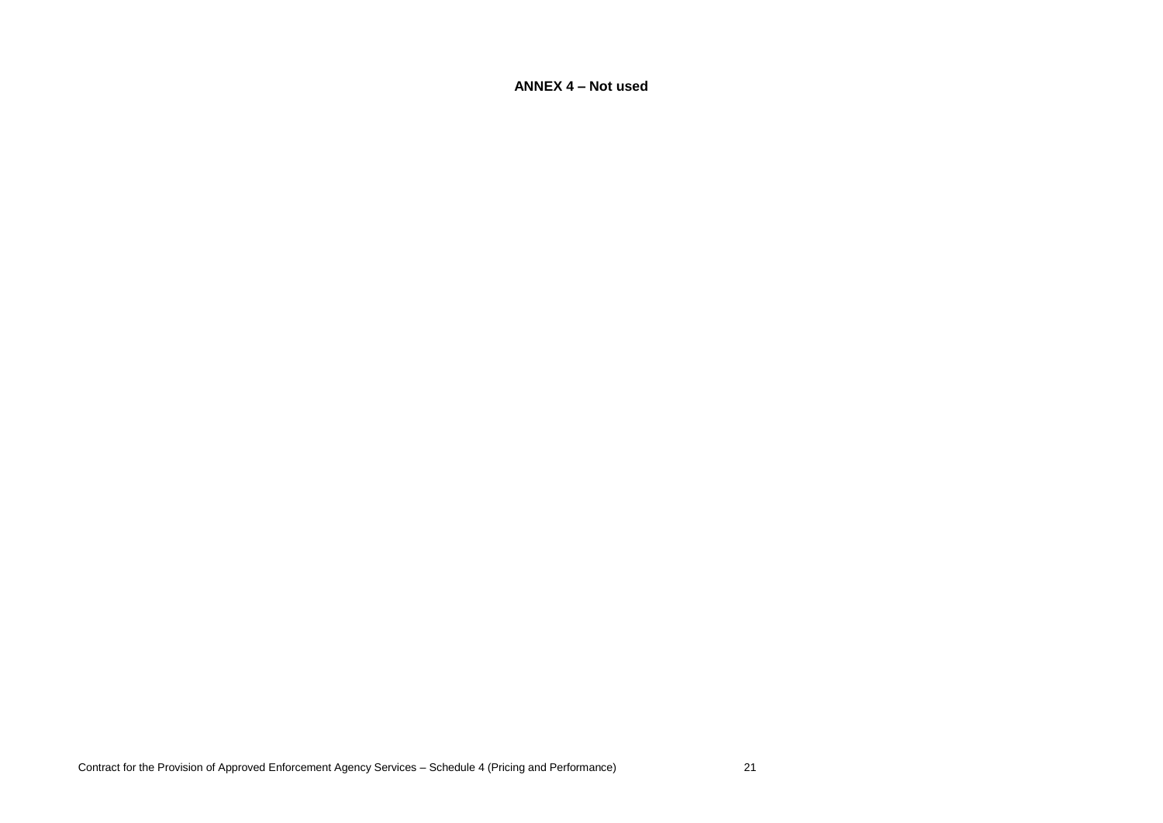**ANNEX 4 – Not used**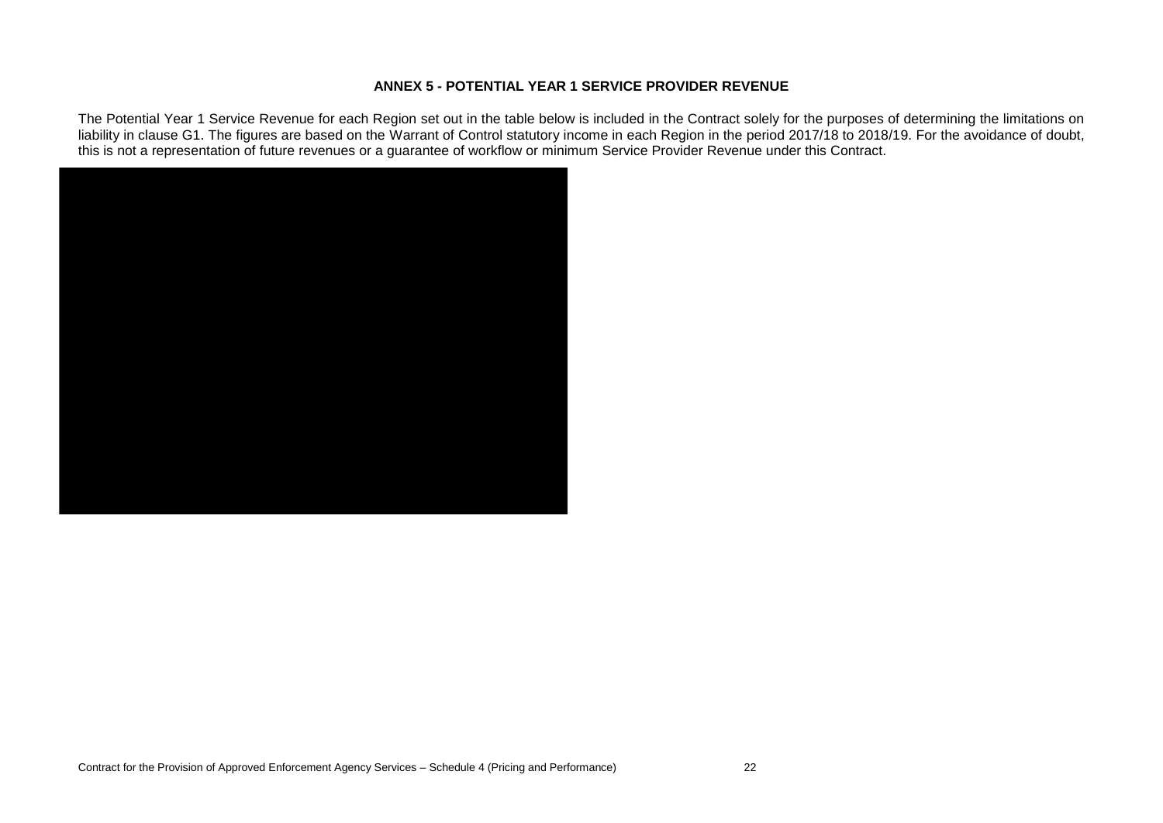### **ANNEX 5 - POTENTIAL YEAR 1 SERVICE PROVIDER REVENUE**

The Potential Year 1 Service Revenue for each Region set out in the table below is included in the Contract solely for the purposes of determining the limitations on liability in clause G1. The figures are based on the Warrant of Control statutory income in each Region in the period 2017/18 to 2018/19. For the avoidance of doubt, this is not a representation of future revenues or a guarantee of workflow or minimum Service Provider Revenue under this Contract.

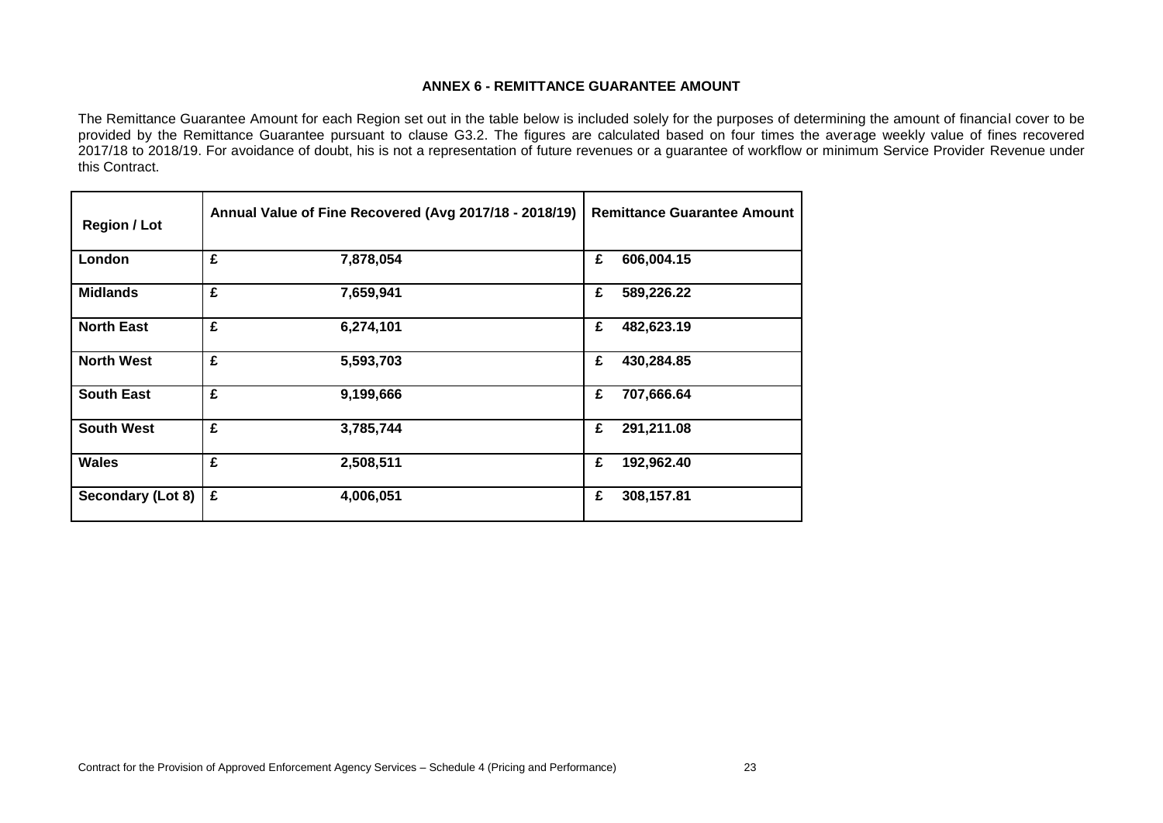### **ANNEX 6 - REMITTANCE GUARANTEE AMOUNT**

The Remittance Guarantee Amount for each Region set out in the table below is included solely for the purposes of determining the amount of financial cover to be provided by the Remittance Guarantee pursuant to clause G3.2. The figures are calculated based on four times the average weekly value of fines recovered 2017/18 to 2018/19. For avoidance of doubt, his is not a representation of future revenues or a guarantee of workflow or minimum Service Provider Revenue under this Contract.

|   |                                                                                                                                                                | <b>Remittance Guarantee Amount</b> |
|---|----------------------------------------------------------------------------------------------------------------------------------------------------------------|------------------------------------|
| £ | £                                                                                                                                                              | 606,004.15                         |
| £ | £                                                                                                                                                              | 589,226.22                         |
| £ | £                                                                                                                                                              | 482,623.19                         |
| £ | £                                                                                                                                                              | 430,284.85                         |
| £ | £                                                                                                                                                              | 707,666.64                         |
| £ | £                                                                                                                                                              | 291,211.08                         |
| £ | £                                                                                                                                                              | 192,962.40                         |
| £ | £                                                                                                                                                              | 308,157.81                         |
|   | Annual Value of Fine Recovered (Avg 2017/18 - 2018/19)<br>7,878,054<br>7,659,941<br>6,274,101<br>5,593,703<br>9,199,666<br>3,785,744<br>2,508,511<br>4,006,051 |                                    |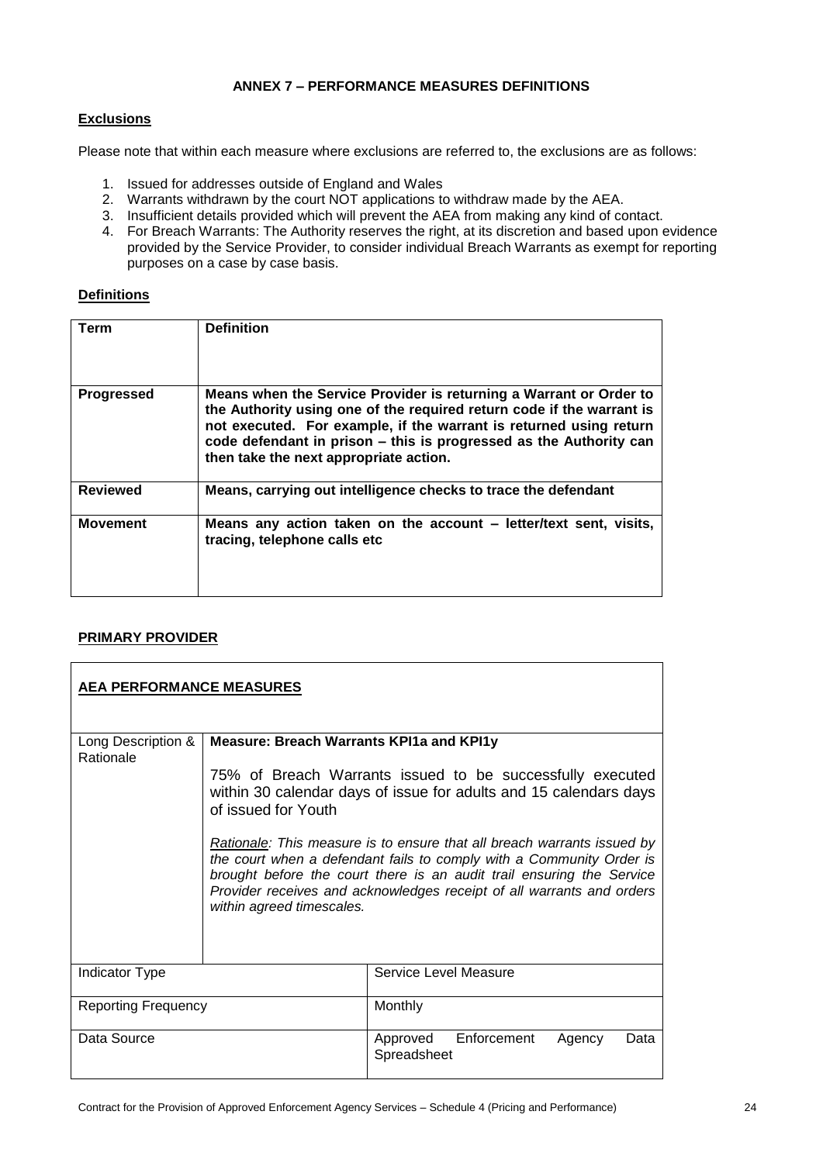# **ANNEX 7 – PERFORMANCE MEASURES DEFINITIONS**

# **Exclusions**

Please note that within each measure where exclusions are referred to, the exclusions are as follows:

- 1. Issued for addresses outside of England and Wales
- 2. Warrants withdrawn by the court NOT applications to withdraw made by the AEA.
- 3. Insufficient details provided which will prevent the AEA from making any kind of contact.
- 4. For Breach Warrants: The Authority reserves the right, at its discretion and based upon evidence provided by the Service Provider, to consider individual Breach Warrants as exempt for reporting purposes on a case by case basis.

# **Definitions**

| Term              | <b>Definition</b>                                                                                                                                                                                                                                                                                                                 |
|-------------------|-----------------------------------------------------------------------------------------------------------------------------------------------------------------------------------------------------------------------------------------------------------------------------------------------------------------------------------|
| <b>Progressed</b> | Means when the Service Provider is returning a Warrant or Order to<br>the Authority using one of the required return code if the warrant is<br>not executed. For example, if the warrant is returned using return<br>code defendant in prison - this is progressed as the Authority can<br>then take the next appropriate action. |
| <b>Reviewed</b>   | Means, carrying out intelligence checks to trace the defendant                                                                                                                                                                                                                                                                    |
| <b>Movement</b>   | Means any action taken on the account – letter/text sent, visits,<br>tracing, telephone calls etc                                                                                                                                                                                                                                 |

# **PRIMARY PROVIDER**

| <b>AEA PERFORMANCE MEASURES</b> |                                                                                                                                                       |                                                                                                                                                                                                                                                                                                          |
|---------------------------------|-------------------------------------------------------------------------------------------------------------------------------------------------------|----------------------------------------------------------------------------------------------------------------------------------------------------------------------------------------------------------------------------------------------------------------------------------------------------------|
| Long Description &<br>Rationale | <b>Measure: Breach Warrants KPI1a and KPI1y</b>                                                                                                       |                                                                                                                                                                                                                                                                                                          |
|                                 | 75% of Breach Warrants issued to be successfully executed<br>within 30 calendar days of issue for adults and 15 calendars days<br>of issued for Youth |                                                                                                                                                                                                                                                                                                          |
|                                 | within agreed timescales.                                                                                                                             | <b>Rationale:</b> This measure is to ensure that all breach warrants issued by<br>the court when a defendant fails to comply with a Community Order is<br>brought before the court there is an audit trail ensuring the Service<br>Provider receives and acknowledges receipt of all warrants and orders |
| Indicator Type                  |                                                                                                                                                       | Service Level Measure                                                                                                                                                                                                                                                                                    |
| <b>Reporting Frequency</b>      |                                                                                                                                                       | Monthly                                                                                                                                                                                                                                                                                                  |
| Data Source                     |                                                                                                                                                       | Enforcement<br>Approved<br>Agency<br>Data<br>Spreadsheet                                                                                                                                                                                                                                                 |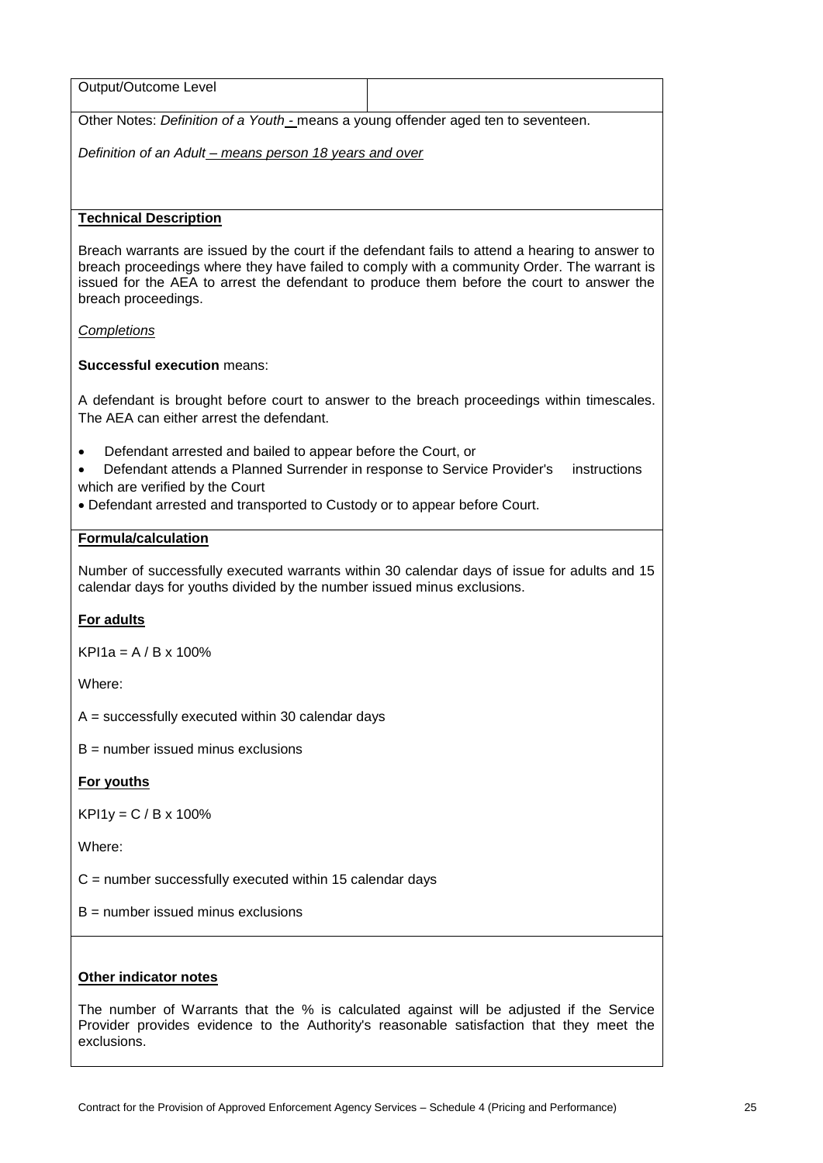| Output/Outcome Level                                                                                                                                                                                                                                                                                              |                                                                                            |  |  |
|-------------------------------------------------------------------------------------------------------------------------------------------------------------------------------------------------------------------------------------------------------------------------------------------------------------------|--------------------------------------------------------------------------------------------|--|--|
| Other Notes: Definition of a Youth - means a young offender aged ten to seventeen.                                                                                                                                                                                                                                |                                                                                            |  |  |
|                                                                                                                                                                                                                                                                                                                   | Definition of an Adult - means person 18 years and over                                    |  |  |
|                                                                                                                                                                                                                                                                                                                   |                                                                                            |  |  |
| <b>Technical Description</b>                                                                                                                                                                                                                                                                                      |                                                                                            |  |  |
| Breach warrants are issued by the court if the defendant fails to attend a hearing to answer to<br>breach proceedings where they have failed to comply with a community Order. The warrant is<br>issued for the AEA to arrest the defendant to produce them before the court to answer the<br>breach proceedings. |                                                                                            |  |  |
| <b>Completions</b>                                                                                                                                                                                                                                                                                                |                                                                                            |  |  |
| <b>Successful execution means:</b>                                                                                                                                                                                                                                                                                |                                                                                            |  |  |
| The AEA can either arrest the defendant.                                                                                                                                                                                                                                                                          | A defendant is brought before court to answer to the breach proceedings within timescales. |  |  |
| Defendant arrested and bailed to appear before the Court, or<br>Defendant attends a Planned Surrender in response to Service Provider's<br>instructions<br>which are verified by the Court<br>. Defendant arrested and transported to Custody or to appear before Court.                                          |                                                                                            |  |  |
| <b>Formula/calculation</b>                                                                                                                                                                                                                                                                                        |                                                                                            |  |  |
| Number of successfully executed warrants within 30 calendar days of issue for adults and 15<br>calendar days for youths divided by the number issued minus exclusions.                                                                                                                                            |                                                                                            |  |  |
| For adults                                                                                                                                                                                                                                                                                                        |                                                                                            |  |  |
| $KPI1a = A/B \times 100\%$                                                                                                                                                                                                                                                                                        |                                                                                            |  |  |
| Where:                                                                                                                                                                                                                                                                                                            |                                                                                            |  |  |
| $A =$ successfully executed within 30 calendar days                                                                                                                                                                                                                                                               |                                                                                            |  |  |
| $B =$ number issued minus exclusions                                                                                                                                                                                                                                                                              |                                                                                            |  |  |
| For youths                                                                                                                                                                                                                                                                                                        |                                                                                            |  |  |
| $KPI1y = C / B x 100%$                                                                                                                                                                                                                                                                                            |                                                                                            |  |  |
| Where:                                                                                                                                                                                                                                                                                                            |                                                                                            |  |  |
| $C =$ number successfully executed within 15 calendar days                                                                                                                                                                                                                                                        |                                                                                            |  |  |
| $B =$ number issued minus exclusions                                                                                                                                                                                                                                                                              |                                                                                            |  |  |
|                                                                                                                                                                                                                                                                                                                   |                                                                                            |  |  |
| Other indicator notes                                                                                                                                                                                                                                                                                             |                                                                                            |  |  |
| The number of Warrants that the % is calculated against will be adjusted if the Service<br>Provider provides evidence to the Authority's reasonable satisfaction that they meet the<br>exclusions.                                                                                                                |                                                                                            |  |  |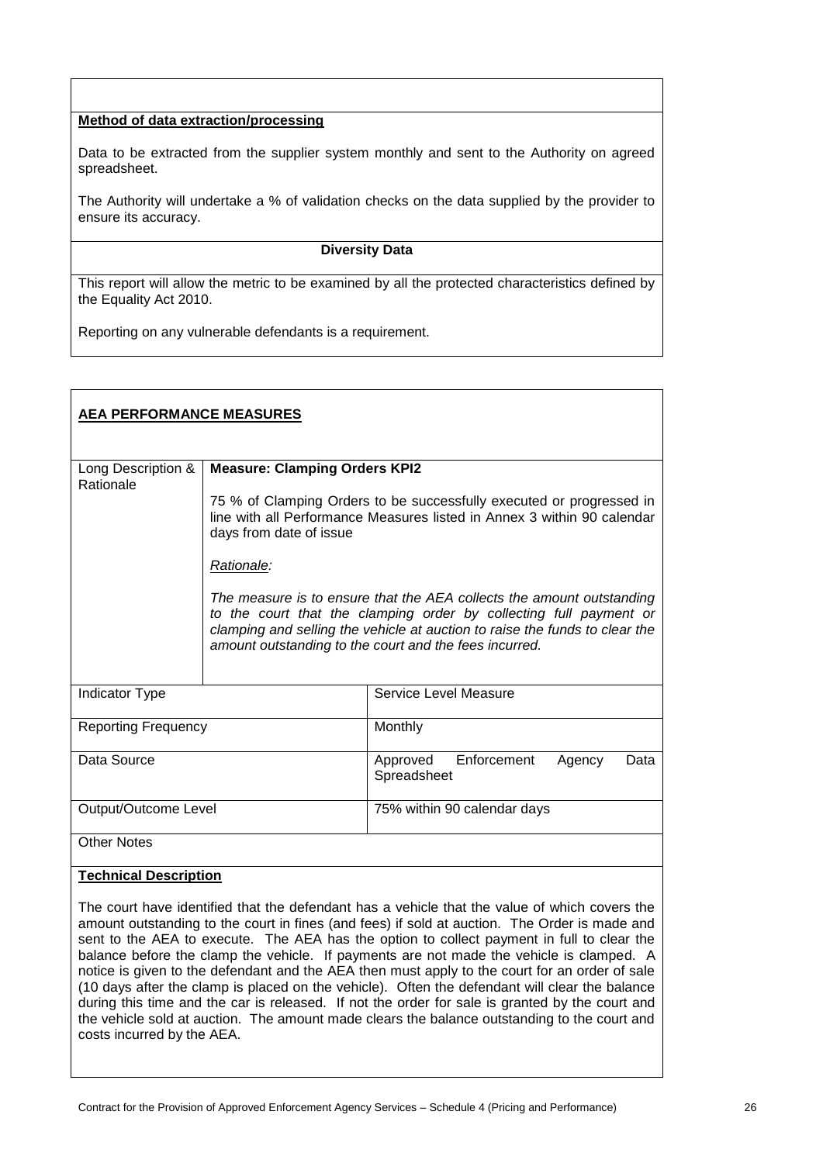# **Method of data extraction/processing**

Data to be extracted from the supplier system monthly and sent to the Authority on agreed spreadsheet.

The Authority will undertake a % of validation checks on the data supplied by the provider to ensure its accuracy.

### **Diversity Data**

This report will allow the metric to be examined by all the protected characteristics defined by the Equality Act 2010.

Reporting on any vulnerable defendants is a requirement.

| <b>AEA PERFORMANCE MEASURES</b>   |                                      |                                                                                                                                                                                                                                                                                      |
|-----------------------------------|--------------------------------------|--------------------------------------------------------------------------------------------------------------------------------------------------------------------------------------------------------------------------------------------------------------------------------------|
| Long Description &                | <b>Measure: Clamping Orders KPI2</b> |                                                                                                                                                                                                                                                                                      |
| Rationale                         | days from date of issue              | 75 % of Clamping Orders to be successfully executed or progressed in<br>line with all Performance Measures listed in Annex 3 within 90 calendar                                                                                                                                      |
|                                   | Rationale:                           |                                                                                                                                                                                                                                                                                      |
|                                   |                                      | The measure is to ensure that the AEA collects the amount outstanding<br>to the court that the clamping order by collecting full payment or<br>clamping and selling the vehicle at auction to raise the funds to clear the<br>amount outstanding to the court and the fees incurred. |
| Indicator Type                    |                                      | Service Level Measure                                                                                                                                                                                                                                                                |
| <b>Reporting Frequency</b>        |                                      | Monthly                                                                                                                                                                                                                                                                              |
| Data Source                       |                                      | Enforcement<br>Approved<br>Agency<br>Data<br>Spreadsheet                                                                                                                                                                                                                             |
| Output/Outcome Level              |                                      | 75% within 90 calendar days                                                                                                                                                                                                                                                          |
| <b>Other Notes</b>                |                                      |                                                                                                                                                                                                                                                                                      |
| エストレー しょうしゅう<br>والتقامية المراجع |                                      |                                                                                                                                                                                                                                                                                      |

### **Technical Description**

The court have identified that the defendant has a vehicle that the value of which covers the amount outstanding to the court in fines (and fees) if sold at auction. The Order is made and sent to the AEA to execute. The AEA has the option to collect payment in full to clear the balance before the clamp the vehicle. If payments are not made the vehicle is clamped. A notice is given to the defendant and the AEA then must apply to the court for an order of sale (10 days after the clamp is placed on the vehicle). Often the defendant will clear the balance during this time and the car is released. If not the order for sale is granted by the court and the vehicle sold at auction. The amount made clears the balance outstanding to the court and costs incurred by the AEA.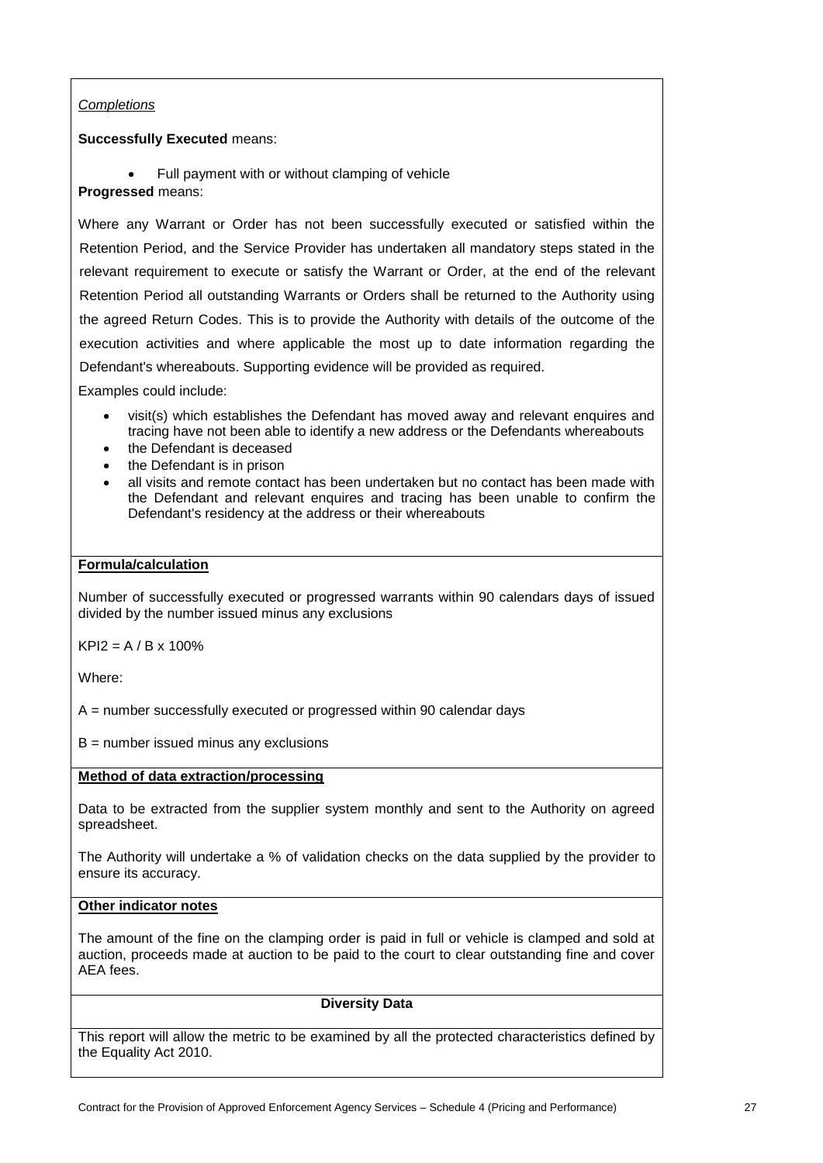# *Completions*

# **Successfully Executed** means:

• Full payment with or without clamping of vehicle **Progressed** means:

Where any Warrant or Order has not been successfully executed or satisfied within the Retention Period, and the Service Provider has undertaken all mandatory steps stated in the relevant requirement to execute or satisfy the Warrant or Order, at the end of the relevant Retention Period all outstanding Warrants or Orders shall be returned to the Authority using the agreed Return Codes. This is to provide the Authority with details of the outcome of the execution activities and where applicable the most up to date information regarding the Defendant's whereabouts. Supporting evidence will be provided as required.

Examples could include:

- visit(s) which establishes the Defendant has moved away and relevant enquires and tracing have not been able to identify a new address or the Defendants whereabouts
- the Defendant is deceased
- the Defendant is in prison
- all visits and remote contact has been undertaken but no contact has been made with the Defendant and relevant enquires and tracing has been unable to confirm the Defendant's residency at the address or their whereabouts

# **Formula/calculation**

Number of successfully executed or progressed warrants within 90 calendars days of issued divided by the number issued minus any exclusions

 $KPI2 = A / B \times 100\%$ 

Where:

A = number successfully executed or progressed within 90 calendar days

 $B =$  number issued minus any exclusions

# **Method of data extraction/processing**

Data to be extracted from the supplier system monthly and sent to the Authority on agreed spreadsheet.

The Authority will undertake a % of validation checks on the data supplied by the provider to ensure its accuracy.

# **Other indicator notes**

The amount of the fine on the clamping order is paid in full or vehicle is clamped and sold at auction, proceeds made at auction to be paid to the court to clear outstanding fine and cover AEA fees.

### **Diversity Data**

This report will allow the metric to be examined by all the protected characteristics defined by the Equality Act 2010.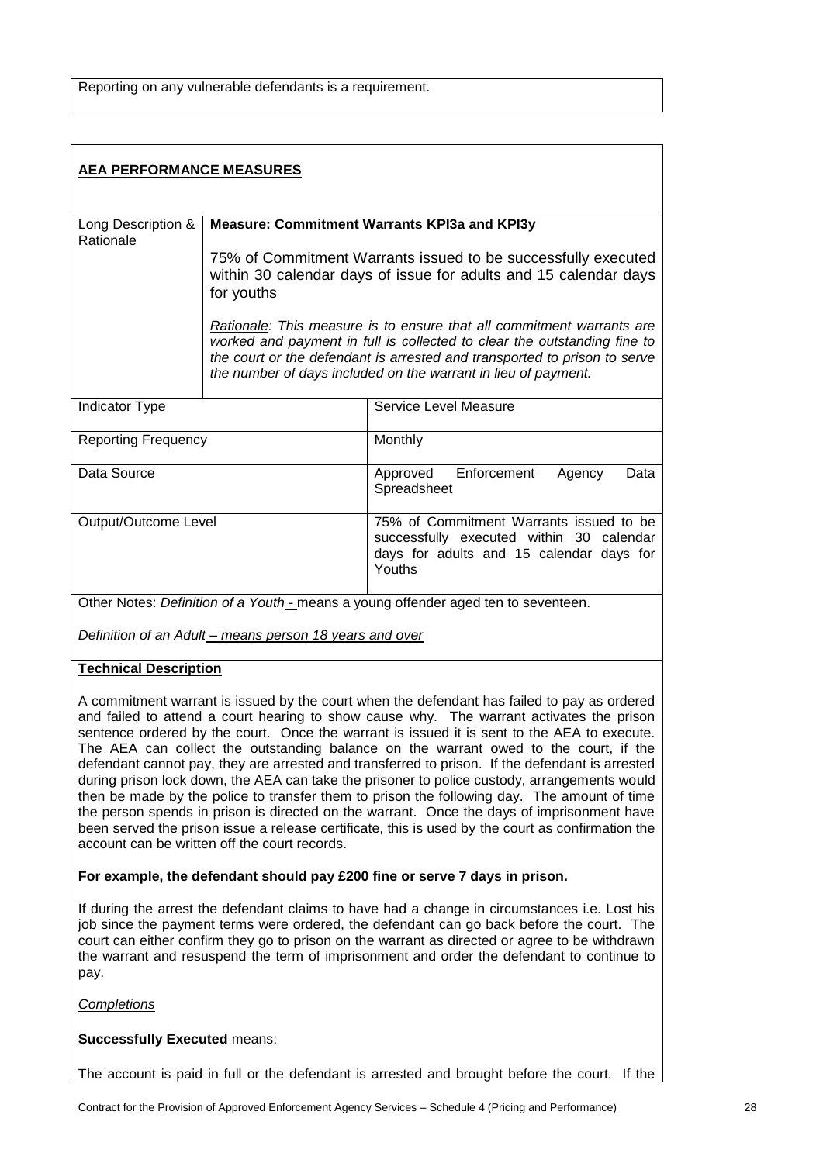| <b>AEA PERFORMANCE MEASURES</b> |                                              |                                                                                                                                                                                                                                                                                                  |
|---------------------------------|----------------------------------------------|--------------------------------------------------------------------------------------------------------------------------------------------------------------------------------------------------------------------------------------------------------------------------------------------------|
| Long Description &              | Measure: Commitment Warrants KPI3a and KPI3y |                                                                                                                                                                                                                                                                                                  |
| Rationale                       | for youths                                   | 75% of Commitment Warrants issued to be successfully executed<br>within 30 calendar days of issue for adults and 15 calendar days                                                                                                                                                                |
|                                 |                                              | Rationale: This measure is to ensure that all commitment warrants are<br>worked and payment in full is collected to clear the outstanding fine to<br>the court or the defendant is arrested and transported to prison to serve<br>the number of days included on the warrant in lieu of payment. |
| <b>Indicator Type</b>           |                                              | Service Level Measure                                                                                                                                                                                                                                                                            |
| <b>Reporting Frequency</b>      |                                              | Monthly                                                                                                                                                                                                                                                                                          |
| Data Source                     |                                              | Enforcement<br>Approved<br>Data<br>Agency<br>Spreadsheet                                                                                                                                                                                                                                         |
| Output/Outcome Level            |                                              | 75% of Commitment Warrants issued to be<br>successfully executed within 30 calendar<br>days for adults and 15 calendar days for<br>Youths                                                                                                                                                        |
|                                 |                                              | Other Notes: Definition of a Youth - means a young offender aged ten to seventeen.                                                                                                                                                                                                               |

*Definition of an Adult – means person 18 years and over*

# **Technical Description**

A commitment warrant is issued by the court when the defendant has failed to pay as ordered and failed to attend a court hearing to show cause why. The warrant activates the prison sentence ordered by the court. Once the warrant is issued it is sent to the AEA to execute. The AEA can collect the outstanding balance on the warrant owed to the court, if the defendant cannot pay, they are arrested and transferred to prison. If the defendant is arrested during prison lock down, the AEA can take the prisoner to police custody, arrangements would then be made by the police to transfer them to prison the following day. The amount of time the person spends in prison is directed on the warrant. Once the days of imprisonment have been served the prison issue a release certificate, this is used by the court as confirmation the account can be written off the court records.

# **For example, the defendant should pay £200 fine or serve 7 days in prison.**

If during the arrest the defendant claims to have had a change in circumstances i.e. Lost his job since the payment terms were ordered, the defendant can go back before the court. The court can either confirm they go to prison on the warrant as directed or agree to be withdrawn the warrant and resuspend the term of imprisonment and order the defendant to continue to pay.

*Completions*

**Successfully Executed** means:

The account is paid in full or the defendant is arrested and brought before the court. If the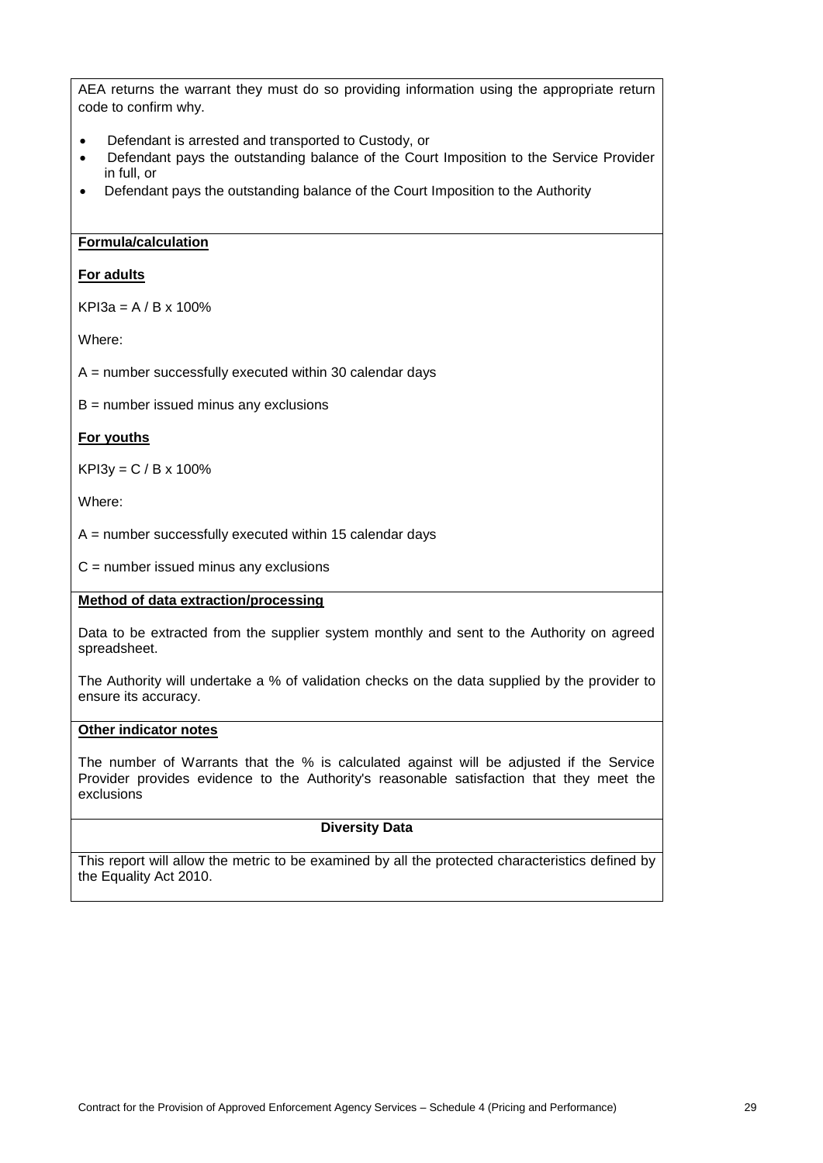AEA returns the warrant they must do so providing information using the appropriate return code to confirm why.

- Defendant is arrested and transported to Custody, or
- Defendant pays the outstanding balance of the Court Imposition to the Service Provider in full, or
- Defendant pays the outstanding balance of the Court Imposition to the Authority

### **Formula/calculation**

### **For adults**

 $KP$ <sup>13</sup> $a = A / B x 100%$ 

Where:

A = number successfully executed within 30 calendar days

 $B =$  number issued minus any exclusions

### **For youths**

 $KP13y = C / B x 100%$ 

Where:

 $A =$  number successfully executed within 15 calendar days

 $C =$  number issued minus any exclusions

# **Method of data extraction/processing**

Data to be extracted from the supplier system monthly and sent to the Authority on agreed spreadsheet.

The Authority will undertake a % of validation checks on the data supplied by the provider to ensure its accuracy.

### **Other indicator notes**

The number of Warrants that the % is calculated against will be adjusted if the Service Provider provides evidence to the Authority's reasonable satisfaction that they meet the exclusions

# **Diversity Data**

This report will allow the metric to be examined by all the protected characteristics defined by the Equality Act 2010.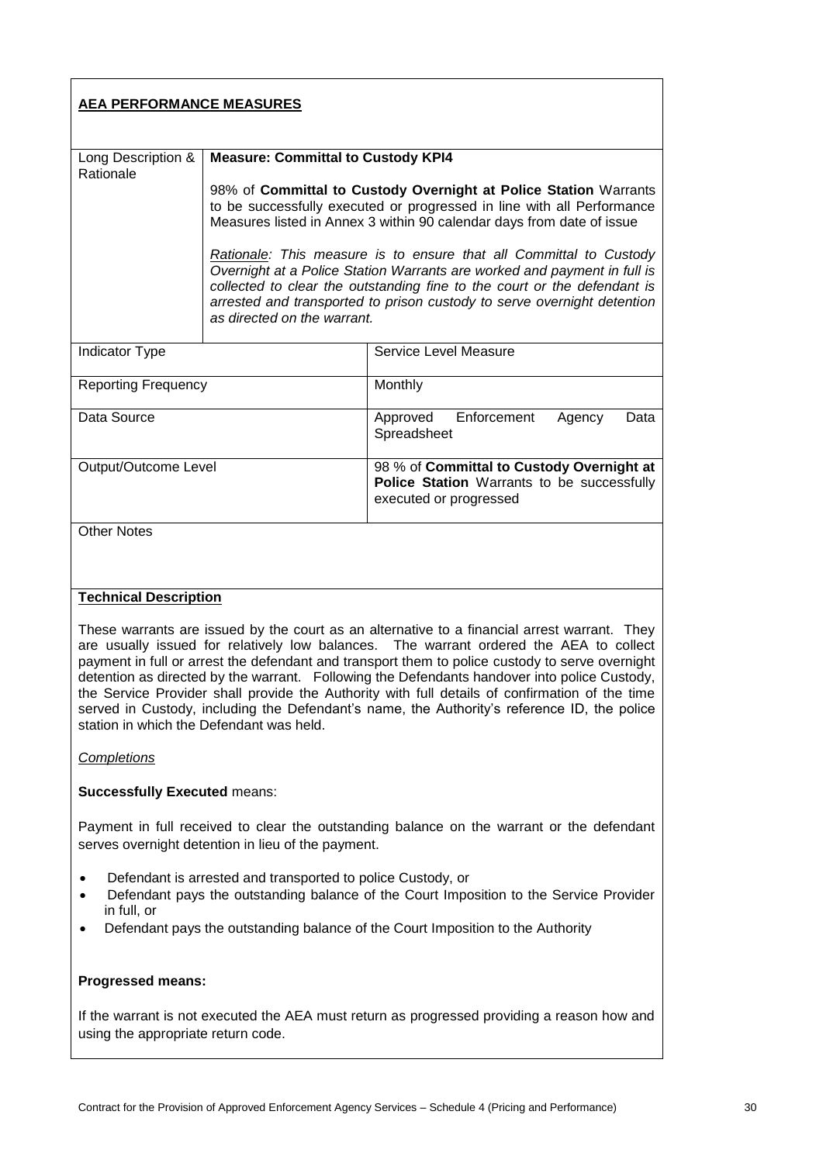| <b>AEA PERFORMANCE MEASURES</b>                                                                                                                                                                                                                                                                                                                                                                                                                                                                                                                                                                                                        |                                                                                                                                                                                                                                                                                                                                                                                                                                                                                                                                                                                                          |                                                                                                                   |
|----------------------------------------------------------------------------------------------------------------------------------------------------------------------------------------------------------------------------------------------------------------------------------------------------------------------------------------------------------------------------------------------------------------------------------------------------------------------------------------------------------------------------------------------------------------------------------------------------------------------------------------|----------------------------------------------------------------------------------------------------------------------------------------------------------------------------------------------------------------------------------------------------------------------------------------------------------------------------------------------------------------------------------------------------------------------------------------------------------------------------------------------------------------------------------------------------------------------------------------------------------|-------------------------------------------------------------------------------------------------------------------|
| Long Description &<br>Rationale                                                                                                                                                                                                                                                                                                                                                                                                                                                                                                                                                                                                        | <b>Measure: Committal to Custody KPI4</b><br>98% of Committal to Custody Overnight at Police Station Warrants<br>to be successfully executed or progressed in line with all Performance<br>Measures listed in Annex 3 within 90 calendar days from date of issue<br>Rationale: This measure is to ensure that all Committal to Custody<br>Overnight at a Police Station Warrants are worked and payment in full is<br>collected to clear the outstanding fine to the court or the defendant is<br>arrested and transported to prison custody to serve overnight detention<br>as directed on the warrant. |                                                                                                                   |
| Indicator Type                                                                                                                                                                                                                                                                                                                                                                                                                                                                                                                                                                                                                         |                                                                                                                                                                                                                                                                                                                                                                                                                                                                                                                                                                                                          | Service Level Measure                                                                                             |
| <b>Reporting Frequency</b>                                                                                                                                                                                                                                                                                                                                                                                                                                                                                                                                                                                                             |                                                                                                                                                                                                                                                                                                                                                                                                                                                                                                                                                                                                          | Monthly                                                                                                           |
| Data Source                                                                                                                                                                                                                                                                                                                                                                                                                                                                                                                                                                                                                            |                                                                                                                                                                                                                                                                                                                                                                                                                                                                                                                                                                                                          | Approved<br>Enforcement<br>Agency<br>Data<br>Spreadsheet                                                          |
| Output/Outcome Level                                                                                                                                                                                                                                                                                                                                                                                                                                                                                                                                                                                                                   |                                                                                                                                                                                                                                                                                                                                                                                                                                                                                                                                                                                                          | 98 % of Committal to Custody Overnight at<br>Police Station Warrants to be successfully<br>executed or progressed |
| <b>Other Notes</b>                                                                                                                                                                                                                                                                                                                                                                                                                                                                                                                                                                                                                     |                                                                                                                                                                                                                                                                                                                                                                                                                                                                                                                                                                                                          |                                                                                                                   |
| <b>Technical Description</b>                                                                                                                                                                                                                                                                                                                                                                                                                                                                                                                                                                                                           |                                                                                                                                                                                                                                                                                                                                                                                                                                                                                                                                                                                                          |                                                                                                                   |
| These warrants are issued by the court as an alternative to a financial arrest warrant. They<br>are usually issued for relatively low balances. The warrant ordered the AEA to collect<br>payment in full or arrest the defendant and transport them to police custody to serve overnight<br>detention as directed by the warrant. Following the Defendants handover into police Custody,<br>the Service Provider shall provide the Authority with full details of confirmation of the time<br>served in Custody, including the Defendant's name, the Authority's reference ID, the police<br>station in which the Defendant was held. |                                                                                                                                                                                                                                                                                                                                                                                                                                                                                                                                                                                                          |                                                                                                                   |
| <b>Completions</b>                                                                                                                                                                                                                                                                                                                                                                                                                                                                                                                                                                                                                     |                                                                                                                                                                                                                                                                                                                                                                                                                                                                                                                                                                                                          |                                                                                                                   |
| <b>Successfully Executed means:</b>                                                                                                                                                                                                                                                                                                                                                                                                                                                                                                                                                                                                    |                                                                                                                                                                                                                                                                                                                                                                                                                                                                                                                                                                                                          |                                                                                                                   |
| Payment in full received to clear the outstanding balance on the warrant or the defendant<br>serves overnight detention in lieu of the payment.                                                                                                                                                                                                                                                                                                                                                                                                                                                                                        |                                                                                                                                                                                                                                                                                                                                                                                                                                                                                                                                                                                                          |                                                                                                                   |
| Defendant is arrested and transported to police Custody, or<br>٠<br>Defendant pays the outstanding balance of the Court Imposition to the Service Provider<br>٠<br>in full, or                                                                                                                                                                                                                                                                                                                                                                                                                                                         |                                                                                                                                                                                                                                                                                                                                                                                                                                                                                                                                                                                                          |                                                                                                                   |
| Defendant pays the outstanding balance of the Court Imposition to the Authority<br>٠                                                                                                                                                                                                                                                                                                                                                                                                                                                                                                                                                   |                                                                                                                                                                                                                                                                                                                                                                                                                                                                                                                                                                                                          |                                                                                                                   |
| <b>Progressed means:</b>                                                                                                                                                                                                                                                                                                                                                                                                                                                                                                                                                                                                               |                                                                                                                                                                                                                                                                                                                                                                                                                                                                                                                                                                                                          |                                                                                                                   |

If the warrant is not executed the AEA must return as progressed providing a reason how and using the appropriate return code.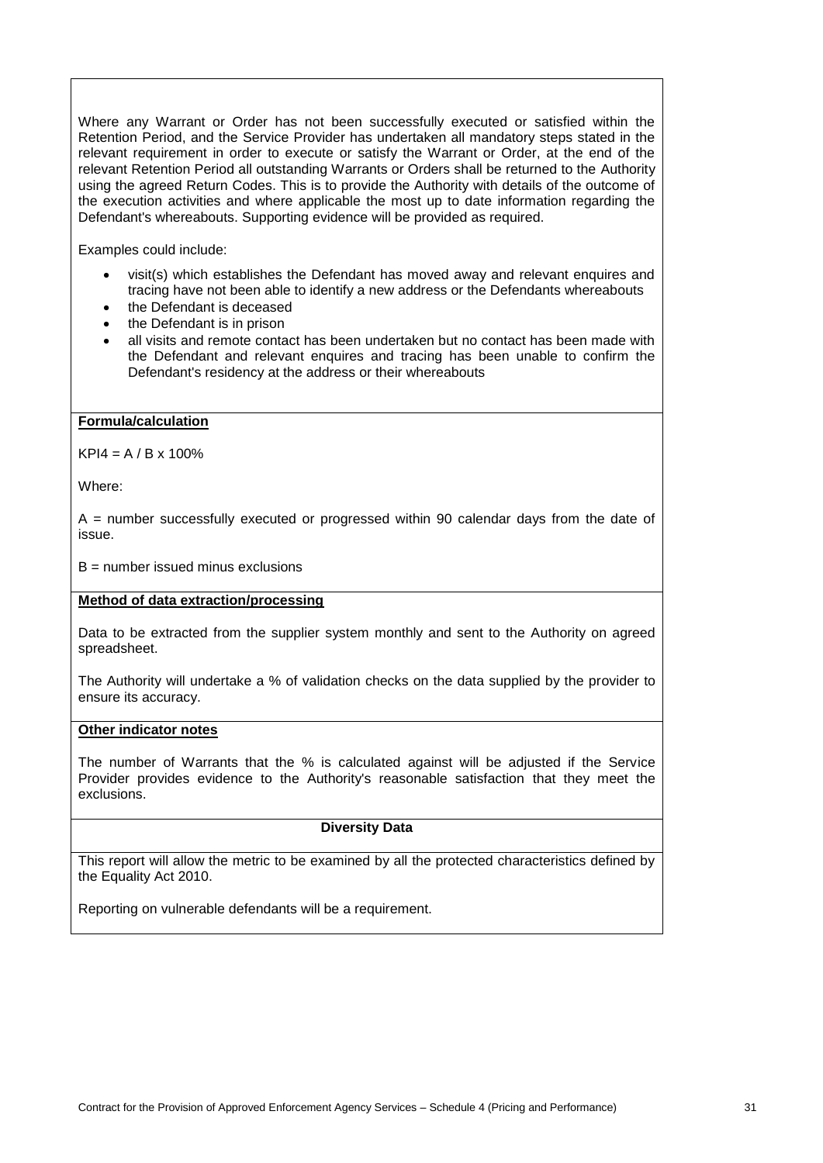Where any Warrant or Order has not been successfully executed or satisfied within the Retention Period, and the Service Provider has undertaken all mandatory steps stated in the relevant requirement in order to execute or satisfy the Warrant or Order, at the end of the relevant Retention Period all outstanding Warrants or Orders shall be returned to the Authority using the agreed Return Codes. This is to provide the Authority with details of the outcome of the execution activities and where applicable the most up to date information regarding the Defendant's whereabouts. Supporting evidence will be provided as required.

Examples could include:

- visit(s) which establishes the Defendant has moved away and relevant enquires and tracing have not been able to identify a new address or the Defendants whereabouts
- the Defendant is deceased
- the Defendant is in prison
- all visits and remote contact has been undertaken but no contact has been made with the Defendant and relevant enquires and tracing has been unable to confirm the Defendant's residency at the address or their whereabouts

### **Formula/calculation**

 $KPI4 = A / B \times 100\%$ 

Where:

 $A =$  number successfully executed or progressed within 90 calendar days from the date of issue.

 $B =$  number issued minus exclusions

### **Method of data extraction/processing**

Data to be extracted from the supplier system monthly and sent to the Authority on agreed spreadsheet.

The Authority will undertake a % of validation checks on the data supplied by the provider to ensure its accuracy.

### **Other indicator notes**

The number of Warrants that the % is calculated against will be adjusted if the Service Provider provides evidence to the Authority's reasonable satisfaction that they meet the exclusions.

# **Diversity Data**

This report will allow the metric to be examined by all the protected characteristics defined by the Equality Act 2010.

Reporting on vulnerable defendants will be a requirement.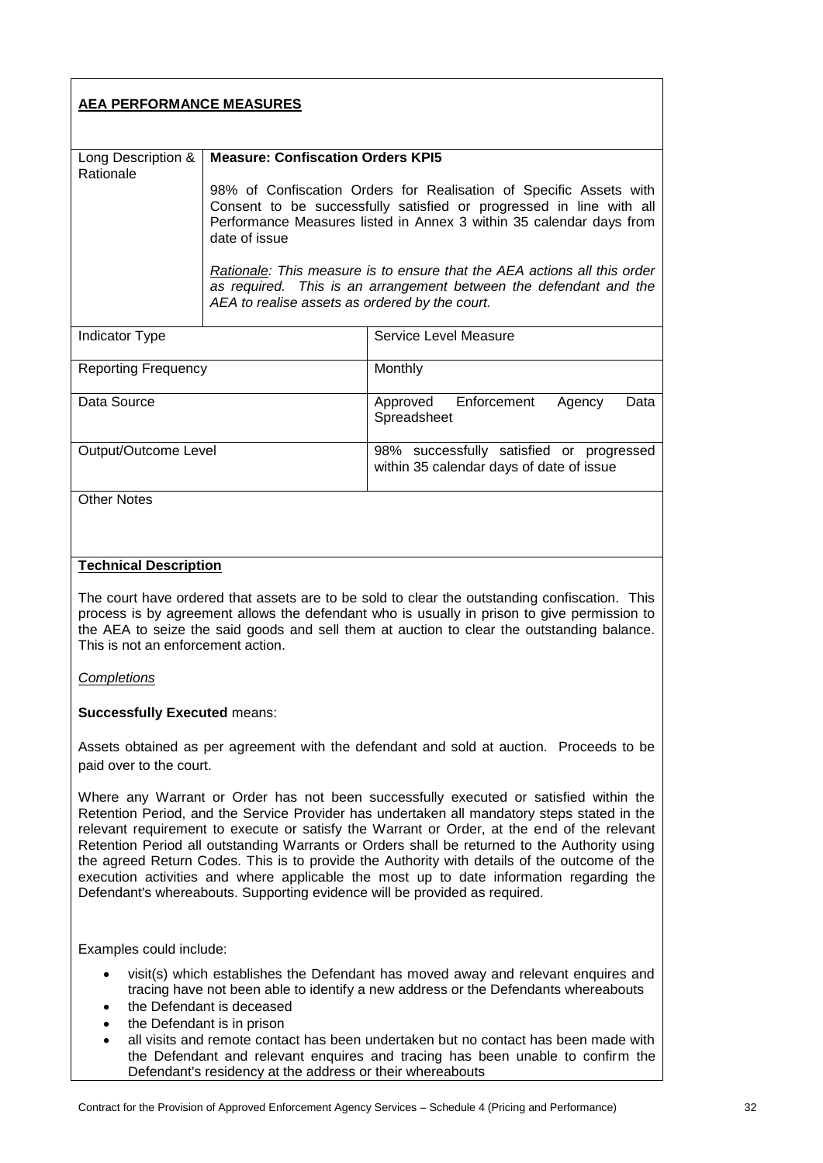| <b>AEA PERFORMANCE MEASURES</b> |                                                |                                                                                                                                                                                                                  |
|---------------------------------|------------------------------------------------|------------------------------------------------------------------------------------------------------------------------------------------------------------------------------------------------------------------|
| Long Description &<br>Rationale | <b>Measure: Confiscation Orders KPI5</b>       |                                                                                                                                                                                                                  |
|                                 | date of issue                                  | 98% of Confiscation Orders for Realisation of Specific Assets with<br>Consent to be successfully satisfied or progressed in line with all<br>Performance Measures listed in Annex 3 within 35 calendar days from |
|                                 | AEA to realise assets as ordered by the court. | Rationale: This measure is to ensure that the AEA actions all this order<br>as required. This is an arrangement between the defendant and the                                                                    |
| Indicator Type                  |                                                | Service Level Measure                                                                                                                                                                                            |
| <b>Reporting Frequency</b>      |                                                | Monthly                                                                                                                                                                                                          |
| Data Source                     |                                                | Approved Enforcement<br>Data<br>Agency<br>Spreadsheet                                                                                                                                                            |
| Output/Outcome Level            |                                                | 98% successfully satisfied or progressed<br>within 35 calendar days of date of issue                                                                                                                             |
| <b>Other Notes</b>              |                                                |                                                                                                                                                                                                                  |

# **Technical Description**

The court have ordered that assets are to be sold to clear the outstanding confiscation. This process is by agreement allows the defendant who is usually in prison to give permission to the AEA to seize the said goods and sell them at auction to clear the outstanding balance. This is not an enforcement action.

# *Completions*

# **Successfully Executed** means:

Assets obtained as per agreement with the defendant and sold at auction. Proceeds to be paid over to the court.

Where any Warrant or Order has not been successfully executed or satisfied within the Retention Period, and the Service Provider has undertaken all mandatory steps stated in the relevant requirement to execute or satisfy the Warrant or Order, at the end of the relevant Retention Period all outstanding Warrants or Orders shall be returned to the Authority using the agreed Return Codes. This is to provide the Authority with details of the outcome of the execution activities and where applicable the most up to date information regarding the Defendant's whereabouts. Supporting evidence will be provided as required.

Examples could include:

- visit(s) which establishes the Defendant has moved away and relevant enquires and tracing have not been able to identify a new address or the Defendants whereabouts
- the Defendant is deceased
- the Defendant is in prison
- all visits and remote contact has been undertaken but no contact has been made with the Defendant and relevant enquires and tracing has been unable to confirm the Defendant's residency at the address or their whereabouts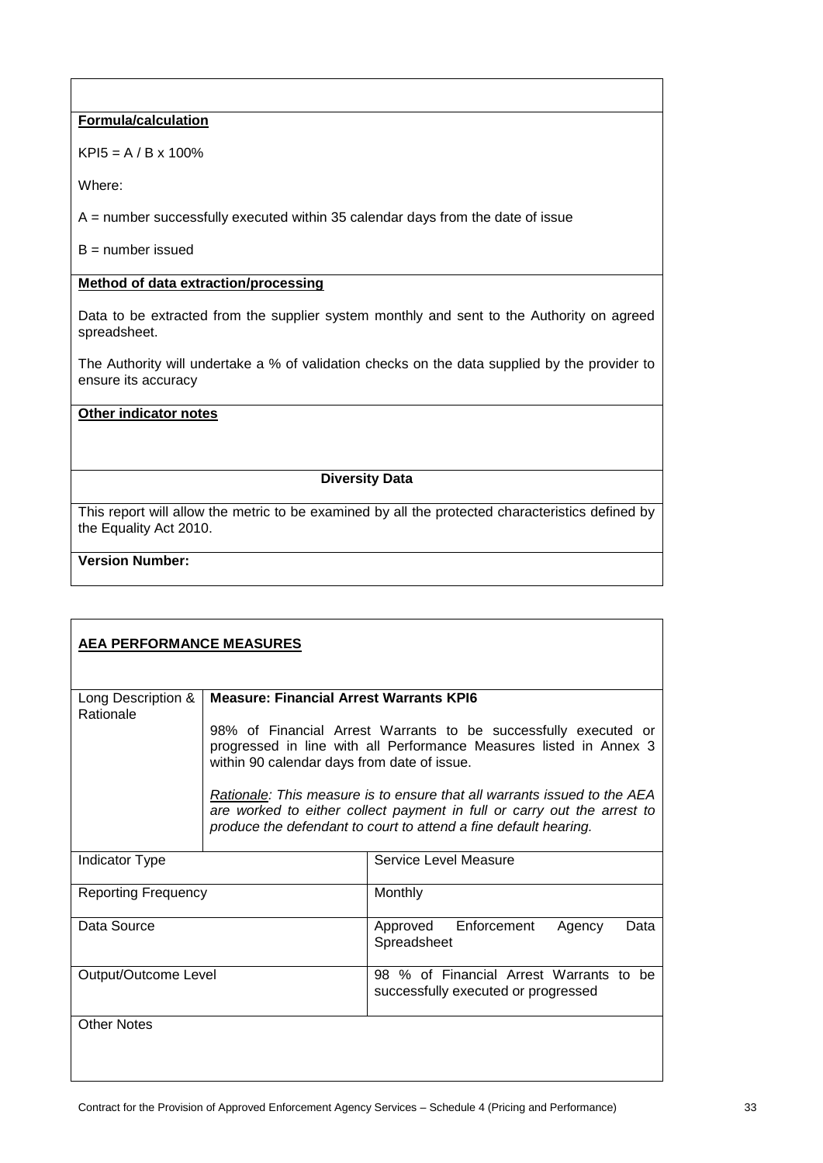# **Formula/calculation**

 $KP$ <sup>15</sup> = A / B x 100%

Where:

A = number successfully executed within 35 calendar days from the date of issue

 $B =$  number issued

# **Method of data extraction/processing**

Data to be extracted from the supplier system monthly and sent to the Authority on agreed spreadsheet.

The Authority will undertake a % of validation checks on the data supplied by the provider to ensure its accuracy

### **Other indicator notes**

# **Diversity Data**

This report will allow the metric to be examined by all the protected characteristics defined by the Equality Act 2010.

# **Version Number:**

| <b>AEA PERFORMANCE MEASURES</b> |                                                                                                                                                                                      |                                                                                                                                                                                                                         |
|---------------------------------|--------------------------------------------------------------------------------------------------------------------------------------------------------------------------------------|-------------------------------------------------------------------------------------------------------------------------------------------------------------------------------------------------------------------------|
| Long Description &<br>Rationale | <b>Measure: Financial Arrest Warrants KPI6</b>                                                                                                                                       |                                                                                                                                                                                                                         |
|                                 | 98% of Financial Arrest Warrants to be successfully executed or<br>progressed in line with all Performance Measures listed in Annex 3<br>within 90 calendar days from date of issue. |                                                                                                                                                                                                                         |
|                                 |                                                                                                                                                                                      | Rationale: This measure is to ensure that all warrants issued to the AEA<br>are worked to either collect payment in full or carry out the arrest to<br>produce the defendant to court to attend a fine default hearing. |
| Indicator Type                  |                                                                                                                                                                                      | Service Level Measure                                                                                                                                                                                                   |
| <b>Reporting Frequency</b>      |                                                                                                                                                                                      | Monthly                                                                                                                                                                                                                 |
| Data Source                     |                                                                                                                                                                                      | Approved Enforcement<br>Agency<br>Data<br>Spreadsheet                                                                                                                                                                   |
| Output/Outcome Level            |                                                                                                                                                                                      | 98 % of Financial Arrest Warrants to be<br>successfully executed or progressed                                                                                                                                          |
| <b>Other Notes</b>              |                                                                                                                                                                                      |                                                                                                                                                                                                                         |
|                                 |                                                                                                                                                                                      |                                                                                                                                                                                                                         |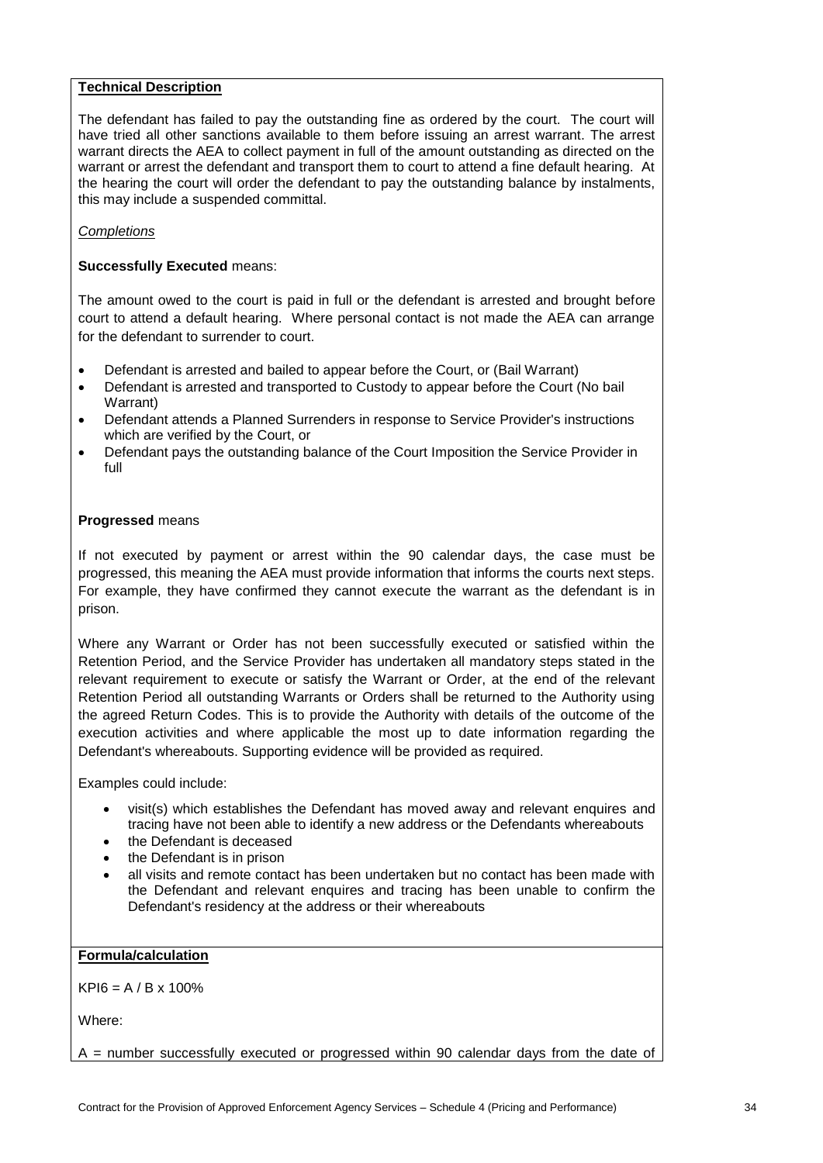### **Technical Description**

The defendant has failed to pay the outstanding fine as ordered by the court. The court will have tried all other sanctions available to them before issuing an arrest warrant. The arrest warrant directs the AEA to collect payment in full of the amount outstanding as directed on the warrant or arrest the defendant and transport them to court to attend a fine default hearing. At the hearing the court will order the defendant to pay the outstanding balance by instalments, this may include a suspended committal.

### *Completions*

### **Successfully Executed** means:

The amount owed to the court is paid in full or the defendant is arrested and brought before court to attend a default hearing. Where personal contact is not made the AEA can arrange for the defendant to surrender to court.

- Defendant is arrested and bailed to appear before the Court, or (Bail Warrant)
- Defendant is arrested and transported to Custody to appear before the Court (No bail Warrant)
- Defendant attends a Planned Surrenders in response to Service Provider's instructions which are verified by the Court, or
- Defendant pays the outstanding balance of the Court Imposition the Service Provider in full

### **Progressed** means

If not executed by payment or arrest within the 90 calendar days, the case must be progressed, this meaning the AEA must provide information that informs the courts next steps. For example, they have confirmed they cannot execute the warrant as the defendant is in prison.

Where any Warrant or Order has not been successfully executed or satisfied within the Retention Period, and the Service Provider has undertaken all mandatory steps stated in the relevant requirement to execute or satisfy the Warrant or Order, at the end of the relevant Retention Period all outstanding Warrants or Orders shall be returned to the Authority using the agreed Return Codes. This is to provide the Authority with details of the outcome of the execution activities and where applicable the most up to date information regarding the Defendant's whereabouts. Supporting evidence will be provided as required.

Examples could include:

- visit(s) which establishes the Defendant has moved away and relevant enquires and tracing have not been able to identify a new address or the Defendants whereabouts
- the Defendant is deceased
- the Defendant is in prison
- all visits and remote contact has been undertaken but no contact has been made with the Defendant and relevant enquires and tracing has been unable to confirm the Defendant's residency at the address or their whereabouts

### **Formula/calculation**

 $KPI6 = A / B x 100%$ 

Where:

 $A =$  number successfully executed or progressed within 90 calendar days from the date of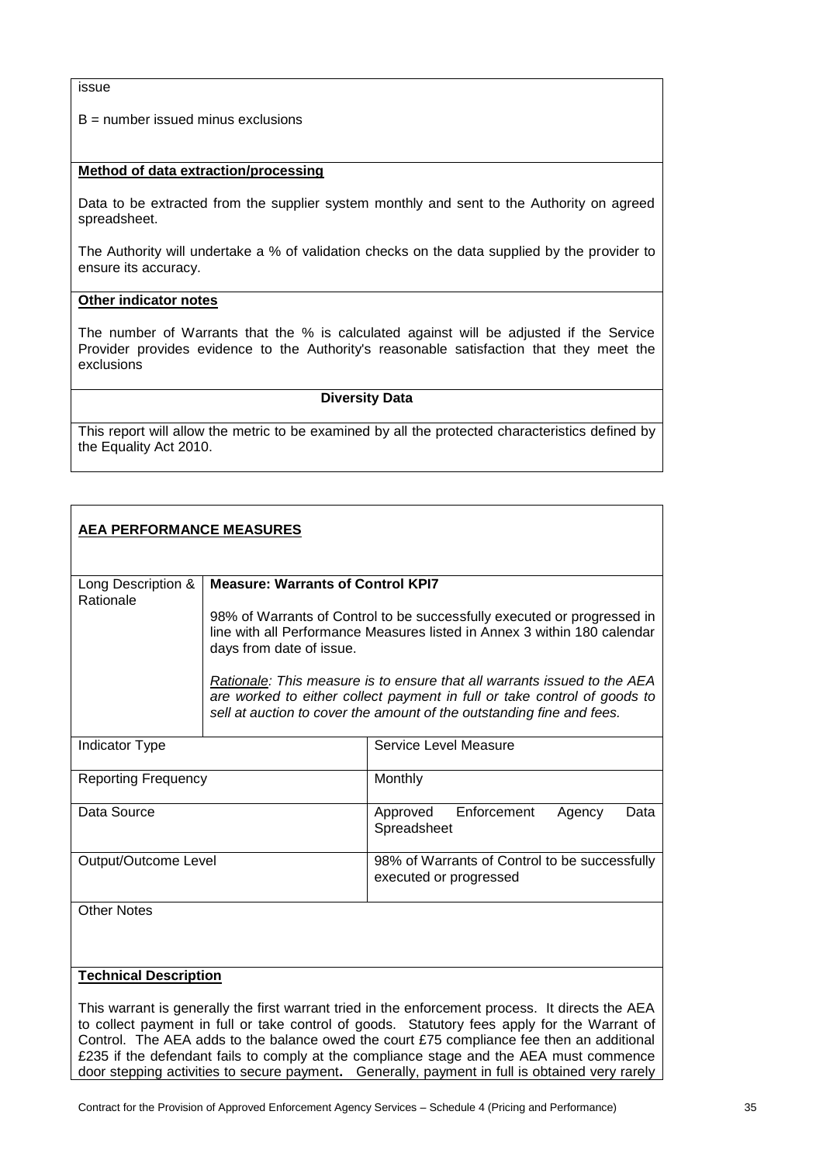#### issue

 $B =$  number issued minus exclusions

### **Method of data extraction/processing**

Data to be extracted from the supplier system monthly and sent to the Authority on agreed spreadsheet.

The Authority will undertake a % of validation checks on the data supplied by the provider to ensure its accuracy.

### **Other indicator notes**

The number of Warrants that the % is calculated against will be adjusted if the Service Provider provides evidence to the Authority's reasonable satisfaction that they meet the exclusions

#### **Diversity Data**

This report will allow the metric to be examined by all the protected characteristics defined by the Equality Act 2010.

| <b>AEA PERFORMANCE MEASURES</b> |                                                                                                                                                                                 |                                                                                                                                                                                                                               |
|---------------------------------|---------------------------------------------------------------------------------------------------------------------------------------------------------------------------------|-------------------------------------------------------------------------------------------------------------------------------------------------------------------------------------------------------------------------------|
| Long Description &<br>Rationale | <b>Measure: Warrants of Control KPI7</b>                                                                                                                                        |                                                                                                                                                                                                                               |
|                                 | 98% of Warrants of Control to be successfully executed or progressed in<br>line with all Performance Measures listed in Annex 3 within 180 calendar<br>days from date of issue. |                                                                                                                                                                                                                               |
|                                 |                                                                                                                                                                                 | Rationale: This measure is to ensure that all warrants issued to the AEA<br>are worked to either collect payment in full or take control of goods to<br>sell at auction to cover the amount of the outstanding fine and fees. |
| Indicator Type                  |                                                                                                                                                                                 | Service Level Measure                                                                                                                                                                                                         |
| <b>Reporting Frequency</b>      |                                                                                                                                                                                 | Monthly                                                                                                                                                                                                                       |
| Data Source                     |                                                                                                                                                                                 | Enforcement<br>Data<br>Approved<br>Agency<br>Spreadsheet                                                                                                                                                                      |
| Output/Outcome Level            |                                                                                                                                                                                 | 98% of Warrants of Control to be successfully<br>executed or progressed                                                                                                                                                       |
| <b>Other Notes</b>              |                                                                                                                                                                                 |                                                                                                                                                                                                                               |
| <b>Technical Description</b>    |                                                                                                                                                                                 |                                                                                                                                                                                                                               |
|                                 |                                                                                                                                                                                 | This warrant is generally the first warrant tried in the enforcement process. It directs the AEA                                                                                                                              |

to collect payment in full or take control of goods. Statutory fees apply for the Warrant of Control. The AEA adds to the balance owed the court £75 compliance fee then an additional £235 if the defendant fails to comply at the compliance stage and the AEA must commence door stepping activities to secure payment**.** Generally, payment in full is obtained very rarely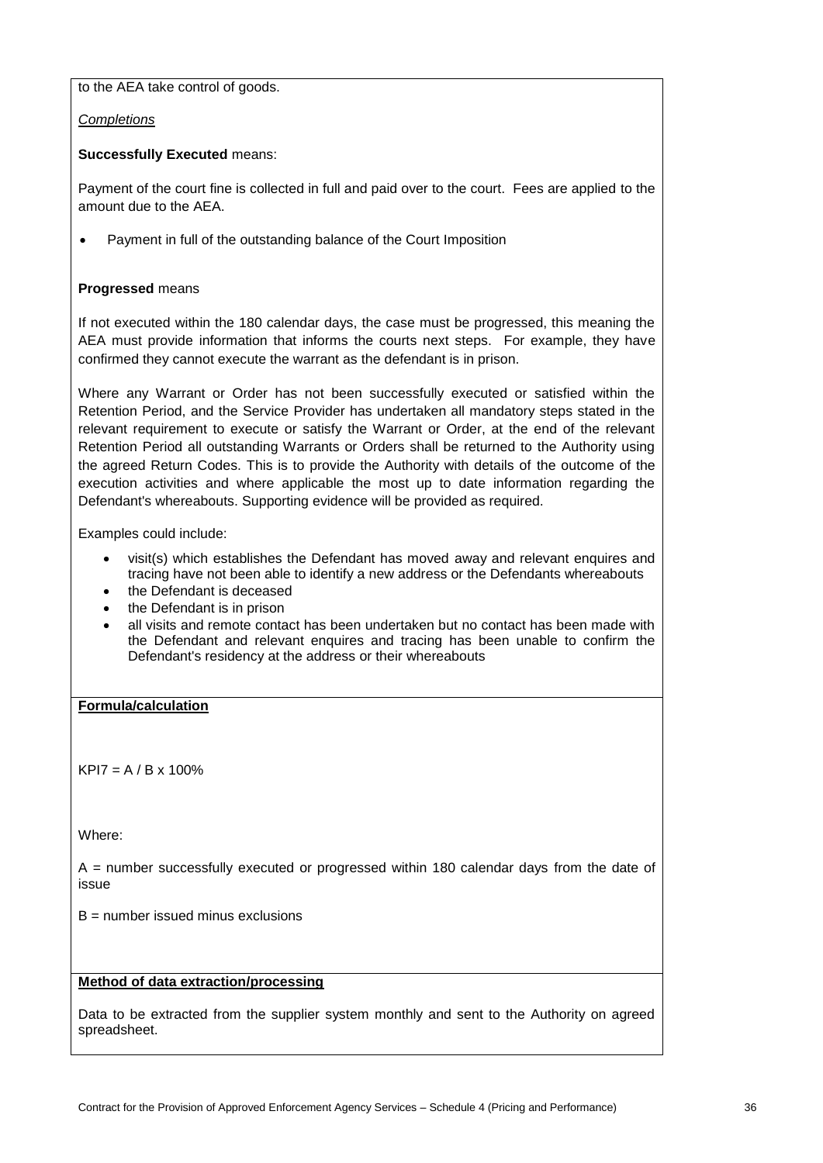to the AEA take control of goods.

*Completions*

# **Successfully Executed** means:

Payment of the court fine is collected in full and paid over to the court. Fees are applied to the amount due to the AEA.

• Payment in full of the outstanding balance of the Court Imposition

# **Progressed** means

If not executed within the 180 calendar days, the case must be progressed, this meaning the AEA must provide information that informs the courts next steps. For example, they have confirmed they cannot execute the warrant as the defendant is in prison.

Where any Warrant or Order has not been successfully executed or satisfied within the Retention Period, and the Service Provider has undertaken all mandatory steps stated in the relevant requirement to execute or satisfy the Warrant or Order, at the end of the relevant Retention Period all outstanding Warrants or Orders shall be returned to the Authority using the agreed Return Codes. This is to provide the Authority with details of the outcome of the execution activities and where applicable the most up to date information regarding the Defendant's whereabouts. Supporting evidence will be provided as required.

Examples could include:

- visit(s) which establishes the Defendant has moved away and relevant enquires and tracing have not been able to identify a new address or the Defendants whereabouts
- the Defendant is deceased
- the Defendant is in prison
- all visits and remote contact has been undertaken but no contact has been made with the Defendant and relevant enquires and tracing has been unable to confirm the Defendant's residency at the address or their whereabouts

# **Formula/calculation**

 $KPI7 = A / B \times 100\%$ 

Where:

 $A =$  number successfully executed or progressed within 180 calendar days from the date of issue

 $B =$  number issued minus exclusions

# **Method of data extraction/processing**

Data to be extracted from the supplier system monthly and sent to the Authority on agreed spreadsheet.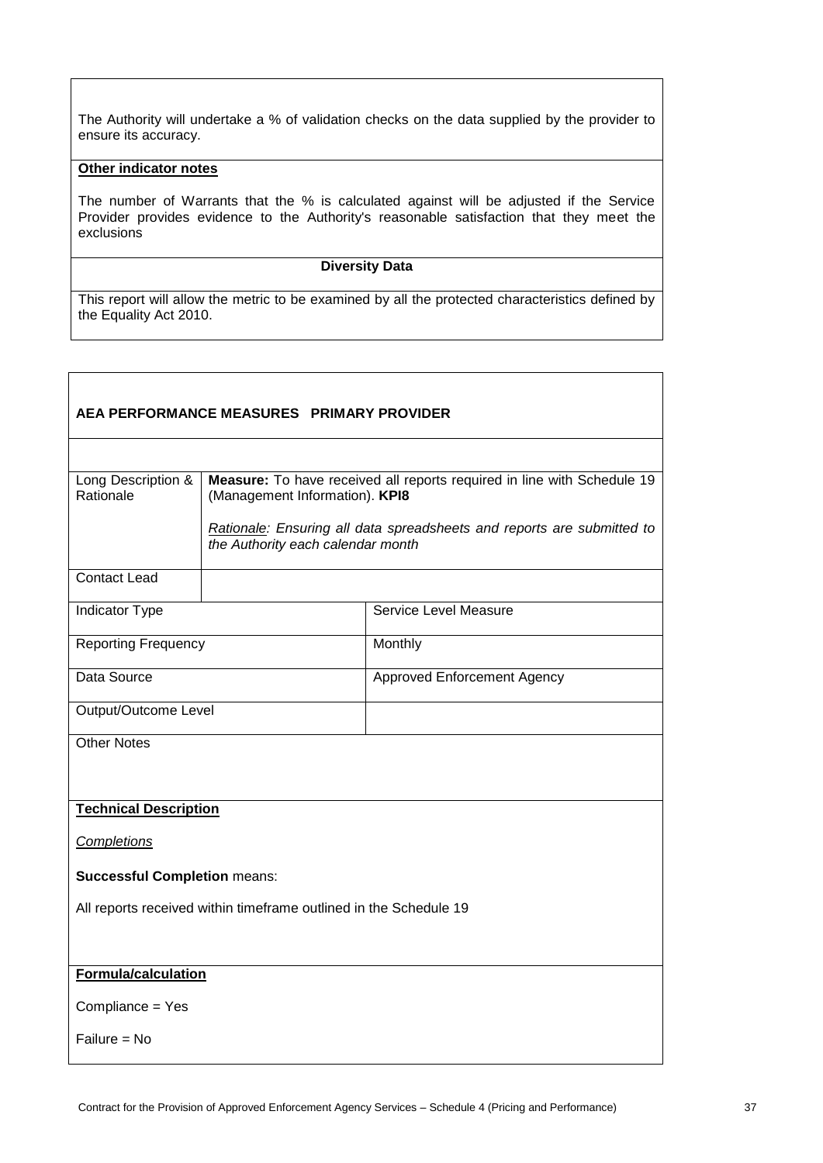The Authority will undertake a % of validation checks on the data supplied by the provider to ensure its accuracy.

# **Other indicator notes**

The number of Warrants that the % is calculated against will be adjusted if the Service Provider provides evidence to the Authority's reasonable satisfaction that they meet the exclusions

#### **Diversity Data**

| AEA PERFORMANCE MEASURES PRIMARY PROVIDER                         |                                |                                                                                                             |  |
|-------------------------------------------------------------------|--------------------------------|-------------------------------------------------------------------------------------------------------------|--|
|                                                                   |                                |                                                                                                             |  |
| Long Description &<br>Rationale                                   | (Management Information). KPI8 | Measure: To have received all reports required in line with Schedule 19                                     |  |
|                                                                   |                                | Rationale: Ensuring all data spreadsheets and reports are submitted to<br>the Authority each calendar month |  |
| Contact Lead                                                      |                                |                                                                                                             |  |
| <b>Indicator Type</b>                                             |                                | Service Level Measure                                                                                       |  |
| <b>Reporting Frequency</b>                                        |                                | Monthly                                                                                                     |  |
| Data Source                                                       |                                | <b>Approved Enforcement Agency</b>                                                                          |  |
| Output/Outcome Level                                              |                                |                                                                                                             |  |
| <b>Other Notes</b>                                                |                                |                                                                                                             |  |
| <b>Technical Description</b>                                      |                                |                                                                                                             |  |
| <b>Completions</b>                                                |                                |                                                                                                             |  |
| <b>Successful Completion means:</b>                               |                                |                                                                                                             |  |
| All reports received within timeframe outlined in the Schedule 19 |                                |                                                                                                             |  |
|                                                                   |                                |                                                                                                             |  |
| Formula/calculation                                               |                                |                                                                                                             |  |
| Compliance = Yes                                                  |                                |                                                                                                             |  |
| $Failure = No$                                                    |                                |                                                                                                             |  |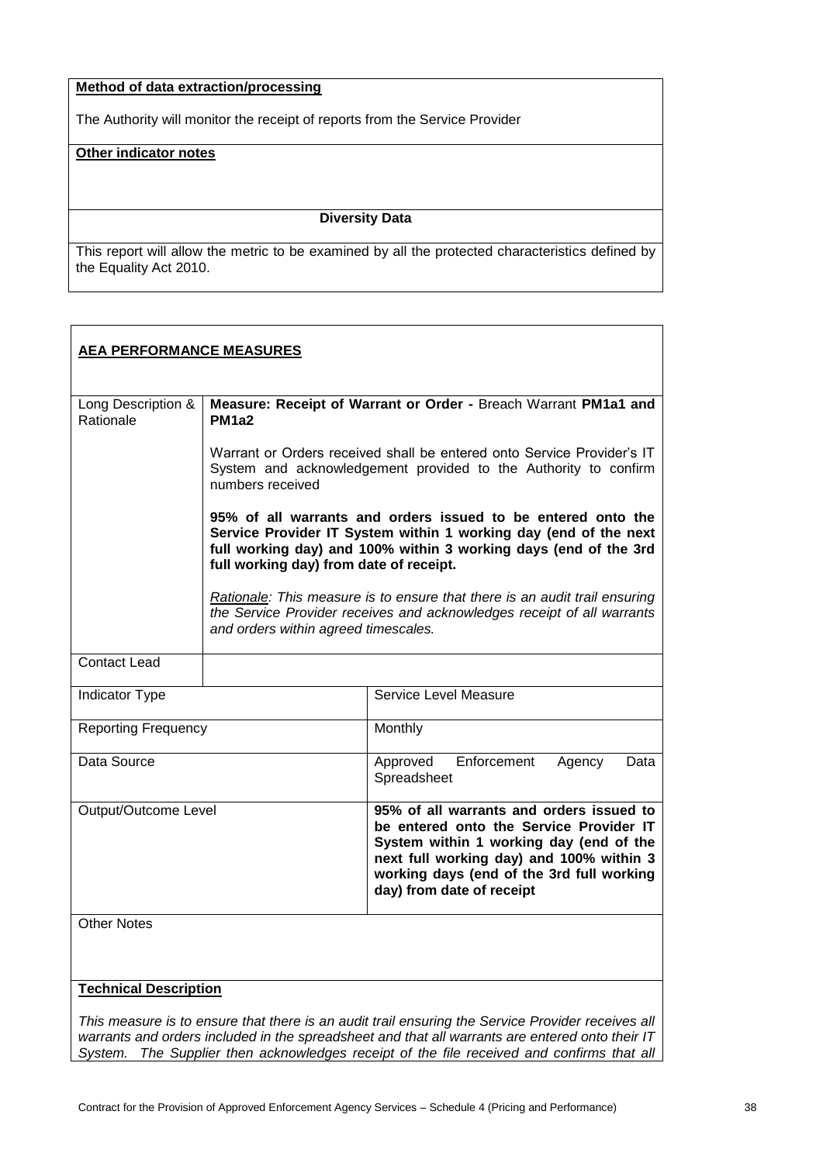# **Method of data extraction/processing**

The Authority will monitor the receipt of reports from the Service Provider

# **Other indicator notes**

#### **Diversity Data**

This report will allow the metric to be examined by all the protected characteristics defined by the Equality Act 2010.

| <b>AEA PERFORMANCE MEASURES</b> |                                                                                                                                                                                                                                                 |                                                                                                                                                                                                                                                      |
|---------------------------------|-------------------------------------------------------------------------------------------------------------------------------------------------------------------------------------------------------------------------------------------------|------------------------------------------------------------------------------------------------------------------------------------------------------------------------------------------------------------------------------------------------------|
| Long Description &<br>Rationale | Measure: Receipt of Warrant or Order - Breach Warrant PM1a1 and<br>PM <sub>1a2</sub>                                                                                                                                                            |                                                                                                                                                                                                                                                      |
|                                 | Warrant or Orders received shall be entered onto Service Provider's IT<br>System and acknowledgement provided to the Authority to confirm<br>numbers received                                                                                   |                                                                                                                                                                                                                                                      |
|                                 | 95% of all warrants and orders issued to be entered onto the<br>Service Provider IT System within 1 working day (end of the next<br>full working day) and 100% within 3 working days (end of the 3rd<br>full working day) from date of receipt. |                                                                                                                                                                                                                                                      |
|                                 | and orders within agreed timescales.                                                                                                                                                                                                            | Rationale: This measure is to ensure that there is an audit trail ensuring<br>the Service Provider receives and acknowledges receipt of all warrants                                                                                                 |
| <b>Contact Lead</b>             |                                                                                                                                                                                                                                                 |                                                                                                                                                                                                                                                      |
| Indicator Type                  |                                                                                                                                                                                                                                                 | Service Level Measure                                                                                                                                                                                                                                |
| <b>Reporting Frequency</b>      |                                                                                                                                                                                                                                                 | Monthly                                                                                                                                                                                                                                              |
| Data Source                     |                                                                                                                                                                                                                                                 | Approved Enforcement<br>Agency<br>Data<br>Spreadsheet                                                                                                                                                                                                |
| Output/Outcome Level            |                                                                                                                                                                                                                                                 | 95% of all warrants and orders issued to<br>be entered onto the Service Provider IT<br>System within 1 working day (end of the<br>next full working day) and 100% within 3<br>working days (end of the 3rd full working<br>day) from date of receipt |
| <b>Other Notes</b>              |                                                                                                                                                                                                                                                 |                                                                                                                                                                                                                                                      |
| <b>Technical Description</b>    |                                                                                                                                                                                                                                                 |                                                                                                                                                                                                                                                      |
|                                 |                                                                                                                                                                                                                                                 | This measure is to ensure that there is an audit trail ensuring the Service Provider receives all                                                                                                                                                    |

*warrants and orders included in the spreadsheet and that all warrants are entered onto their IT System. The Supplier then acknowledges receipt of the file received and confirms that all*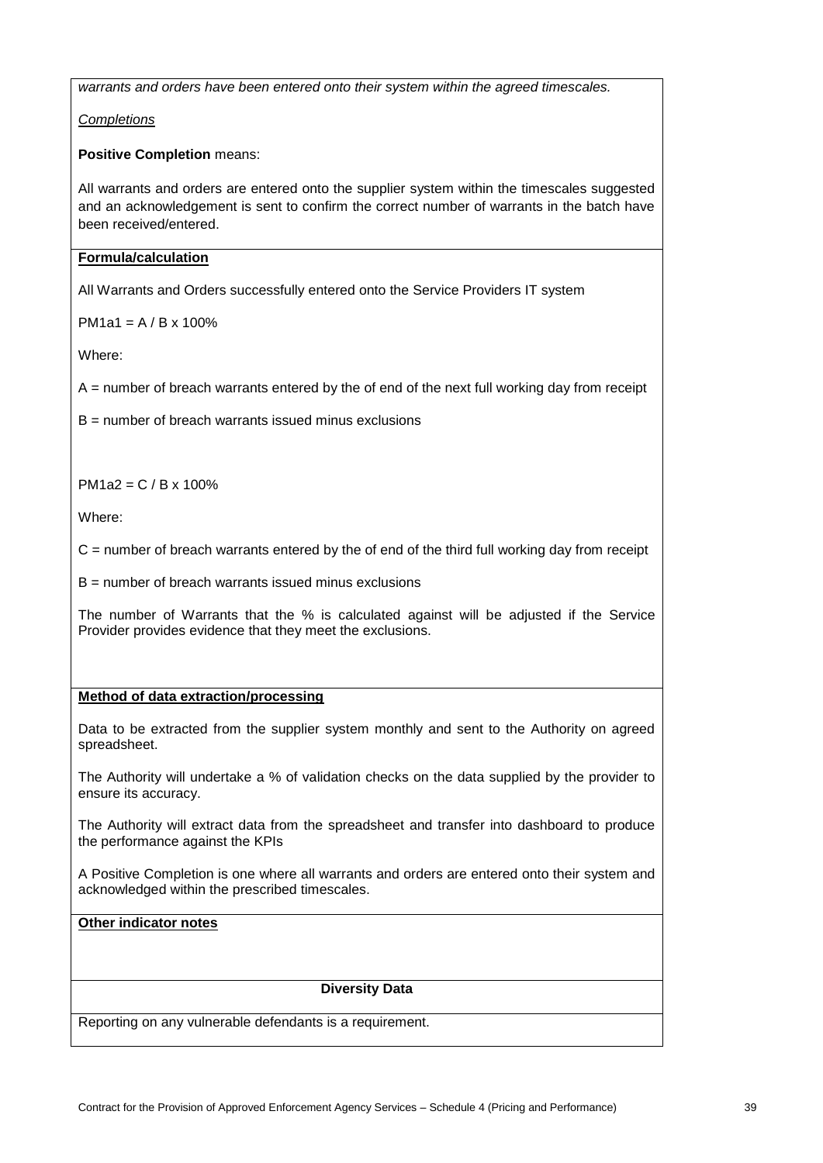*warrants and orders have been entered onto their system within the agreed timescales.*

*Completions*

**Positive Completion** means:

All warrants and orders are entered onto the supplier system within the timescales suggested and an acknowledgement is sent to confirm the correct number of warrants in the batch have been received/entered.

# **Formula/calculation**

All Warrants and Orders successfully entered onto the Service Providers IT system

 $PM1a1 = A / B \times 100\%$ 

Where:

 $A =$  number of breach warrants entered by the of end of the next full working day from receipt

 $B =$  number of breach warrants issued minus exclusions

PM1a2 = C / B x 100%

Where:

 $C$  = number of breach warrants entered by the of end of the third full working day from receipt

 $B =$  number of breach warrants issued minus exclusions

The number of Warrants that the % is calculated against will be adjusted if the Service Provider provides evidence that they meet the exclusions.

## **Method of data extraction/processing**

Data to be extracted from the supplier system monthly and sent to the Authority on agreed spreadsheet.

The Authority will undertake a % of validation checks on the data supplied by the provider to ensure its accuracy.

The Authority will extract data from the spreadsheet and transfer into dashboard to produce the performance against the KPIs

A Positive Completion is one where all warrants and orders are entered onto their system and acknowledged within the prescribed timescales.

**Other indicator notes**

#### **Diversity Data**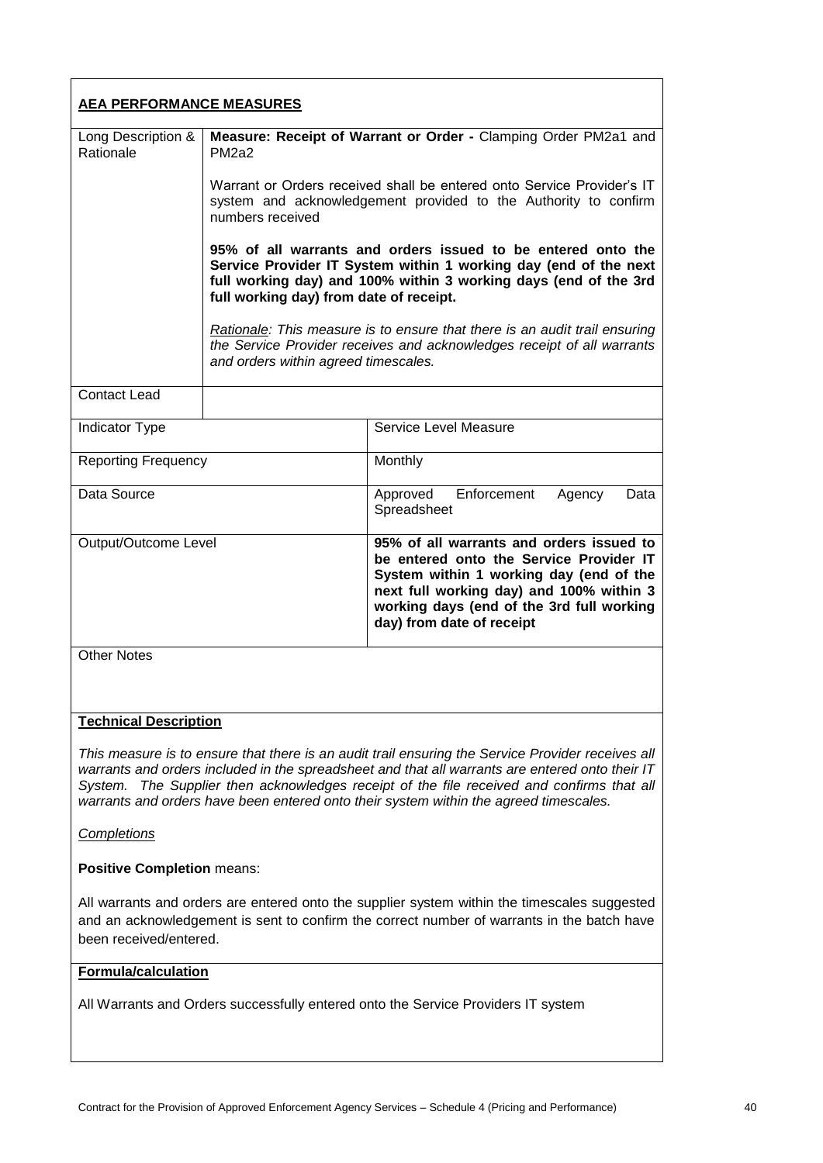| <b>AEA PERFORMANCE MEASURES</b> |                                                                                                                                                                                                                                                 |                                                                                                                                                                                                                                                      |
|---------------------------------|-------------------------------------------------------------------------------------------------------------------------------------------------------------------------------------------------------------------------------------------------|------------------------------------------------------------------------------------------------------------------------------------------------------------------------------------------------------------------------------------------------------|
| Long Description &<br>Rationale | Measure: Receipt of Warrant or Order - Clamping Order PM2a1 and<br>PM <sub>2a2</sub>                                                                                                                                                            |                                                                                                                                                                                                                                                      |
|                                 | Warrant or Orders received shall be entered onto Service Provider's IT<br>system and acknowledgement provided to the Authority to confirm<br>numbers received                                                                                   |                                                                                                                                                                                                                                                      |
|                                 | 95% of all warrants and orders issued to be entered onto the<br>Service Provider IT System within 1 working day (end of the next<br>full working day) and 100% within 3 working days (end of the 3rd<br>full working day) from date of receipt. |                                                                                                                                                                                                                                                      |
|                                 | and orders within agreed timescales.                                                                                                                                                                                                            | Rationale: This measure is to ensure that there is an audit trail ensuring<br>the Service Provider receives and acknowledges receipt of all warrants                                                                                                 |
| <b>Contact Lead</b>             |                                                                                                                                                                                                                                                 |                                                                                                                                                                                                                                                      |
| Indicator Type                  |                                                                                                                                                                                                                                                 | Service Level Measure                                                                                                                                                                                                                                |
| <b>Reporting Frequency</b>      |                                                                                                                                                                                                                                                 | Monthly                                                                                                                                                                                                                                              |
| Data Source                     |                                                                                                                                                                                                                                                 | Enforcement<br>Approved<br>Agency<br>Data<br>Spreadsheet                                                                                                                                                                                             |
| Output/Outcome Level            |                                                                                                                                                                                                                                                 | 95% of all warrants and orders issued to<br>be entered onto the Service Provider IT<br>System within 1 working day (end of the<br>next full working day) and 100% within 3<br>working days (end of the 3rd full working<br>day) from date of receipt |
| <b>Other Notes</b>              |                                                                                                                                                                                                                                                 |                                                                                                                                                                                                                                                      |
| <b>Technical Description</b>    |                                                                                                                                                                                                                                                 |                                                                                                                                                                                                                                                      |

*This measure is to ensure that there is an audit trail ensuring the Service Provider receives all warrants and orders included in the spreadsheet and that all warrants are entered onto their IT System. The Supplier then acknowledges receipt of the file received and confirms that all warrants and orders have been entered onto their system within the agreed timescales.*

*Completions*

**Positive Completion** means:

All warrants and orders are entered onto the supplier system within the timescales suggested and an acknowledgement is sent to confirm the correct number of warrants in the batch have been received/entered.

#### **Formula/calculation**

All Warrants and Orders successfully entered onto the Service Providers IT system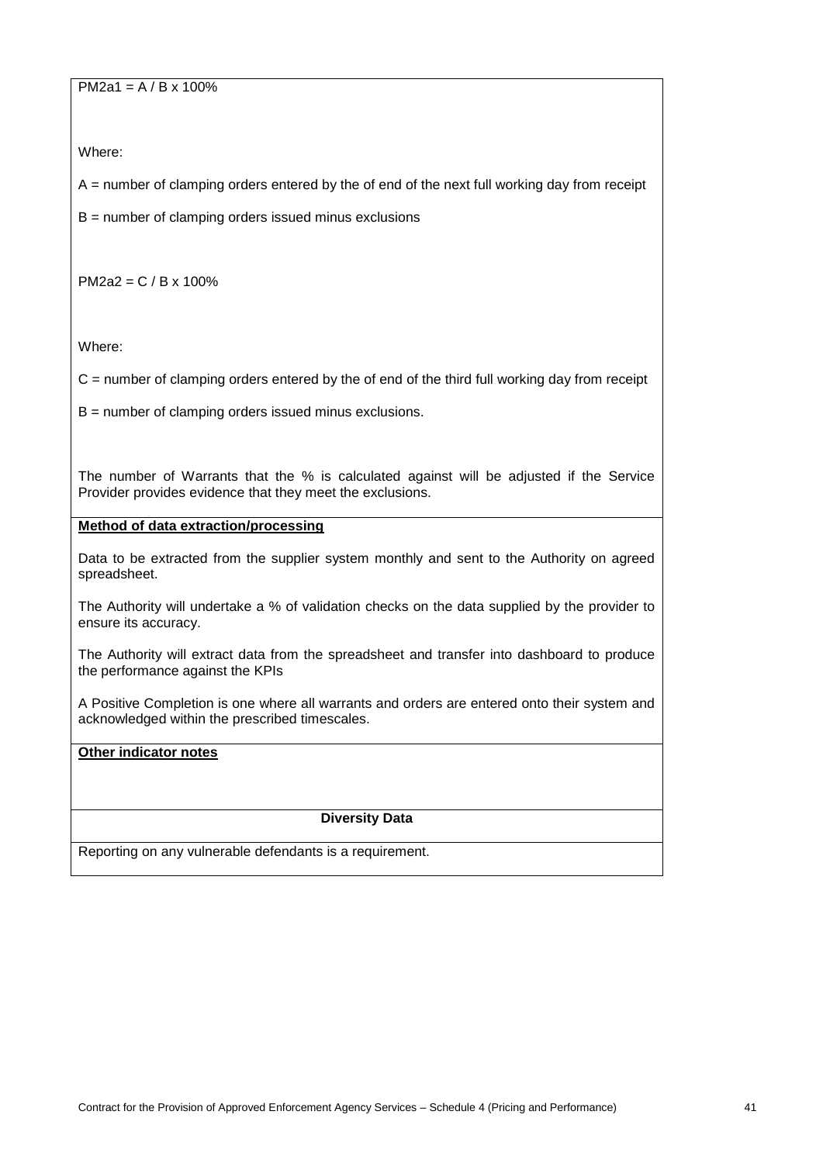$PM2a1 = A / B x 100%$ 

Where:

 $A =$  number of clamping orders entered by the of end of the next full working day from receipt

 $B =$  number of clamping orders issued minus exclusions

PM2a2 = C / B x 100%

Where:

 $C =$  number of clamping orders entered by the of end of the third full working day from receipt

B = number of clamping orders issued minus exclusions.

The number of Warrants that the % is calculated against will be adjusted if the Service Provider provides evidence that they meet the exclusions.

# **Method of data extraction/processing**

Data to be extracted from the supplier system monthly and sent to the Authority on agreed spreadsheet.

The Authority will undertake a % of validation checks on the data supplied by the provider to ensure its accuracy.

The Authority will extract data from the spreadsheet and transfer into dashboard to produce the performance against the KPIs

A Positive Completion is one where all warrants and orders are entered onto their system and acknowledged within the prescribed timescales.

# **Other indicator notes**

## **Diversity Data**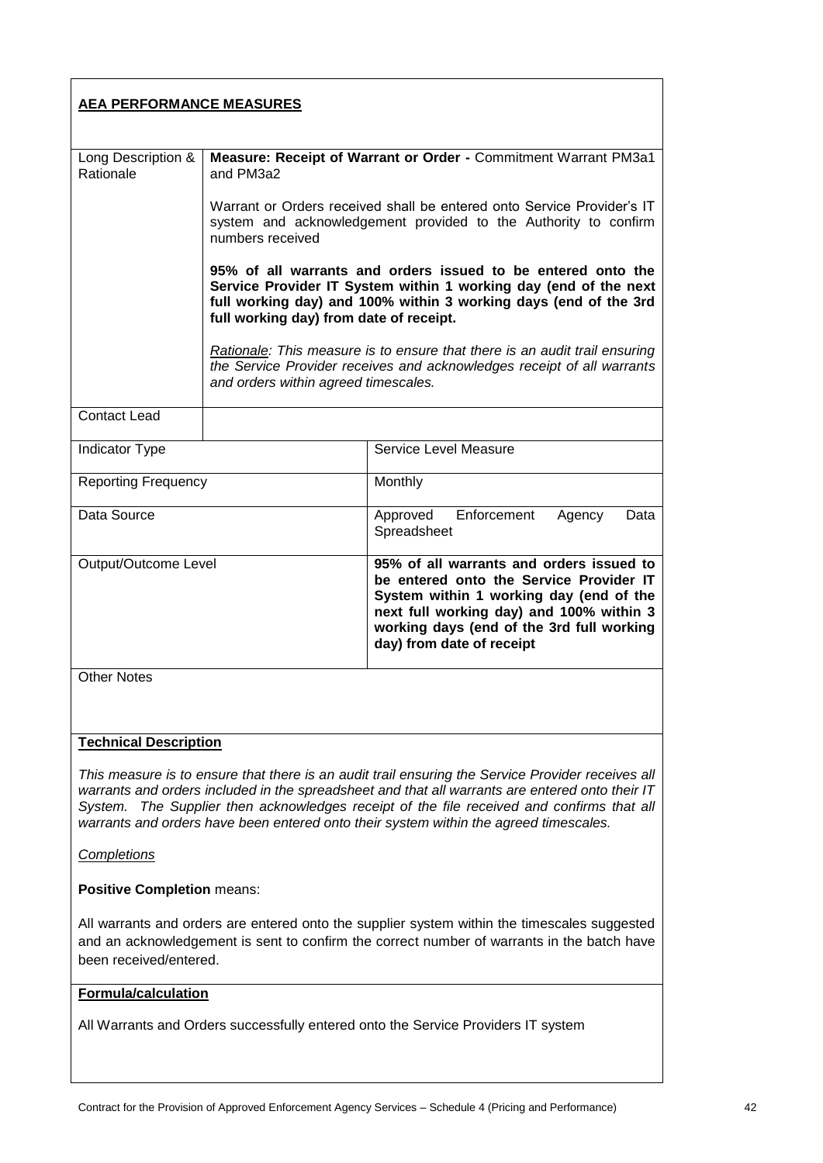| <b>AEA PERFORMANCE MEASURES</b>                                                                                                                                                                                                                                                                                                                                                               |                                                                                                                                                                                                                                                 |                                                                                                                                                                                                                                                      |
|-----------------------------------------------------------------------------------------------------------------------------------------------------------------------------------------------------------------------------------------------------------------------------------------------------------------------------------------------------------------------------------------------|-------------------------------------------------------------------------------------------------------------------------------------------------------------------------------------------------------------------------------------------------|------------------------------------------------------------------------------------------------------------------------------------------------------------------------------------------------------------------------------------------------------|
| Long Description &<br>Rationale                                                                                                                                                                                                                                                                                                                                                               | Measure: Receipt of Warrant or Order - Commitment Warrant PM3a1<br>and PM3a2                                                                                                                                                                    |                                                                                                                                                                                                                                                      |
|                                                                                                                                                                                                                                                                                                                                                                                               | Warrant or Orders received shall be entered onto Service Provider's IT<br>system and acknowledgement provided to the Authority to confirm<br>numbers received                                                                                   |                                                                                                                                                                                                                                                      |
|                                                                                                                                                                                                                                                                                                                                                                                               | 95% of all warrants and orders issued to be entered onto the<br>Service Provider IT System within 1 working day (end of the next<br>full working day) and 100% within 3 working days (end of the 3rd<br>full working day) from date of receipt. |                                                                                                                                                                                                                                                      |
|                                                                                                                                                                                                                                                                                                                                                                                               | and orders within agreed timescales.                                                                                                                                                                                                            | Rationale: This measure is to ensure that there is an audit trail ensuring<br>the Service Provider receives and acknowledges receipt of all warrants                                                                                                 |
| <b>Contact Lead</b>                                                                                                                                                                                                                                                                                                                                                                           |                                                                                                                                                                                                                                                 |                                                                                                                                                                                                                                                      |
| Indicator Type                                                                                                                                                                                                                                                                                                                                                                                |                                                                                                                                                                                                                                                 | Service Level Measure                                                                                                                                                                                                                                |
| <b>Reporting Frequency</b>                                                                                                                                                                                                                                                                                                                                                                    |                                                                                                                                                                                                                                                 | Monthly                                                                                                                                                                                                                                              |
| Data Source                                                                                                                                                                                                                                                                                                                                                                                   |                                                                                                                                                                                                                                                 | Enforcement<br>Approved<br>Agency<br>Data<br>Spreadsheet                                                                                                                                                                                             |
| Output/Outcome Level                                                                                                                                                                                                                                                                                                                                                                          |                                                                                                                                                                                                                                                 | 95% of all warrants and orders issued to<br>be entered onto the Service Provider IT<br>System within 1 working day (end of the<br>next full working day) and 100% within 3<br>working days (end of the 3rd full working<br>day) from date of receipt |
| <b>Other Notes</b>                                                                                                                                                                                                                                                                                                                                                                            |                                                                                                                                                                                                                                                 |                                                                                                                                                                                                                                                      |
| <b>Technical Description</b>                                                                                                                                                                                                                                                                                                                                                                  |                                                                                                                                                                                                                                                 |                                                                                                                                                                                                                                                      |
| This measure is to ensure that there is an audit trail ensuring the Service Provider receives all<br>warrants and orders included in the spreadsheet and that all warrants are entered onto their IT<br>The Supplier then acknowledges receipt of the file received and confirms that all<br>System.<br>warrants and orders have been entered onto their system within the agreed timescales. |                                                                                                                                                                                                                                                 |                                                                                                                                                                                                                                                      |
| Completions                                                                                                                                                                                                                                                                                                                                                                                   |                                                                                                                                                                                                                                                 |                                                                                                                                                                                                                                                      |
| <b>Positive Completion means:</b>                                                                                                                                                                                                                                                                                                                                                             |                                                                                                                                                                                                                                                 |                                                                                                                                                                                                                                                      |
| All warrants and orders are entered onto the supplier system within the timescales suggested<br>and an acknowledgement is sent to confirm the correct number of warrants in the batch have<br>been received/entered.                                                                                                                                                                          |                                                                                                                                                                                                                                                 |                                                                                                                                                                                                                                                      |
| <b>Formula/calculation</b>                                                                                                                                                                                                                                                                                                                                                                    |                                                                                                                                                                                                                                                 |                                                                                                                                                                                                                                                      |
| All Warrants and Orders successfully entered onto the Service Providers IT system                                                                                                                                                                                                                                                                                                             |                                                                                                                                                                                                                                                 |                                                                                                                                                                                                                                                      |
|                                                                                                                                                                                                                                                                                                                                                                                               |                                                                                                                                                                                                                                                 |                                                                                                                                                                                                                                                      |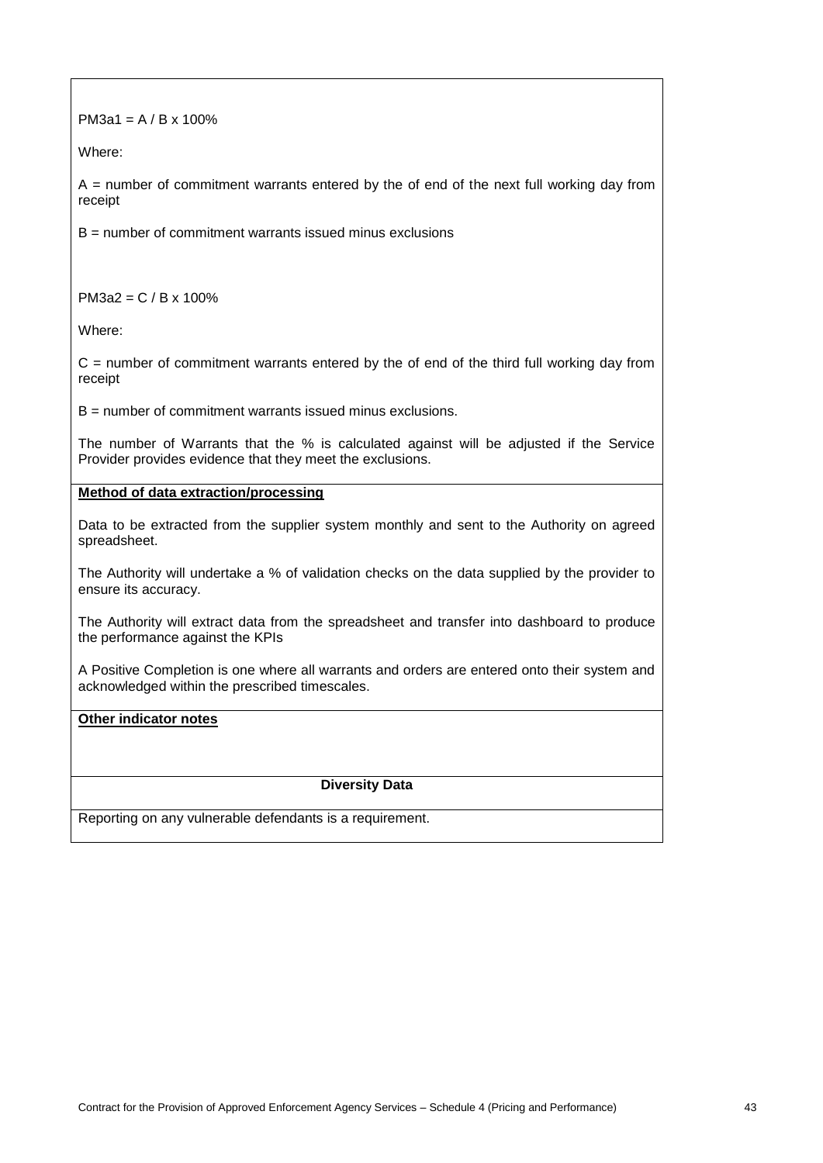| PM3a1 = $A/B \times 100\%$                                                                                                                           |  |  |
|------------------------------------------------------------------------------------------------------------------------------------------------------|--|--|
| Where:                                                                                                                                               |  |  |
| $A$ = number of commitment warrants entered by the of end of the next full working day from<br>receipt                                               |  |  |
| $B =$ number of commitment warrants issued minus exclusions                                                                                          |  |  |
|                                                                                                                                                      |  |  |
| $PM3a2 = C / B \times 100\%$                                                                                                                         |  |  |
| Where:                                                                                                                                               |  |  |
| $C =$ number of commitment warrants entered by the of end of the third full working day from<br>receipt                                              |  |  |
| $B =$ number of commitment warrants issued minus exclusions.                                                                                         |  |  |
| The number of Warrants that the % is calculated against will be adjusted if the Service<br>Provider provides evidence that they meet the exclusions. |  |  |
| Method of data extraction/processing                                                                                                                 |  |  |
| Data to be extracted from the supplier system monthly and sent to the Authority on agreed<br>spreadsheet.                                            |  |  |
| The Authority will undertake a % of validation checks on the data supplied by the provider to<br>ensure its accuracy.                                |  |  |
| The Authority will extract data from the spreadsheet and transfer into dashboard to produce<br>the performance against the KPIs                      |  |  |
| A Positive Completion is one where all warrants and orders are entered onto their system and<br>acknowledged within the prescribed timescales.       |  |  |
| Other indicator notes                                                                                                                                |  |  |
|                                                                                                                                                      |  |  |
| <b>Diversity Data</b>                                                                                                                                |  |  |
|                                                                                                                                                      |  |  |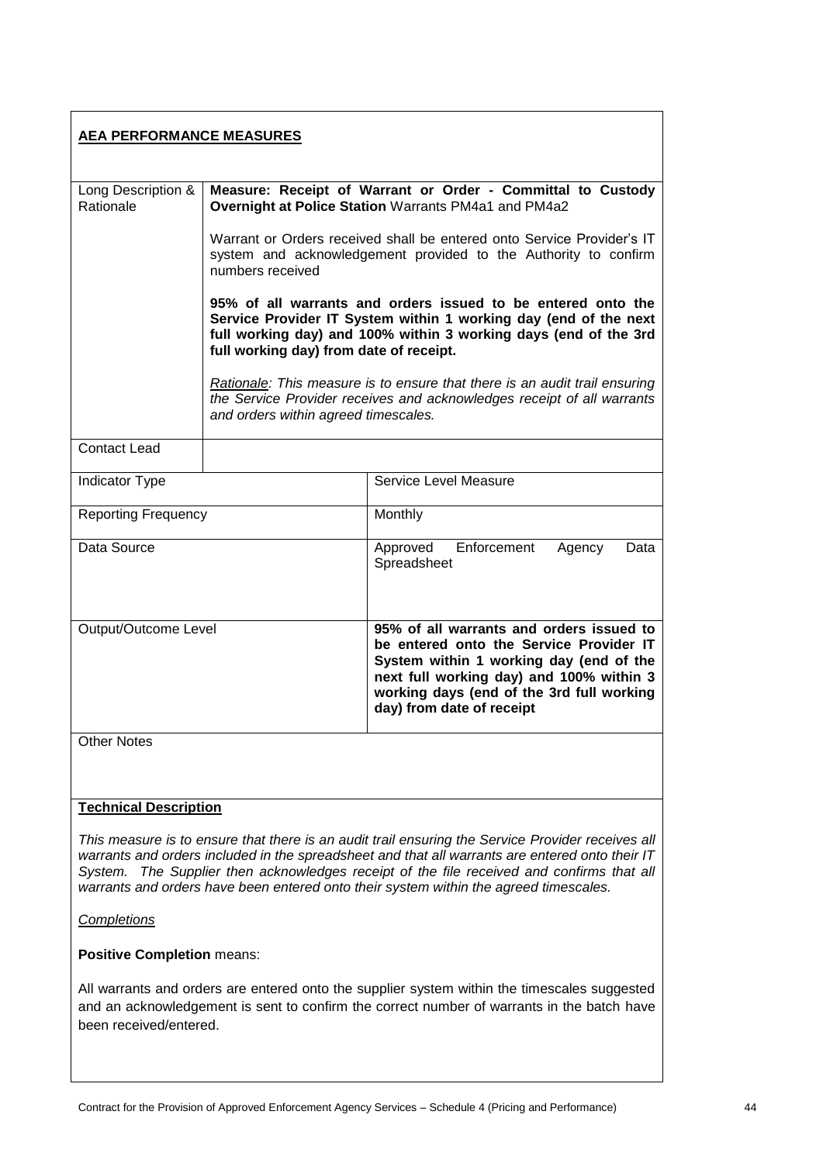| <b>AEA PERFORMANCE MEASURES</b>                                                                                                                                                                                                                                                                                                                                                               |                                                                                                                                                                                                                                                 |                                                                                                                                                                                                                                                      |
|-----------------------------------------------------------------------------------------------------------------------------------------------------------------------------------------------------------------------------------------------------------------------------------------------------------------------------------------------------------------------------------------------|-------------------------------------------------------------------------------------------------------------------------------------------------------------------------------------------------------------------------------------------------|------------------------------------------------------------------------------------------------------------------------------------------------------------------------------------------------------------------------------------------------------|
| Long Description &<br>Rationale                                                                                                                                                                                                                                                                                                                                                               | Measure: Receipt of Warrant or Order - Committal to Custody<br>Overnight at Police Station Warrants PM4a1 and PM4a2                                                                                                                             |                                                                                                                                                                                                                                                      |
|                                                                                                                                                                                                                                                                                                                                                                                               | Warrant or Orders received shall be entered onto Service Provider's IT<br>system and acknowledgement provided to the Authority to confirm<br>numbers received                                                                                   |                                                                                                                                                                                                                                                      |
|                                                                                                                                                                                                                                                                                                                                                                                               | 95% of all warrants and orders issued to be entered onto the<br>Service Provider IT System within 1 working day (end of the next<br>full working day) and 100% within 3 working days (end of the 3rd<br>full working day) from date of receipt. |                                                                                                                                                                                                                                                      |
|                                                                                                                                                                                                                                                                                                                                                                                               | and orders within agreed timescales.                                                                                                                                                                                                            | Rationale: This measure is to ensure that there is an audit trail ensuring<br>the Service Provider receives and acknowledges receipt of all warrants                                                                                                 |
| <b>Contact Lead</b>                                                                                                                                                                                                                                                                                                                                                                           |                                                                                                                                                                                                                                                 |                                                                                                                                                                                                                                                      |
| Indicator Type                                                                                                                                                                                                                                                                                                                                                                                |                                                                                                                                                                                                                                                 | Service Level Measure                                                                                                                                                                                                                                |
| <b>Reporting Frequency</b>                                                                                                                                                                                                                                                                                                                                                                    |                                                                                                                                                                                                                                                 | Monthly                                                                                                                                                                                                                                              |
| Data Source                                                                                                                                                                                                                                                                                                                                                                                   |                                                                                                                                                                                                                                                 | Enforcement<br>Approved<br>Agency<br>Data<br>Spreadsheet                                                                                                                                                                                             |
| Output/Outcome Level                                                                                                                                                                                                                                                                                                                                                                          |                                                                                                                                                                                                                                                 | 95% of all warrants and orders issued to<br>be entered onto the Service Provider IT<br>System within 1 working day (end of the<br>next full working day) and 100% within 3<br>working days (end of the 3rd full working<br>day) from date of receipt |
| <b>Other Notes</b>                                                                                                                                                                                                                                                                                                                                                                            |                                                                                                                                                                                                                                                 |                                                                                                                                                                                                                                                      |
| <b>Technical Description</b>                                                                                                                                                                                                                                                                                                                                                                  |                                                                                                                                                                                                                                                 |                                                                                                                                                                                                                                                      |
| This measure is to ensure that there is an audit trail ensuring the Service Provider receives all<br>warrants and orders included in the spreadsheet and that all warrants are entered onto their IT<br>The Supplier then acknowledges receipt of the file received and confirms that all<br>System.<br>warrants and orders have been entered onto their system within the agreed timescales. |                                                                                                                                                                                                                                                 |                                                                                                                                                                                                                                                      |
| <b>Completions</b>                                                                                                                                                                                                                                                                                                                                                                            |                                                                                                                                                                                                                                                 |                                                                                                                                                                                                                                                      |

**Positive Completion** means:

All warrants and orders are entered onto the supplier system within the timescales suggested and an acknowledgement is sent to confirm the correct number of warrants in the batch have been received/entered.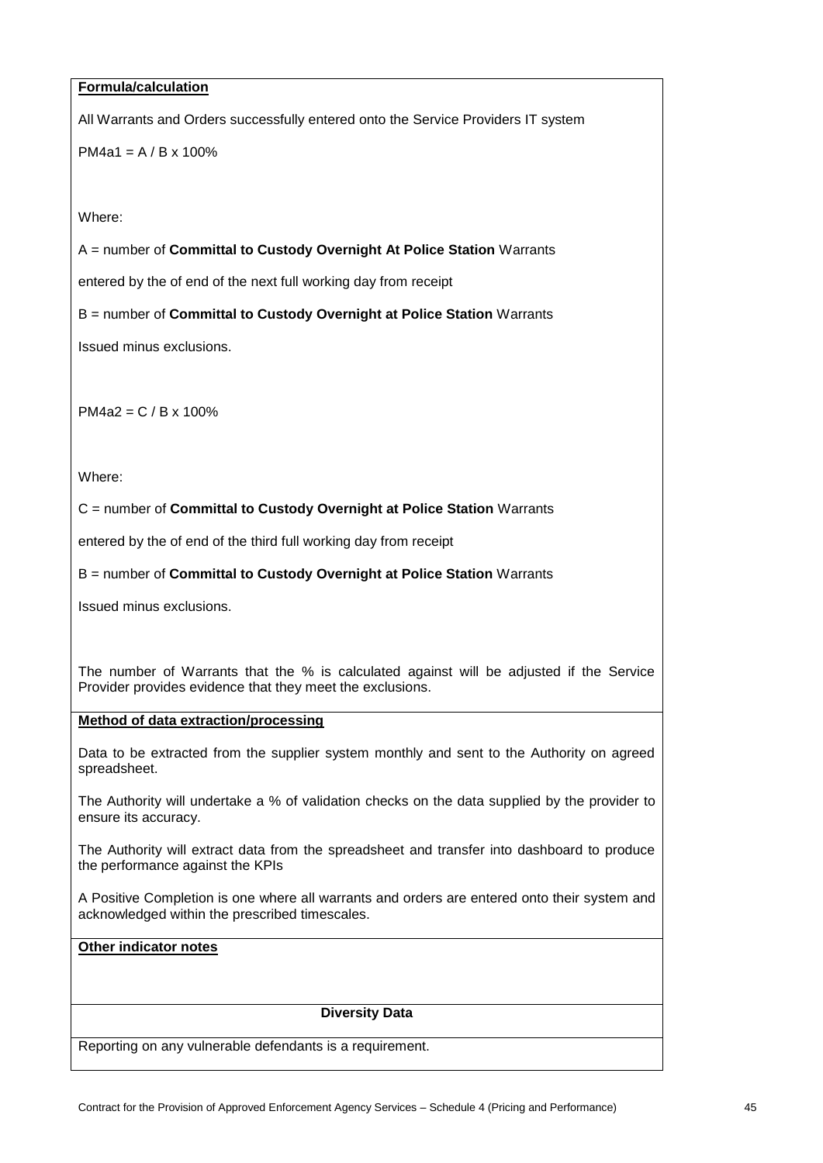#### **Formula/calculation**

All Warrants and Orders successfully entered onto the Service Providers IT system

 $PM4a1 = A / B \times 100\%$ 

Where:

A = number of **Committal to Custody Overnight At Police Station** Warrants

entered by the of end of the next full working day from receipt

B = number of **Committal to Custody Overnight at Police Station** Warrants

Issued minus exclusions.

PM4a2 = C / B x 100%

Where:

C = number of **Committal to Custody Overnight at Police Station** Warrants

entered by the of end of the third full working day from receipt

B = number of **Committal to Custody Overnight at Police Station** Warrants

Issued minus exclusions.

The number of Warrants that the % is calculated against will be adjusted if the Service Provider provides evidence that they meet the exclusions.

#### **Method of data extraction/processing**

Data to be extracted from the supplier system monthly and sent to the Authority on agreed spreadsheet.

The Authority will undertake a % of validation checks on the data supplied by the provider to ensure its accuracy.

The Authority will extract data from the spreadsheet and transfer into dashboard to produce the performance against the KPIs

A Positive Completion is one where all warrants and orders are entered onto their system and acknowledged within the prescribed timescales.

# **Other indicator notes**

#### **Diversity Data**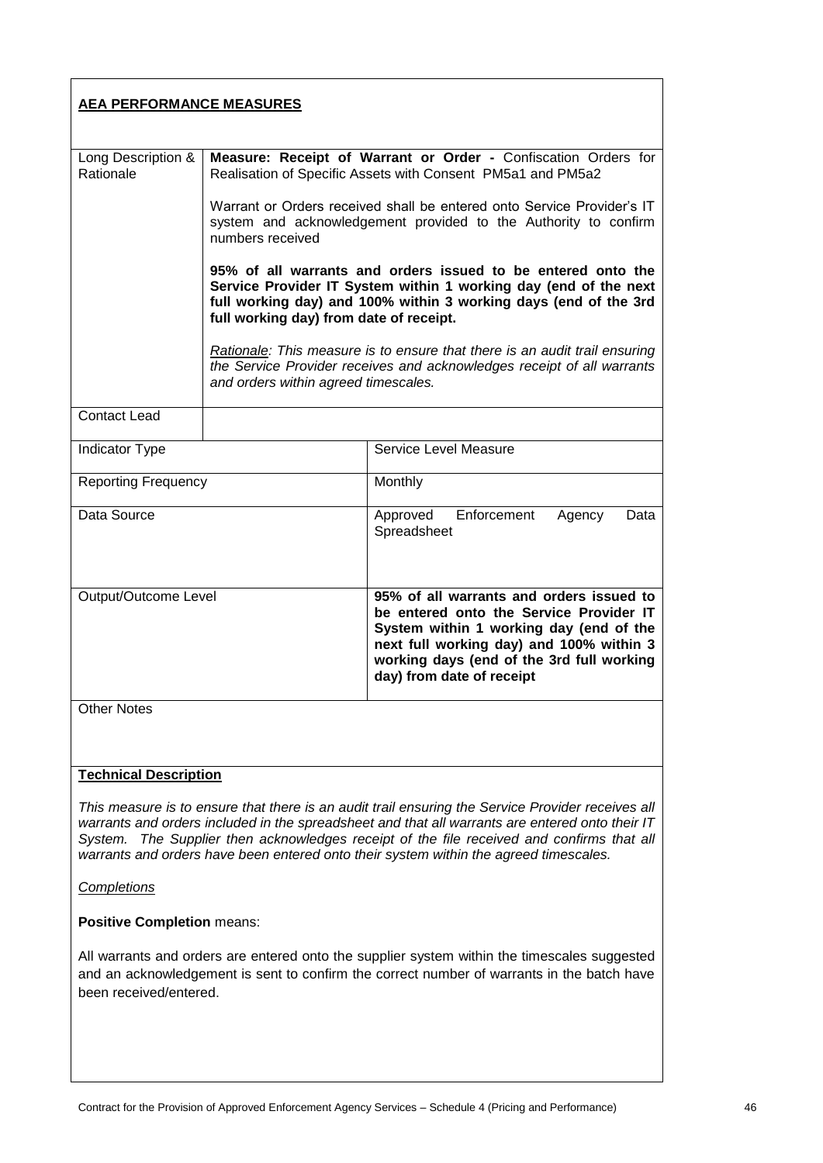| <b>AEA PERFORMANCE MEASURES</b>                                                                                                                                                                                                                                                                                                                                                               |                                                                                                                                                                                                                                                 |                                                                                                                                                                                                                                                      |
|-----------------------------------------------------------------------------------------------------------------------------------------------------------------------------------------------------------------------------------------------------------------------------------------------------------------------------------------------------------------------------------------------|-------------------------------------------------------------------------------------------------------------------------------------------------------------------------------------------------------------------------------------------------|------------------------------------------------------------------------------------------------------------------------------------------------------------------------------------------------------------------------------------------------------|
| Long Description &<br>Rationale                                                                                                                                                                                                                                                                                                                                                               | Measure: Receipt of Warrant or Order - Confiscation Orders for<br>Realisation of Specific Assets with Consent PM5a1 and PM5a2                                                                                                                   |                                                                                                                                                                                                                                                      |
|                                                                                                                                                                                                                                                                                                                                                                                               | Warrant or Orders received shall be entered onto Service Provider's IT<br>system and acknowledgement provided to the Authority to confirm<br>numbers received                                                                                   |                                                                                                                                                                                                                                                      |
|                                                                                                                                                                                                                                                                                                                                                                                               | 95% of all warrants and orders issued to be entered onto the<br>Service Provider IT System within 1 working day (end of the next<br>full working day) and 100% within 3 working days (end of the 3rd<br>full working day) from date of receipt. |                                                                                                                                                                                                                                                      |
|                                                                                                                                                                                                                                                                                                                                                                                               | and orders within agreed timescales.                                                                                                                                                                                                            | Rationale: This measure is to ensure that there is an audit trail ensuring<br>the Service Provider receives and acknowledges receipt of all warrants                                                                                                 |
| <b>Contact Lead</b>                                                                                                                                                                                                                                                                                                                                                                           |                                                                                                                                                                                                                                                 |                                                                                                                                                                                                                                                      |
| Indicator Type                                                                                                                                                                                                                                                                                                                                                                                |                                                                                                                                                                                                                                                 | Service Level Measure                                                                                                                                                                                                                                |
| <b>Reporting Frequency</b>                                                                                                                                                                                                                                                                                                                                                                    |                                                                                                                                                                                                                                                 | Monthly                                                                                                                                                                                                                                              |
| Data Source                                                                                                                                                                                                                                                                                                                                                                                   |                                                                                                                                                                                                                                                 | Enforcement<br>Approved<br>Agency<br>Data<br>Spreadsheet                                                                                                                                                                                             |
| Output/Outcome Level                                                                                                                                                                                                                                                                                                                                                                          |                                                                                                                                                                                                                                                 | 95% of all warrants and orders issued to<br>be entered onto the Service Provider IT<br>System within 1 working day (end of the<br>next full working day) and 100% within 3<br>working days (end of the 3rd full working<br>day) from date of receipt |
| <b>Other Notes</b>                                                                                                                                                                                                                                                                                                                                                                            |                                                                                                                                                                                                                                                 |                                                                                                                                                                                                                                                      |
|                                                                                                                                                                                                                                                                                                                                                                                               |                                                                                                                                                                                                                                                 |                                                                                                                                                                                                                                                      |
| <b>Technical Description</b>                                                                                                                                                                                                                                                                                                                                                                  |                                                                                                                                                                                                                                                 |                                                                                                                                                                                                                                                      |
| This measure is to ensure that there is an audit trail ensuring the Service Provider receives all<br>warrants and orders included in the spreadsheet and that all warrants are entered onto their IT<br>The Supplier then acknowledges receipt of the file received and confirms that all<br>Svstem.<br>warrants and orders have been entered onto their system within the agreed timescales. |                                                                                                                                                                                                                                                 |                                                                                                                                                                                                                                                      |
| <b>Completions</b>                                                                                                                                                                                                                                                                                                                                                                            |                                                                                                                                                                                                                                                 |                                                                                                                                                                                                                                                      |

# **Positive Completion** means:

All warrants and orders are entered onto the supplier system within the timescales suggested and an acknowledgement is sent to confirm the correct number of warrants in the batch have been received/entered.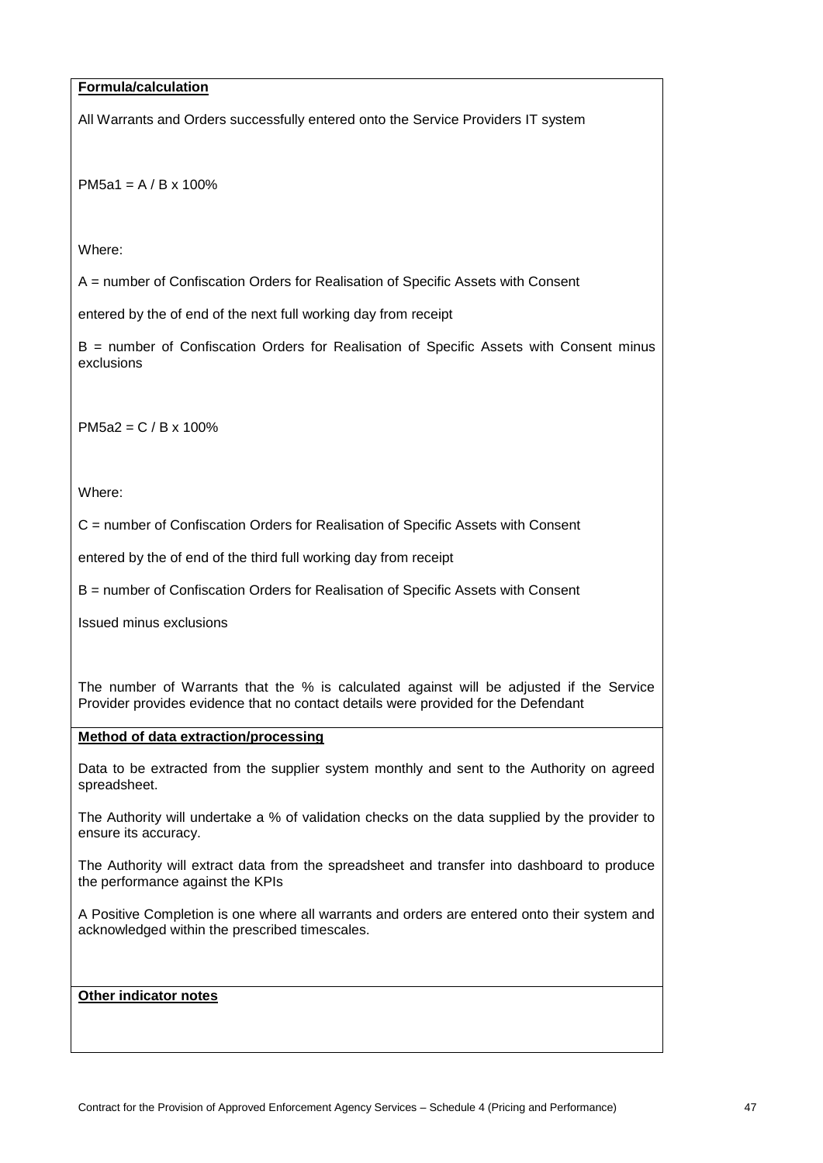## **Formula/calculation**

All Warrants and Orders successfully entered onto the Service Providers IT system

PM5a1 = A / B x 100%

Where:

A = number of Confiscation Orders for Realisation of Specific Assets with Consent

entered by the of end of the next full working day from receipt

B = number of Confiscation Orders for Realisation of Specific Assets with Consent minus exclusions

PM5a2 = C / B x 100%

Where:

C = number of Confiscation Orders for Realisation of Specific Assets with Consent

entered by the of end of the third full working day from receipt

B = number of Confiscation Orders for Realisation of Specific Assets with Consent

Issued minus exclusions

The number of Warrants that the % is calculated against will be adjusted if the Service Provider provides evidence that no contact details were provided for the Defendant

#### **Method of data extraction/processing**

Data to be extracted from the supplier system monthly and sent to the Authority on agreed spreadsheet.

The Authority will undertake a % of validation checks on the data supplied by the provider to ensure its accuracy.

The Authority will extract data from the spreadsheet and transfer into dashboard to produce the performance against the KPIs

A Positive Completion is one where all warrants and orders are entered onto their system and acknowledged within the prescribed timescales.

### **Other indicator notes**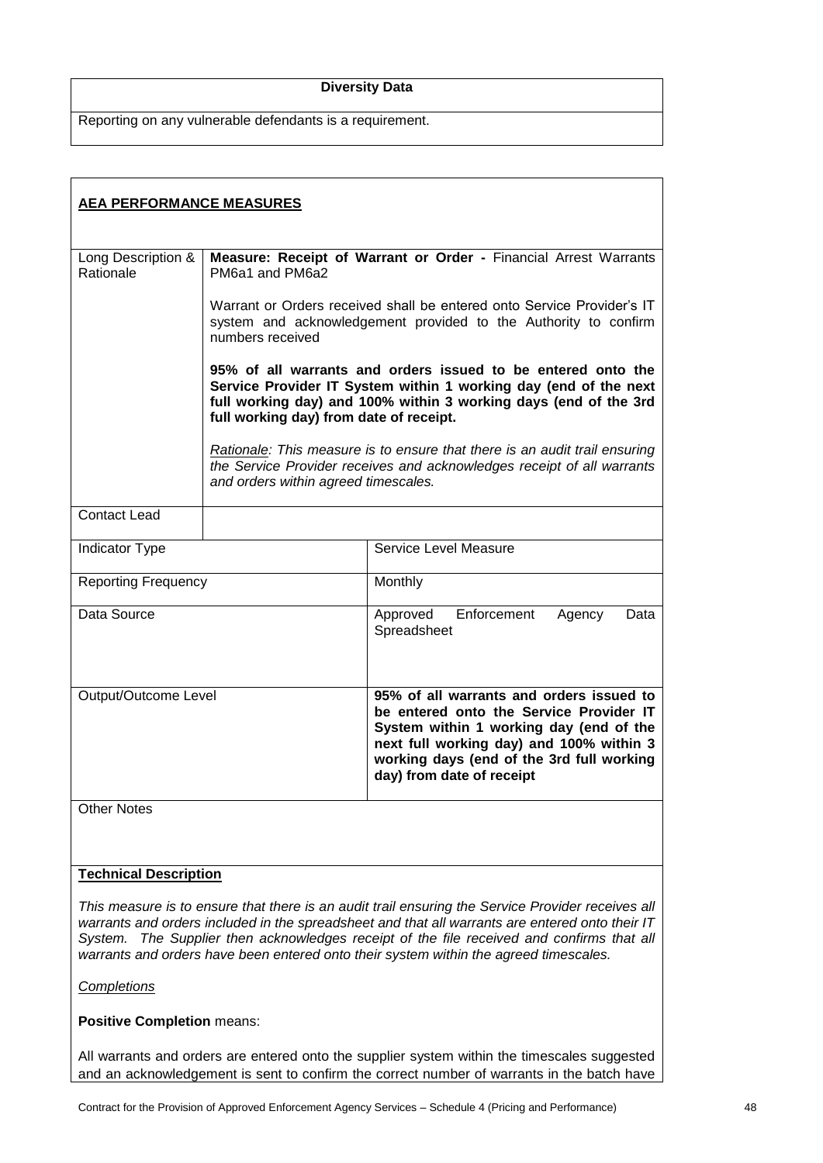#### **Diversity Data**

Reporting on any vulnerable defendants is a requirement.

| <b>AEA PERFORMANCE MEASURES</b> |                                                                                                                                                                                                                                                 |                                                                                                                                                                                                                                                      |
|---------------------------------|-------------------------------------------------------------------------------------------------------------------------------------------------------------------------------------------------------------------------------------------------|------------------------------------------------------------------------------------------------------------------------------------------------------------------------------------------------------------------------------------------------------|
| Long Description &<br>Rationale | Measure: Receipt of Warrant or Order - Financial Arrest Warrants<br>PM6a1 and PM6a2                                                                                                                                                             |                                                                                                                                                                                                                                                      |
|                                 | Warrant or Orders received shall be entered onto Service Provider's IT<br>system and acknowledgement provided to the Authority to confirm<br>numbers received                                                                                   |                                                                                                                                                                                                                                                      |
|                                 | 95% of all warrants and orders issued to be entered onto the<br>Service Provider IT System within 1 working day (end of the next<br>full working day) and 100% within 3 working days (end of the 3rd<br>full working day) from date of receipt. |                                                                                                                                                                                                                                                      |
|                                 | and orders within agreed timescales.                                                                                                                                                                                                            | Rationale: This measure is to ensure that there is an audit trail ensuring<br>the Service Provider receives and acknowledges receipt of all warrants                                                                                                 |
| <b>Contact Lead</b>             |                                                                                                                                                                                                                                                 |                                                                                                                                                                                                                                                      |
| <b>Indicator Type</b>           |                                                                                                                                                                                                                                                 | Service Level Measure                                                                                                                                                                                                                                |
| <b>Reporting Frequency</b>      |                                                                                                                                                                                                                                                 | Monthly                                                                                                                                                                                                                                              |
| Data Source                     |                                                                                                                                                                                                                                                 | Enforcement<br>Approved<br>Agency<br>Data<br>Spreadsheet                                                                                                                                                                                             |
| Output/Outcome Level            |                                                                                                                                                                                                                                                 | 95% of all warrants and orders issued to<br>be entered onto the Service Provider IT<br>System within 1 working day (end of the<br>next full working day) and 100% within 3<br>working days (end of the 3rd full working<br>day) from date of receipt |
| <b>Other Notes</b>              |                                                                                                                                                                                                                                                 |                                                                                                                                                                                                                                                      |
| <b>Technical Description</b>    |                                                                                                                                                                                                                                                 |                                                                                                                                                                                                                                                      |

*This measure is to ensure that there is an audit trail ensuring the Service Provider receives all warrants and orders included in the spreadsheet and that all warrants are entered onto their IT System. The Supplier then acknowledges receipt of the file received and confirms that all warrants and orders have been entered onto their system within the agreed timescales.*

#### *Completions*

# **Positive Completion** means:

All warrants and orders are entered onto the supplier system within the timescales suggested and an acknowledgement is sent to confirm the correct number of warrants in the batch have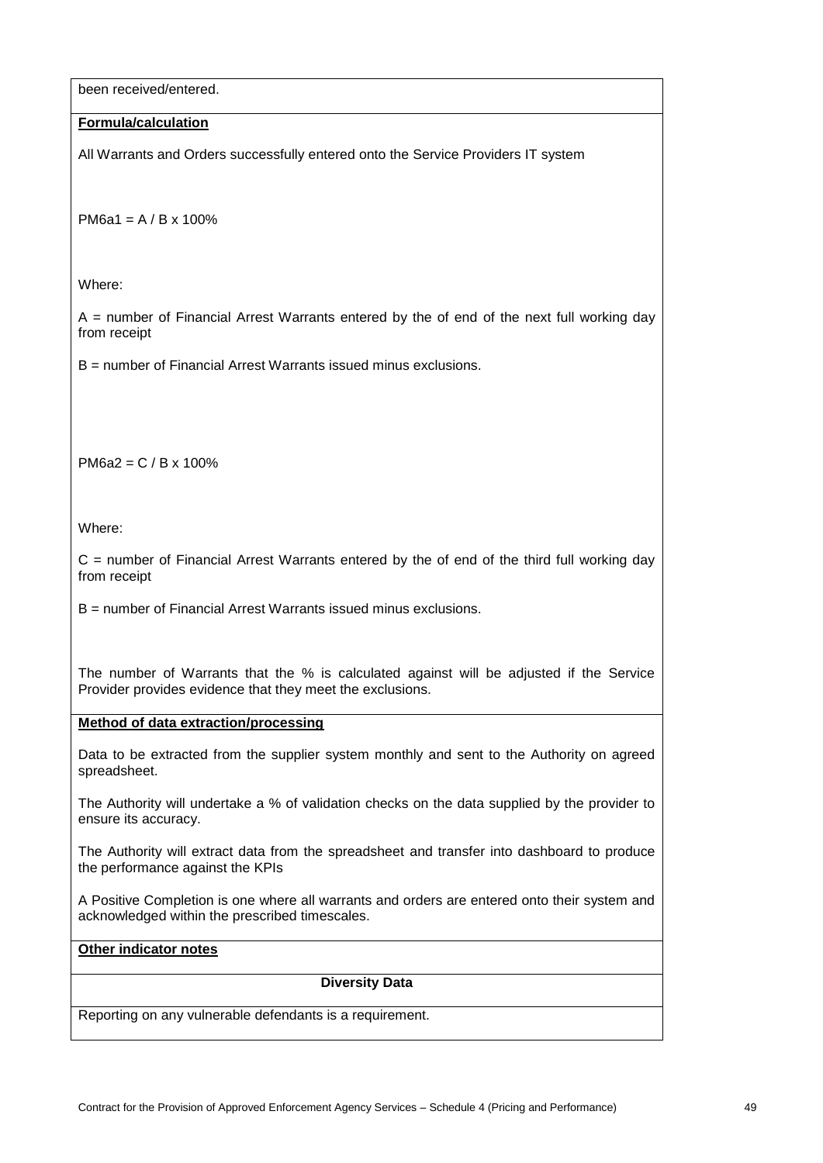been received/entered.

#### **Formula/calculation**

All Warrants and Orders successfully entered onto the Service Providers IT system

PM6a1 = A / B x 100%

Where:

 $A =$  number of Financial Arrest Warrants entered by the of end of the next full working day from receipt

B = number of Financial Arrest Warrants issued minus exclusions.

PM6a2 = C / B x 100%

Where:

 $C =$  number of Financial Arrest Warrants entered by the of end of the third full working day from receipt

B = number of Financial Arrest Warrants issued minus exclusions.

The number of Warrants that the % is calculated against will be adjusted if the Service Provider provides evidence that they meet the exclusions.

## **Method of data extraction/processing**

Data to be extracted from the supplier system monthly and sent to the Authority on agreed spreadsheet.

The Authority will undertake a % of validation checks on the data supplied by the provider to ensure its accuracy.

The Authority will extract data from the spreadsheet and transfer into dashboard to produce the performance against the KPIs

A Positive Completion is one where all warrants and orders are entered onto their system and acknowledged within the prescribed timescales.

# **Other indicator notes**

#### **Diversity Data**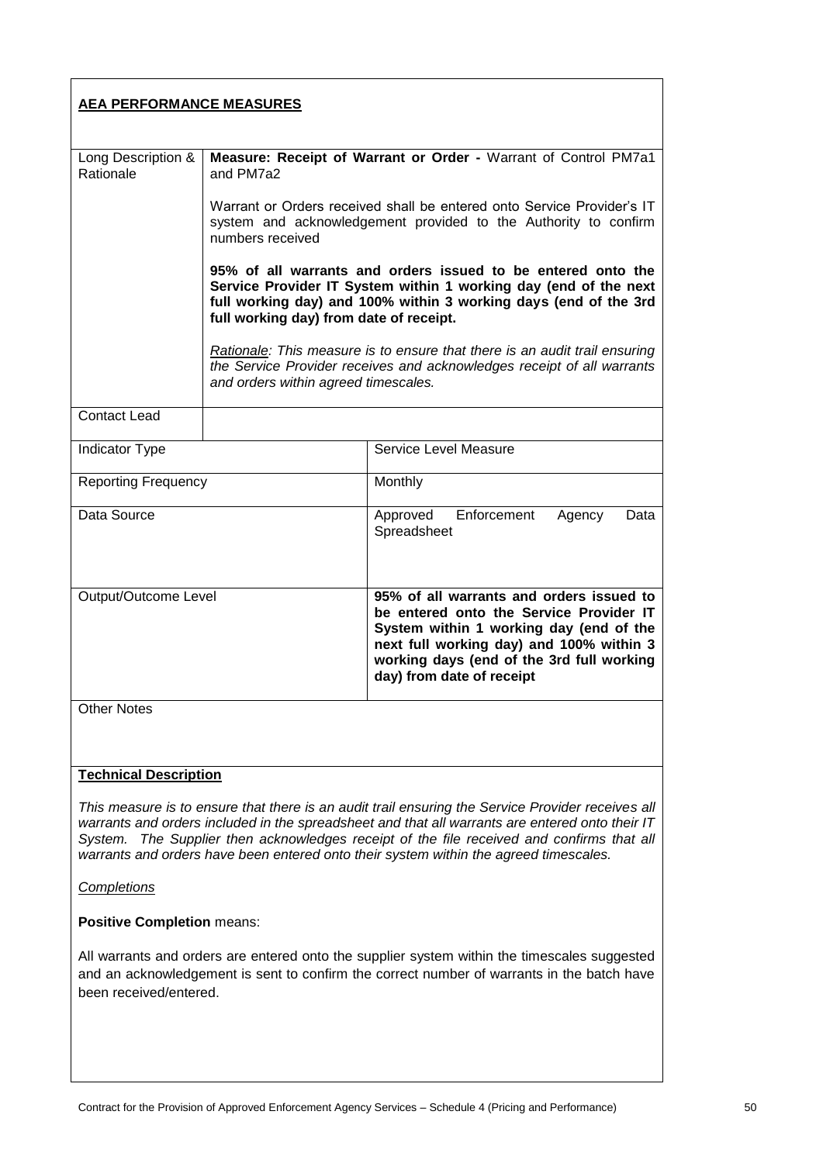| <b>AEA PERFORMANCE MEASURES</b>                                                                                                                                                                                                                                                                                                                                                               |                                                                                                                                                                                                                                                 |                                                                                                                                                                                                                                                      |
|-----------------------------------------------------------------------------------------------------------------------------------------------------------------------------------------------------------------------------------------------------------------------------------------------------------------------------------------------------------------------------------------------|-------------------------------------------------------------------------------------------------------------------------------------------------------------------------------------------------------------------------------------------------|------------------------------------------------------------------------------------------------------------------------------------------------------------------------------------------------------------------------------------------------------|
| Long Description &<br>Rationale                                                                                                                                                                                                                                                                                                                                                               | Measure: Receipt of Warrant or Order - Warrant of Control PM7a1<br>and PM7a2                                                                                                                                                                    |                                                                                                                                                                                                                                                      |
|                                                                                                                                                                                                                                                                                                                                                                                               | Warrant or Orders received shall be entered onto Service Provider's IT<br>system and acknowledgement provided to the Authority to confirm<br>numbers received                                                                                   |                                                                                                                                                                                                                                                      |
|                                                                                                                                                                                                                                                                                                                                                                                               | 95% of all warrants and orders issued to be entered onto the<br>Service Provider IT System within 1 working day (end of the next<br>full working day) and 100% within 3 working days (end of the 3rd<br>full working day) from date of receipt. |                                                                                                                                                                                                                                                      |
|                                                                                                                                                                                                                                                                                                                                                                                               | and orders within agreed timescales.                                                                                                                                                                                                            | Rationale: This measure is to ensure that there is an audit trail ensuring<br>the Service Provider receives and acknowledges receipt of all warrants                                                                                                 |
| <b>Contact Lead</b>                                                                                                                                                                                                                                                                                                                                                                           |                                                                                                                                                                                                                                                 |                                                                                                                                                                                                                                                      |
| Indicator Type                                                                                                                                                                                                                                                                                                                                                                                |                                                                                                                                                                                                                                                 | Service Level Measure                                                                                                                                                                                                                                |
| <b>Reporting Frequency</b>                                                                                                                                                                                                                                                                                                                                                                    |                                                                                                                                                                                                                                                 | Monthly                                                                                                                                                                                                                                              |
| Data Source                                                                                                                                                                                                                                                                                                                                                                                   |                                                                                                                                                                                                                                                 | Enforcement<br>Approved<br>Agency<br>Data<br>Spreadsheet                                                                                                                                                                                             |
| Output/Outcome Level                                                                                                                                                                                                                                                                                                                                                                          |                                                                                                                                                                                                                                                 | 95% of all warrants and orders issued to<br>be entered onto the Service Provider IT<br>System within 1 working day (end of the<br>next full working day) and 100% within 3<br>working days (end of the 3rd full working<br>day) from date of receipt |
| <b>Other Notes</b>                                                                                                                                                                                                                                                                                                                                                                            |                                                                                                                                                                                                                                                 |                                                                                                                                                                                                                                                      |
|                                                                                                                                                                                                                                                                                                                                                                                               |                                                                                                                                                                                                                                                 |                                                                                                                                                                                                                                                      |
| <b>Technical Description</b>                                                                                                                                                                                                                                                                                                                                                                  |                                                                                                                                                                                                                                                 |                                                                                                                                                                                                                                                      |
| This measure is to ensure that there is an audit trail ensuring the Service Provider receives all<br>warrants and orders included in the spreadsheet and that all warrants are entered onto their IT<br>The Supplier then acknowledges receipt of the file received and confirms that all<br>System.<br>warrants and orders have been entered onto their system within the agreed timescales. |                                                                                                                                                                                                                                                 |                                                                                                                                                                                                                                                      |

# *Completions*

# **Positive Completion** means:

All warrants and orders are entered onto the supplier system within the timescales suggested and an acknowledgement is sent to confirm the correct number of warrants in the batch have been received/entered.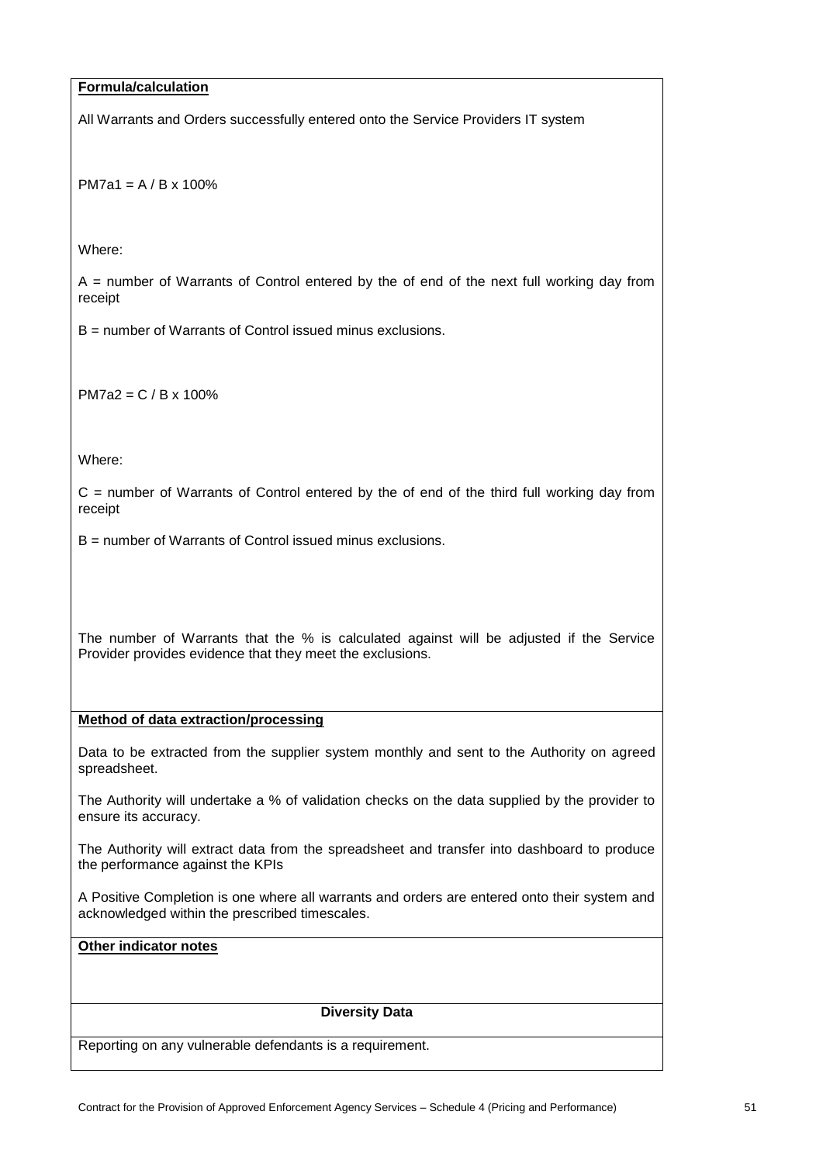## **Formula/calculation**

All Warrants and Orders successfully entered onto the Service Providers IT system

PM7a1 = A / B x 100%

Where:

 $A =$  number of Warrants of Control entered by the of end of the next full working day from receipt

B = number of Warrants of Control issued minus exclusions.

PM7a2 = C / B x 100%

Where:

 $C =$  number of Warrants of Control entered by the of end of the third full working day from receipt

B = number of Warrants of Control issued minus exclusions.

The number of Warrants that the % is calculated against will be adjusted if the Service Provider provides evidence that they meet the exclusions.

#### **Method of data extraction/processing**

Data to be extracted from the supplier system monthly and sent to the Authority on agreed spreadsheet.

The Authority will undertake a % of validation checks on the data supplied by the provider to ensure its accuracy.

The Authority will extract data from the spreadsheet and transfer into dashboard to produce the performance against the KPIs

A Positive Completion is one where all warrants and orders are entered onto their system and acknowledged within the prescribed timescales.

# **Other indicator notes**

#### **Diversity Data**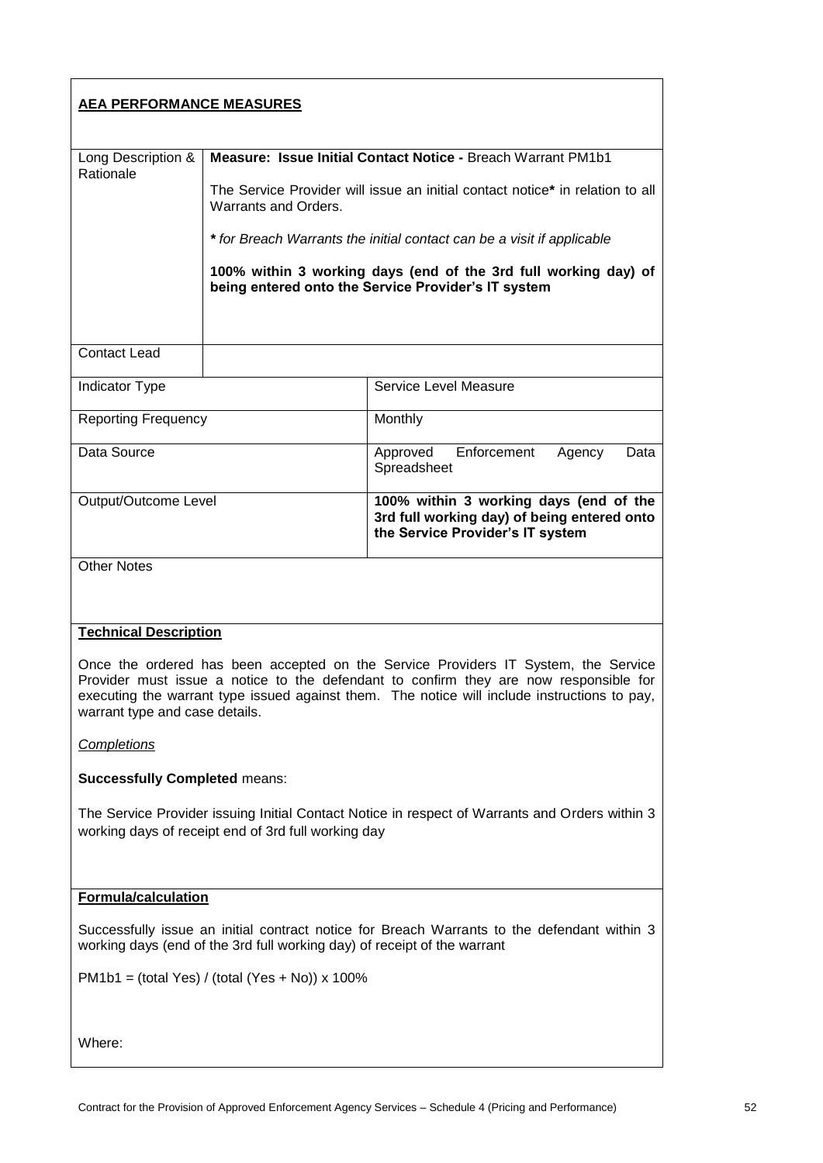| <b>AEA PERFORMANCE MEASURES</b>                                                                                                                                                                                                                                                                                                               |                                                                                                                                                                                                                                                                                                                                                                           |                                                                                                                           |
|-----------------------------------------------------------------------------------------------------------------------------------------------------------------------------------------------------------------------------------------------------------------------------------------------------------------------------------------------|---------------------------------------------------------------------------------------------------------------------------------------------------------------------------------------------------------------------------------------------------------------------------------------------------------------------------------------------------------------------------|---------------------------------------------------------------------------------------------------------------------------|
| Long Description &<br>Rationale                                                                                                                                                                                                                                                                                                               | Measure: Issue Initial Contact Notice - Breach Warrant PM1b1<br>The Service Provider will issue an initial contact notice* in relation to all<br>Warrants and Orders.<br>* for Breach Warrants the initial contact can be a visit if applicable<br>100% within 3 working days (end of the 3rd full working day) of<br>being entered onto the Service Provider's IT system |                                                                                                                           |
| <b>Contact Lead</b>                                                                                                                                                                                                                                                                                                                           |                                                                                                                                                                                                                                                                                                                                                                           |                                                                                                                           |
| <b>Indicator Type</b>                                                                                                                                                                                                                                                                                                                         |                                                                                                                                                                                                                                                                                                                                                                           | Service Level Measure                                                                                                     |
| <b>Reporting Frequency</b>                                                                                                                                                                                                                                                                                                                    |                                                                                                                                                                                                                                                                                                                                                                           | Monthly                                                                                                                   |
| Data Source                                                                                                                                                                                                                                                                                                                                   |                                                                                                                                                                                                                                                                                                                                                                           | Enforcement<br>Agency<br>Approved<br>Data<br>Spreadsheet                                                                  |
| Output/Outcome Level                                                                                                                                                                                                                                                                                                                          |                                                                                                                                                                                                                                                                                                                                                                           | 100% within 3 working days (end of the<br>3rd full working day) of being entered onto<br>the Service Provider's IT system |
| <b>Other Notes</b>                                                                                                                                                                                                                                                                                                                            |                                                                                                                                                                                                                                                                                                                                                                           |                                                                                                                           |
| <b>Technical Description</b><br>Once the ordered has been accepted on the Service Providers IT System, the Service<br>Provider must issue a notice to the defendant to confirm they are now responsible for<br>executing the warrant type issued against them. The notice will include instructions to pay,<br>warrant type and case details. |                                                                                                                                                                                                                                                                                                                                                                           |                                                                                                                           |
| Completions                                                                                                                                                                                                                                                                                                                                   |                                                                                                                                                                                                                                                                                                                                                                           |                                                                                                                           |
| <b>Successfully Completed means:</b>                                                                                                                                                                                                                                                                                                          |                                                                                                                                                                                                                                                                                                                                                                           |                                                                                                                           |
| The Service Provider issuing Initial Contact Notice in respect of Warrants and Orders within 3<br>working days of receipt end of 3rd full working day                                                                                                                                                                                         |                                                                                                                                                                                                                                                                                                                                                                           |                                                                                                                           |
| <b>Formula/calculation</b>                                                                                                                                                                                                                                                                                                                    |                                                                                                                                                                                                                                                                                                                                                                           |                                                                                                                           |
| Successfully issue an initial contract notice for Breach Warrants to the defendant within 3<br>working days (end of the 3rd full working day) of receipt of the warrant                                                                                                                                                                       |                                                                                                                                                                                                                                                                                                                                                                           |                                                                                                                           |
| $PM1b1 = (total Yes) / (total (Yes + No)) x 100\%$                                                                                                                                                                                                                                                                                            |                                                                                                                                                                                                                                                                                                                                                                           |                                                                                                                           |
| Where:                                                                                                                                                                                                                                                                                                                                        |                                                                                                                                                                                                                                                                                                                                                                           |                                                                                                                           |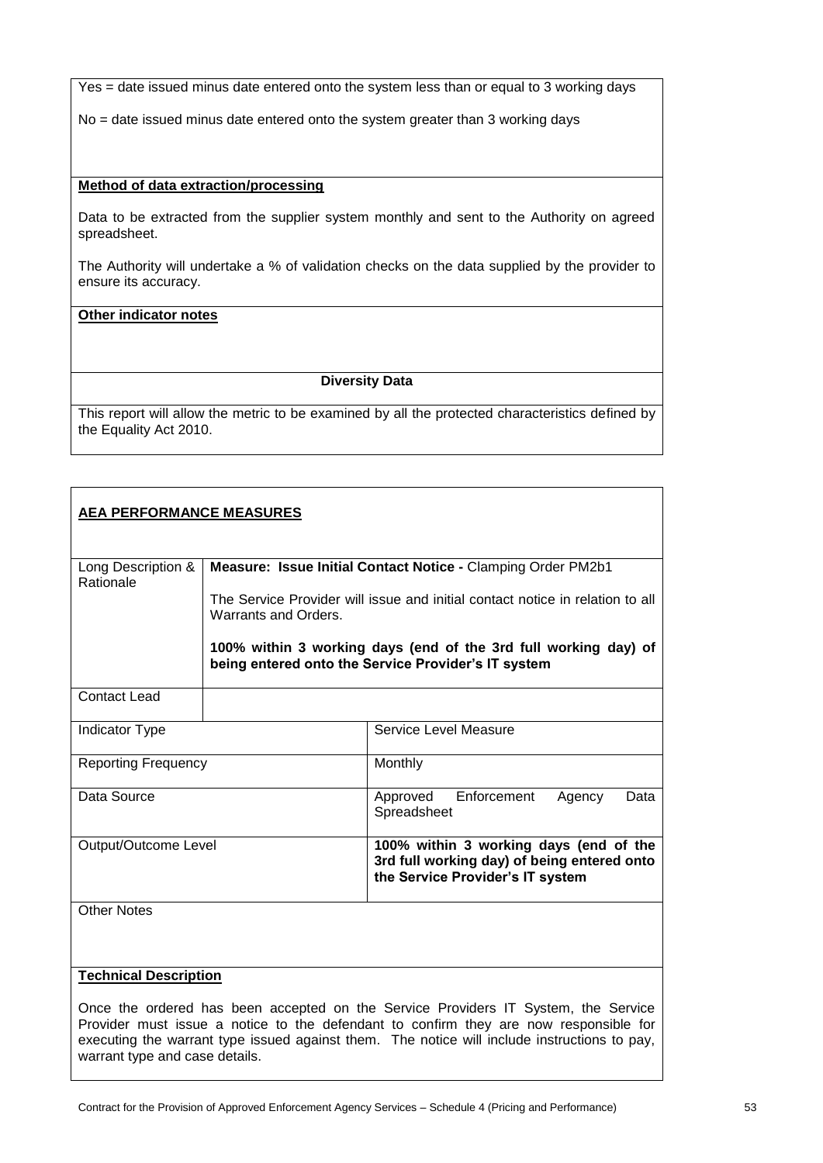Yes = date issued minus date entered onto the system less than or equal to 3 working days

No = date issued minus date entered onto the system greater than 3 working days

#### **Method of data extraction/processing**

Data to be extracted from the supplier system monthly and sent to the Authority on agreed spreadsheet.

The Authority will undertake a % of validation checks on the data supplied by the provider to ensure its accuracy.

# **Other indicator notes**

#### **Diversity Data**

| <b>AEA PERFORMANCE MEASURES</b>                                                                                                                                                                                                                                                                               |                                                                                                                        |                                                                                                                           |
|---------------------------------------------------------------------------------------------------------------------------------------------------------------------------------------------------------------------------------------------------------------------------------------------------------------|------------------------------------------------------------------------------------------------------------------------|---------------------------------------------------------------------------------------------------------------------------|
| Long Description &<br>Rationale                                                                                                                                                                                                                                                                               | Measure: Issue Initial Contact Notice - Clamping Order PM2b1                                                           |                                                                                                                           |
|                                                                                                                                                                                                                                                                                                               | The Service Provider will issue and initial contact notice in relation to all<br>Warrants and Orders.                  |                                                                                                                           |
|                                                                                                                                                                                                                                                                                                               | 100% within 3 working days (end of the 3rd full working day) of<br>being entered onto the Service Provider's IT system |                                                                                                                           |
| <b>Contact Lead</b>                                                                                                                                                                                                                                                                                           |                                                                                                                        |                                                                                                                           |
| <b>Indicator Type</b>                                                                                                                                                                                                                                                                                         |                                                                                                                        | Service Level Measure                                                                                                     |
| <b>Reporting Frequency</b>                                                                                                                                                                                                                                                                                    |                                                                                                                        | Monthly                                                                                                                   |
| Data Source                                                                                                                                                                                                                                                                                                   |                                                                                                                        | Enforcement<br>Approved<br>Agency<br>Data<br>Spreadsheet                                                                  |
| Output/Outcome Level                                                                                                                                                                                                                                                                                          |                                                                                                                        | 100% within 3 working days (end of the<br>3rd full working day) of being entered onto<br>the Service Provider's IT system |
| <b>Other Notes</b>                                                                                                                                                                                                                                                                                            |                                                                                                                        |                                                                                                                           |
| <b>Technical Description</b>                                                                                                                                                                                                                                                                                  |                                                                                                                        |                                                                                                                           |
| Once the ordered has been accepted on the Service Providers IT System, the Service<br>Provider must issue a notice to the defendant to confirm they are now responsible for<br>executing the warrant type issued against them. The notice will include instructions to pay,<br>warrant type and case details. |                                                                                                                        |                                                                                                                           |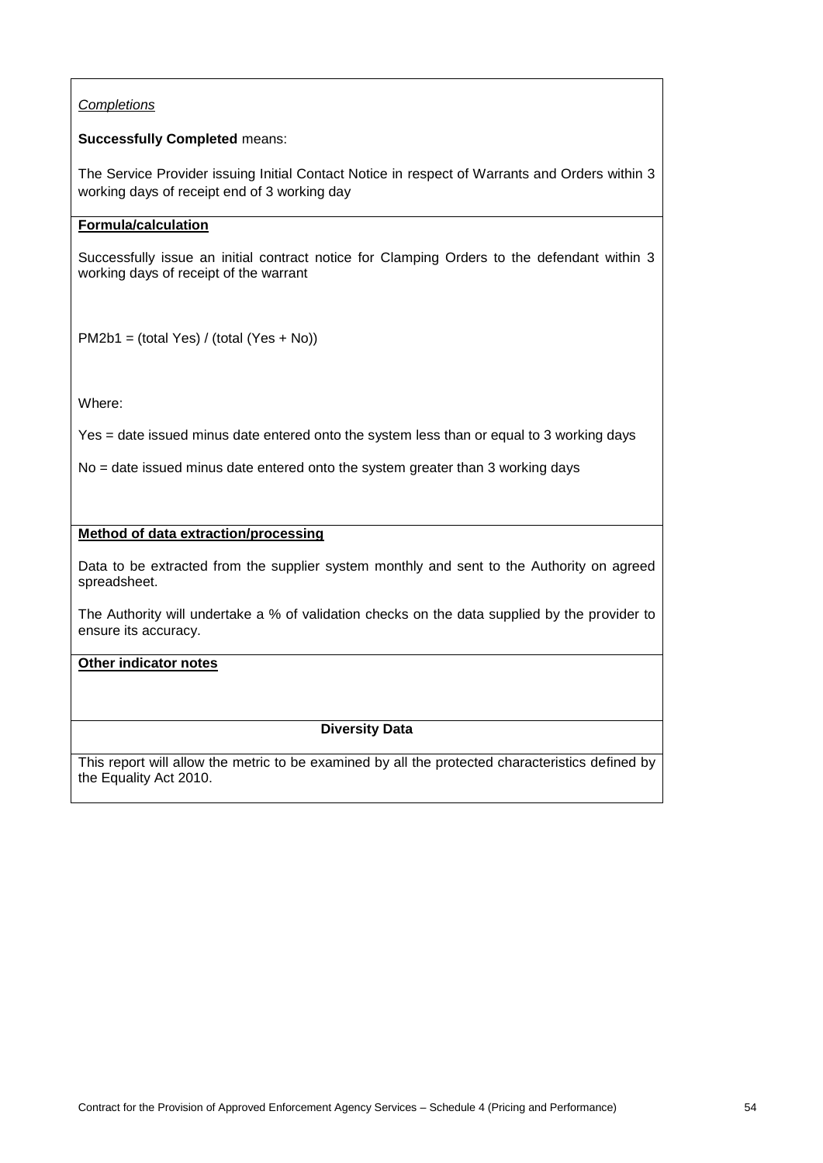# *Completions*

# **Successfully Completed** means:

The Service Provider issuing Initial Contact Notice in respect of Warrants and Orders within 3 working days of receipt end of 3 working day

# **Formula/calculation**

Successfully issue an initial contract notice for Clamping Orders to the defendant within 3 working days of receipt of the warrant

PM2b1 = (total Yes) / (total (Yes + No))

Where:

Yes = date issued minus date entered onto the system less than or equal to 3 working days

No = date issued minus date entered onto the system greater than 3 working days

## **Method of data extraction/processing**

Data to be extracted from the supplier system monthly and sent to the Authority on agreed spreadsheet.

The Authority will undertake a % of validation checks on the data supplied by the provider to ensure its accuracy.

## **Other indicator notes**

# **Diversity Data**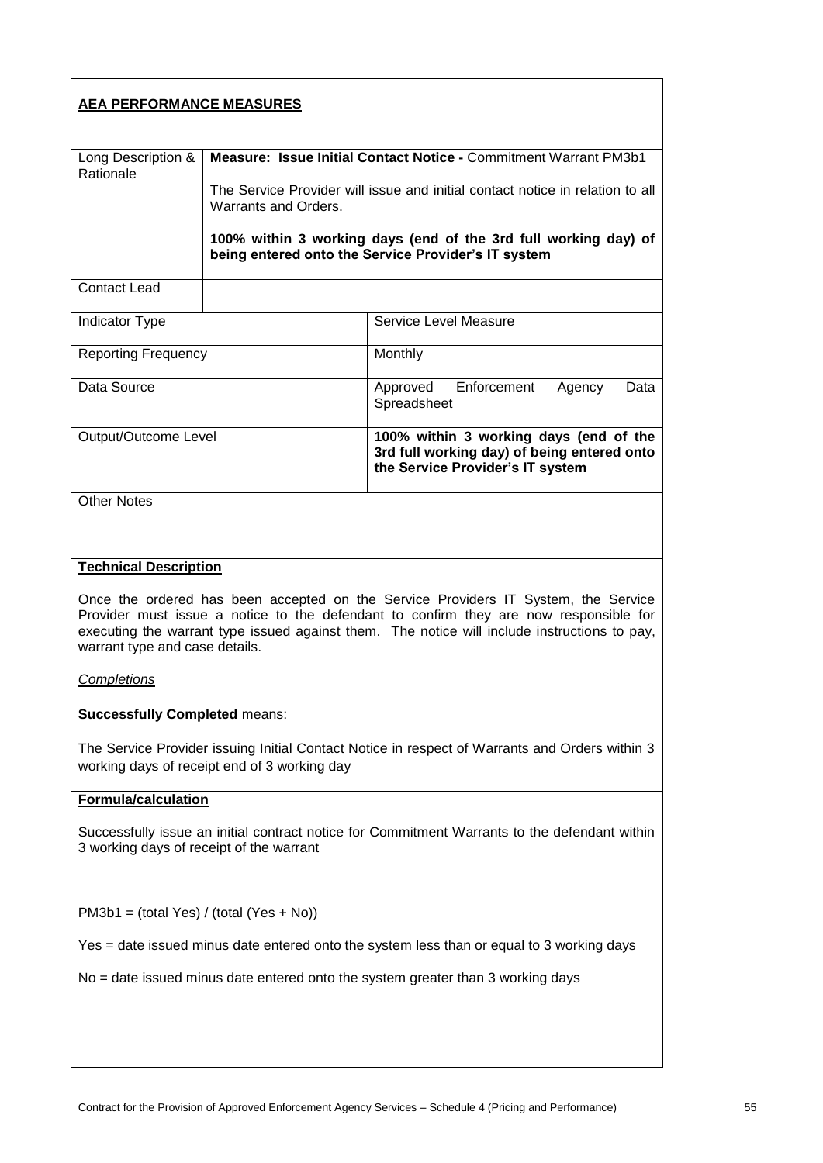| <b>AEA PERFORMANCE MEASURES</b>                                                                                                                                                                                                                                                                               |                      |                                                                                                                           |
|---------------------------------------------------------------------------------------------------------------------------------------------------------------------------------------------------------------------------------------------------------------------------------------------------------------|----------------------|---------------------------------------------------------------------------------------------------------------------------|
|                                                                                                                                                                                                                                                                                                               |                      | Measure: Issue Initial Contact Notice - Commitment Warrant PM3b1                                                          |
| Long Description &<br>Rationale                                                                                                                                                                                                                                                                               |                      |                                                                                                                           |
|                                                                                                                                                                                                                                                                                                               | Warrants and Orders. | The Service Provider will issue and initial contact notice in relation to all                                             |
|                                                                                                                                                                                                                                                                                                               |                      | 100% within 3 working days (end of the 3rd full working day) of<br>being entered onto the Service Provider's IT system    |
| <b>Contact Lead</b>                                                                                                                                                                                                                                                                                           |                      |                                                                                                                           |
| Indicator Type                                                                                                                                                                                                                                                                                                |                      | Service Level Measure                                                                                                     |
| <b>Reporting Frequency</b>                                                                                                                                                                                                                                                                                    |                      | Monthly                                                                                                                   |
| Data Source                                                                                                                                                                                                                                                                                                   |                      | Enforcement<br>Agency<br>Data<br>Approved<br>Spreadsheet                                                                  |
| Output/Outcome Level                                                                                                                                                                                                                                                                                          |                      | 100% within 3 working days (end of the<br>3rd full working day) of being entered onto<br>the Service Provider's IT system |
| <b>Other Notes</b>                                                                                                                                                                                                                                                                                            |                      |                                                                                                                           |
|                                                                                                                                                                                                                                                                                                               |                      |                                                                                                                           |
| <b>Technical Description</b>                                                                                                                                                                                                                                                                                  |                      |                                                                                                                           |
| Once the ordered has been accepted on the Service Providers IT System, the Service<br>Provider must issue a notice to the defendant to confirm they are now responsible for<br>executing the warrant type issued against them. The notice will include instructions to pay,<br>warrant type and case details. |                      |                                                                                                                           |
| Completions                                                                                                                                                                                                                                                                                                   |                      |                                                                                                                           |
| <b>Successfully Completed means:</b>                                                                                                                                                                                                                                                                          |                      |                                                                                                                           |
| The Service Provider issuing Initial Contact Notice in respect of Warrants and Orders within 3<br>working days of receipt end of 3 working day                                                                                                                                                                |                      |                                                                                                                           |
| <b>Formula/calculation</b>                                                                                                                                                                                                                                                                                    |                      |                                                                                                                           |
| Successfully issue an initial contract notice for Commitment Warrants to the defendant within<br>3 working days of receipt of the warrant                                                                                                                                                                     |                      |                                                                                                                           |
| $PM3b1 = (total Yes) / (total (Yes + No))$                                                                                                                                                                                                                                                                    |                      |                                                                                                                           |
| Yes = date issued minus date entered onto the system less than or equal to 3 working days                                                                                                                                                                                                                     |                      |                                                                                                                           |
| No = date issued minus date entered onto the system greater than 3 working days                                                                                                                                                                                                                               |                      |                                                                                                                           |
|                                                                                                                                                                                                                                                                                                               |                      |                                                                                                                           |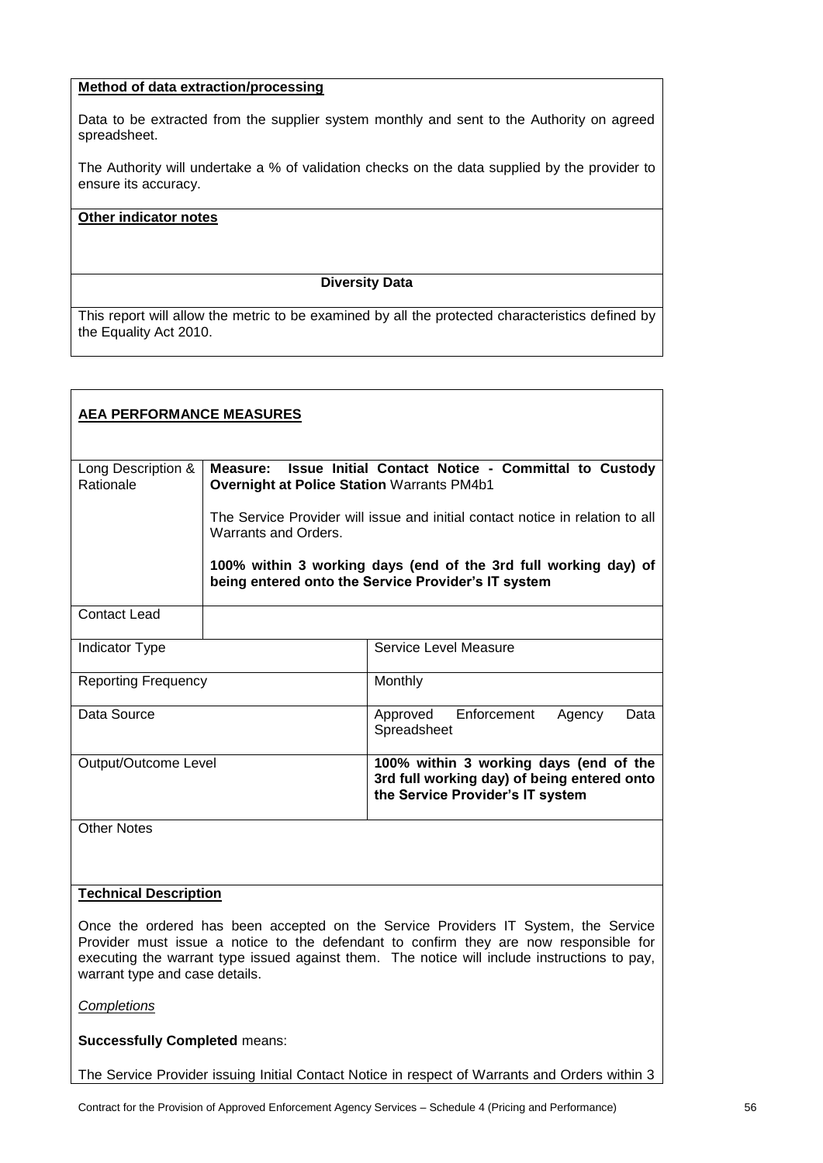# **Method of data extraction/processing**

Data to be extracted from the supplier system monthly and sent to the Authority on agreed spreadsheet.

The Authority will undertake a % of validation checks on the data supplied by the provider to ensure its accuracy.

#### **Other indicator notes**

#### **Diversity Data**

This report will allow the metric to be examined by all the protected characteristics defined by the Equality Act 2010.

| <b>AEA PERFORMANCE MEASURES</b> |                                                                                                                      |                                                                                                                           |
|---------------------------------|----------------------------------------------------------------------------------------------------------------------|---------------------------------------------------------------------------------------------------------------------------|
| Long Description &<br>Rationale | Issue Initial Contact Notice - Committal to Custody<br>Measure:<br><b>Overnight at Police Station Warrants PM4b1</b> |                                                                                                                           |
|                                 | Warrants and Orders.                                                                                                 | The Service Provider will issue and initial contact notice in relation to all                                             |
|                                 |                                                                                                                      | 100% within 3 working days (end of the 3rd full working day) of<br>being entered onto the Service Provider's IT system    |
| <b>Contact Lead</b>             |                                                                                                                      |                                                                                                                           |
| <b>Indicator Type</b>           |                                                                                                                      | Service Level Measure                                                                                                     |
| <b>Reporting Frequency</b>      |                                                                                                                      | Monthly                                                                                                                   |
| Data Source                     |                                                                                                                      | Approved Enforcement<br>Data<br>Agency<br>Spreadsheet                                                                     |
| Output/Outcome Level            |                                                                                                                      | 100% within 3 working days (end of the<br>3rd full working day) of being entered onto<br>the Service Provider's IT system |
| <b>Other Notes</b>              |                                                                                                                      |                                                                                                                           |

# **Technical Description**

Once the ordered has been accepted on the Service Providers IT System, the Service Provider must issue a notice to the defendant to confirm they are now responsible for executing the warrant type issued against them. The notice will include instructions to pay, warrant type and case details.

*Completions*

**Successfully Completed** means:

The Service Provider issuing Initial Contact Notice in respect of Warrants and Orders within 3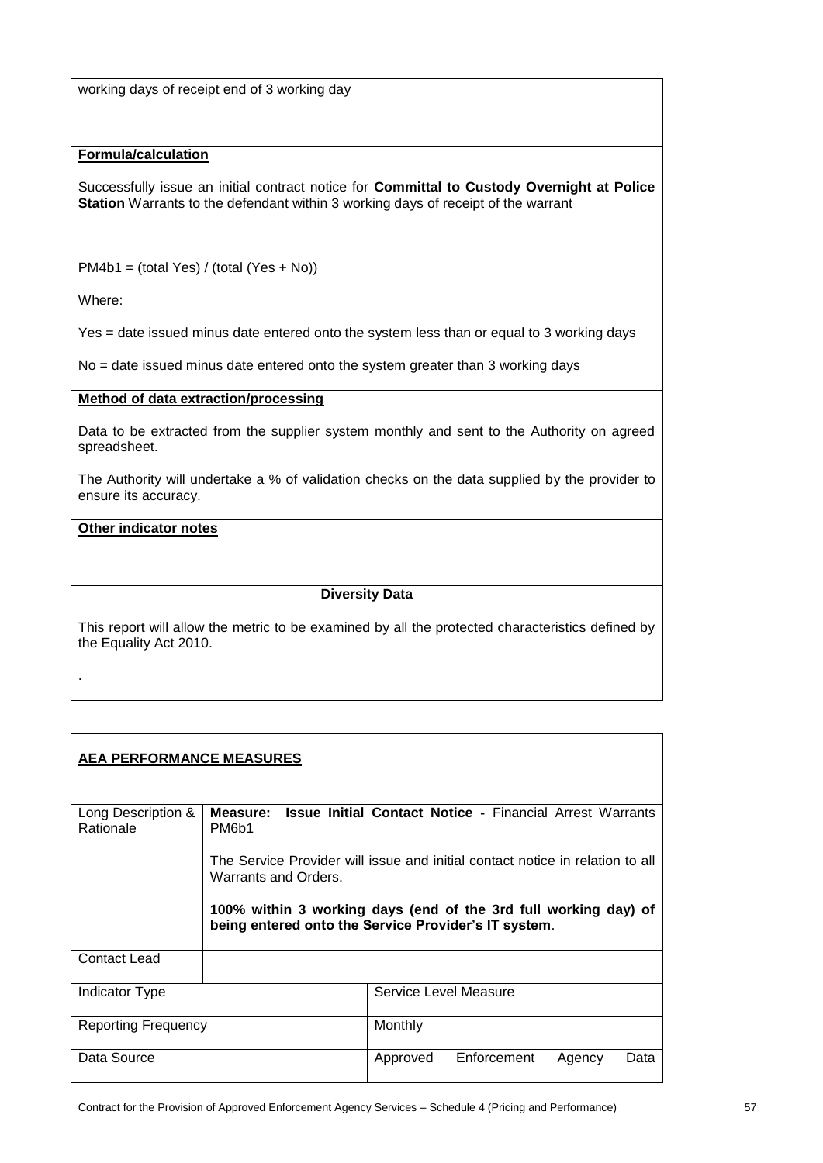working days of receipt end of 3 working day

## **Formula/calculation**

Successfully issue an initial contract notice for **Committal to Custody Overnight at Police Station** Warrants to the defendant within 3 working days of receipt of the warrant

PM4b1 = (total Yes) / (total (Yes + No))

Where:

.

Yes = date issued minus date entered onto the system less than or equal to 3 working days

No = date issued minus date entered onto the system greater than 3 working days

#### **Method of data extraction/processing**

Data to be extracted from the supplier system monthly and sent to the Authority on agreed spreadsheet.

The Authority will undertake a % of validation checks on the data supplied by the provider to ensure its accuracy.

## **Other indicator notes**

**Diversity Data**

| <b>AEA PERFORMANCE MEASURES</b> |                                                                                                                                                                          |  |
|---------------------------------|--------------------------------------------------------------------------------------------------------------------------------------------------------------------------|--|
| Long Description &<br>Rationale | <b>Issue Initial Contact Notice - Financial Arrest Warrants</b><br>Measure:<br>PM6b1                                                                                     |  |
|                                 | The Service Provider will issue and initial contact notice in relation to all<br>Warrants and Orders.<br>100% within 3 working days (end of the 3rd full working day) of |  |
|                                 | being entered onto the Service Provider's IT system.                                                                                                                     |  |
| Contact Lead                    |                                                                                                                                                                          |  |
| Indicator Type                  | Service Level Measure                                                                                                                                                    |  |
| Reporting Frequency             | Monthly                                                                                                                                                                  |  |
| Data Source                     | Enforcement<br>Approved<br>Data<br>Agency                                                                                                                                |  |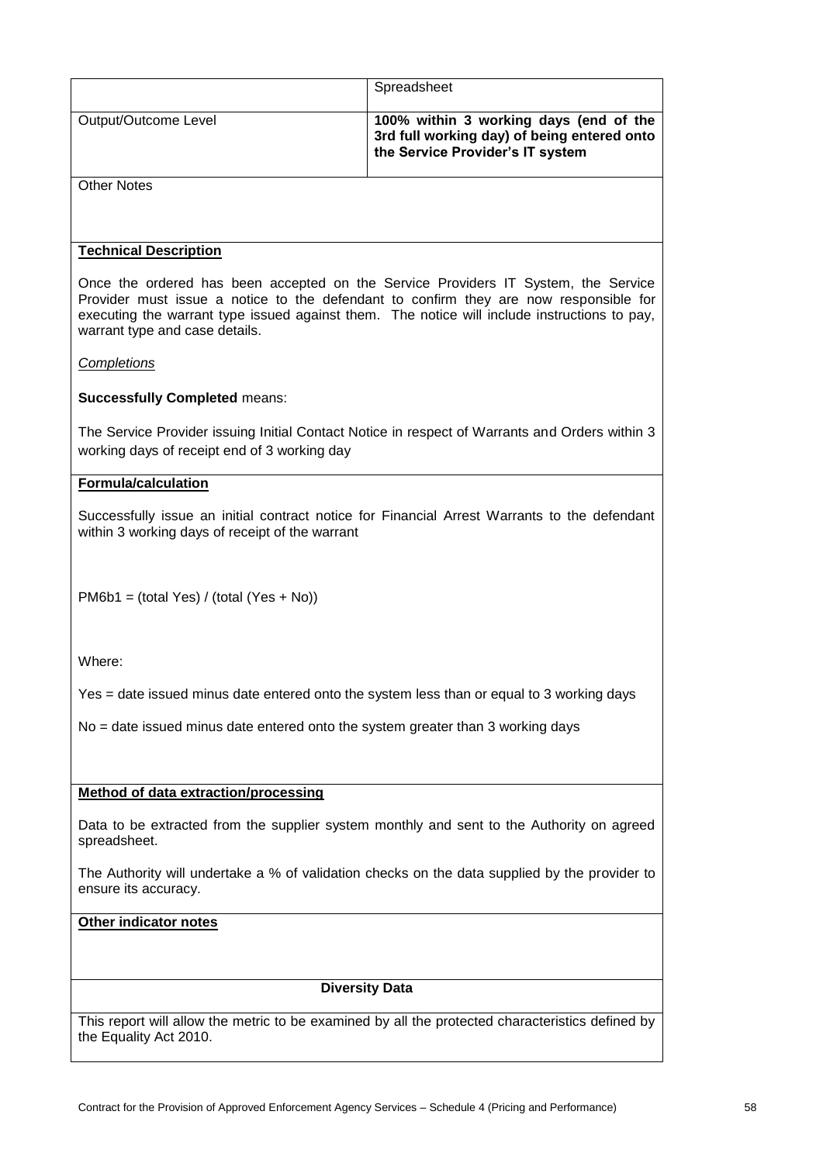|                                                                                                                                                                                                                                                                                                               | Spreadsheet                                                                                                               |  |
|---------------------------------------------------------------------------------------------------------------------------------------------------------------------------------------------------------------------------------------------------------------------------------------------------------------|---------------------------------------------------------------------------------------------------------------------------|--|
| Output/Outcome Level                                                                                                                                                                                                                                                                                          | 100% within 3 working days (end of the<br>3rd full working day) of being entered onto<br>the Service Provider's IT system |  |
| <b>Other Notes</b>                                                                                                                                                                                                                                                                                            |                                                                                                                           |  |
|                                                                                                                                                                                                                                                                                                               |                                                                                                                           |  |
| <b>Technical Description</b>                                                                                                                                                                                                                                                                                  |                                                                                                                           |  |
| Once the ordered has been accepted on the Service Providers IT System, the Service<br>Provider must issue a notice to the defendant to confirm they are now responsible for<br>executing the warrant type issued against them. The notice will include instructions to pay,<br>warrant type and case details. |                                                                                                                           |  |
| Completions                                                                                                                                                                                                                                                                                                   |                                                                                                                           |  |
| <b>Successfully Completed means:</b>                                                                                                                                                                                                                                                                          |                                                                                                                           |  |
| working days of receipt end of 3 working day                                                                                                                                                                                                                                                                  | The Service Provider issuing Initial Contact Notice in respect of Warrants and Orders within 3                            |  |
|                                                                                                                                                                                                                                                                                                               |                                                                                                                           |  |
| <b>Formula/calculation</b>                                                                                                                                                                                                                                                                                    |                                                                                                                           |  |
| within 3 working days of receipt of the warrant                                                                                                                                                                                                                                                               | Successfully issue an initial contract notice for Financial Arrest Warrants to the defendant                              |  |
| $PM6b1 = (total Yes) / (total (Yes + No))$                                                                                                                                                                                                                                                                    |                                                                                                                           |  |
| Where:                                                                                                                                                                                                                                                                                                        |                                                                                                                           |  |
| Yes = date issued minus date entered onto the system less than or equal to 3 working days                                                                                                                                                                                                                     |                                                                                                                           |  |
| No = date issued minus date entered onto the system greater than 3 working days                                                                                                                                                                                                                               |                                                                                                                           |  |
|                                                                                                                                                                                                                                                                                                               |                                                                                                                           |  |
| <b>Method of data extraction/processing</b>                                                                                                                                                                                                                                                                   |                                                                                                                           |  |
| Data to be extracted from the supplier system monthly and sent to the Authority on agreed<br>spreadsheet.                                                                                                                                                                                                     |                                                                                                                           |  |
| The Authority will undertake a % of validation checks on the data supplied by the provider to<br>ensure its accuracy.                                                                                                                                                                                         |                                                                                                                           |  |
| Other indicator notes                                                                                                                                                                                                                                                                                         |                                                                                                                           |  |
|                                                                                                                                                                                                                                                                                                               |                                                                                                                           |  |
|                                                                                                                                                                                                                                                                                                               | <b>Diversity Data</b>                                                                                                     |  |
|                                                                                                                                                                                                                                                                                                               | This report will allow the metric to be examined by all the protected characteristics defined by                          |  |
| the Equality Act 2010.                                                                                                                                                                                                                                                                                        |                                                                                                                           |  |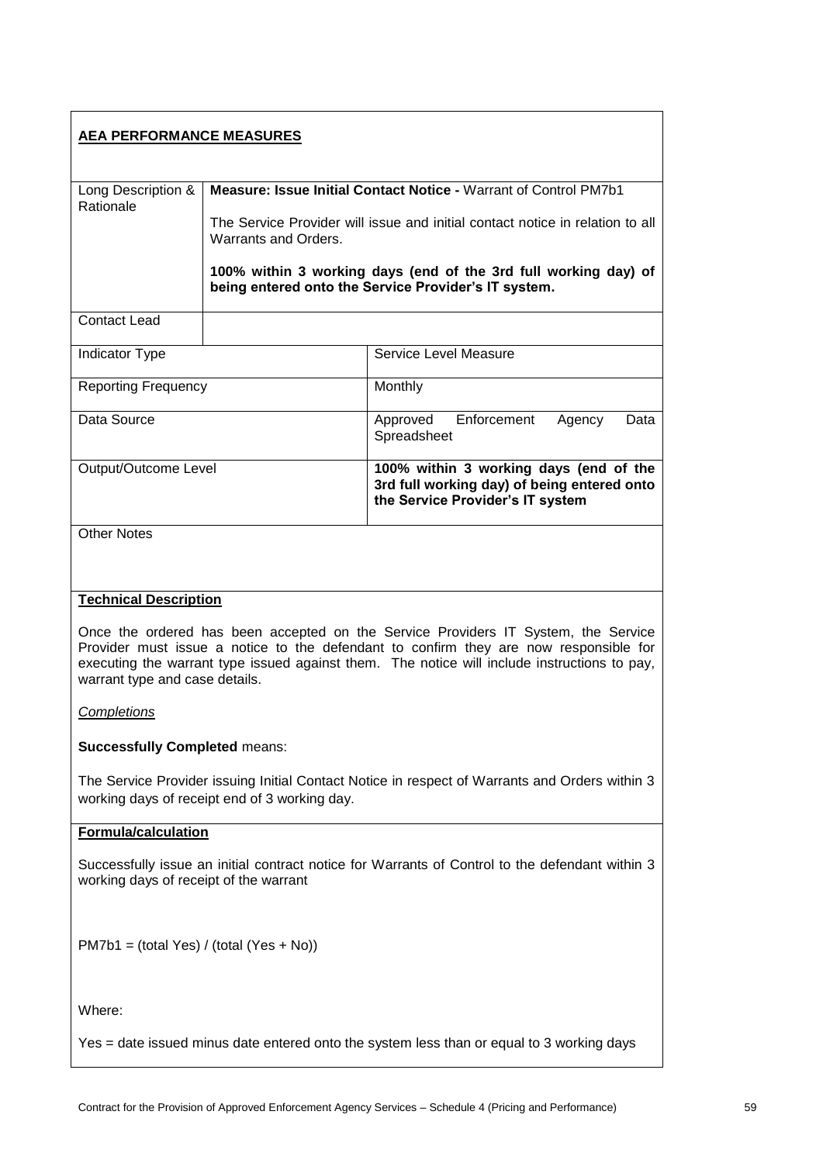# **AEA PERFORMANCE MEASURES** Long Description & **Rationale Measure: Issue Initial Contact Notice -** Warrant of Control PM7b1 The Service Provider will issue and initial contact notice in relation to all Warrants and Orders. **100% within 3 working days (end of the 3rd full working day) of being entered onto the Service Provider's IT system.** Contact Lead Indicator Type **Service Level Measure** Service Level Measure Reporting Frequency Monthly Data Source **Approved** Enforcement Agency Data **Spreadsheet** Output/Outcome Level **100% within 3 working days (end of the 3rd full working day) of being entered onto the Service Provider's IT system** Other Notes **Technical Description** Once the ordered has been accepted on the Service Providers IT System, the Service Provider must issue a notice to the defendant to confirm they are now responsible for executing the warrant type issued against them. The notice will include instructions to pay, warrant type and case details. *Completions* **Successfully Completed** means: The Service Provider issuing Initial Contact Notice in respect of Warrants and Orders within 3 working days of receipt end of 3 working day. **Formula/calculation** Successfully issue an initial contract notice for Warrants of Control to the defendant within 3 working days of receipt of the warrant PM7b1 = (total Yes) / (total (Yes + No)) Where:

Yes = date issued minus date entered onto the system less than or equal to 3 working days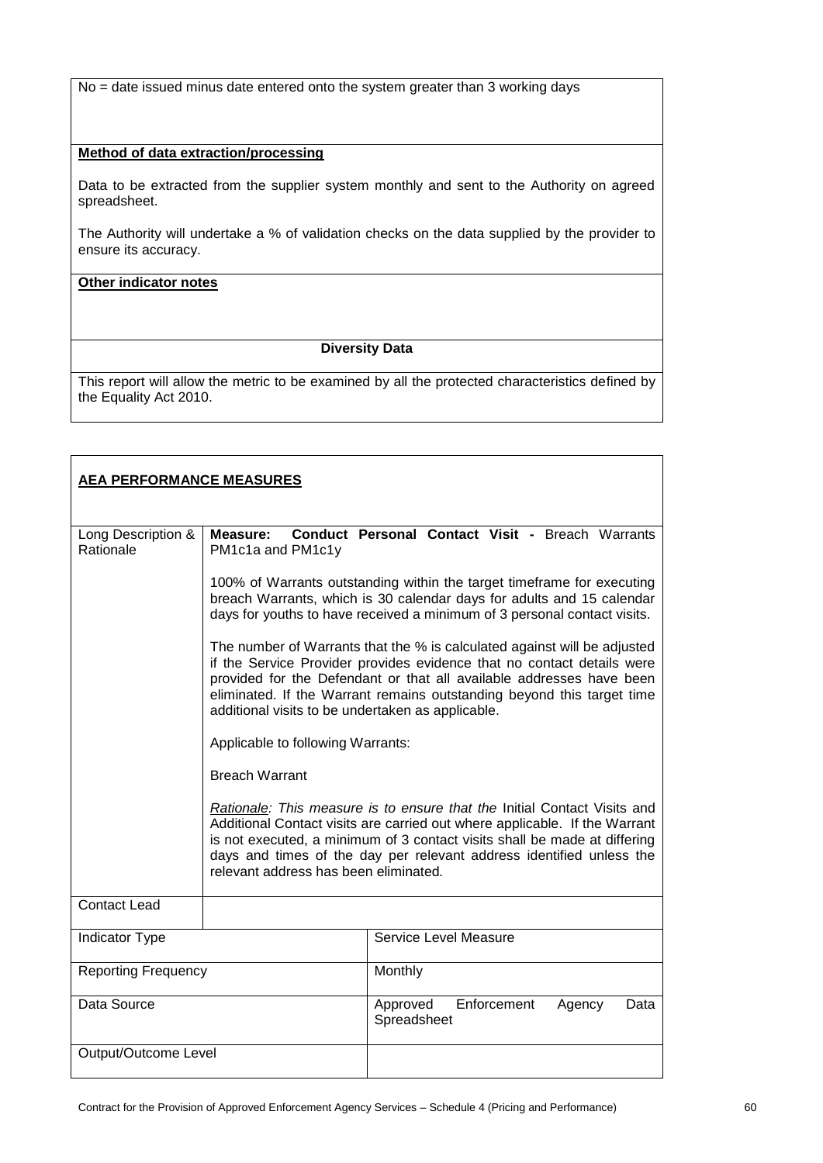No = date issued minus date entered onto the system greater than 3 working days

## **Method of data extraction/processing**

Data to be extracted from the supplier system monthly and sent to the Authority on agreed spreadsheet.

The Authority will undertake a % of validation checks on the data supplied by the provider to ensure its accuracy.

**Other indicator notes**

## **Diversity Data**

| <b>AEA PERFORMANCE MEASURES</b> |                                                                                                                                                                                                                                                                                                                                                           |                                                                                                                                                                                                                             |  |
|---------------------------------|-----------------------------------------------------------------------------------------------------------------------------------------------------------------------------------------------------------------------------------------------------------------------------------------------------------------------------------------------------------|-----------------------------------------------------------------------------------------------------------------------------------------------------------------------------------------------------------------------------|--|
| Long Description &<br>Rationale | Measure:<br>PM1c1a and PM1c1y                                                                                                                                                                                                                                                                                                                             | Conduct Personal Contact Visit - Breach Warrants                                                                                                                                                                            |  |
|                                 |                                                                                                                                                                                                                                                                                                                                                           | 100% of Warrants outstanding within the target timeframe for executing<br>breach Warrants, which is 30 calendar days for adults and 15 calendar<br>days for youths to have received a minimum of 3 personal contact visits. |  |
|                                 | The number of Warrants that the % is calculated against will be adjusted<br>if the Service Provider provides evidence that no contact details were<br>provided for the Defendant or that all available addresses have been<br>eliminated. If the Warrant remains outstanding beyond this target time<br>additional visits to be undertaken as applicable. |                                                                                                                                                                                                                             |  |
|                                 | Applicable to following Warrants:                                                                                                                                                                                                                                                                                                                         |                                                                                                                                                                                                                             |  |
|                                 | <b>Breach Warrant</b>                                                                                                                                                                                                                                                                                                                                     |                                                                                                                                                                                                                             |  |
|                                 | Rationale: This measure is to ensure that the Initial Contact Visits and<br>Additional Contact visits are carried out where applicable. If the Warrant<br>is not executed, a minimum of 3 contact visits shall be made at differing<br>days and times of the day per relevant address identified unless the<br>relevant address has been eliminated.      |                                                                                                                                                                                                                             |  |
| <b>Contact Lead</b>             |                                                                                                                                                                                                                                                                                                                                                           |                                                                                                                                                                                                                             |  |
| Indicator Type                  |                                                                                                                                                                                                                                                                                                                                                           | Service Level Measure                                                                                                                                                                                                       |  |
| <b>Reporting Frequency</b>      |                                                                                                                                                                                                                                                                                                                                                           | Monthly                                                                                                                                                                                                                     |  |
| Data Source                     |                                                                                                                                                                                                                                                                                                                                                           | Enforcement<br>Approved<br>Agency<br>Data<br>Spreadsheet                                                                                                                                                                    |  |
| Output/Outcome Level            |                                                                                                                                                                                                                                                                                                                                                           |                                                                                                                                                                                                                             |  |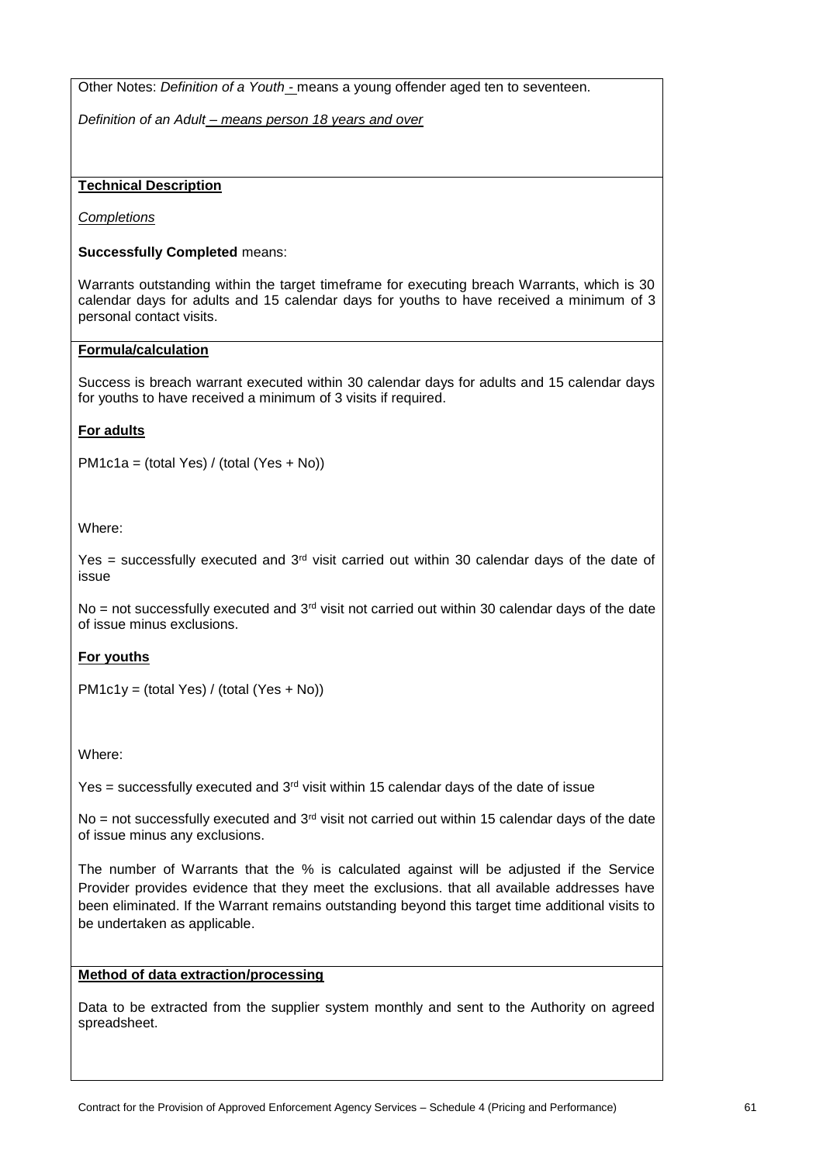Other Notes: *Definition of a Youth -* means a young offender aged ten to seventeen.

*Definition of an Adult – means person 18 years and over*

## **Technical Description**

*Completions*

## **Successfully Completed** means:

Warrants outstanding within the target timeframe for executing breach Warrants, which is 30 calendar days for adults and 15 calendar days for youths to have received a minimum of 3 personal contact visits.

## **Formula/calculation**

Success is breach warrant executed within 30 calendar days for adults and 15 calendar days for youths to have received a minimum of 3 visits if required.

## **For adults**

PM1c1a = (total Yes) / (total (Yes + No))

Where:

Yes = successfully executed and  $3<sup>rd</sup>$  visit carried out within 30 calendar days of the date of issue

No = not successfully executed and  $3<sup>rd</sup>$  visit not carried out within 30 calendar days of the date of issue minus exclusions.

## **For youths**

PM1c1y = (total Yes) / (total (Yes + No))

Where:

Yes = successfully executed and  $3<sup>rd</sup>$  visit within 15 calendar days of the date of issue

No = not successfully executed and  $3<sup>rd</sup>$  visit not carried out within 15 calendar days of the date of issue minus any exclusions.

The number of Warrants that the % is calculated against will be adjusted if the Service Provider provides evidence that they meet the exclusions. that all available addresses have been eliminated. If the Warrant remains outstanding beyond this target time additional visits to be undertaken as applicable.

# **Method of data extraction/processing**

Data to be extracted from the supplier system monthly and sent to the Authority on agreed spreadsheet.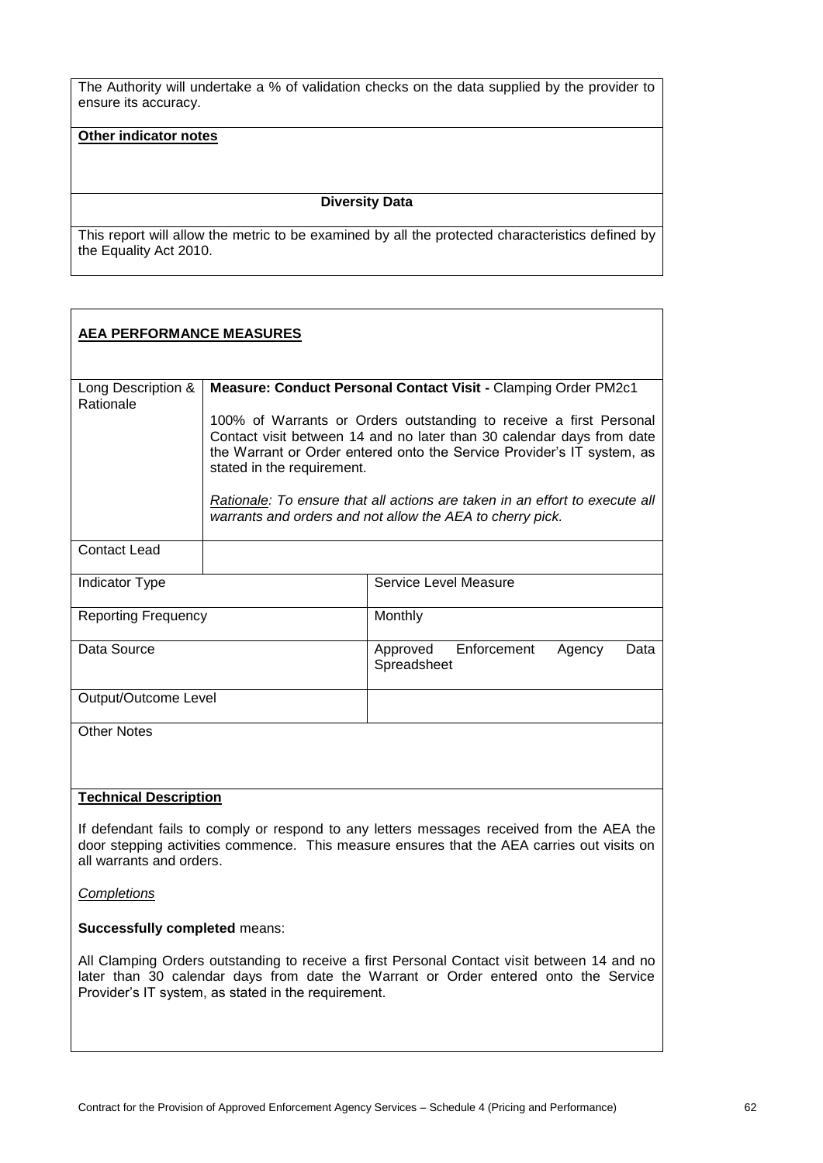The Authority will undertake a % of validation checks on the data supplied by the provider to ensure its accuracy.

#### **Other indicator notes**

#### **Diversity Data**

This report will allow the metric to be examined by all the protected characteristics defined by the Equality Act 2010.

| <b>AEA PERFORMANCE MEASURES</b> |                                                                                                                                                                                                                                                     |                                                                                                                                                                                         |
|---------------------------------|-----------------------------------------------------------------------------------------------------------------------------------------------------------------------------------------------------------------------------------------------------|-----------------------------------------------------------------------------------------------------------------------------------------------------------------------------------------|
| Long Description &<br>Rationale | Measure: Conduct Personal Contact Visit - Clamping Order PM2c1                                                                                                                                                                                      |                                                                                                                                                                                         |
|                                 | 100% of Warrants or Orders outstanding to receive a first Personal<br>Contact visit between 14 and no later than 30 calendar days from date<br>the Warrant or Order entered onto the Service Provider's IT system, as<br>stated in the requirement. |                                                                                                                                                                                         |
|                                 | Rationale: To ensure that all actions are taken in an effort to execute all<br>warrants and orders and not allow the AEA to cherry pick.                                                                                                            |                                                                                                                                                                                         |
| Contact Lead                    |                                                                                                                                                                                                                                                     |                                                                                                                                                                                         |
| Indicator Type                  |                                                                                                                                                                                                                                                     | Service Level Measure                                                                                                                                                                   |
| <b>Reporting Frequency</b>      |                                                                                                                                                                                                                                                     | Monthly                                                                                                                                                                                 |
| Data Source                     |                                                                                                                                                                                                                                                     | Approved<br>Enforcement<br>Agency<br>Data<br>Spreadsheet                                                                                                                                |
| Output/Outcome Level            |                                                                                                                                                                                                                                                     |                                                                                                                                                                                         |
| <b>Other Notes</b>              |                                                                                                                                                                                                                                                     |                                                                                                                                                                                         |
| <b>Technical Description</b>    |                                                                                                                                                                                                                                                     |                                                                                                                                                                                         |
| all warrants and orders.        |                                                                                                                                                                                                                                                     | If defendant fails to comply or respond to any letters messages received from the AEA the<br>door stepping activities commence. This measure ensures that the AEA carries out visits on |

*Completions*

**Successfully completed** means:

All Clamping Orders outstanding to receive a first Personal Contact visit between 14 and no later than 30 calendar days from date the Warrant or Order entered onto the Service Provider's IT system, as stated in the requirement.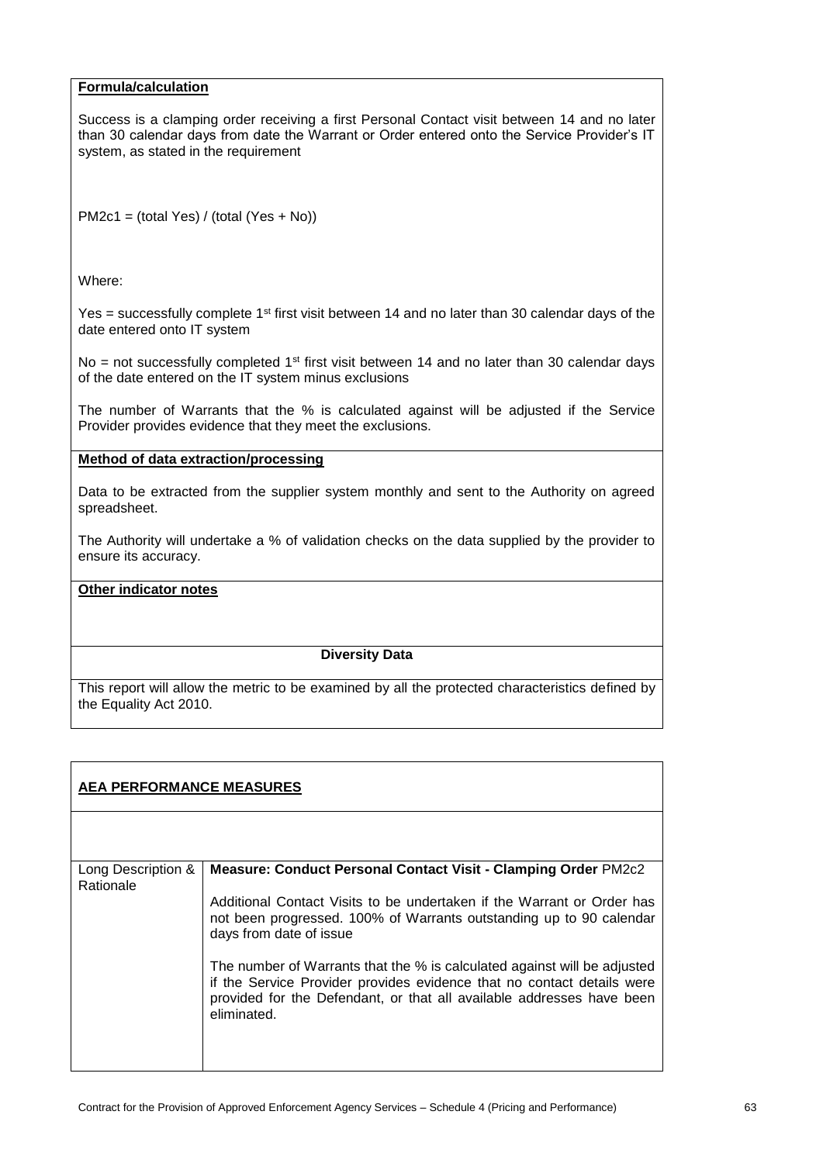#### **Formula/calculation**

Success is a clamping order receiving a first Personal Contact visit between 14 and no later than 30 calendar days from date the Warrant or Order entered onto the Service Provider's IT system, as stated in the requirement

PM2c1 = (total Yes) / (total (Yes + No))

Where:

Yes = successfully complete  $1<sup>st</sup>$  first visit between 14 and no later than 30 calendar days of the date entered onto IT system

No = not successfully completed  $1<sup>st</sup>$  first visit between 14 and no later than 30 calendar days of the date entered on the IT system minus exclusions

The number of Warrants that the % is calculated against will be adjusted if the Service Provider provides evidence that they meet the exclusions.

#### **Method of data extraction/processing**

Data to be extracted from the supplier system monthly and sent to the Authority on agreed spreadsheet.

The Authority will undertake a % of validation checks on the data supplied by the provider to ensure its accuracy.

## **Other indicator notes**

#### **Diversity Data**

| <b>AEA PERFORMANCE MEASURES</b> |                                                                                                                                                                                                                                            |  |
|---------------------------------|--------------------------------------------------------------------------------------------------------------------------------------------------------------------------------------------------------------------------------------------|--|
|                                 |                                                                                                                                                                                                                                            |  |
| Long Description &<br>Rationale | Measure: Conduct Personal Contact Visit - Clamping Order PM2c2                                                                                                                                                                             |  |
|                                 | Additional Contact Visits to be undertaken if the Warrant or Order has<br>not been progressed. 100% of Warrants outstanding up to 90 calendar<br>days from date of issue                                                                   |  |
|                                 | The number of Warrants that the % is calculated against will be adjusted<br>if the Service Provider provides evidence that no contact details were<br>provided for the Defendant, or that all available addresses have been<br>eliminated. |  |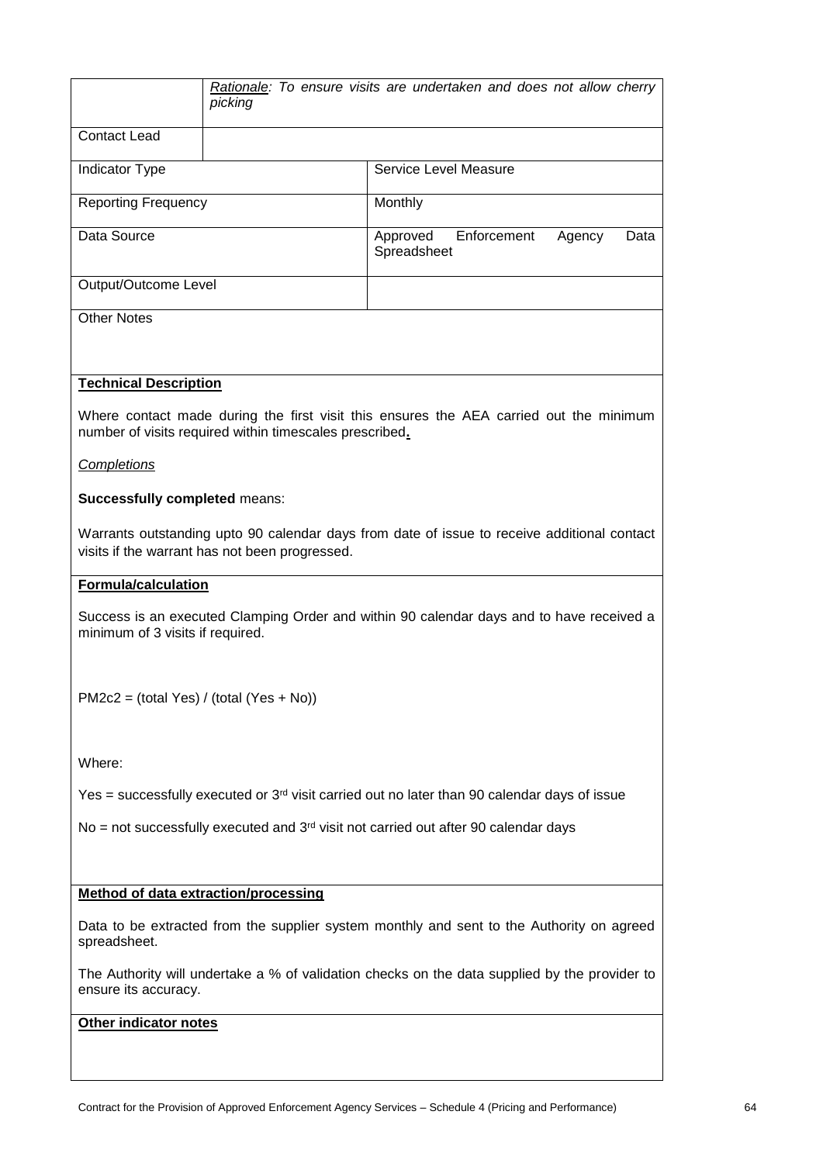|                                                                                                                              | Rationale: To ensure visits are undertaken and does not allow cherry<br>picking |                                                                                                   |  |
|------------------------------------------------------------------------------------------------------------------------------|---------------------------------------------------------------------------------|---------------------------------------------------------------------------------------------------|--|
| <b>Contact Lead</b>                                                                                                          |                                                                                 |                                                                                                   |  |
| <b>Indicator Type</b>                                                                                                        |                                                                                 | Service Level Measure                                                                             |  |
| <b>Reporting Frequency</b>                                                                                                   |                                                                                 | Monthly                                                                                           |  |
| Data Source                                                                                                                  |                                                                                 | Enforcement<br>Approved<br>Agency<br>Data<br>Spreadsheet                                          |  |
| Output/Outcome Level                                                                                                         |                                                                                 |                                                                                                   |  |
| <b>Other Notes</b>                                                                                                           |                                                                                 |                                                                                                   |  |
|                                                                                                                              |                                                                                 |                                                                                                   |  |
| <b>Technical Description</b>                                                                                                 |                                                                                 |                                                                                                   |  |
|                                                                                                                              | number of visits required within timescales prescribed.                         | Where contact made during the first visit this ensures the AEA carried out the minimum            |  |
| Completions                                                                                                                  |                                                                                 |                                                                                                   |  |
| <b>Successfully completed means:</b>                                                                                         |                                                                                 |                                                                                                   |  |
|                                                                                                                              | visits if the warrant has not been progressed.                                  | Warrants outstanding upto 90 calendar days from date of issue to receive additional contact       |  |
|                                                                                                                              | <b>Formula/calculation</b>                                                      |                                                                                                   |  |
| Success is an executed Clamping Order and within 90 calendar days and to have received a<br>minimum of 3 visits if required. |                                                                                 |                                                                                                   |  |
|                                                                                                                              |                                                                                 |                                                                                                   |  |
| $PM2c2 = (total Yes) / (total (Yes + No))$                                                                                   |                                                                                 |                                                                                                   |  |
| Where:                                                                                                                       |                                                                                 |                                                                                                   |  |
|                                                                                                                              |                                                                                 | Yes = successfully executed or $3rd$ visit carried out no later than 90 calendar days of issue    |  |
|                                                                                                                              |                                                                                 | $No$ = not successfully executed and 3 <sup>rd</sup> visit not carried out after 90 calendar days |  |
|                                                                                                                              |                                                                                 |                                                                                                   |  |
| <b>Method of data extraction/processing</b>                                                                                  |                                                                                 |                                                                                                   |  |
| spreadsheet.                                                                                                                 |                                                                                 | Data to be extracted from the supplier system monthly and sent to the Authority on agreed         |  |
| ensure its accuracy.                                                                                                         |                                                                                 | The Authority will undertake a % of validation checks on the data supplied by the provider to     |  |
| Other indicator notes                                                                                                        |                                                                                 |                                                                                                   |  |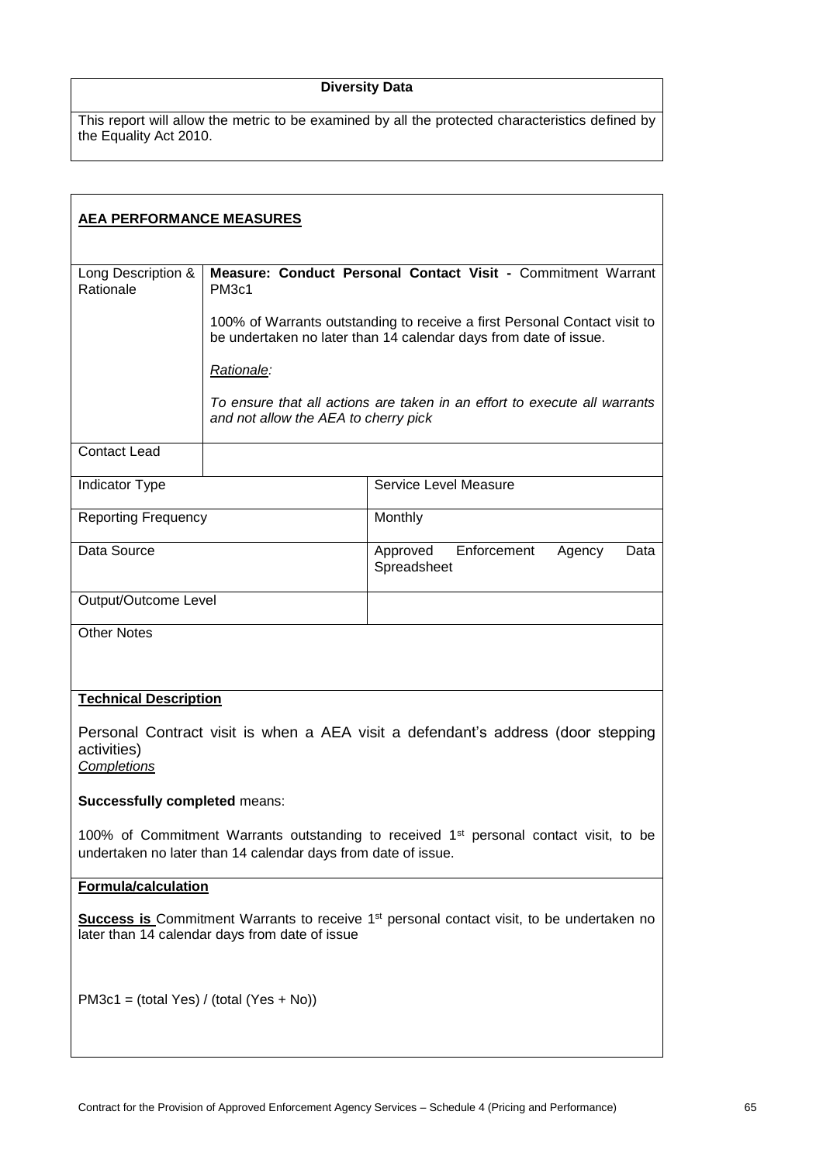# **Diversity Data**

| <b>AEA PERFORMANCE MEASURES</b>                                                                                                                                    |                                                                                                                                               |                                                                           |
|--------------------------------------------------------------------------------------------------------------------------------------------------------------------|-----------------------------------------------------------------------------------------------------------------------------------------------|---------------------------------------------------------------------------|
| Long Description &<br>Rationale                                                                                                                                    | Measure: Conduct Personal Contact Visit - Commitment Warrant<br>PM <sub>3c1</sub>                                                             |                                                                           |
|                                                                                                                                                                    | 100% of Warrants outstanding to receive a first Personal Contact visit to<br>be undertaken no later than 14 calendar days from date of issue. |                                                                           |
|                                                                                                                                                                    | Rationale:                                                                                                                                    |                                                                           |
|                                                                                                                                                                    | and not allow the AEA to cherry pick                                                                                                          | To ensure that all actions are taken in an effort to execute all warrants |
| <b>Contact Lead</b>                                                                                                                                                |                                                                                                                                               |                                                                           |
| Indicator Type                                                                                                                                                     |                                                                                                                                               | Service Level Measure                                                     |
| <b>Reporting Frequency</b>                                                                                                                                         |                                                                                                                                               | Monthly                                                                   |
| Data Source                                                                                                                                                        |                                                                                                                                               | Enforcement<br>Approved<br>Agency<br>Data<br>Spreadsheet                  |
| Output/Outcome Level                                                                                                                                               |                                                                                                                                               |                                                                           |
| <b>Other Notes</b>                                                                                                                                                 |                                                                                                                                               |                                                                           |
|                                                                                                                                                                    |                                                                                                                                               |                                                                           |
| <b>Technical Description</b>                                                                                                                                       |                                                                                                                                               |                                                                           |
| Personal Contract visit is when a AEA visit a defendant's address (door stepping<br>activities)<br>Completions                                                     |                                                                                                                                               |                                                                           |
| <b>Successfully completed means:</b>                                                                                                                               |                                                                                                                                               |                                                                           |
| 100% of Commitment Warrants outstanding to received 1 <sup>st</sup> personal contact visit, to be<br>undertaken no later than 14 calendar days from date of issue. |                                                                                                                                               |                                                                           |
| <b>Formula/calculation</b>                                                                                                                                         |                                                                                                                                               |                                                                           |
| <b>Success is</b> Commitment Warrants to receive 1 <sup>st</sup> personal contact visit, to be undertaken no<br>later than 14 calendar days from date of issue     |                                                                                                                                               |                                                                           |
| $PM3c1 = (total Yes) / (total (Yes + No))$                                                                                                                         |                                                                                                                                               |                                                                           |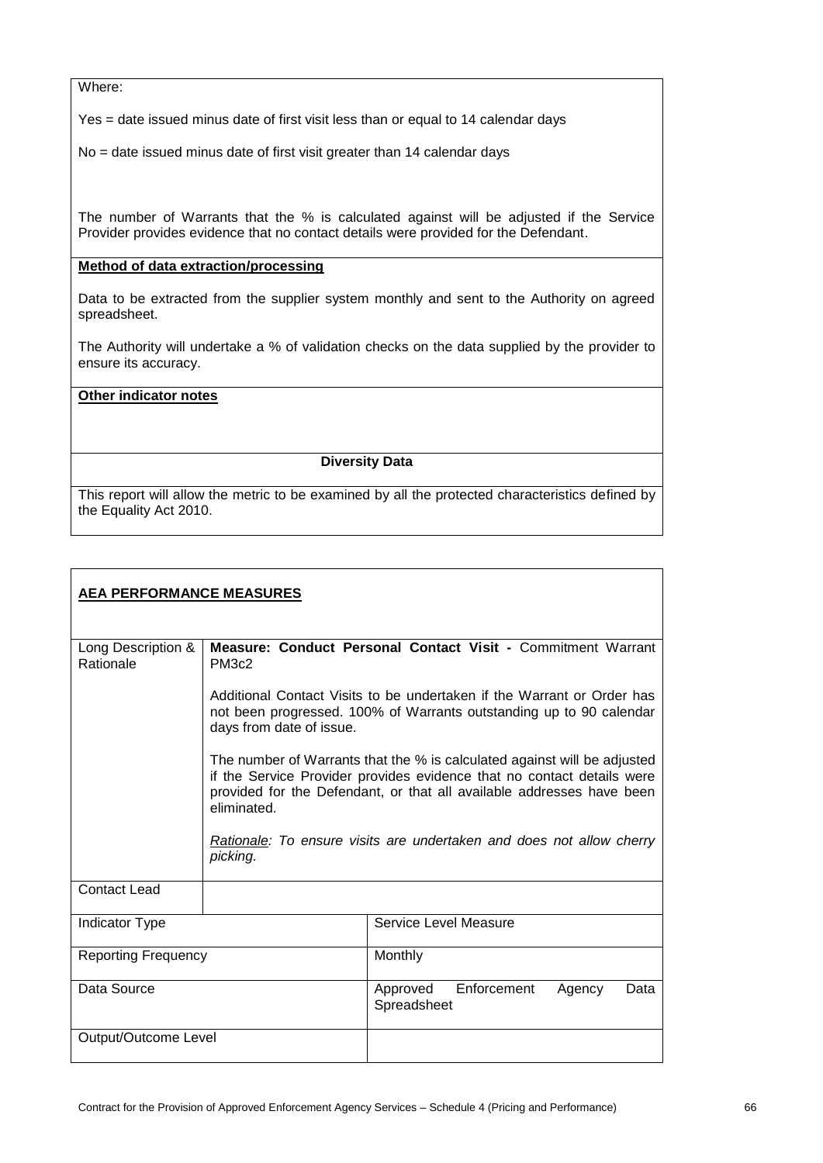Where:

Yes = date issued minus date of first visit less than or equal to 14 calendar days

No = date issued minus date of first visit greater than 14 calendar days

The number of Warrants that the % is calculated against will be adjusted if the Service Provider provides evidence that no contact details were provided for the Defendant.

## **Method of data extraction/processing**

Data to be extracted from the supplier system monthly and sent to the Authority on agreed spreadsheet.

The Authority will undertake a % of validation checks on the data supplied by the provider to ensure its accuracy.

#### **Other indicator notes**

## **Diversity Data**

| <u>AEA PERFORMANCE MEASURES</u> |                          |                                                                                                                                                                                                                                                                                                     |
|---------------------------------|--------------------------|-----------------------------------------------------------------------------------------------------------------------------------------------------------------------------------------------------------------------------------------------------------------------------------------------------|
| Long Description &<br>Rationale | PM3c2                    | Measure: Conduct Personal Contact Visit - Commitment Warrant                                                                                                                                                                                                                                        |
|                                 | days from date of issue. | Additional Contact Visits to be undertaken if the Warrant or Order has<br>not been progressed. 100% of Warrants outstanding up to 90 calendar                                                                                                                                                       |
|                                 | eliminated.<br>picking.  | The number of Warrants that the % is calculated against will be adjusted<br>if the Service Provider provides evidence that no contact details were<br>provided for the Defendant, or that all available addresses have been<br>Rationale: To ensure visits are undertaken and does not allow cherry |
| <b>Contact Lead</b>             |                          |                                                                                                                                                                                                                                                                                                     |
| <b>Indicator Type</b>           |                          | Service Level Measure                                                                                                                                                                                                                                                                               |
| <b>Reporting Frequency</b>      |                          | Monthly                                                                                                                                                                                                                                                                                             |
| Data Source                     |                          | Enforcement<br>Approved<br>Data<br>Agency<br>Spreadsheet                                                                                                                                                                                                                                            |
| Output/Outcome Level            |                          |                                                                                                                                                                                                                                                                                                     |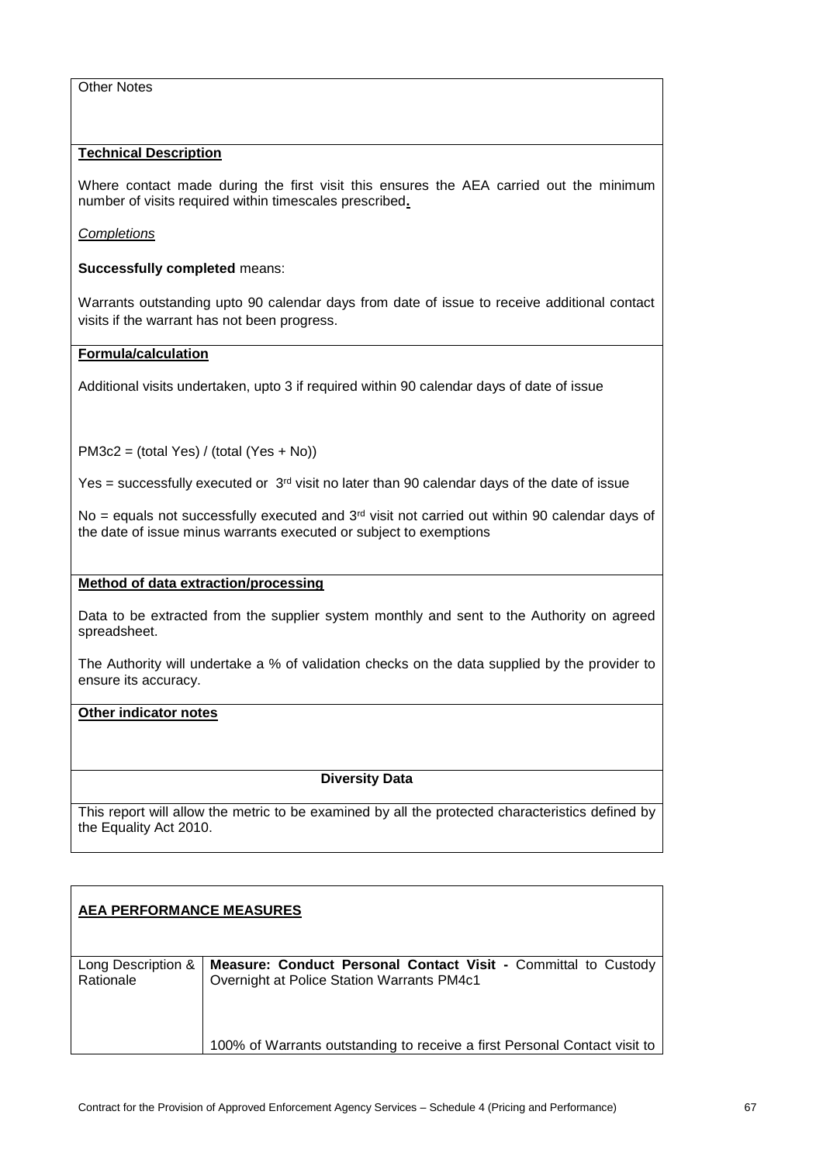## Other Notes

## **Technical Description**

Where contact made during the first visit this ensures the AEA carried out the minimum number of visits required within timescales prescribed**.**

*Completions*

**Successfully completed** means:

Warrants outstanding upto 90 calendar days from date of issue to receive additional contact visits if the warrant has not been progress.

## **Formula/calculation**

Additional visits undertaken, upto 3 if required within 90 calendar days of date of issue

PM3c2 = (total Yes) / (total (Yes + No))

Yes = successfully executed or  $3<sup>rd</sup>$  visit no later than 90 calendar days of the date of issue

No = equals not successfully executed and  $3<sup>rd</sup>$  visit not carried out within 90 calendar days of the date of issue minus warrants executed or subject to exemptions

## **Method of data extraction/processing**

Data to be extracted from the supplier system monthly and sent to the Authority on agreed spreadsheet.

The Authority will undertake a % of validation checks on the data supplied by the provider to ensure its accuracy.

## **Other indicator notes**

## **Diversity Data**

| <b>AEA PERFORMANCE MEASURES</b> |                                                                                                              |
|---------------------------------|--------------------------------------------------------------------------------------------------------------|
| Long Description &<br>Rationale | Measure: Conduct Personal Contact Visit - Committal to Custody<br>Overnight at Police Station Warrants PM4c1 |
|                                 | 100% of Warrants outstanding to receive a first Personal Contact visit to                                    |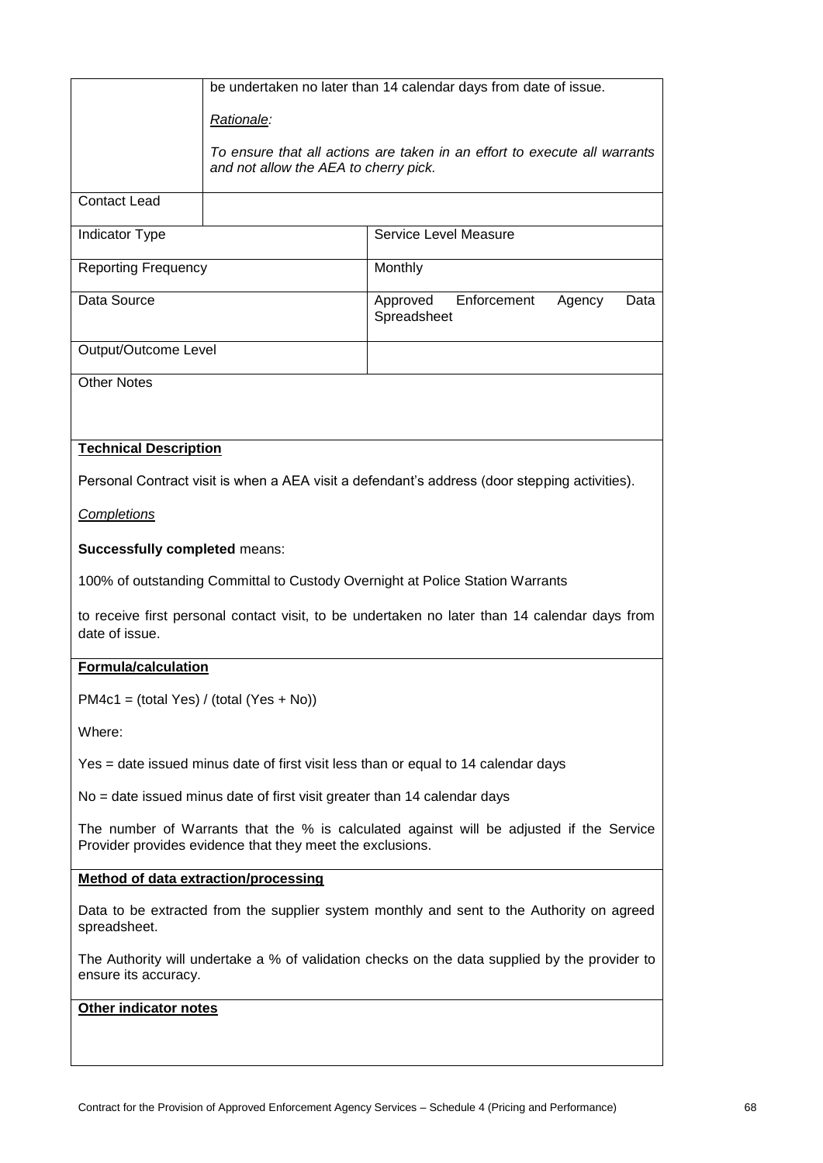|                                                                                                                                                      | be undertaken no later than 14 calendar days from date of issue.                                                   |                                                                                               |  |
|------------------------------------------------------------------------------------------------------------------------------------------------------|--------------------------------------------------------------------------------------------------------------------|-----------------------------------------------------------------------------------------------|--|
|                                                                                                                                                      | Rationale:                                                                                                         |                                                                                               |  |
|                                                                                                                                                      | To ensure that all actions are taken in an effort to execute all warrants<br>and not allow the AEA to cherry pick. |                                                                                               |  |
| <b>Contact Lead</b>                                                                                                                                  |                                                                                                                    |                                                                                               |  |
| Indicator Type                                                                                                                                       |                                                                                                                    | Service Level Measure                                                                         |  |
| <b>Reporting Frequency</b>                                                                                                                           |                                                                                                                    | Monthly                                                                                       |  |
| Data Source                                                                                                                                          |                                                                                                                    | Approved<br>Enforcement<br>Agency<br>Data<br>Spreadsheet                                      |  |
| Output/Outcome Level                                                                                                                                 |                                                                                                                    |                                                                                               |  |
| <b>Other Notes</b>                                                                                                                                   |                                                                                                                    |                                                                                               |  |
|                                                                                                                                                      |                                                                                                                    |                                                                                               |  |
| <b>Technical Description</b>                                                                                                                         |                                                                                                                    |                                                                                               |  |
|                                                                                                                                                      |                                                                                                                    | Personal Contract visit is when a AEA visit a defendant's address (door stepping activities). |  |
| <b>Completions</b>                                                                                                                                   |                                                                                                                    |                                                                                               |  |
| <b>Successfully completed means:</b>                                                                                                                 |                                                                                                                    |                                                                                               |  |
|                                                                                                                                                      |                                                                                                                    | 100% of outstanding Committal to Custody Overnight at Police Station Warrants                 |  |
| date of issue.                                                                                                                                       | to receive first personal contact visit, to be undertaken no later than 14 calendar days from                      |                                                                                               |  |
| <b>Formula/calculation</b>                                                                                                                           |                                                                                                                    |                                                                                               |  |
| $PM4c1 = (total Yes) / (total (Yes + No))$                                                                                                           |                                                                                                                    |                                                                                               |  |
| Where:                                                                                                                                               |                                                                                                                    |                                                                                               |  |
|                                                                                                                                                      | Yes = date issued minus date of first visit less than or equal to 14 calendar days                                 |                                                                                               |  |
| No = date issued minus date of first visit greater than 14 calendar days                                                                             |                                                                                                                    |                                                                                               |  |
| The number of Warrants that the % is calculated against will be adjusted if the Service<br>Provider provides evidence that they meet the exclusions. |                                                                                                                    |                                                                                               |  |
| Method of data extraction/processing                                                                                                                 |                                                                                                                    |                                                                                               |  |
| Data to be extracted from the supplier system monthly and sent to the Authority on agreed<br>spreadsheet.                                            |                                                                                                                    |                                                                                               |  |
| ensure its accuracy.                                                                                                                                 | The Authority will undertake a % of validation checks on the data supplied by the provider to                      |                                                                                               |  |
| Other indicator notes                                                                                                                                |                                                                                                                    |                                                                                               |  |
|                                                                                                                                                      |                                                                                                                    |                                                                                               |  |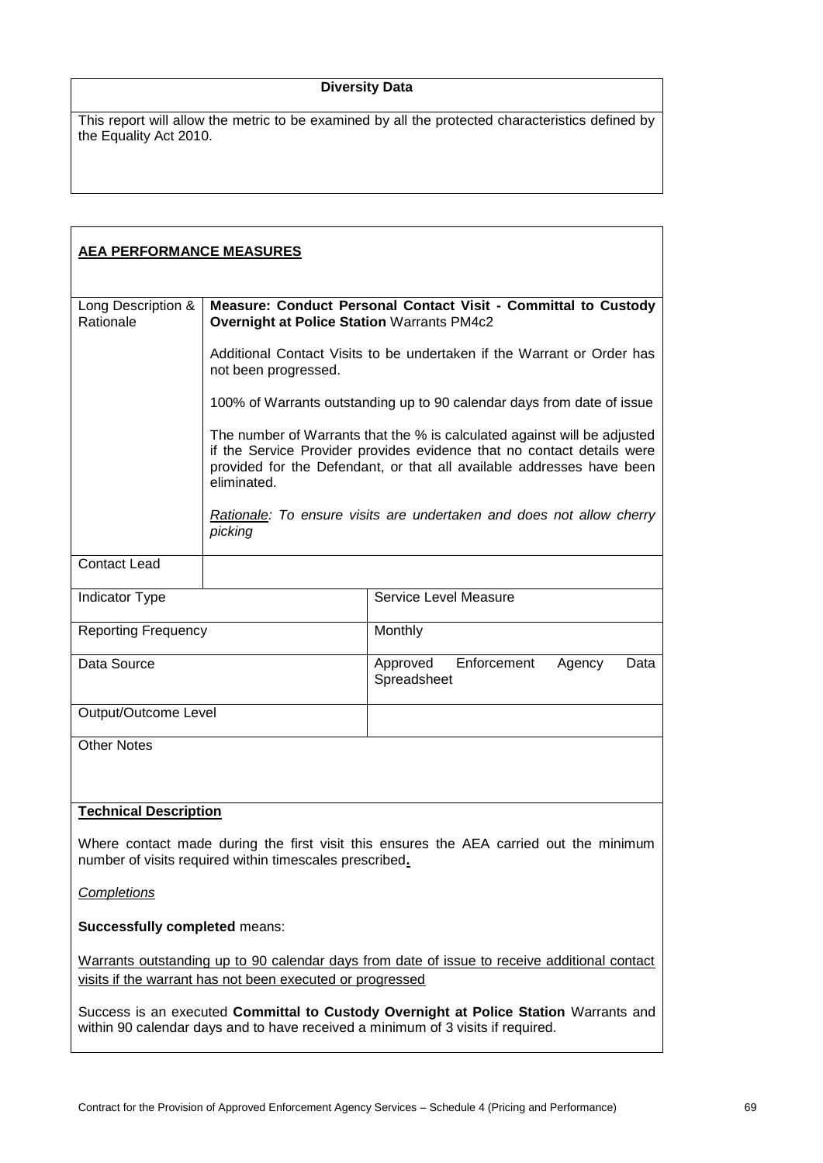# **Diversity Data**

| <b>AEA PERFORMANCE MEASURES</b>                                                                                                                                         |                                                                                                                                                                                                                                            |                                                          |  |
|-------------------------------------------------------------------------------------------------------------------------------------------------------------------------|--------------------------------------------------------------------------------------------------------------------------------------------------------------------------------------------------------------------------------------------|----------------------------------------------------------|--|
| Long Description &<br>Rationale                                                                                                                                         | Measure: Conduct Personal Contact Visit - Committal to Custody<br><b>Overnight at Police Station Warrants PM4c2</b>                                                                                                                        |                                                          |  |
|                                                                                                                                                                         | Additional Contact Visits to be undertaken if the Warrant or Order has<br>not been progressed.                                                                                                                                             |                                                          |  |
|                                                                                                                                                                         | 100% of Warrants outstanding up to 90 calendar days from date of issue                                                                                                                                                                     |                                                          |  |
|                                                                                                                                                                         | The number of Warrants that the % is calculated against will be adjusted<br>if the Service Provider provides evidence that no contact details were<br>provided for the Defendant, or that all available addresses have been<br>eliminated. |                                                          |  |
|                                                                                                                                                                         | Rationale: To ensure visits are undertaken and does not allow cherry<br>picking                                                                                                                                                            |                                                          |  |
| <b>Contact Lead</b>                                                                                                                                                     |                                                                                                                                                                                                                                            |                                                          |  |
| Indicator Type                                                                                                                                                          |                                                                                                                                                                                                                                            | Service Level Measure                                    |  |
| <b>Reporting Frequency</b>                                                                                                                                              |                                                                                                                                                                                                                                            | Monthly                                                  |  |
| Data Source                                                                                                                                                             |                                                                                                                                                                                                                                            | Enforcement<br>Approved<br>Agency<br>Data<br>Spreadsheet |  |
| Output/Outcome Level                                                                                                                                                    |                                                                                                                                                                                                                                            |                                                          |  |
| <b>Other Notes</b>                                                                                                                                                      |                                                                                                                                                                                                                                            |                                                          |  |
| <b>Technical Description</b>                                                                                                                                            |                                                                                                                                                                                                                                            |                                                          |  |
| Where contact made during the first visit this ensures the AEA carried out the minimum<br>number of visits required within timescales prescribed.                       |                                                                                                                                                                                                                                            |                                                          |  |
| Completions                                                                                                                                                             |                                                                                                                                                                                                                                            |                                                          |  |
| <b>Successfully completed means:</b>                                                                                                                                    |                                                                                                                                                                                                                                            |                                                          |  |
| Warrants outstanding up to 90 calendar days from date of issue to receive additional contact<br>visits if the warrant has not been executed or progressed               |                                                                                                                                                                                                                                            |                                                          |  |
| Success is an executed Committal to Custody Overnight at Police Station Warrants and<br>within 90 calendar days and to have received a minimum of 3 visits if required. |                                                                                                                                                                                                                                            |                                                          |  |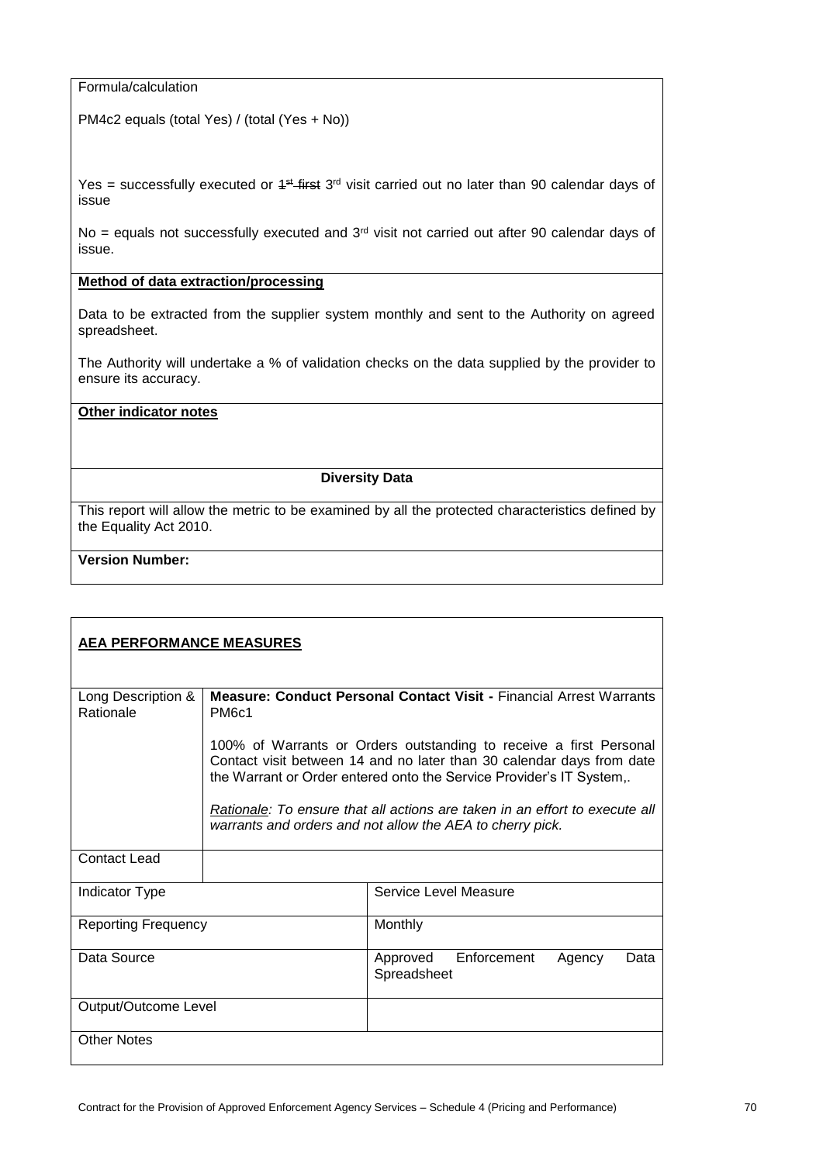Formula/calculation

PM4c2 equals (total Yes) / (total (Yes + No))

Yes = successfully executed or  $4$ <sup>st</sup> first  $3<sup>rd</sup>$  visit carried out no later than 90 calendar days of issue

No = equals not successfully executed and  $3<sup>rd</sup>$  visit not carried out after 90 calendar days of issue.

# **Method of data extraction/processing**

Data to be extracted from the supplier system monthly and sent to the Authority on agreed spreadsheet.

The Authority will undertake a % of validation checks on the data supplied by the provider to ensure its accuracy.

#### **Other indicator notes**

## **Diversity Data**

This report will allow the metric to be examined by all the protected characteristics defined by the Equality Act 2010.

# **Version Number:**

| <b>AEA PERFORMANCE MEASURES</b> |                                                                                                                                                                                                                                                                                                                                                                 |                                                          |  |  |  |  |
|---------------------------------|-----------------------------------------------------------------------------------------------------------------------------------------------------------------------------------------------------------------------------------------------------------------------------------------------------------------------------------------------------------------|----------------------------------------------------------|--|--|--|--|
| Long Description &<br>Rationale | <b>Measure: Conduct Personal Contact Visit - Financial Arrest Warrants</b><br>PM <sub>6c1</sub>                                                                                                                                                                                                                                                                 |                                                          |  |  |  |  |
|                                 | 100% of Warrants or Orders outstanding to receive a first Personal<br>Contact visit between 14 and no later than 30 calendar days from date<br>the Warrant or Order entered onto the Service Provider's IT System,.<br>Rationale: To ensure that all actions are taken in an effort to execute all<br>warrants and orders and not allow the AEA to cherry pick. |                                                          |  |  |  |  |
| Contact Lead                    |                                                                                                                                                                                                                                                                                                                                                                 |                                                          |  |  |  |  |
| <b>Indicator Type</b>           |                                                                                                                                                                                                                                                                                                                                                                 | Service Level Measure                                    |  |  |  |  |
| <b>Reporting Frequency</b>      |                                                                                                                                                                                                                                                                                                                                                                 | Monthly                                                  |  |  |  |  |
| Data Source                     |                                                                                                                                                                                                                                                                                                                                                                 | Enforcement<br>Approved<br>Data<br>Agency<br>Spreadsheet |  |  |  |  |
| Output/Outcome Level            |                                                                                                                                                                                                                                                                                                                                                                 |                                                          |  |  |  |  |
| <b>Other Notes</b>              |                                                                                                                                                                                                                                                                                                                                                                 |                                                          |  |  |  |  |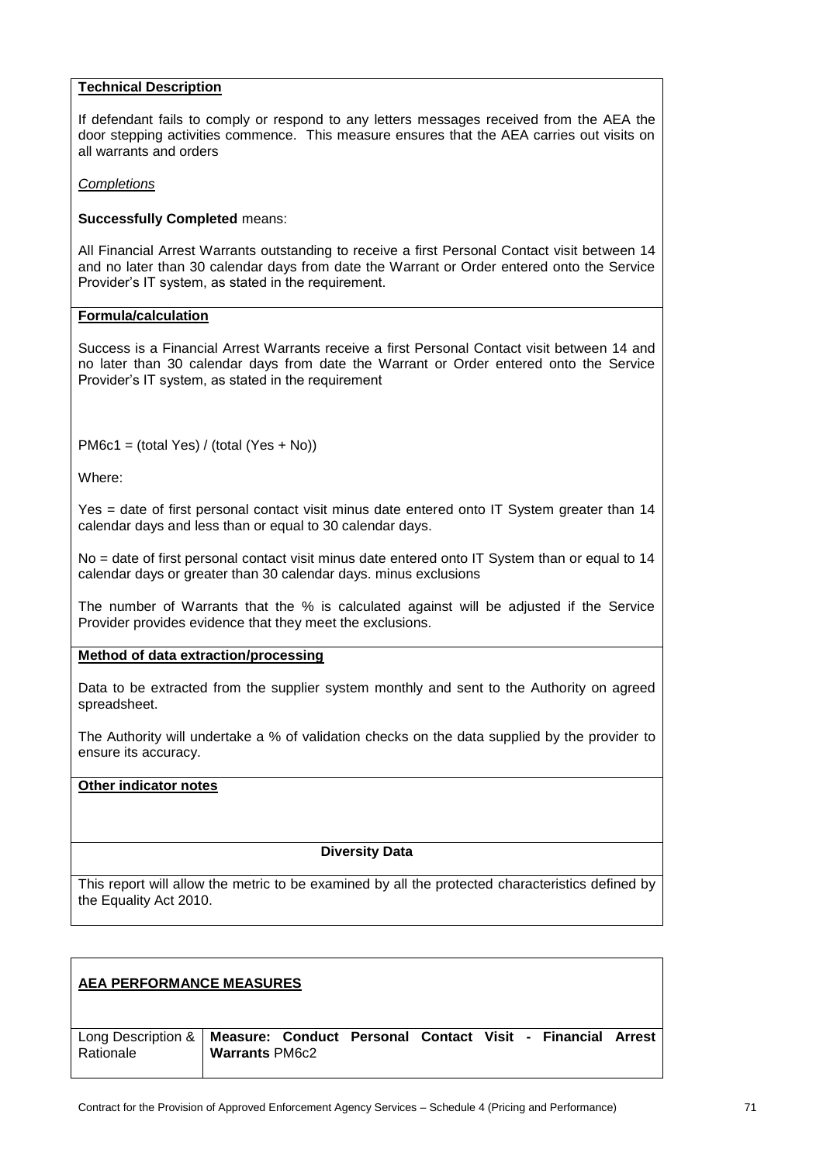#### **Technical Description**

If defendant fails to comply or respond to any letters messages received from the AEA the door stepping activities commence. This measure ensures that the AEA carries out visits on all warrants and orders

*Completions*

#### **Successfully Completed** means:

All Financial Arrest Warrants outstanding to receive a first Personal Contact visit between 14 and no later than 30 calendar days from date the Warrant or Order entered onto the Service Provider's IT system, as stated in the requirement.

#### **Formula/calculation**

Success is a Financial Arrest Warrants receive a first Personal Contact visit between 14 and no later than 30 calendar days from date the Warrant or Order entered onto the Service Provider's IT system, as stated in the requirement

PM6c1 = (total Yes) / (total (Yes + No))

Where:

Yes = date of first personal contact visit minus date entered onto IT System greater than 14 calendar days and less than or equal to 30 calendar days.

No = date of first personal contact visit minus date entered onto IT System than or equal to 14 calendar days or greater than 30 calendar days. minus exclusions

The number of Warrants that the % is calculated against will be adjusted if the Service Provider provides evidence that they meet the exclusions.

**Method of data extraction/processing**

Data to be extracted from the supplier system monthly and sent to the Authority on agreed spreadsheet.

The Authority will undertake a % of validation checks on the data supplied by the provider to ensure its accuracy.

# **Other indicator notes**

## **Diversity Data**

| <b>AEA PERFORMANCE MEASURES</b> |                                                                                                          |  |  |  |  |  |
|---------------------------------|----------------------------------------------------------------------------------------------------------|--|--|--|--|--|
| Rationale                       | Long Description &   Measure: Conduct Personal Contact Visit - Financial Arrest<br><b>Warrants PM6c2</b> |  |  |  |  |  |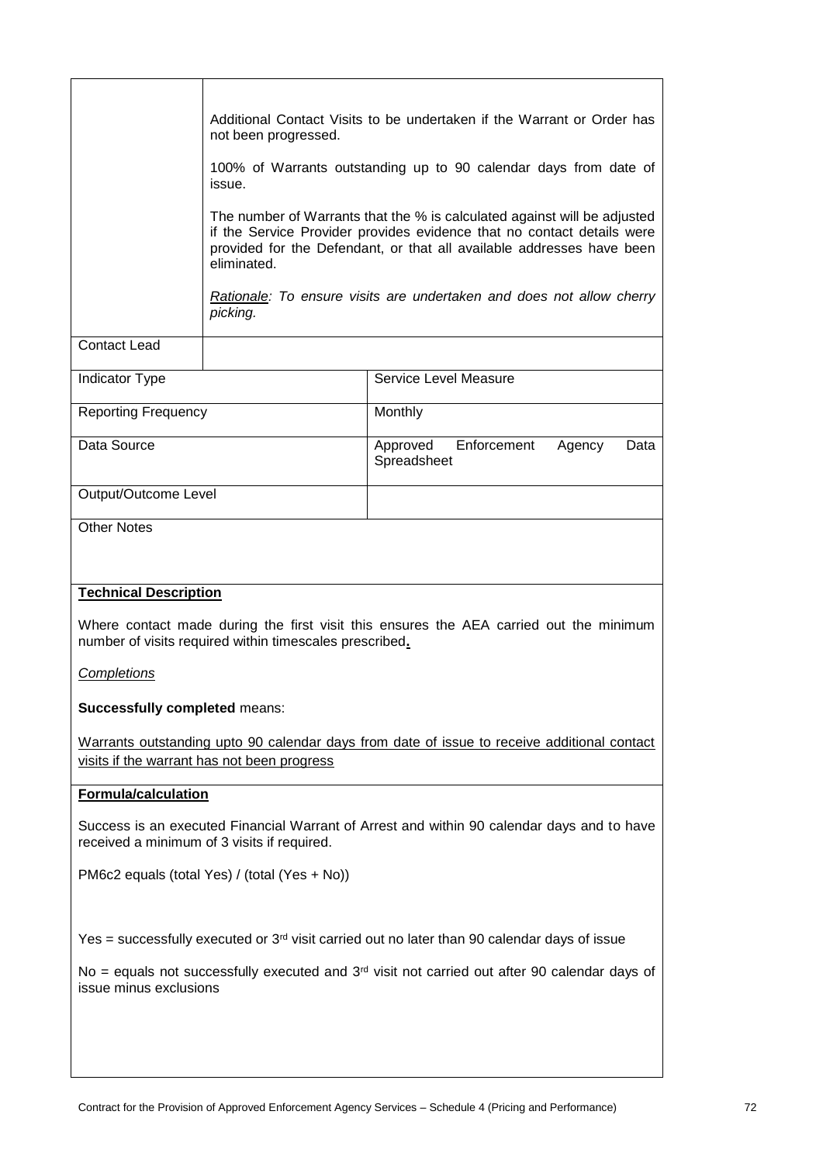|                                                                                                                                                   | Additional Contact Visits to be undertaken if the Warrant or Order has<br>not been progressed.                                                                                                                                             |                                                          |  |  |  |  |
|---------------------------------------------------------------------------------------------------------------------------------------------------|--------------------------------------------------------------------------------------------------------------------------------------------------------------------------------------------------------------------------------------------|----------------------------------------------------------|--|--|--|--|
|                                                                                                                                                   | 100% of Warrants outstanding up to 90 calendar days from date of<br>issue.                                                                                                                                                                 |                                                          |  |  |  |  |
|                                                                                                                                                   | The number of Warrants that the % is calculated against will be adjusted<br>if the Service Provider provides evidence that no contact details were<br>provided for the Defendant, or that all available addresses have been<br>eliminated. |                                                          |  |  |  |  |
|                                                                                                                                                   | Rationale: To ensure visits are undertaken and does not allow cherry<br>picking.                                                                                                                                                           |                                                          |  |  |  |  |
| <b>Contact Lead</b>                                                                                                                               |                                                                                                                                                                                                                                            |                                                          |  |  |  |  |
| Indicator Type                                                                                                                                    |                                                                                                                                                                                                                                            | Service Level Measure                                    |  |  |  |  |
| <b>Reporting Frequency</b>                                                                                                                        |                                                                                                                                                                                                                                            | Monthly                                                  |  |  |  |  |
| Data Source                                                                                                                                       |                                                                                                                                                                                                                                            | Enforcement<br>Approved<br>Agency<br>Data<br>Spreadsheet |  |  |  |  |
| Output/Outcome Level                                                                                                                              |                                                                                                                                                                                                                                            |                                                          |  |  |  |  |
| <b>Other Notes</b>                                                                                                                                |                                                                                                                                                                                                                                            |                                                          |  |  |  |  |
|                                                                                                                                                   |                                                                                                                                                                                                                                            |                                                          |  |  |  |  |
| <b>Technical Description</b>                                                                                                                      |                                                                                                                                                                                                                                            |                                                          |  |  |  |  |
| Where contact made during the first visit this ensures the AEA carried out the minimum<br>number of visits required within timescales prescribed. |                                                                                                                                                                                                                                            |                                                          |  |  |  |  |
| <b>Completions</b>                                                                                                                                |                                                                                                                                                                                                                                            |                                                          |  |  |  |  |
| <b>Successfully completed means:</b>                                                                                                              |                                                                                                                                                                                                                                            |                                                          |  |  |  |  |
| Warrants outstanding upto 90 calendar days from date of issue to receive additional contact<br>visits if the warrant has not been progress        |                                                                                                                                                                                                                                            |                                                          |  |  |  |  |
| <b>Formula/calculation</b>                                                                                                                        |                                                                                                                                                                                                                                            |                                                          |  |  |  |  |
| Success is an executed Financial Warrant of Arrest and within 90 calendar days and to have<br>received a minimum of 3 visits if required.         |                                                                                                                                                                                                                                            |                                                          |  |  |  |  |
| PM6c2 equals (total Yes) / (total (Yes + No))                                                                                                     |                                                                                                                                                                                                                                            |                                                          |  |  |  |  |
|                                                                                                                                                   |                                                                                                                                                                                                                                            |                                                          |  |  |  |  |
| Yes = successfully executed or $3rd$ visit carried out no later than 90 calendar days of issue                                                    |                                                                                                                                                                                                                                            |                                                          |  |  |  |  |
| No = equals not successfully executed and $3rd$ visit not carried out after 90 calendar days of<br>issue minus exclusions                         |                                                                                                                                                                                                                                            |                                                          |  |  |  |  |
|                                                                                                                                                   |                                                                                                                                                                                                                                            |                                                          |  |  |  |  |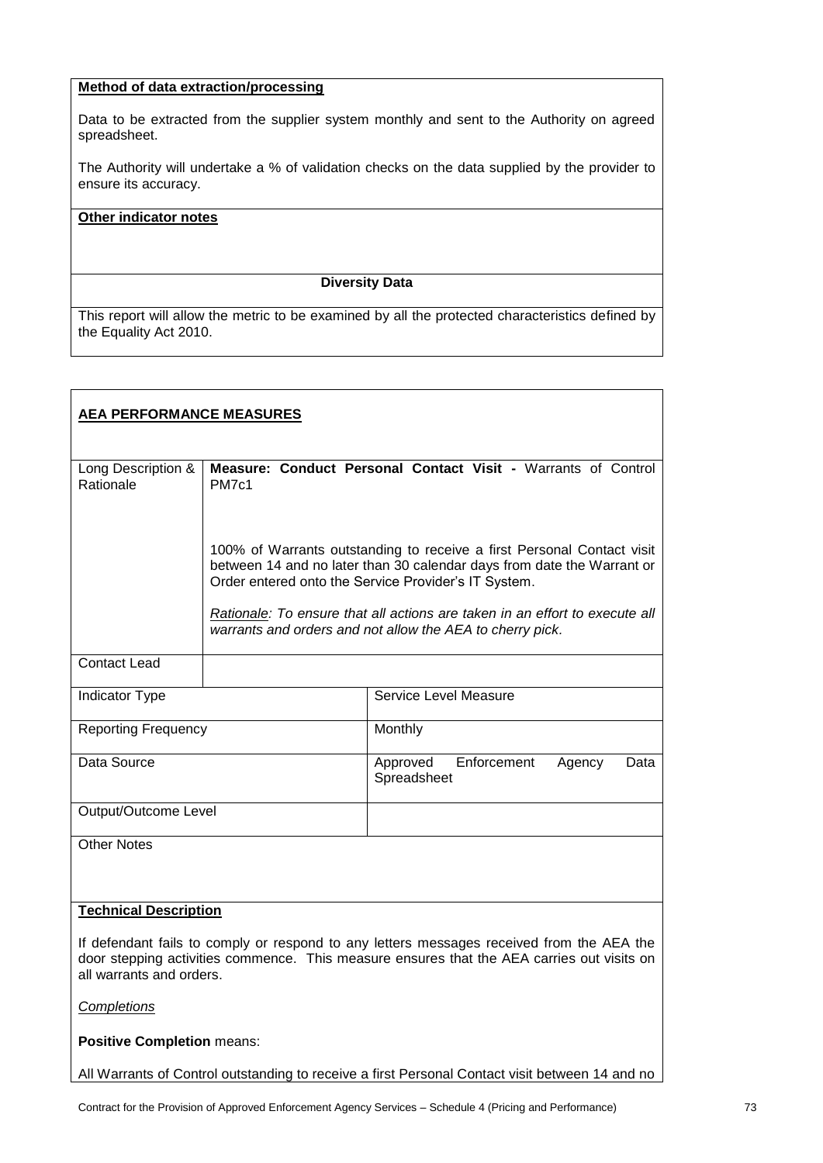# **Method of data extraction/processing**

Data to be extracted from the supplier system monthly and sent to the Authority on agreed spreadsheet.

The Authority will undertake a % of validation checks on the data supplied by the provider to ensure its accuracy.

## **Other indicator notes**

#### **Diversity Data**

This report will allow the metric to be examined by all the protected characteristics defined by the Equality Act 2010.

| <b>AEA PERFORMANCE MEASURES</b>                                                                                                                                                         |              |                                                                                                                                                  |
|-----------------------------------------------------------------------------------------------------------------------------------------------------------------------------------------|--------------|--------------------------------------------------------------------------------------------------------------------------------------------------|
|                                                                                                                                                                                         |              |                                                                                                                                                  |
| Long Description &<br>Rationale                                                                                                                                                         | <b>PM7c1</b> | Measure: Conduct Personal Contact Visit - Warrants of Control                                                                                    |
|                                                                                                                                                                                         |              |                                                                                                                                                  |
|                                                                                                                                                                                         |              |                                                                                                                                                  |
|                                                                                                                                                                                         |              |                                                                                                                                                  |
|                                                                                                                                                                                         |              | 100% of Warrants outstanding to receive a first Personal Contact visit<br>between 14 and no later than 30 calendar days from date the Warrant or |
|                                                                                                                                                                                         |              | Order entered onto the Service Provider's IT System.                                                                                             |
|                                                                                                                                                                                         |              |                                                                                                                                                  |
|                                                                                                                                                                                         |              | Rationale: To ensure that all actions are taken in an effort to execute all<br>warrants and orders and not allow the AEA to cherry pick.         |
|                                                                                                                                                                                         |              |                                                                                                                                                  |
| <b>Contact Lead</b>                                                                                                                                                                     |              |                                                                                                                                                  |
|                                                                                                                                                                                         |              |                                                                                                                                                  |
| Indicator Type                                                                                                                                                                          |              | Service Level Measure                                                                                                                            |
| <b>Reporting Frequency</b>                                                                                                                                                              |              | Monthly                                                                                                                                          |
|                                                                                                                                                                                         |              |                                                                                                                                                  |
| Data Source                                                                                                                                                                             |              | Enforcement<br>Approved<br>Agency<br>Data                                                                                                        |
|                                                                                                                                                                                         |              | Spreadsheet                                                                                                                                      |
| Output/Outcome Level                                                                                                                                                                    |              |                                                                                                                                                  |
|                                                                                                                                                                                         |              |                                                                                                                                                  |
| <b>Other Notes</b>                                                                                                                                                                      |              |                                                                                                                                                  |
|                                                                                                                                                                                         |              |                                                                                                                                                  |
|                                                                                                                                                                                         |              |                                                                                                                                                  |
| <b>Technical Description</b>                                                                                                                                                            |              |                                                                                                                                                  |
|                                                                                                                                                                                         |              |                                                                                                                                                  |
| If defendant fails to comply or respond to any letters messages received from the AEA the<br>door stepping activities commence. This measure ensures that the AEA carries out visits on |              |                                                                                                                                                  |
| all warrants and orders.                                                                                                                                                                |              |                                                                                                                                                  |
|                                                                                                                                                                                         |              |                                                                                                                                                  |
| <b>Completions</b>                                                                                                                                                                      |              |                                                                                                                                                  |
| <b>Positive Completion means:</b>                                                                                                                                                       |              |                                                                                                                                                  |

All Warrants of Control outstanding to receive a first Personal Contact visit between 14 and no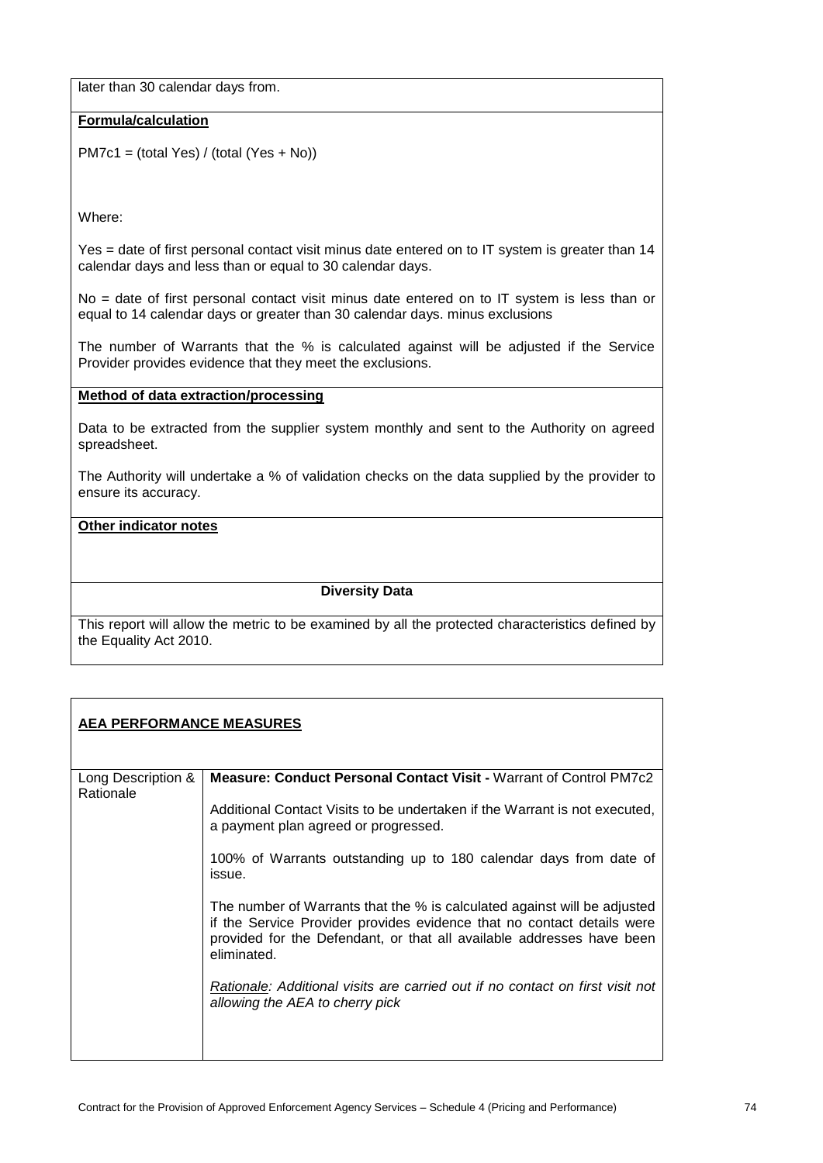later than 30 calendar days from.

## **Formula/calculation**

PM7c1 = (total Yes) / (total (Yes + No))

Where:

Yes = date of first personal contact visit minus date entered on to IT system is greater than 14 calendar days and less than or equal to 30 calendar days.

No = date of first personal contact visit minus date entered on to IT system is less than or equal to 14 calendar days or greater than 30 calendar days. minus exclusions

The number of Warrants that the % is calculated against will be adjusted if the Service Provider provides evidence that they meet the exclusions.

#### **Method of data extraction/processing**

Data to be extracted from the supplier system monthly and sent to the Authority on agreed spreadsheet.

The Authority will undertake a % of validation checks on the data supplied by the provider to ensure its accuracy.

#### **Other indicator notes**

#### **Diversity Data**

This report will allow the metric to be examined by all the protected characteristics defined by the Equality Act 2010.

# **AEA PERFORMANCE MEASURES**

| Long Description &<br>Rationale | Measure: Conduct Personal Contact Visit - Warrant of Control PM7c2                                                                                                                                                                         |
|---------------------------------|--------------------------------------------------------------------------------------------------------------------------------------------------------------------------------------------------------------------------------------------|
|                                 | Additional Contact Visits to be undertaken if the Warrant is not executed,<br>a payment plan agreed or progressed.                                                                                                                         |
|                                 | 100% of Warrants outstanding up to 180 calendar days from date of<br>issue.                                                                                                                                                                |
|                                 | The number of Warrants that the % is calculated against will be adjusted<br>if the Service Provider provides evidence that no contact details were<br>provided for the Defendant, or that all available addresses have been<br>eliminated. |
|                                 | Rationale: Additional visits are carried out if no contact on first visit not<br>allowing the AEA to cherry pick                                                                                                                           |
|                                 |                                                                                                                                                                                                                                            |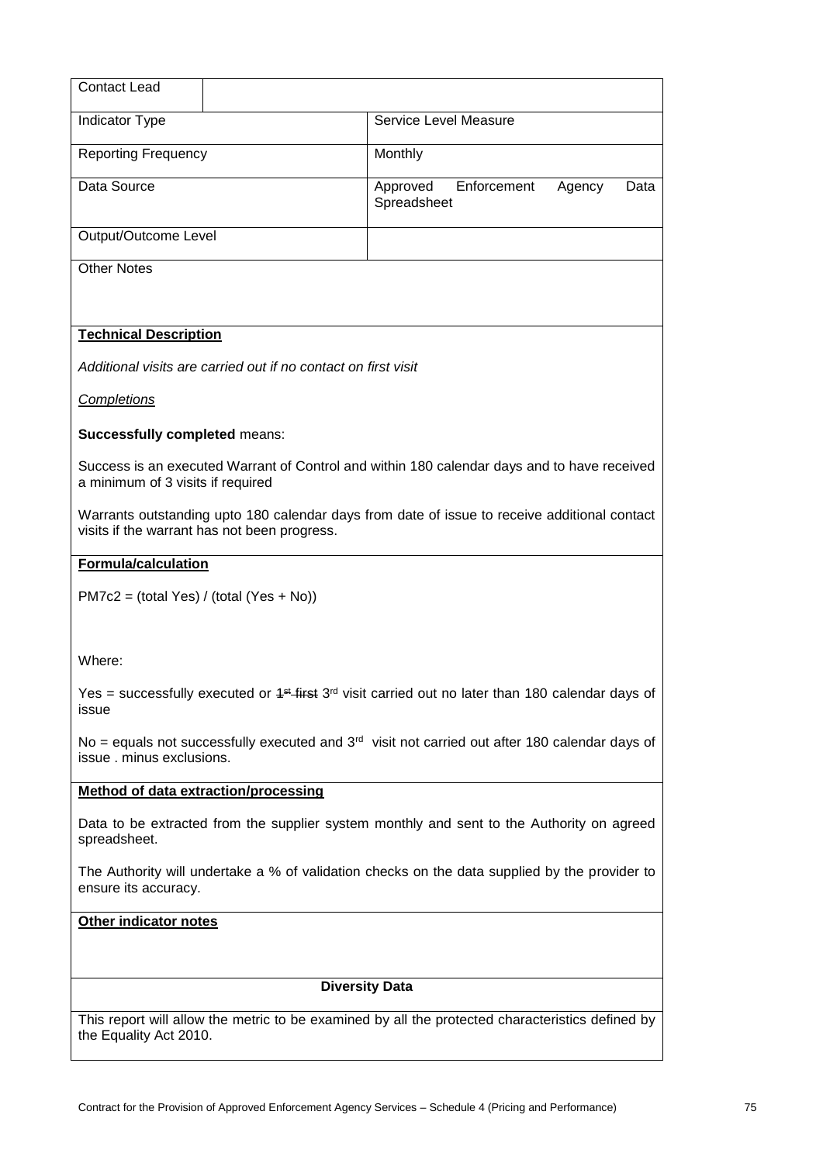| <b>Contact Lead</b>                                                                                                                          |                                                                                                                   |  |  |
|----------------------------------------------------------------------------------------------------------------------------------------------|-------------------------------------------------------------------------------------------------------------------|--|--|
|                                                                                                                                              |                                                                                                                   |  |  |
| Indicator Type                                                                                                                               | Service Level Measure                                                                                             |  |  |
| <b>Reporting Frequency</b>                                                                                                                   | Monthly                                                                                                           |  |  |
| Data Source                                                                                                                                  | Enforcement<br>Approved<br>Agency<br>Data<br>Spreadsheet                                                          |  |  |
| Output/Outcome Level                                                                                                                         |                                                                                                                   |  |  |
| <b>Other Notes</b>                                                                                                                           |                                                                                                                   |  |  |
| <b>Technical Description</b>                                                                                                                 |                                                                                                                   |  |  |
| Additional visits are carried out if no contact on first visit                                                                               |                                                                                                                   |  |  |
| <b>Completions</b>                                                                                                                           |                                                                                                                   |  |  |
| <b>Successfully completed means:</b>                                                                                                         |                                                                                                                   |  |  |
| a minimum of 3 visits if required                                                                                                            | Success is an executed Warrant of Control and within 180 calendar days and to have received                       |  |  |
| Warrants outstanding upto 180 calendar days from date of issue to receive additional contact<br>visits if the warrant has not been progress. |                                                                                                                   |  |  |
| <b>Formula/calculation</b>                                                                                                                   |                                                                                                                   |  |  |
| $PM7c2 = (total Yes) / (total (Yes + No))$                                                                                                   |                                                                                                                   |  |  |
| Where:                                                                                                                                       |                                                                                                                   |  |  |
| issue                                                                                                                                        | Yes = successfully executed or $4$ <sup>st</sup> first $3rd$ visit carried out no later than 180 calendar days of |  |  |
| No = equals not successfully executed and $3rd$ visit not carried out after 180 calendar days of<br>issue . minus exclusions.                |                                                                                                                   |  |  |
| <b>Method of data extraction/processing</b>                                                                                                  |                                                                                                                   |  |  |
| spreadsheet.                                                                                                                                 | Data to be extracted from the supplier system monthly and sent to the Authority on agreed                         |  |  |
| The Authority will undertake a % of validation checks on the data supplied by the provider to<br>ensure its accuracy.                        |                                                                                                                   |  |  |
| Other indicator notes                                                                                                                        |                                                                                                                   |  |  |
|                                                                                                                                              |                                                                                                                   |  |  |
| <b>Diversity Data</b>                                                                                                                        |                                                                                                                   |  |  |
| the Equality Act 2010.                                                                                                                       | This report will allow the metric to be examined by all the protected characteristics defined by                  |  |  |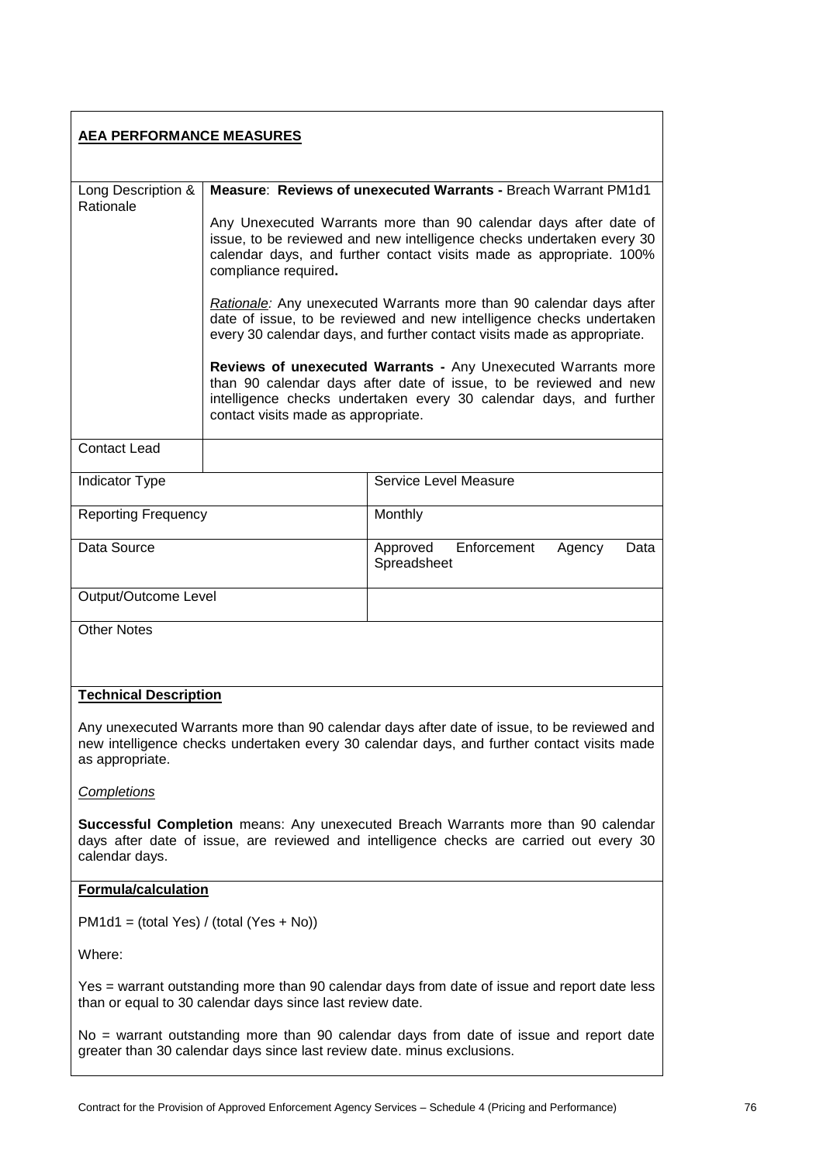| <b>AEA PERFORMANCE MEASURES</b>                                                                                                                                                                             |                                                                                                                                                                                                                                          |                                                                                                                                                                                                          |  |
|-------------------------------------------------------------------------------------------------------------------------------------------------------------------------------------------------------------|------------------------------------------------------------------------------------------------------------------------------------------------------------------------------------------------------------------------------------------|----------------------------------------------------------------------------------------------------------------------------------------------------------------------------------------------------------|--|
| Long Description &                                                                                                                                                                                          |                                                                                                                                                                                                                                          | Measure: Reviews of unexecuted Warrants - Breach Warrant PM1d1                                                                                                                                           |  |
| Rationale                                                                                                                                                                                                   | Any Unexecuted Warrants more than 90 calendar days after date of<br>issue, to be reviewed and new intelligence checks undertaken every 30<br>calendar days, and further contact visits made as appropriate. 100%<br>compliance required. |                                                                                                                                                                                                          |  |
|                                                                                                                                                                                                             | Rationale: Any unexecuted Warrants more than 90 calendar days after<br>date of issue, to be reviewed and new intelligence checks undertaken<br>every 30 calendar days, and further contact visits made as appropriate.                   |                                                                                                                                                                                                          |  |
|                                                                                                                                                                                                             | contact visits made as appropriate.                                                                                                                                                                                                      | Reviews of unexecuted Warrants - Any Unexecuted Warrants more<br>than 90 calendar days after date of issue, to be reviewed and new<br>intelligence checks undertaken every 30 calendar days, and further |  |
| <b>Contact Lead</b>                                                                                                                                                                                         |                                                                                                                                                                                                                                          |                                                                                                                                                                                                          |  |
| Indicator Type                                                                                                                                                                                              |                                                                                                                                                                                                                                          | Service Level Measure                                                                                                                                                                                    |  |
| <b>Reporting Frequency</b>                                                                                                                                                                                  |                                                                                                                                                                                                                                          | Monthly                                                                                                                                                                                                  |  |
| Data Source                                                                                                                                                                                                 |                                                                                                                                                                                                                                          | Enforcement<br>Approved<br>Agency<br>Data<br>Spreadsheet                                                                                                                                                 |  |
| Output/Outcome Level                                                                                                                                                                                        |                                                                                                                                                                                                                                          |                                                                                                                                                                                                          |  |
| <b>Other Notes</b>                                                                                                                                                                                          |                                                                                                                                                                                                                                          |                                                                                                                                                                                                          |  |
| <b>Technical Description</b>                                                                                                                                                                                |                                                                                                                                                                                                                                          |                                                                                                                                                                                                          |  |
| Any unexecuted Warrants more than 90 calendar days after date of issue, to be reviewed and<br>new intelligence checks undertaken every 30 calendar days, and further contact visits made<br>as appropriate. |                                                                                                                                                                                                                                          |                                                                                                                                                                                                          |  |
| Completions                                                                                                                                                                                                 |                                                                                                                                                                                                                                          |                                                                                                                                                                                                          |  |
| <b>Successful Completion</b> means: Any unexecuted Breach Warrants more than 90 calendar<br>days after date of issue, are reviewed and intelligence checks are carried out every 30<br>calendar days.       |                                                                                                                                                                                                                                          |                                                                                                                                                                                                          |  |
| Formula/calculation                                                                                                                                                                                         |                                                                                                                                                                                                                                          |                                                                                                                                                                                                          |  |
| $PM1d1 = (total Yes) / (total (Yes + No))$                                                                                                                                                                  |                                                                                                                                                                                                                                          |                                                                                                                                                                                                          |  |
| Where:                                                                                                                                                                                                      |                                                                                                                                                                                                                                          |                                                                                                                                                                                                          |  |
| Yes = warrant outstanding more than 90 calendar days from date of issue and report date less<br>than or equal to 30 calendar days since last review date.                                                   |                                                                                                                                                                                                                                          |                                                                                                                                                                                                          |  |
| No = warrant outstanding more than 90 calendar days from date of issue and report date<br>greater than 30 calendar days since last review date. minus exclusions.                                           |                                                                                                                                                                                                                                          |                                                                                                                                                                                                          |  |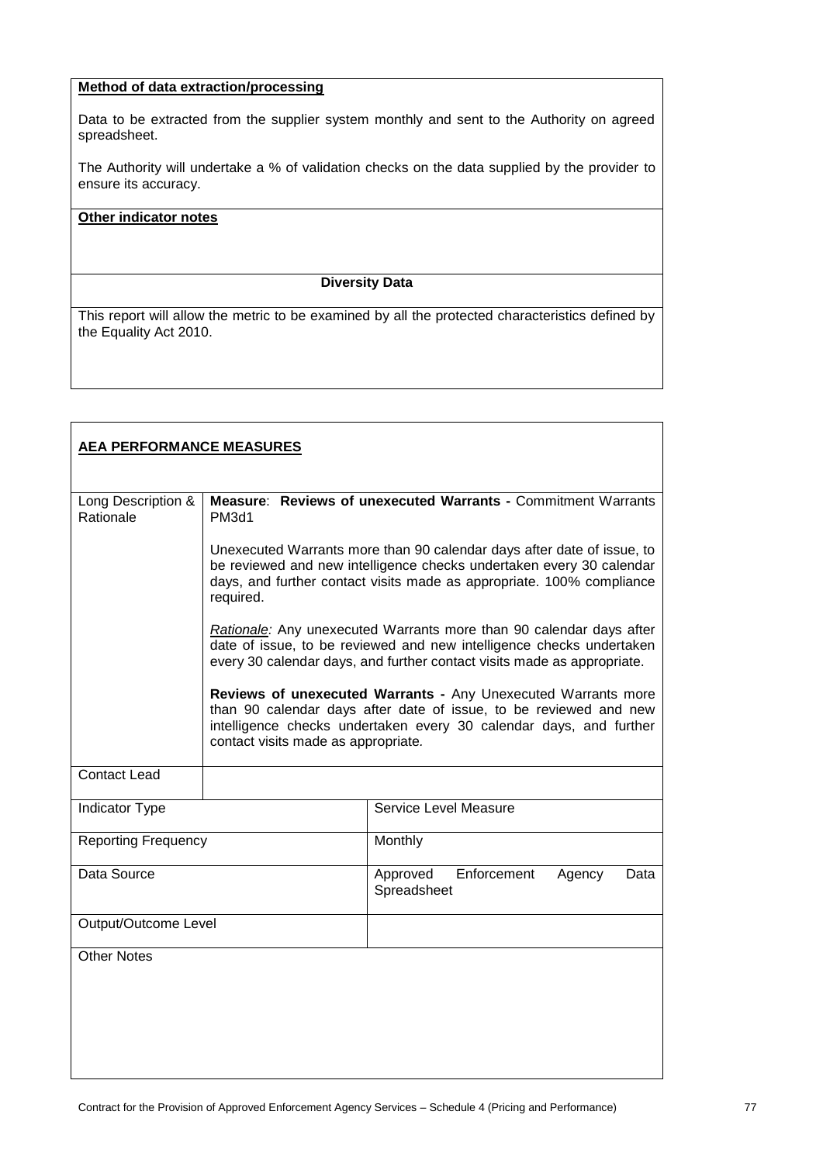# **Method of data extraction/processing**

Data to be extracted from the supplier system monthly and sent to the Authority on agreed spreadsheet.

The Authority will undertake a % of validation checks on the data supplied by the provider to ensure its accuracy.

## **Other indicator notes**

#### **Diversity Data**

| <b>AEA PERFORMANCE MEASURES</b> |                                                                                                                                                                                                                                      |                                                                                                                                                                                                          |  |
|---------------------------------|--------------------------------------------------------------------------------------------------------------------------------------------------------------------------------------------------------------------------------------|----------------------------------------------------------------------------------------------------------------------------------------------------------------------------------------------------------|--|
| Long Description &<br>Rationale | Measure: Reviews of unexecuted Warrants - Commitment Warrants<br><b>PM3d1</b>                                                                                                                                                        |                                                                                                                                                                                                          |  |
|                                 | Unexecuted Warrants more than 90 calendar days after date of issue, to<br>be reviewed and new intelligence checks undertaken every 30 calendar<br>days, and further contact visits made as appropriate. 100% compliance<br>required. |                                                                                                                                                                                                          |  |
|                                 | Rationale: Any unexecuted Warrants more than 90 calendar days after<br>date of issue, to be reviewed and new intelligence checks undertaken<br>every 30 calendar days, and further contact visits made as appropriate.               |                                                                                                                                                                                                          |  |
|                                 | contact visits made as appropriate.                                                                                                                                                                                                  | Reviews of unexecuted Warrants - Any Unexecuted Warrants more<br>than 90 calendar days after date of issue, to be reviewed and new<br>intelligence checks undertaken every 30 calendar days, and further |  |
| <b>Contact Lead</b>             |                                                                                                                                                                                                                                      |                                                                                                                                                                                                          |  |
| Indicator Type                  |                                                                                                                                                                                                                                      | Service Level Measure                                                                                                                                                                                    |  |
| <b>Reporting Frequency</b>      |                                                                                                                                                                                                                                      | Monthly                                                                                                                                                                                                  |  |
| Data Source                     |                                                                                                                                                                                                                                      | Enforcement<br>Approved<br>Agency<br>Data<br>Spreadsheet                                                                                                                                                 |  |
| Output/Outcome Level            |                                                                                                                                                                                                                                      |                                                                                                                                                                                                          |  |
| <b>Other Notes</b>              |                                                                                                                                                                                                                                      |                                                                                                                                                                                                          |  |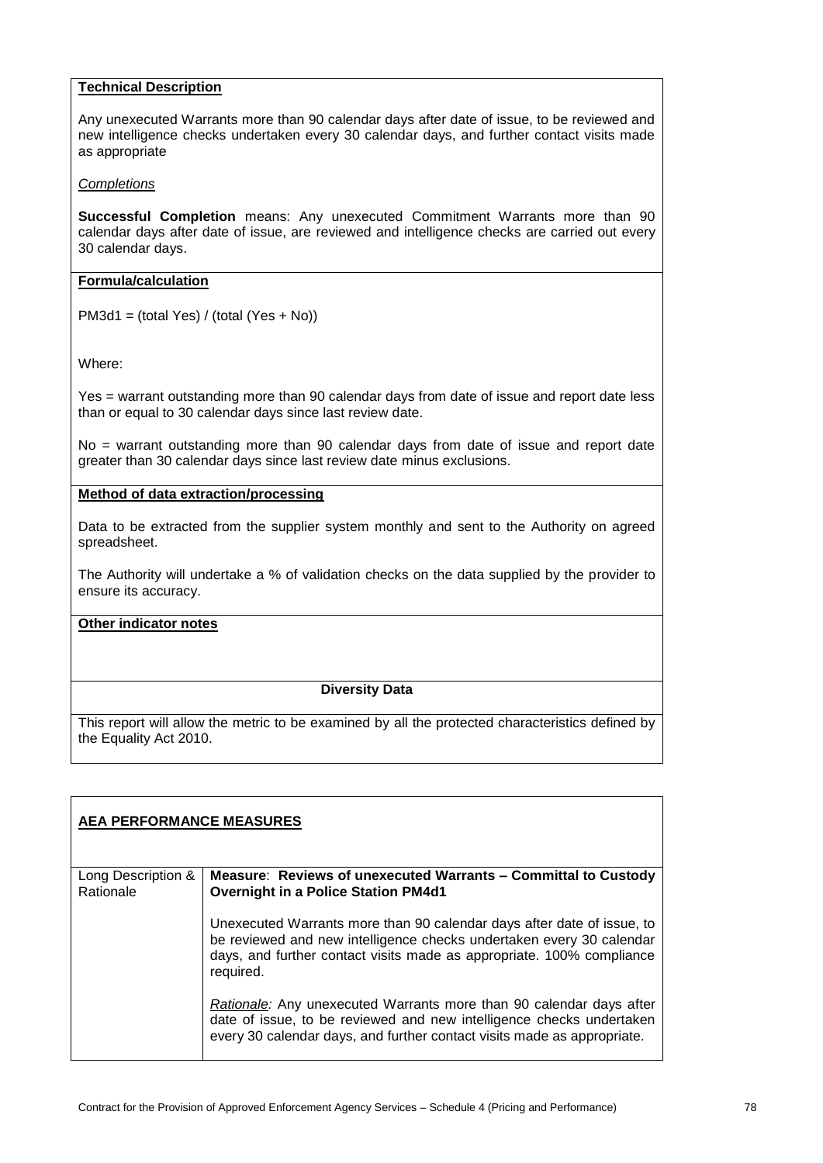#### **Technical Description**

Any unexecuted Warrants more than 90 calendar days after date of issue, to be reviewed and new intelligence checks undertaken every 30 calendar days, and further contact visits made as appropriate

#### *Completions*

**Successful Completion** means: Any unexecuted Commitment Warrants more than 90 calendar days after date of issue, are reviewed and intelligence checks are carried out every 30 calendar days.

#### **Formula/calculation**

PM3d1 = (total Yes) / (total (Yes + No))

Where:

Yes = warrant outstanding more than 90 calendar days from date of issue and report date less than or equal to 30 calendar days since last review date.

No = warrant outstanding more than 90 calendar days from date of issue and report date greater than 30 calendar days since last review date minus exclusions.

#### **Method of data extraction/processing**

Data to be extracted from the supplier system monthly and sent to the Authority on agreed spreadsheet.

The Authority will undertake a % of validation checks on the data supplied by the provider to ensure its accuracy.

#### **Other indicator notes**

## **Diversity Data**

| <b>AEA PERFORMANCE MEASURES</b> |                                                                                                                                                                                                                                      |  |
|---------------------------------|--------------------------------------------------------------------------------------------------------------------------------------------------------------------------------------------------------------------------------------|--|
| Long Description &              | Measure: Reviews of unexecuted Warrants – Committal to Custody                                                                                                                                                                       |  |
| Rationale                       | <b>Overnight in a Police Station PM4d1</b>                                                                                                                                                                                           |  |
|                                 | Unexecuted Warrants more than 90 calendar days after date of issue, to<br>be reviewed and new intelligence checks undertaken every 30 calendar<br>days, and further contact visits made as appropriate. 100% compliance<br>required. |  |
|                                 | <i>Rationale:</i> Any unexecuted Warrants more than 90 calendar days after<br>date of issue, to be reviewed and new intelligence checks undertaken<br>every 30 calendar days, and further contact visits made as appropriate.        |  |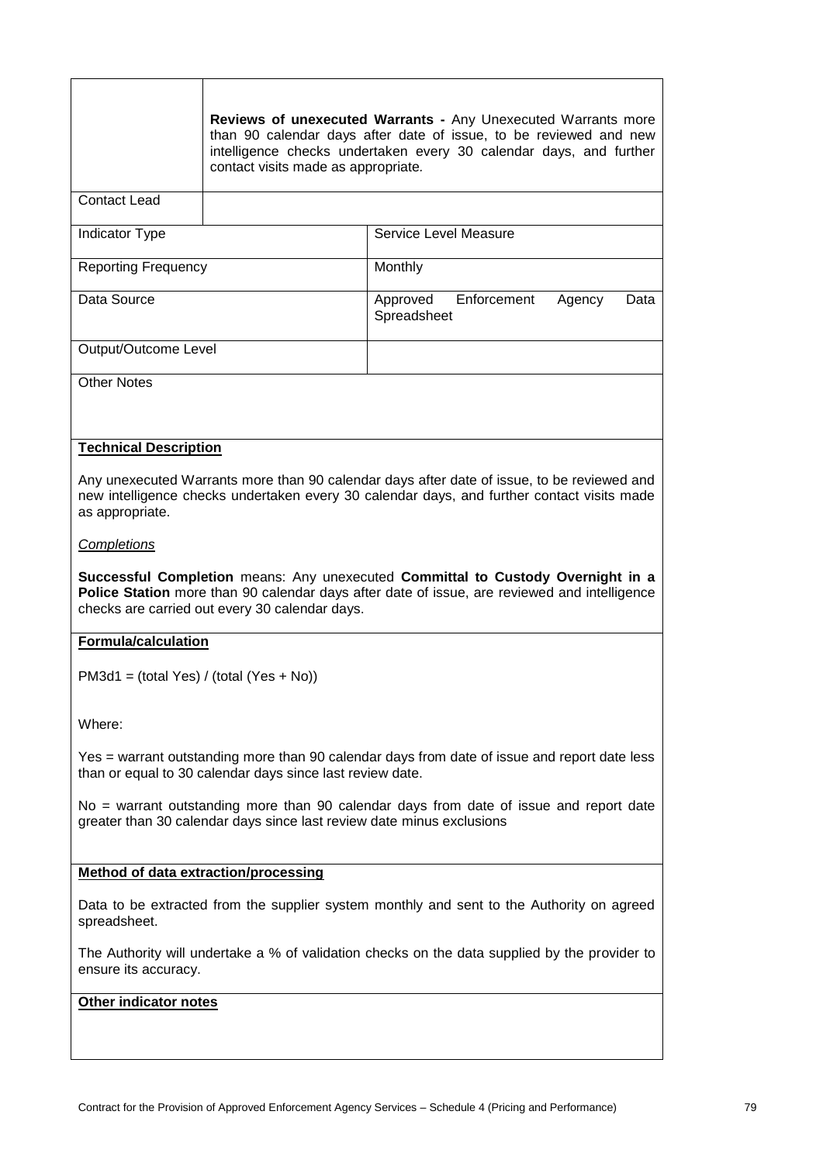|                                                                                                                                                                                                                                   | contact visits made as appropriate.                       | Reviews of unexecuted Warrants - Any Unexecuted Warrants more<br>than 90 calendar days after date of issue, to be reviewed and new<br>intelligence checks undertaken every 30 calendar days, and further |  |  |
|-----------------------------------------------------------------------------------------------------------------------------------------------------------------------------------------------------------------------------------|-----------------------------------------------------------|----------------------------------------------------------------------------------------------------------------------------------------------------------------------------------------------------------|--|--|
| <b>Contact Lead</b>                                                                                                                                                                                                               |                                                           |                                                                                                                                                                                                          |  |  |
| Indicator Type                                                                                                                                                                                                                    |                                                           | Service Level Measure                                                                                                                                                                                    |  |  |
| <b>Reporting Frequency</b>                                                                                                                                                                                                        |                                                           | Monthly                                                                                                                                                                                                  |  |  |
| Data Source                                                                                                                                                                                                                       |                                                           | Enforcement<br>Approved<br>Agency<br>Data<br>Spreadsheet                                                                                                                                                 |  |  |
| Output/Outcome Level                                                                                                                                                                                                              |                                                           |                                                                                                                                                                                                          |  |  |
| <b>Other Notes</b>                                                                                                                                                                                                                |                                                           |                                                                                                                                                                                                          |  |  |
| <b>Technical Description</b>                                                                                                                                                                                                      |                                                           |                                                                                                                                                                                                          |  |  |
| as appropriate.                                                                                                                                                                                                                   |                                                           | Any unexecuted Warrants more than 90 calendar days after date of issue, to be reviewed and<br>new intelligence checks undertaken every 30 calendar days, and further contact visits made                 |  |  |
| <b>Completions</b>                                                                                                                                                                                                                |                                                           |                                                                                                                                                                                                          |  |  |
| Successful Completion means: Any unexecuted Committal to Custody Overnight in a<br>Police Station more than 90 calendar days after date of issue, are reviewed and intelligence<br>checks are carried out every 30 calendar days. |                                                           |                                                                                                                                                                                                          |  |  |
| <b>Formula/calculation</b>                                                                                                                                                                                                        |                                                           |                                                                                                                                                                                                          |  |  |
| $PM3d1 = (total Yes) / (total (Yes + No))$                                                                                                                                                                                        |                                                           |                                                                                                                                                                                                          |  |  |
| Where:                                                                                                                                                                                                                            |                                                           |                                                                                                                                                                                                          |  |  |
|                                                                                                                                                                                                                                   | than or equal to 30 calendar days since last review date. | Yes = warrant outstanding more than 90 calendar days from date of issue and report date less                                                                                                             |  |  |
| No = warrant outstanding more than 90 calendar days from date of issue and report date<br>greater than 30 calendar days since last review date minus exclusions                                                                   |                                                           |                                                                                                                                                                                                          |  |  |
| <b>Method of data extraction/processing</b>                                                                                                                                                                                       |                                                           |                                                                                                                                                                                                          |  |  |
| Data to be extracted from the supplier system monthly and sent to the Authority on agreed<br>spreadsheet.                                                                                                                         |                                                           |                                                                                                                                                                                                          |  |  |
| The Authority will undertake a % of validation checks on the data supplied by the provider to<br>ensure its accuracy.                                                                                                             |                                                           |                                                                                                                                                                                                          |  |  |
| Other indicator notes                                                                                                                                                                                                             |                                                           |                                                                                                                                                                                                          |  |  |
|                                                                                                                                                                                                                                   |                                                           |                                                                                                                                                                                                          |  |  |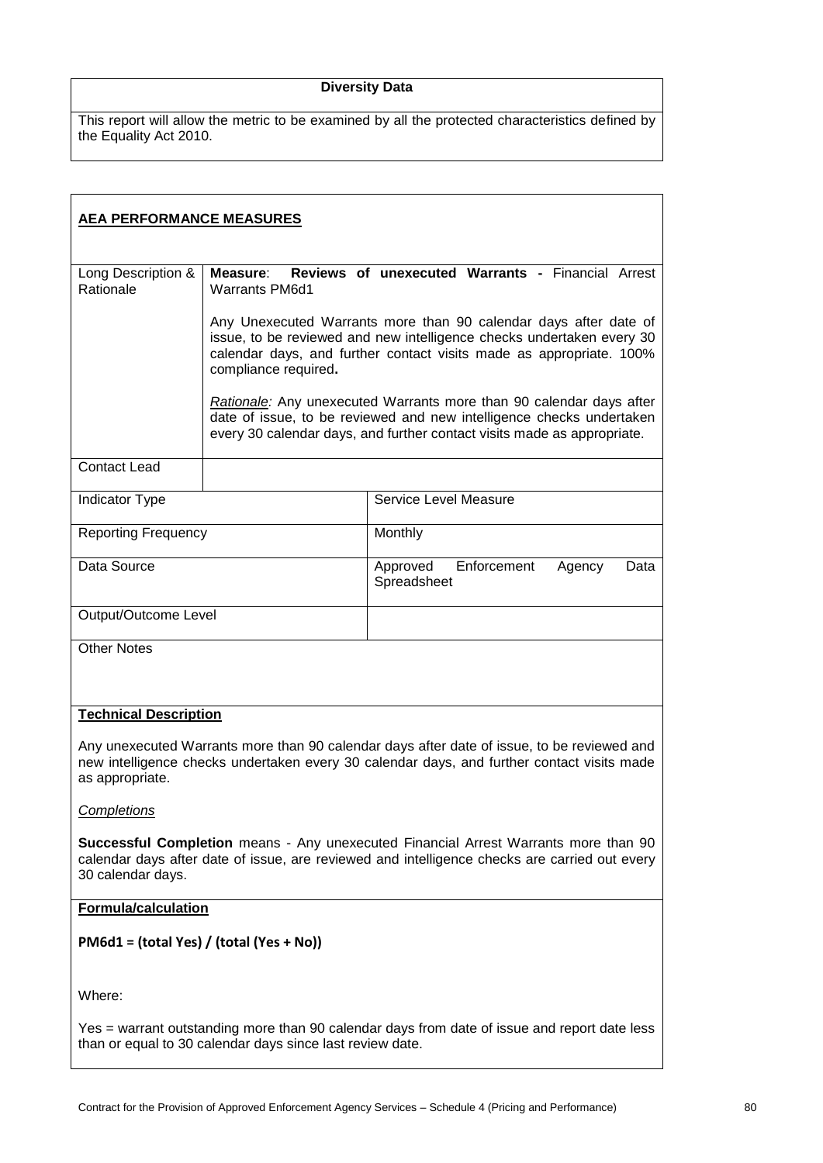# **Diversity Data**

| <b>AEA PERFORMANCE MEASURES</b>                                                                                                                                                                             |                                   |                                                                                                                                                                                                                        |
|-------------------------------------------------------------------------------------------------------------------------------------------------------------------------------------------------------------|-----------------------------------|------------------------------------------------------------------------------------------------------------------------------------------------------------------------------------------------------------------------|
|                                                                                                                                                                                                             |                                   |                                                                                                                                                                                                                        |
| Long Description &<br>Rationale                                                                                                                                                                             | Measure:<br><b>Warrants PM6d1</b> | Reviews of unexecuted Warrants - Financial Arrest                                                                                                                                                                      |
|                                                                                                                                                                                                             | compliance required.              | Any Unexecuted Warrants more than 90 calendar days after date of<br>issue, to be reviewed and new intelligence checks undertaken every 30<br>calendar days, and further contact visits made as appropriate. 100%       |
|                                                                                                                                                                                                             |                                   | Rationale: Any unexecuted Warrants more than 90 calendar days after<br>date of issue, to be reviewed and new intelligence checks undertaken<br>every 30 calendar days, and further contact visits made as appropriate. |
| <b>Contact Lead</b>                                                                                                                                                                                         |                                   |                                                                                                                                                                                                                        |
| Indicator Type                                                                                                                                                                                              |                                   | Service Level Measure                                                                                                                                                                                                  |
| <b>Reporting Frequency</b>                                                                                                                                                                                  |                                   | Monthly                                                                                                                                                                                                                |
| Data Source                                                                                                                                                                                                 |                                   | Approved<br>Enforcement<br>Agency<br>Data<br>Spreadsheet                                                                                                                                                               |
| Output/Outcome Level                                                                                                                                                                                        |                                   |                                                                                                                                                                                                                        |
| <b>Other Notes</b>                                                                                                                                                                                          |                                   |                                                                                                                                                                                                                        |
| <b>Technical Description</b>                                                                                                                                                                                |                                   |                                                                                                                                                                                                                        |
| Any unexecuted Warrants more than 90 calendar days after date of issue, to be reviewed and<br>new intelligence checks undertaken every 30 calendar days, and further contact visits made<br>as appropriate. |                                   |                                                                                                                                                                                                                        |
| <b>Completions</b>                                                                                                                                                                                          |                                   |                                                                                                                                                                                                                        |
| Successful Completion means - Any unexecuted Financial Arrest Warrants more than 90<br>calendar days after date of issue, are reviewed and intelligence checks are carried out every<br>30 calendar days.   |                                   |                                                                                                                                                                                                                        |
| <b>Formula/calculation</b>                                                                                                                                                                                  |                                   |                                                                                                                                                                                                                        |
| PM6d1 = (total Yes) / (total (Yes + No))                                                                                                                                                                    |                                   |                                                                                                                                                                                                                        |
| Where:                                                                                                                                                                                                      |                                   |                                                                                                                                                                                                                        |
| Yes = warrant outstanding more than 90 calendar days from date of issue and report date less<br>than or equal to 30 calendar days since last review date.                                                   |                                   |                                                                                                                                                                                                                        |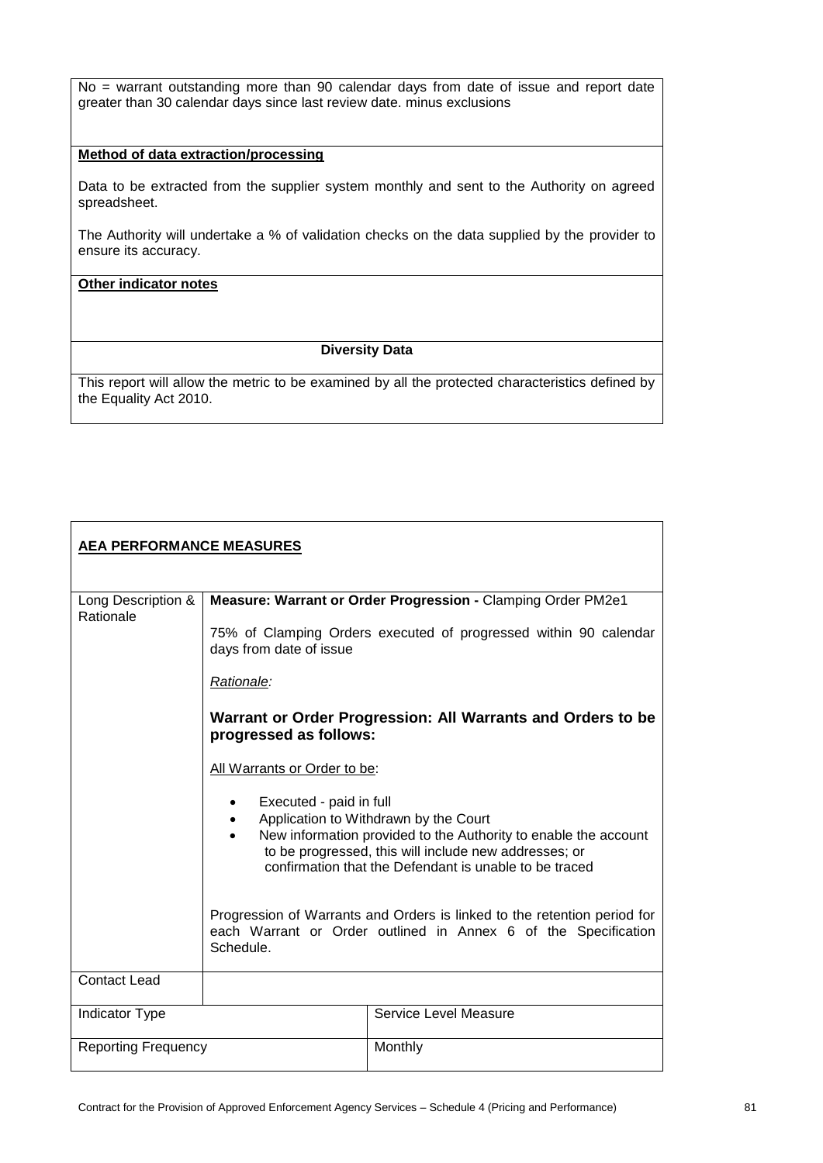No = warrant outstanding more than 90 calendar days from date of issue and report date greater than 30 calendar days since last review date. minus exclusions

#### **Method of data extraction/processing**

Data to be extracted from the supplier system monthly and sent to the Authority on agreed spreadsheet.

The Authority will undertake a % of validation checks on the data supplied by the provider to ensure its accuracy.

# **Other indicator notes**

#### **Diversity Data**

| <b>AEA PERFORMANCE MEASURES</b> |                                                                                                                                                                                                                                                                                                                                                                                                                                                                                                                                                              |                       |
|---------------------------------|--------------------------------------------------------------------------------------------------------------------------------------------------------------------------------------------------------------------------------------------------------------------------------------------------------------------------------------------------------------------------------------------------------------------------------------------------------------------------------------------------------------------------------------------------------------|-----------------------|
| Long Description &<br>Rationale | Measure: Warrant or Order Progression - Clamping Order PM2e1<br>75% of Clamping Orders executed of progressed within 90 calendar<br>days from date of issue<br>Rationale:<br>Warrant or Order Progression: All Warrants and Orders to be<br>progressed as follows:<br>All Warrants or Order to be:<br>Executed - paid in full<br>Application to Withdrawn by the Court<br>New information provided to the Authority to enable the account<br>to be progressed, this will include new addresses; or<br>confirmation that the Defendant is unable to be traced |                       |
|                                 | Progression of Warrants and Orders is linked to the retention period for<br>each Warrant or Order outlined in Annex 6 of the Specification<br>Schedule.                                                                                                                                                                                                                                                                                                                                                                                                      |                       |
| <b>Contact Lead</b>             |                                                                                                                                                                                                                                                                                                                                                                                                                                                                                                                                                              |                       |
| <b>Indicator Type</b>           |                                                                                                                                                                                                                                                                                                                                                                                                                                                                                                                                                              | Service Level Measure |
| <b>Reporting Frequency</b>      |                                                                                                                                                                                                                                                                                                                                                                                                                                                                                                                                                              | Monthly               |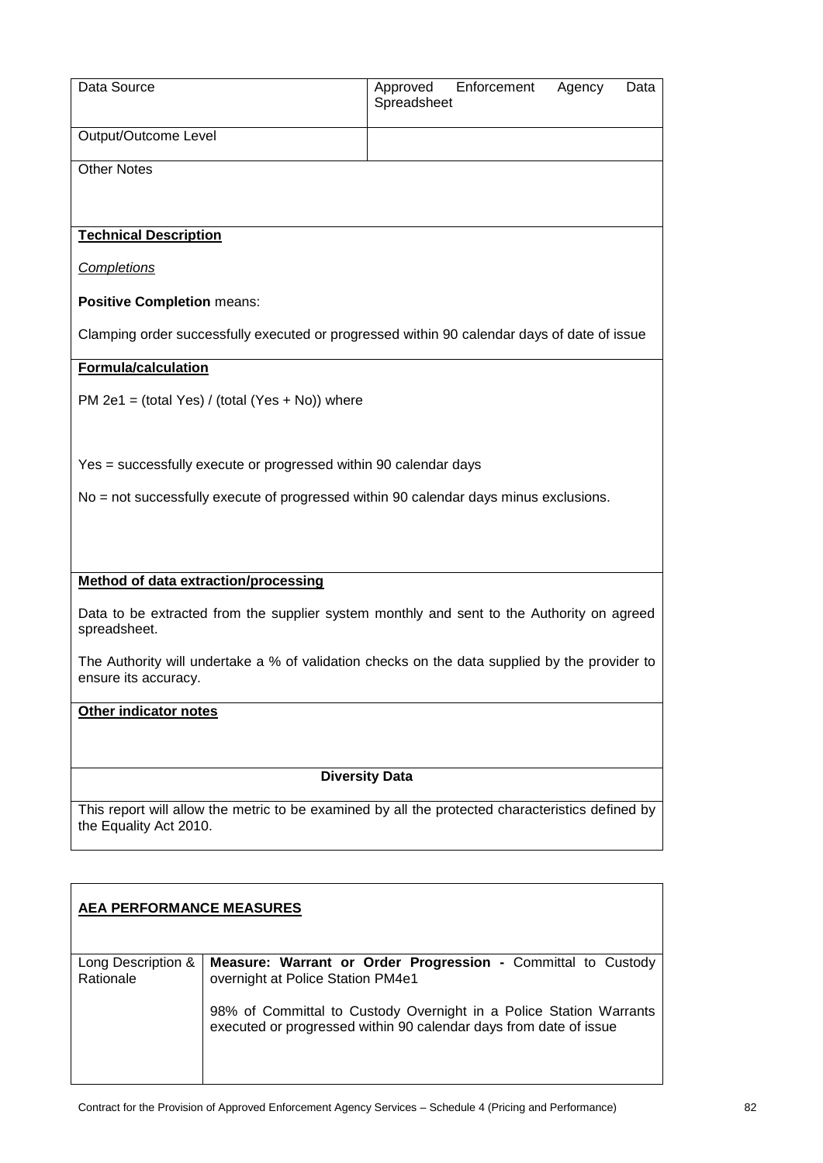| Data Source                                                                                                                |                                                                                                                                         | Approved              | Enforcement | Agency | Data |
|----------------------------------------------------------------------------------------------------------------------------|-----------------------------------------------------------------------------------------------------------------------------------------|-----------------------|-------------|--------|------|
|                                                                                                                            |                                                                                                                                         | Spreadsheet           |             |        |      |
| Output/Outcome Level                                                                                                       |                                                                                                                                         |                       |             |        |      |
|                                                                                                                            |                                                                                                                                         |                       |             |        |      |
| <b>Other Notes</b>                                                                                                         |                                                                                                                                         |                       |             |        |      |
|                                                                                                                            |                                                                                                                                         |                       |             |        |      |
| <b>Technical Description</b>                                                                                               |                                                                                                                                         |                       |             |        |      |
|                                                                                                                            |                                                                                                                                         |                       |             |        |      |
| Completions                                                                                                                |                                                                                                                                         |                       |             |        |      |
| <b>Positive Completion means:</b>                                                                                          |                                                                                                                                         |                       |             |        |      |
|                                                                                                                            | Clamping order successfully executed or progressed within 90 calendar days of date of issue                                             |                       |             |        |      |
| Formula/calculation                                                                                                        |                                                                                                                                         |                       |             |        |      |
|                                                                                                                            | PM 2e1 = $(total Yes) / (total (Yes + No))$ where                                                                                       |                       |             |        |      |
|                                                                                                                            |                                                                                                                                         |                       |             |        |      |
|                                                                                                                            |                                                                                                                                         |                       |             |        |      |
|                                                                                                                            | Yes = successfully execute or progressed within 90 calendar days                                                                        |                       |             |        |      |
|                                                                                                                            | No = not successfully execute of progressed within 90 calendar days minus exclusions.                                                   |                       |             |        |      |
|                                                                                                                            |                                                                                                                                         |                       |             |        |      |
|                                                                                                                            |                                                                                                                                         |                       |             |        |      |
|                                                                                                                            |                                                                                                                                         |                       |             |        |      |
| Method of data extraction/processing                                                                                       |                                                                                                                                         |                       |             |        |      |
| spreadsheet.                                                                                                               | Data to be extracted from the supplier system monthly and sent to the Authority on agreed                                               |                       |             |        |      |
|                                                                                                                            | The Authority will undertake a % of validation checks on the data supplied by the provider to                                           |                       |             |        |      |
| ensure its accuracy.                                                                                                       |                                                                                                                                         |                       |             |        |      |
| Other indicator notes                                                                                                      |                                                                                                                                         |                       |             |        |      |
|                                                                                                                            |                                                                                                                                         |                       |             |        |      |
|                                                                                                                            |                                                                                                                                         |                       |             |        |      |
|                                                                                                                            |                                                                                                                                         | <b>Diversity Data</b> |             |        |      |
|                                                                                                                            |                                                                                                                                         |                       |             |        |      |
| This report will allow the metric to be examined by all the protected characteristics defined by<br>the Equality Act 2010. |                                                                                                                                         |                       |             |        |      |
|                                                                                                                            |                                                                                                                                         |                       |             |        |      |
|                                                                                                                            |                                                                                                                                         |                       |             |        |      |
| <b>AEA PERFORMANCE MEASURES</b>                                                                                            |                                                                                                                                         |                       |             |        |      |
|                                                                                                                            |                                                                                                                                         |                       |             |        |      |
|                                                                                                                            |                                                                                                                                         |                       |             |        |      |
| Long Description &<br>Rationale                                                                                            | Measure: Warrant or Order Progression - Committal to Custody<br>overnight at Police Station PM4e1                                       |                       |             |        |      |
|                                                                                                                            | 98% of Committal to Custody Overnight in a Police Station Warrants<br>executed or progressed within 90 calendar days from date of issue |                       |             |        |      |
|                                                                                                                            |                                                                                                                                         |                       |             |        |      |
|                                                                                                                            |                                                                                                                                         |                       |             |        |      |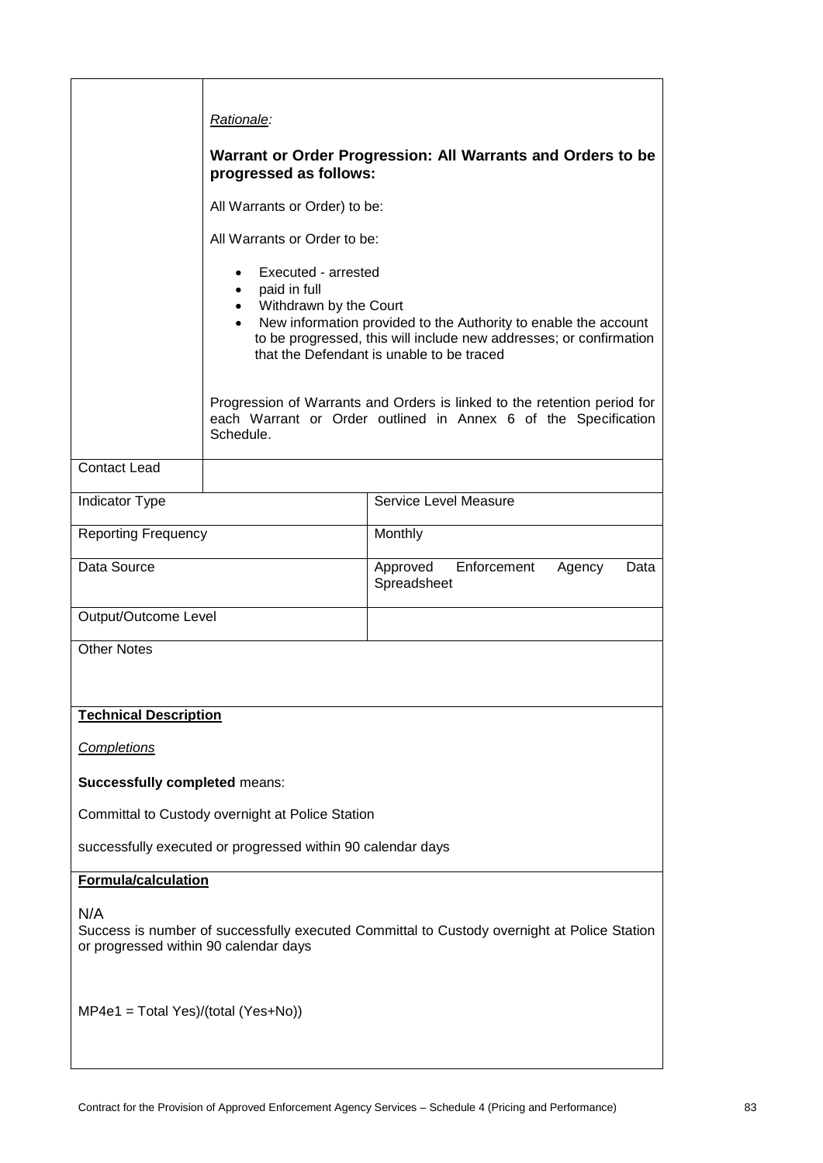|                                                                                                                                             | Rationale:                                                                                                                                                                                                                                                                                 |                                                                                                                                            |  |
|---------------------------------------------------------------------------------------------------------------------------------------------|--------------------------------------------------------------------------------------------------------------------------------------------------------------------------------------------------------------------------------------------------------------------------------------------|--------------------------------------------------------------------------------------------------------------------------------------------|--|
|                                                                                                                                             |                                                                                                                                                                                                                                                                                            | Warrant or Order Progression: All Warrants and Orders to be                                                                                |  |
|                                                                                                                                             | progressed as follows:                                                                                                                                                                                                                                                                     |                                                                                                                                            |  |
|                                                                                                                                             | All Warrants or Order) to be:                                                                                                                                                                                                                                                              |                                                                                                                                            |  |
|                                                                                                                                             | All Warrants or Order to be:                                                                                                                                                                                                                                                               |                                                                                                                                            |  |
|                                                                                                                                             | Executed - arrested<br>paid in full<br>$\bullet$<br>Withdrawn by the Court<br>$\bullet$<br>New information provided to the Authority to enable the account<br>$\bullet$<br>to be progressed, this will include new addresses; or confirmation<br>that the Defendant is unable to be traced |                                                                                                                                            |  |
|                                                                                                                                             | Schedule.                                                                                                                                                                                                                                                                                  | Progression of Warrants and Orders is linked to the retention period for<br>each Warrant or Order outlined in Annex 6 of the Specification |  |
| <b>Contact Lead</b>                                                                                                                         |                                                                                                                                                                                                                                                                                            |                                                                                                                                            |  |
| Indicator Type                                                                                                                              |                                                                                                                                                                                                                                                                                            | Service Level Measure                                                                                                                      |  |
| <b>Reporting Frequency</b>                                                                                                                  |                                                                                                                                                                                                                                                                                            | Monthly                                                                                                                                    |  |
| Data Source                                                                                                                                 |                                                                                                                                                                                                                                                                                            | Approved<br>Enforcement<br>Agency<br>Data<br>Spreadsheet                                                                                   |  |
| Output/Outcome Level                                                                                                                        |                                                                                                                                                                                                                                                                                            |                                                                                                                                            |  |
| <b>Other Notes</b>                                                                                                                          |                                                                                                                                                                                                                                                                                            |                                                                                                                                            |  |
| <b>Technical Description</b>                                                                                                                |                                                                                                                                                                                                                                                                                            |                                                                                                                                            |  |
| <b>Completions</b>                                                                                                                          |                                                                                                                                                                                                                                                                                            |                                                                                                                                            |  |
| <b>Successfully completed means:</b>                                                                                                        |                                                                                                                                                                                                                                                                                            |                                                                                                                                            |  |
|                                                                                                                                             | Committal to Custody overnight at Police Station                                                                                                                                                                                                                                           |                                                                                                                                            |  |
| successfully executed or progressed within 90 calendar days                                                                                 |                                                                                                                                                                                                                                                                                            |                                                                                                                                            |  |
| <b>Formula/calculation</b>                                                                                                                  |                                                                                                                                                                                                                                                                                            |                                                                                                                                            |  |
| N/A<br>Success is number of successfully executed Committal to Custody overnight at Police Station<br>or progressed within 90 calendar days |                                                                                                                                                                                                                                                                                            |                                                                                                                                            |  |
| $MP4e1 = Total Yes)/(total (Yes+No))$                                                                                                       |                                                                                                                                                                                                                                                                                            |                                                                                                                                            |  |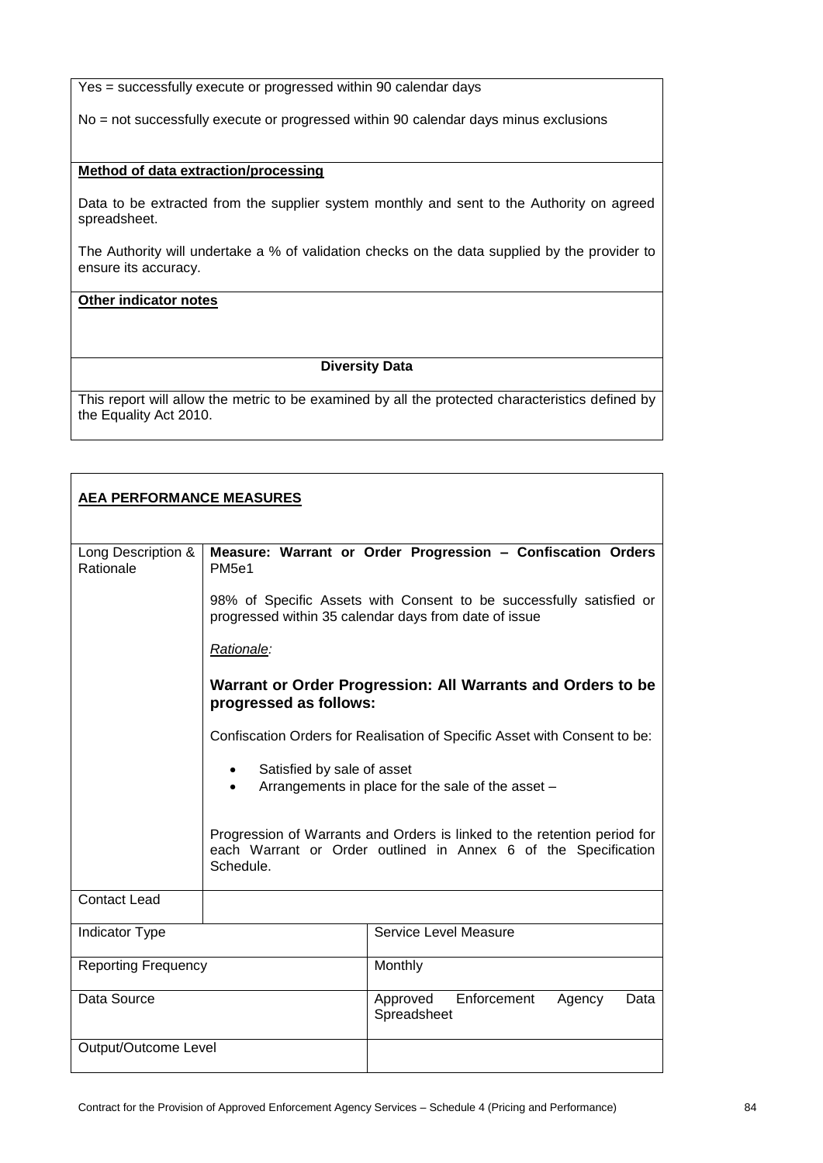Yes = successfully execute or progressed within 90 calendar days

No = not successfully execute or progressed within 90 calendar days minus exclusions

#### **Method of data extraction/processing**

Data to be extracted from the supplier system monthly and sent to the Authority on agreed spreadsheet.

The Authority will undertake a % of validation checks on the data supplied by the provider to ensure its accuracy.

# **Other indicator notes**

## **Diversity Data**

| <b>AEA PERFORMANCE MEASURES</b> |                                                                                       |                                                                                                                                            |  |
|---------------------------------|---------------------------------------------------------------------------------------|--------------------------------------------------------------------------------------------------------------------------------------------|--|
| Long Description &<br>Rationale | PM <sub>5e1</sub>                                                                     | Measure: Warrant or Order Progression - Confiscation Orders                                                                                |  |
|                                 |                                                                                       | 98% of Specific Assets with Consent to be successfully satisfied or<br>progressed within 35 calendar days from date of issue               |  |
|                                 | Rationale:                                                                            |                                                                                                                                            |  |
|                                 | Warrant or Order Progression: All Warrants and Orders to be<br>progressed as follows: |                                                                                                                                            |  |
|                                 |                                                                                       | Confiscation Orders for Realisation of Specific Asset with Consent to be:                                                                  |  |
|                                 | Satisfied by sale of asset                                                            | Arrangements in place for the sale of the asset -                                                                                          |  |
|                                 | Schedule.                                                                             | Progression of Warrants and Orders is linked to the retention period for<br>each Warrant or Order outlined in Annex 6 of the Specification |  |
| <b>Contact Lead</b>             |                                                                                       |                                                                                                                                            |  |
| <b>Indicator Type</b>           |                                                                                       | Service Level Measure                                                                                                                      |  |
| <b>Reporting Frequency</b>      |                                                                                       | Monthly                                                                                                                                    |  |
| Data Source                     |                                                                                       | Enforcement<br>Approved<br>Agency<br>Data<br>Spreadsheet                                                                                   |  |
| Output/Outcome Level            |                                                                                       |                                                                                                                                            |  |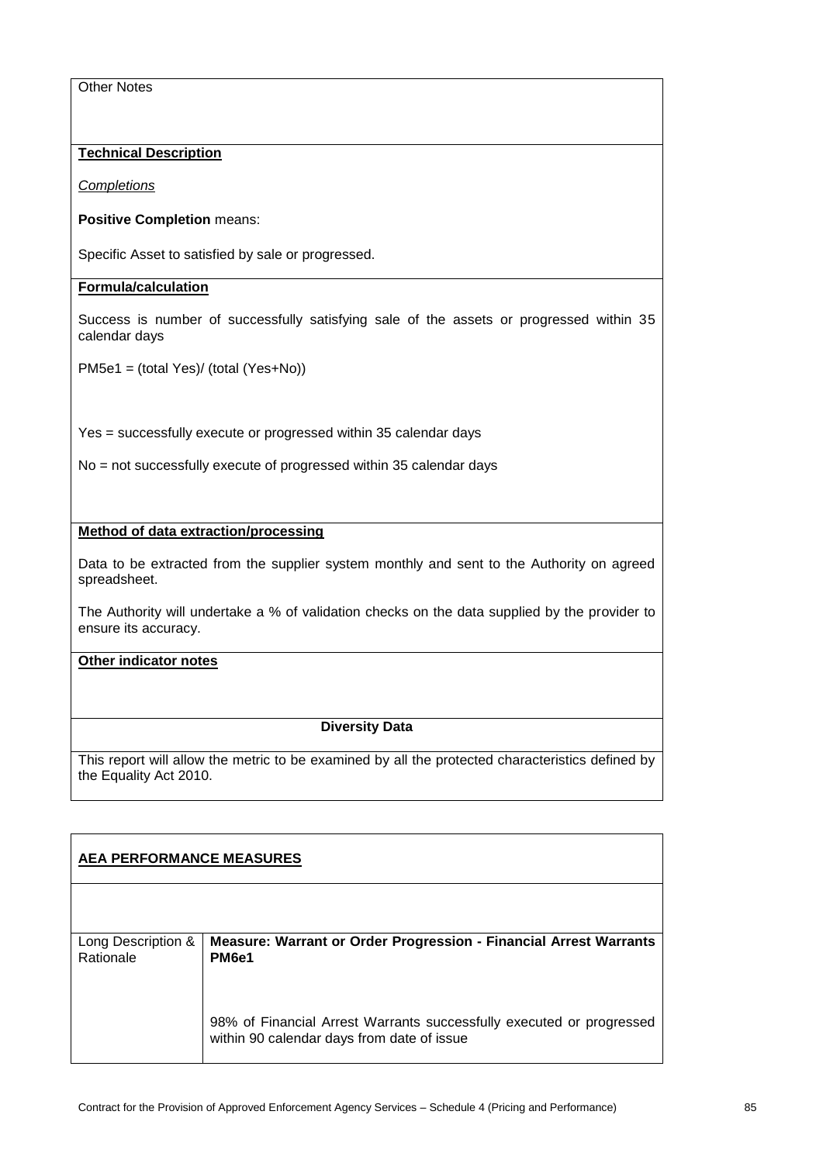## **Technical Description**

*Completions*

#### **Positive Completion** means:

Specific Asset to satisfied by sale or progressed.

## **Formula/calculation**

Success is number of successfully satisfying sale of the assets or progressed within 35 calendar days

PM5e1 = (total Yes)/ (total (Yes+No))

Yes = successfully execute or progressed within 35 calendar days

No = not successfully execute of progressed within 35 calendar days

#### **Method of data extraction/processing**

Data to be extracted from the supplier system monthly and sent to the Authority on agreed spreadsheet.

The Authority will undertake a % of validation checks on the data supplied by the provider to ensure its accuracy.

# **Other indicator notes**

## **Diversity Data**

| <b>AEA PERFORMANCE MEASURES</b> |                                                                                                                    |  |
|---------------------------------|--------------------------------------------------------------------------------------------------------------------|--|
|                                 |                                                                                                                    |  |
| Long Description &<br>Rationale | Measure: Warrant or Order Progression - Financial Arrest Warrants<br>PM <sub>6e1</sub>                             |  |
|                                 | 98% of Financial Arrest Warrants successfully executed or progressed<br>within 90 calendar days from date of issue |  |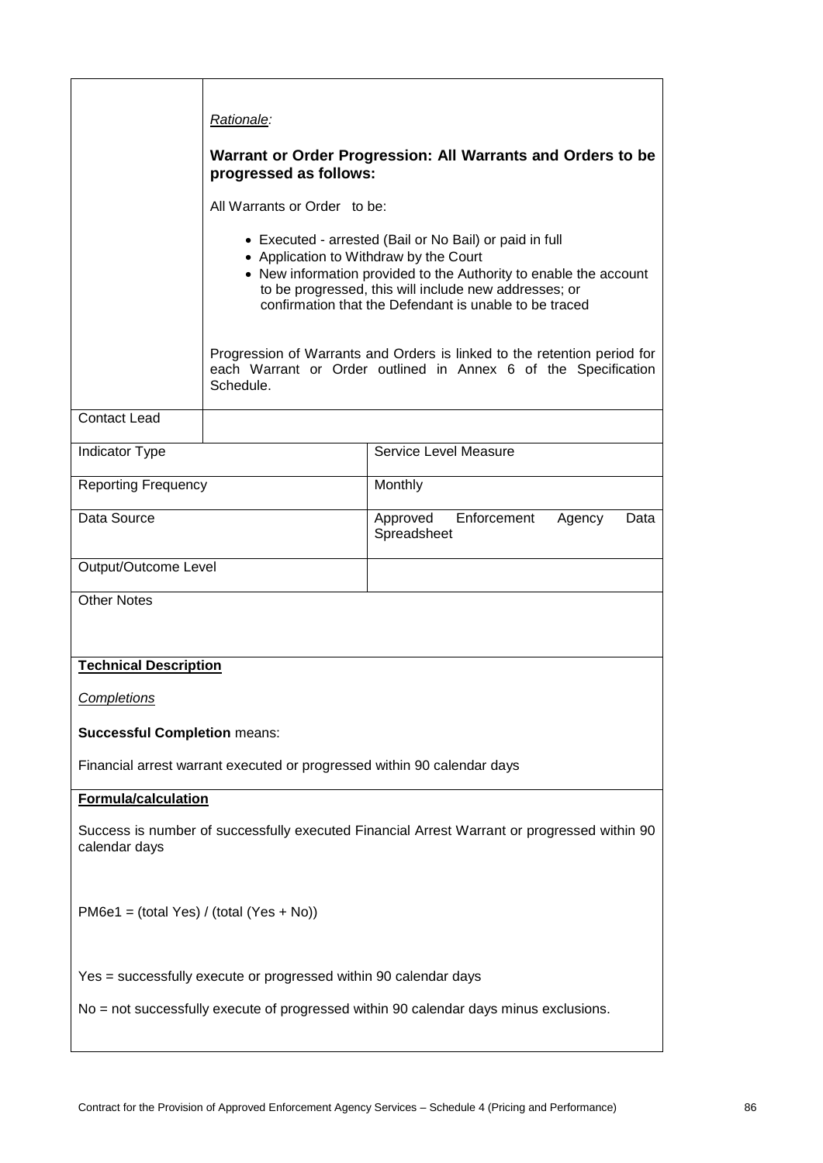|                                                                                                                                                           | Rationale:                                                                                                                                                                                                                                                                                |                                                          |  |
|-----------------------------------------------------------------------------------------------------------------------------------------------------------|-------------------------------------------------------------------------------------------------------------------------------------------------------------------------------------------------------------------------------------------------------------------------------------------|----------------------------------------------------------|--|
|                                                                                                                                                           | Warrant or Order Progression: All Warrants and Orders to be<br>progressed as follows:                                                                                                                                                                                                     |                                                          |  |
|                                                                                                                                                           | All Warrants or Order to be:                                                                                                                                                                                                                                                              |                                                          |  |
|                                                                                                                                                           | • Executed - arrested (Bail or No Bail) or paid in full<br>• Application to Withdraw by the Court<br>• New information provided to the Authority to enable the account<br>to be progressed, this will include new addresses; or<br>confirmation that the Defendant is unable to be traced |                                                          |  |
|                                                                                                                                                           | Progression of Warrants and Orders is linked to the retention period for<br>each Warrant or Order outlined in Annex 6 of the Specification<br>Schedule.                                                                                                                                   |                                                          |  |
| <b>Contact Lead</b>                                                                                                                                       |                                                                                                                                                                                                                                                                                           |                                                          |  |
| Indicator Type                                                                                                                                            |                                                                                                                                                                                                                                                                                           | Service Level Measure                                    |  |
| <b>Reporting Frequency</b>                                                                                                                                |                                                                                                                                                                                                                                                                                           | Monthly                                                  |  |
| Data Source                                                                                                                                               |                                                                                                                                                                                                                                                                                           | Enforcement<br>Approved<br>Agency<br>Data<br>Spreadsheet |  |
| Output/Outcome Level                                                                                                                                      |                                                                                                                                                                                                                                                                                           |                                                          |  |
| <b>Other Notes</b>                                                                                                                                        |                                                                                                                                                                                                                                                                                           |                                                          |  |
|                                                                                                                                                           |                                                                                                                                                                                                                                                                                           |                                                          |  |
| <b>Technical Description</b>                                                                                                                              |                                                                                                                                                                                                                                                                                           |                                                          |  |
| Completions                                                                                                                                               |                                                                                                                                                                                                                                                                                           |                                                          |  |
|                                                                                                                                                           | <b>Successful Completion means:</b>                                                                                                                                                                                                                                                       |                                                          |  |
|                                                                                                                                                           | Financial arrest warrant executed or progressed within 90 calendar days                                                                                                                                                                                                                   |                                                          |  |
| <b>Formula/calculation</b>                                                                                                                                |                                                                                                                                                                                                                                                                                           |                                                          |  |
| Success is number of successfully executed Financial Arrest Warrant or progressed within 90<br>calendar days                                              |                                                                                                                                                                                                                                                                                           |                                                          |  |
| $PM6e1 = (total Yes) / (total (Yes + No))$                                                                                                                |                                                                                                                                                                                                                                                                                           |                                                          |  |
| Yes = successfully execute or progressed within 90 calendar days<br>No = not successfully execute of progressed within 90 calendar days minus exclusions. |                                                                                                                                                                                                                                                                                           |                                                          |  |
|                                                                                                                                                           |                                                                                                                                                                                                                                                                                           |                                                          |  |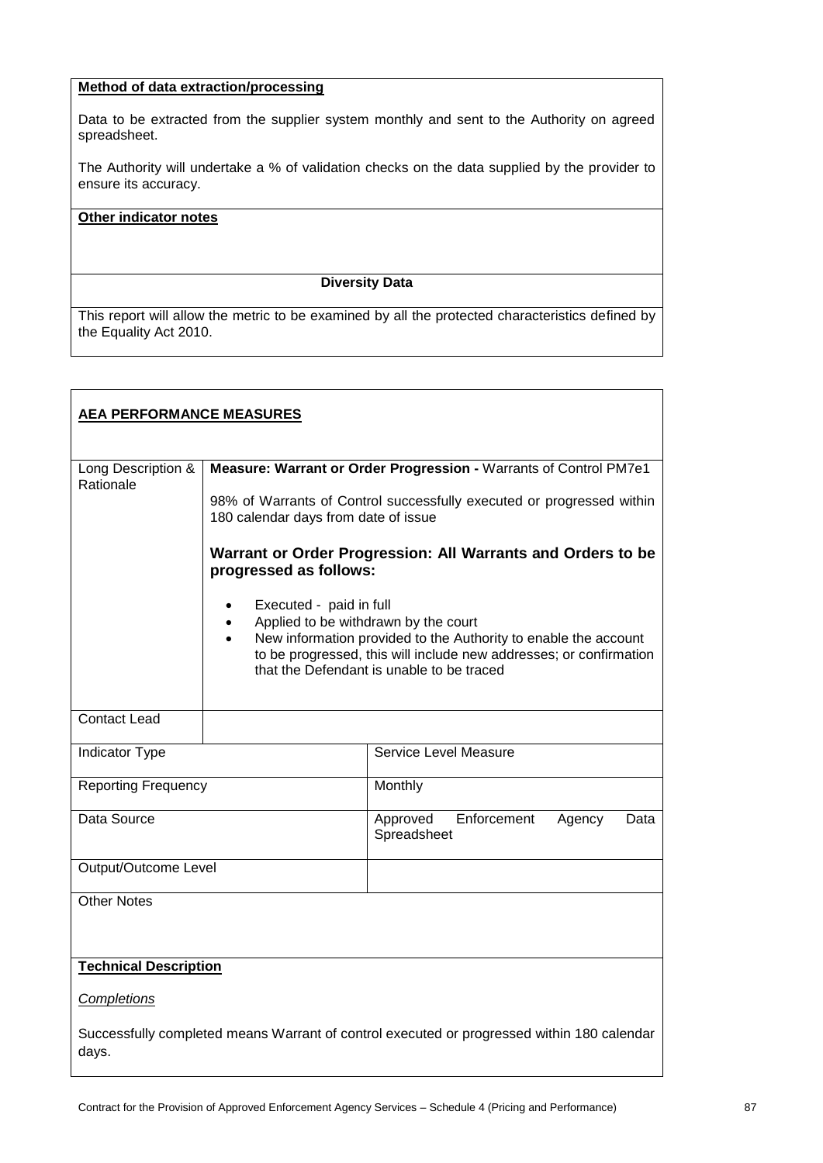# **Method of data extraction/processing**

Data to be extracted from the supplier system monthly and sent to the Authority on agreed spreadsheet.

The Authority will undertake a % of validation checks on the data supplied by the provider to ensure its accuracy.

#### **Other indicator notes**

#### **Diversity Data**

| <b>AEA PERFORMANCE MEASURES</b>                                                                     |                                                                                       |                                                                                                                                                                                    |  |
|-----------------------------------------------------------------------------------------------------|---------------------------------------------------------------------------------------|------------------------------------------------------------------------------------------------------------------------------------------------------------------------------------|--|
| Long Description &                                                                                  |                                                                                       | Measure: Warrant or Order Progression - Warrants of Control PM7e1                                                                                                                  |  |
| Rationale                                                                                           |                                                                                       |                                                                                                                                                                                    |  |
|                                                                                                     | 180 calendar days from date of issue                                                  | 98% of Warrants of Control successfully executed or progressed within                                                                                                              |  |
|                                                                                                     | Warrant or Order Progression: All Warrants and Orders to be<br>progressed as follows: |                                                                                                                                                                                    |  |
|                                                                                                     | Executed - paid in full<br>$\bullet$<br>Applied to be withdrawn by the court          | New information provided to the Authority to enable the account<br>to be progressed, this will include new addresses; or confirmation<br>that the Defendant is unable to be traced |  |
| <b>Contact Lead</b>                                                                                 |                                                                                       |                                                                                                                                                                                    |  |
| <b>Indicator Type</b>                                                                               |                                                                                       | Service Level Measure                                                                                                                                                              |  |
| <b>Reporting Frequency</b>                                                                          |                                                                                       | Monthly                                                                                                                                                                            |  |
| Data Source                                                                                         |                                                                                       | Enforcement<br>Approved<br>Agency<br>Data<br>Spreadsheet                                                                                                                           |  |
| Output/Outcome Level                                                                                |                                                                                       |                                                                                                                                                                                    |  |
| <b>Other Notes</b>                                                                                  |                                                                                       |                                                                                                                                                                                    |  |
| <b>Technical Description</b>                                                                        |                                                                                       |                                                                                                                                                                                    |  |
| Completions                                                                                         |                                                                                       |                                                                                                                                                                                    |  |
| Successfully completed means Warrant of control executed or progressed within 180 calendar<br>days. |                                                                                       |                                                                                                                                                                                    |  |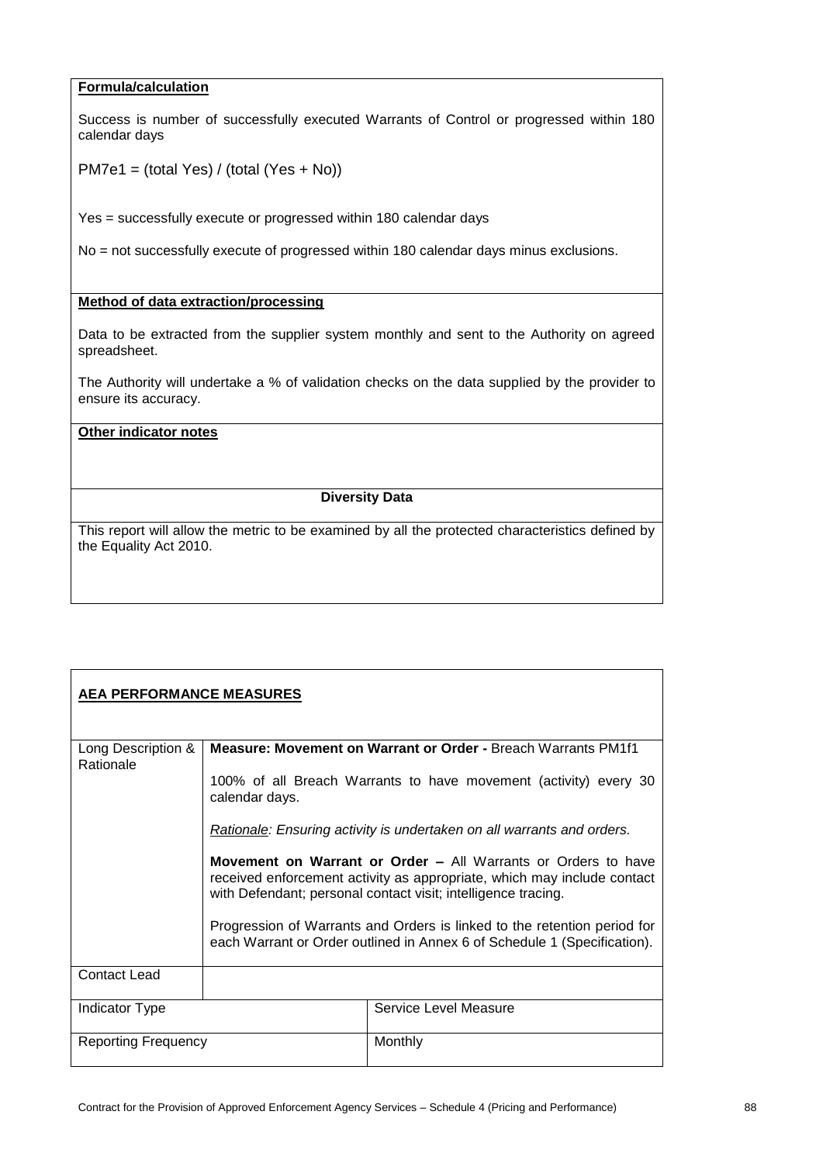## **Formula/calculation**

Success is number of successfully executed Warrants of Control or progressed within 180 calendar days

PM7e1 = (total Yes) / (total (Yes + No))

Yes = successfully execute or progressed within 180 calendar days

No = not successfully execute of progressed within 180 calendar days minus exclusions.

#### **Method of data extraction/processing**

Data to be extracted from the supplier system monthly and sent to the Authority on agreed spreadsheet.

The Authority will undertake a % of validation checks on the data supplied by the provider to ensure its accuracy.

## **Other indicator notes**

#### **Diversity Data**

| <b>AEA PERFORMANCE MEASURES</b> |                                                                                                                                                                                                                                                                                                                                                                                                                                                    |                       |  |
|---------------------------------|----------------------------------------------------------------------------------------------------------------------------------------------------------------------------------------------------------------------------------------------------------------------------------------------------------------------------------------------------------------------------------------------------------------------------------------------------|-----------------------|--|
| Long Description &<br>Rationale | <b>Measure: Movement on Warrant or Order - Breach Warrants PM1f1</b><br>100% of all Breach Warrants to have movement (activity) every 30<br>calendar days.                                                                                                                                                                                                                                                                                         |                       |  |
|                                 | Rationale: Ensuring activity is undertaken on all warrants and orders.<br><b>Movement on Warrant or Order – All Warrants or Orders to have</b><br>received enforcement activity as appropriate, which may include contact<br>with Defendant; personal contact visit; intelligence tracing.<br>Progression of Warrants and Orders is linked to the retention period for<br>each Warrant or Order outlined in Annex 6 of Schedule 1 (Specification). |                       |  |
| <b>Contact Lead</b>             |                                                                                                                                                                                                                                                                                                                                                                                                                                                    |                       |  |
| Indicator Type                  |                                                                                                                                                                                                                                                                                                                                                                                                                                                    | Service Level Measure |  |
| Reporting Frequency             |                                                                                                                                                                                                                                                                                                                                                                                                                                                    | Monthly               |  |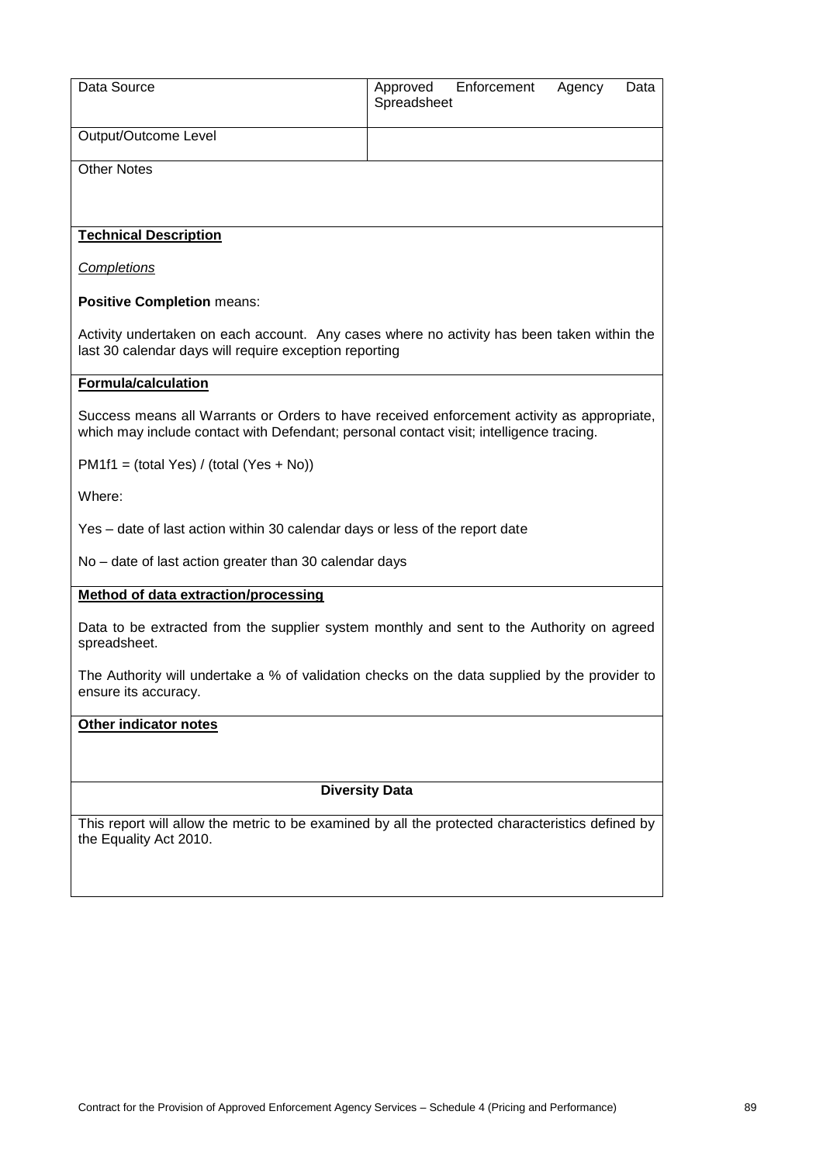| Data Source                                                                                                                                                                           | Approved<br>Spreadsheet | Enforcement | Agency | Data |
|---------------------------------------------------------------------------------------------------------------------------------------------------------------------------------------|-------------------------|-------------|--------|------|
| Output/Outcome Level                                                                                                                                                                  |                         |             |        |      |
| <b>Other Notes</b>                                                                                                                                                                    |                         |             |        |      |
| <b>Technical Description</b>                                                                                                                                                          |                         |             |        |      |
| <b>Completions</b>                                                                                                                                                                    |                         |             |        |      |
| <b>Positive Completion means:</b>                                                                                                                                                     |                         |             |        |      |
| Activity undertaken on each account. Any cases where no activity has been taken within the<br>last 30 calendar days will require exception reporting                                  |                         |             |        |      |
| <b>Formula/calculation</b>                                                                                                                                                            |                         |             |        |      |
| Success means all Warrants or Orders to have received enforcement activity as appropriate,<br>which may include contact with Defendant; personal contact visit; intelligence tracing. |                         |             |        |      |
| $PM1f1 = (total Yes) / (total (Yes + No))$                                                                                                                                            |                         |             |        |      |
| Where:                                                                                                                                                                                |                         |             |        |      |
| Yes - date of last action within 30 calendar days or less of the report date                                                                                                          |                         |             |        |      |
| No - date of last action greater than 30 calendar days                                                                                                                                |                         |             |        |      |
| <b>Method of data extraction/processing</b>                                                                                                                                           |                         |             |        |      |
| Data to be extracted from the supplier system monthly and sent to the Authority on agreed<br>spreadsheet.                                                                             |                         |             |        |      |
| The Authority will undertake a % of validation checks on the data supplied by the provider to<br>ensure its accuracy.                                                                 |                         |             |        |      |
| <b>Other indicator notes</b>                                                                                                                                                          |                         |             |        |      |
|                                                                                                                                                                                       |                         |             |        |      |
| <b>Diversity Data</b>                                                                                                                                                                 |                         |             |        |      |
| This report will allow the metric to be examined by all the protected characteristics defined by<br>the Equality Act 2010.                                                            |                         |             |        |      |
|                                                                                                                                                                                       |                         |             |        |      |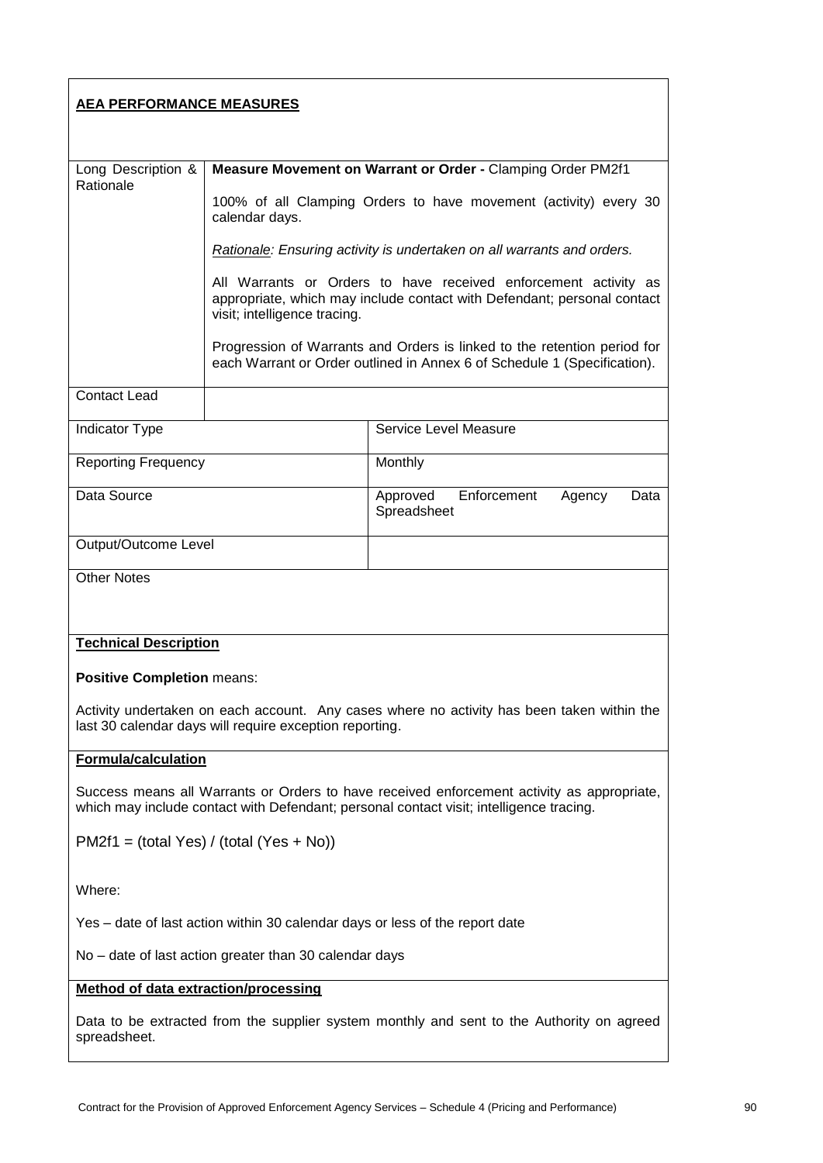# **AEA PERFORMANCE MEASURES**

| Long Description &<br>Rationale                                                                                                                                                       | Measure Movement on Warrant or Order - Clamping Order PM2f1                                                                                                                |                                                                                                                                                      |  |
|---------------------------------------------------------------------------------------------------------------------------------------------------------------------------------------|----------------------------------------------------------------------------------------------------------------------------------------------------------------------------|------------------------------------------------------------------------------------------------------------------------------------------------------|--|
|                                                                                                                                                                                       | 100% of all Clamping Orders to have movement (activity) every 30<br>calendar days.                                                                                         |                                                                                                                                                      |  |
|                                                                                                                                                                                       |                                                                                                                                                                            | Rationale: Ensuring activity is undertaken on all warrants and orders.                                                                               |  |
|                                                                                                                                                                                       | All Warrants or Orders to have received enforcement activity as<br>appropriate, which may include contact with Defendant; personal contact<br>visit; intelligence tracing. |                                                                                                                                                      |  |
|                                                                                                                                                                                       |                                                                                                                                                                            | Progression of Warrants and Orders is linked to the retention period for<br>each Warrant or Order outlined in Annex 6 of Schedule 1 (Specification). |  |
| <b>Contact Lead</b>                                                                                                                                                                   |                                                                                                                                                                            |                                                                                                                                                      |  |
| Indicator Type                                                                                                                                                                        |                                                                                                                                                                            | Service Level Measure                                                                                                                                |  |
| <b>Reporting Frequency</b>                                                                                                                                                            |                                                                                                                                                                            | Monthly                                                                                                                                              |  |
| Data Source                                                                                                                                                                           |                                                                                                                                                                            | Enforcement<br>Approved<br>Agency<br>Data<br>Spreadsheet                                                                                             |  |
| Output/Outcome Level                                                                                                                                                                  |                                                                                                                                                                            |                                                                                                                                                      |  |
| <b>Other Notes</b>                                                                                                                                                                    |                                                                                                                                                                            |                                                                                                                                                      |  |
|                                                                                                                                                                                       |                                                                                                                                                                            |                                                                                                                                                      |  |
| <b>Technical Description</b>                                                                                                                                                          |                                                                                                                                                                            |                                                                                                                                                      |  |
| <b>Positive Completion means:</b>                                                                                                                                                     |                                                                                                                                                                            |                                                                                                                                                      |  |
| Activity undertaken on each account. Any cases where no activity has been taken within the<br>last 30 calendar days will require exception reporting.                                 |                                                                                                                                                                            |                                                                                                                                                      |  |
| <b>Formula/calculation</b>                                                                                                                                                            |                                                                                                                                                                            |                                                                                                                                                      |  |
| Success means all Warrants or Orders to have received enforcement activity as appropriate,<br>which may include contact with Defendant; personal contact visit; intelligence tracing. |                                                                                                                                                                            |                                                                                                                                                      |  |
| $PM2f1 = (total Yes) / (total (Yes + No))$                                                                                                                                            |                                                                                                                                                                            |                                                                                                                                                      |  |
| Where:                                                                                                                                                                                |                                                                                                                                                                            |                                                                                                                                                      |  |
| Yes - date of last action within 30 calendar days or less of the report date                                                                                                          |                                                                                                                                                                            |                                                                                                                                                      |  |
| No – date of last action greater than 30 calendar days                                                                                                                                |                                                                                                                                                                            |                                                                                                                                                      |  |

# **Method of data extraction/processing**

Data to be extracted from the supplier system monthly and sent to the Authority on agreed spreadsheet.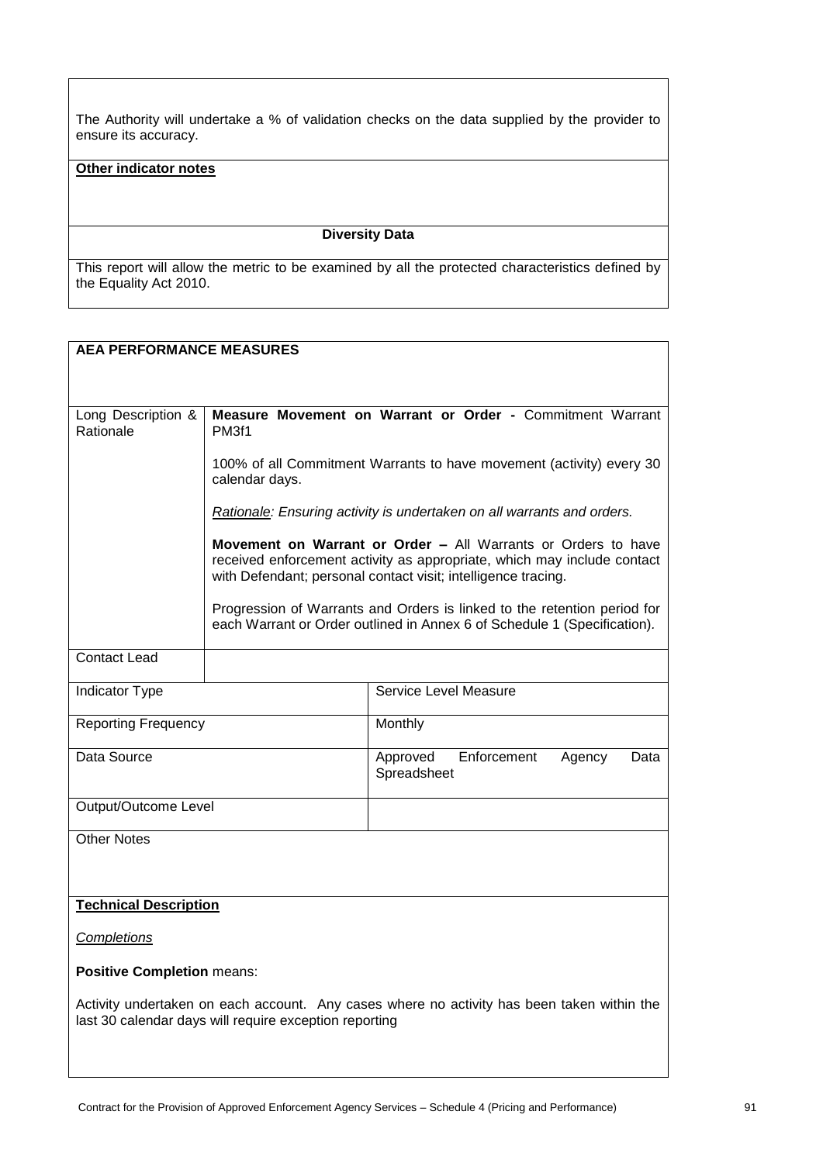The Authority will undertake a % of validation checks on the data supplied by the provider to ensure its accuracy.

## **Other indicator notes**

## **Diversity Data**

| <b>AEA PERFORMANCE MEASURES</b>                                                                                                                      |                                                                                                                                                                                                           |                                                                                                                                                      |
|------------------------------------------------------------------------------------------------------------------------------------------------------|-----------------------------------------------------------------------------------------------------------------------------------------------------------------------------------------------------------|------------------------------------------------------------------------------------------------------------------------------------------------------|
|                                                                                                                                                      |                                                                                                                                                                                                           |                                                                                                                                                      |
|                                                                                                                                                      |                                                                                                                                                                                                           |                                                                                                                                                      |
| Long Description &<br>Rationale                                                                                                                      | PM3f1                                                                                                                                                                                                     | Measure Movement on Warrant or Order - Commitment Warrant                                                                                            |
|                                                                                                                                                      | calendar days.                                                                                                                                                                                            | 100% of all Commitment Warrants to have movement (activity) every 30                                                                                 |
|                                                                                                                                                      |                                                                                                                                                                                                           | Rationale: Ensuring activity is undertaken on all warrants and orders.                                                                               |
|                                                                                                                                                      | Movement on Warrant or Order - All Warrants or Orders to have<br>received enforcement activity as appropriate, which may include contact<br>with Defendant; personal contact visit; intelligence tracing. |                                                                                                                                                      |
|                                                                                                                                                      |                                                                                                                                                                                                           | Progression of Warrants and Orders is linked to the retention period for<br>each Warrant or Order outlined in Annex 6 of Schedule 1 (Specification). |
| <b>Contact Lead</b>                                                                                                                                  |                                                                                                                                                                                                           |                                                                                                                                                      |
| Indicator Type                                                                                                                                       |                                                                                                                                                                                                           | <b>Service Level Measure</b>                                                                                                                         |
| <b>Reporting Frequency</b>                                                                                                                           |                                                                                                                                                                                                           | Monthly                                                                                                                                              |
| Data Source                                                                                                                                          |                                                                                                                                                                                                           | Enforcement<br>Approved<br>Agency<br>Data<br>Spreadsheet                                                                                             |
| Output/Outcome Level                                                                                                                                 |                                                                                                                                                                                                           |                                                                                                                                                      |
| <b>Other Notes</b>                                                                                                                                   |                                                                                                                                                                                                           |                                                                                                                                                      |
|                                                                                                                                                      |                                                                                                                                                                                                           |                                                                                                                                                      |
| <b>Technical Description</b>                                                                                                                         |                                                                                                                                                                                                           |                                                                                                                                                      |
| <b>Completions</b>                                                                                                                                   |                                                                                                                                                                                                           |                                                                                                                                                      |
| <b>Positive Completion means:</b>                                                                                                                    |                                                                                                                                                                                                           |                                                                                                                                                      |
| Activity undertaken on each account. Any cases where no activity has been taken within the<br>last 30 calendar days will require exception reporting |                                                                                                                                                                                                           |                                                                                                                                                      |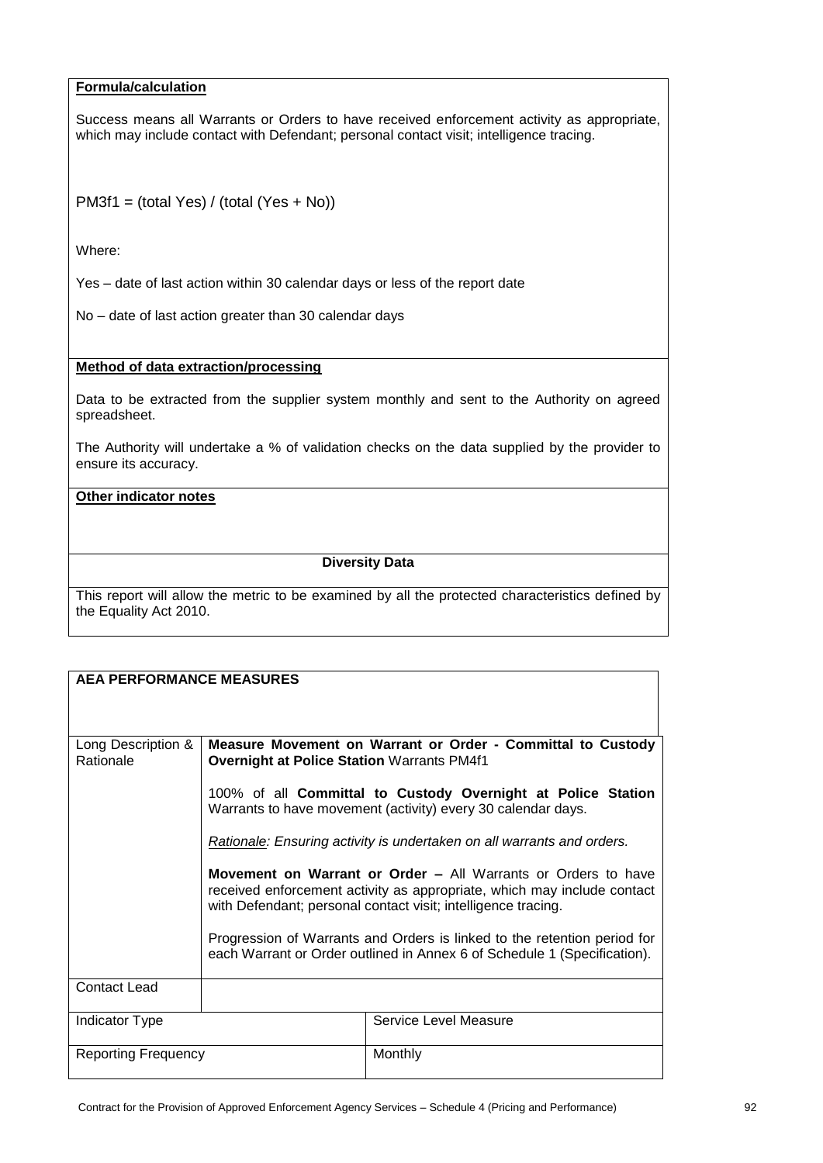# **Formula/calculation**

Success means all Warrants or Orders to have received enforcement activity as appropriate, which may include contact with Defendant; personal contact visit; intelligence tracing.

PM3f1 = (total Yes) / (total (Yes + No))

Where:

Yes – date of last action within 30 calendar days or less of the report date

No – date of last action greater than 30 calendar days

#### **Method of data extraction/processing**

Data to be extracted from the supplier system monthly and sent to the Authority on agreed spreadsheet.

The Authority will undertake a % of validation checks on the data supplied by the provider to ensure its accuracy.

# **Other indicator notes**

#### **Diversity Data**

| <b>AEA PERFORMANCE MEASURES</b> |                                                                                                                                                                                                                  |                                                                                                                                                      |
|---------------------------------|------------------------------------------------------------------------------------------------------------------------------------------------------------------------------------------------------------------|------------------------------------------------------------------------------------------------------------------------------------------------------|
| Long Description &<br>Rationale | <b>Overnight at Police Station Warrants PM4f1</b>                                                                                                                                                                | Measure Movement on Warrant or Order - Committal to Custody                                                                                          |
|                                 |                                                                                                                                                                                                                  | 100% of all Committal to Custody Overnight at Police Station<br>Warrants to have movement (activity) every 30 calendar days.                         |
|                                 |                                                                                                                                                                                                                  | Rationale: Ensuring activity is undertaken on all warrants and orders.                                                                               |
|                                 | <b>Movement on Warrant or Order – All Warrants or Orders to have</b><br>received enforcement activity as appropriate, which may include contact<br>with Defendant; personal contact visit; intelligence tracing. |                                                                                                                                                      |
|                                 |                                                                                                                                                                                                                  | Progression of Warrants and Orders is linked to the retention period for<br>each Warrant or Order outlined in Annex 6 of Schedule 1 (Specification). |
| <b>Contact Lead</b>             |                                                                                                                                                                                                                  |                                                                                                                                                      |
| Indicator Type                  |                                                                                                                                                                                                                  | Service Level Measure                                                                                                                                |
| <b>Reporting Frequency</b>      |                                                                                                                                                                                                                  | Monthly                                                                                                                                              |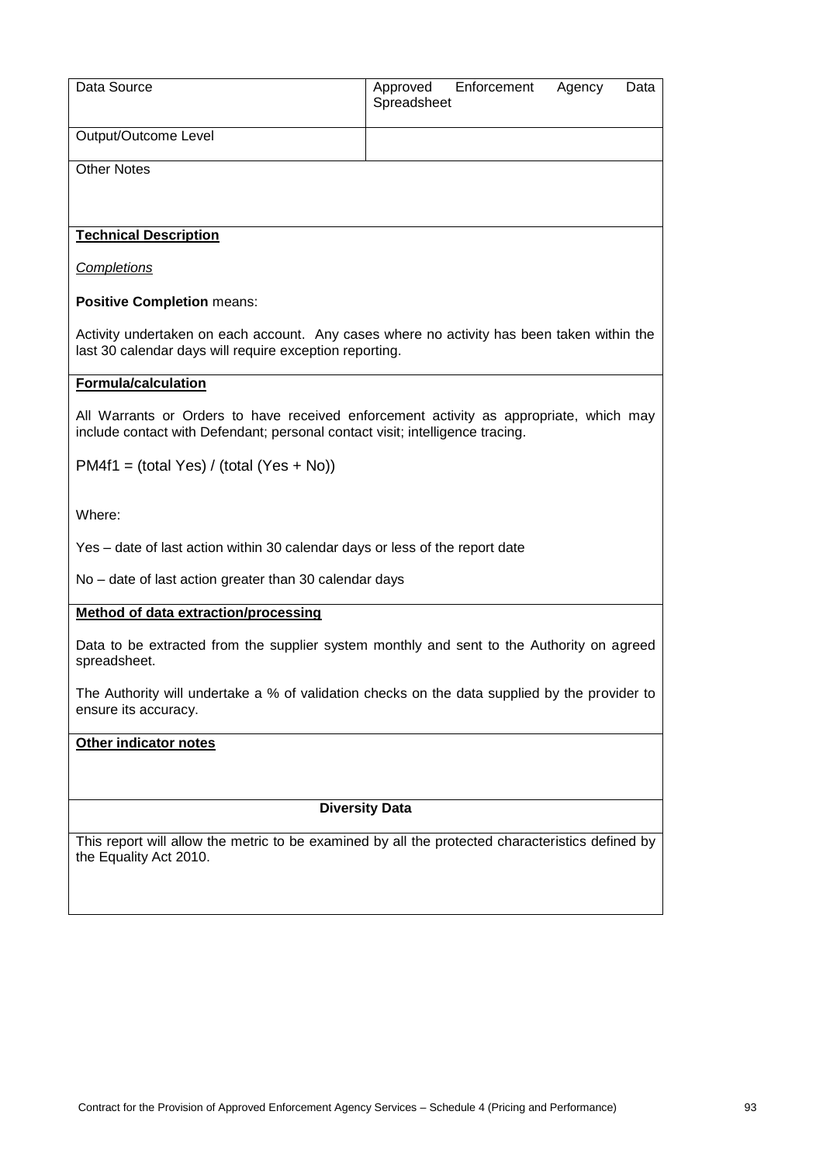| Data Source                                                                                                                                                             | Enforcement<br>Approved<br>Agency<br>Data<br>Spreadsheet |  |  |
|-------------------------------------------------------------------------------------------------------------------------------------------------------------------------|----------------------------------------------------------|--|--|
| Output/Outcome Level                                                                                                                                                    |                                                          |  |  |
| <b>Other Notes</b>                                                                                                                                                      |                                                          |  |  |
| <b>Technical Description</b>                                                                                                                                            |                                                          |  |  |
| <b>Completions</b>                                                                                                                                                      |                                                          |  |  |
| <b>Positive Completion means:</b>                                                                                                                                       |                                                          |  |  |
| Activity undertaken on each account. Any cases where no activity has been taken within the<br>last 30 calendar days will require exception reporting.                   |                                                          |  |  |
| <b>Formula/calculation</b>                                                                                                                                              |                                                          |  |  |
| All Warrants or Orders to have received enforcement activity as appropriate, which may<br>include contact with Defendant; personal contact visit; intelligence tracing. |                                                          |  |  |
| $PM4f1 = (total Yes) / (total (Yes + No))$                                                                                                                              |                                                          |  |  |
| Where:                                                                                                                                                                  |                                                          |  |  |
| Yes - date of last action within 30 calendar days or less of the report date                                                                                            |                                                          |  |  |
| No - date of last action greater than 30 calendar days                                                                                                                  |                                                          |  |  |
| <b>Method of data extraction/processing</b>                                                                                                                             |                                                          |  |  |
| Data to be extracted from the supplier system monthly and sent to the Authority on agreed<br>spreadsheet.                                                               |                                                          |  |  |
| The Authority will undertake a % of validation checks on the data supplied by the provider to<br>ensure its accuracy.                                                   |                                                          |  |  |
| Other indicator notes                                                                                                                                                   |                                                          |  |  |
|                                                                                                                                                                         |                                                          |  |  |
|                                                                                                                                                                         | <b>Diversity Data</b>                                    |  |  |
| This report will allow the metric to be examined by all the protected characteristics defined by<br>the Equality Act 2010.                                              |                                                          |  |  |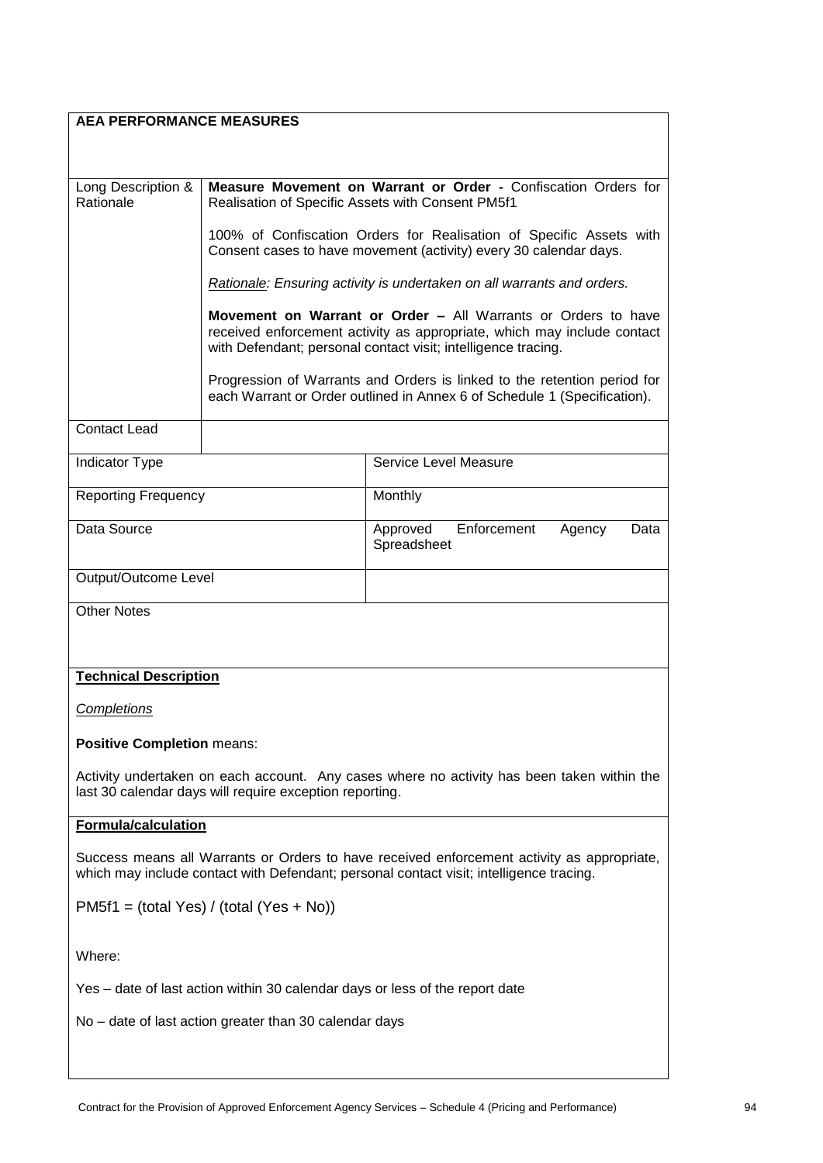| <b>AEA PERFORMANCE MEASURES</b>                                                                                                                                                       |                                                                                                                                                                                                           |                                                                                                                                                      |  |
|---------------------------------------------------------------------------------------------------------------------------------------------------------------------------------------|-----------------------------------------------------------------------------------------------------------------------------------------------------------------------------------------------------------|------------------------------------------------------------------------------------------------------------------------------------------------------|--|
| Long Description &<br>Rationale                                                                                                                                                       | Measure Movement on Warrant or Order - Confiscation Orders for<br>Realisation of Specific Assets with Consent PM5f1                                                                                       |                                                                                                                                                      |  |
|                                                                                                                                                                                       |                                                                                                                                                                                                           | 100% of Confiscation Orders for Realisation of Specific Assets with<br>Consent cases to have movement (activity) every 30 calendar days.             |  |
|                                                                                                                                                                                       |                                                                                                                                                                                                           | Rationale: Ensuring activity is undertaken on all warrants and orders.                                                                               |  |
|                                                                                                                                                                                       | Movement on Warrant or Order - All Warrants or Orders to have<br>received enforcement activity as appropriate, which may include contact<br>with Defendant; personal contact visit; intelligence tracing. |                                                                                                                                                      |  |
|                                                                                                                                                                                       |                                                                                                                                                                                                           | Progression of Warrants and Orders is linked to the retention period for<br>each Warrant or Order outlined in Annex 6 of Schedule 1 (Specification). |  |
| <b>Contact Lead</b>                                                                                                                                                                   |                                                                                                                                                                                                           |                                                                                                                                                      |  |
| Indicator Type                                                                                                                                                                        |                                                                                                                                                                                                           | Service Level Measure                                                                                                                                |  |
| <b>Reporting Frequency</b>                                                                                                                                                            |                                                                                                                                                                                                           | Monthly                                                                                                                                              |  |
| Data Source                                                                                                                                                                           |                                                                                                                                                                                                           | Enforcement<br>Approved<br>Data<br>Agency<br>Spreadsheet                                                                                             |  |
| Output/Outcome Level                                                                                                                                                                  |                                                                                                                                                                                                           |                                                                                                                                                      |  |
| <b>Other Notes</b>                                                                                                                                                                    |                                                                                                                                                                                                           |                                                                                                                                                      |  |
| <b>Technical Description</b>                                                                                                                                                          |                                                                                                                                                                                                           |                                                                                                                                                      |  |
| <b>Completions</b>                                                                                                                                                                    |                                                                                                                                                                                                           |                                                                                                                                                      |  |
| <b>Positive Completion means:</b>                                                                                                                                                     |                                                                                                                                                                                                           |                                                                                                                                                      |  |
| Activity undertaken on each account. Any cases where no activity has been taken within the<br>last 30 calendar days will require exception reporting.                                 |                                                                                                                                                                                                           |                                                                                                                                                      |  |
| <b>Formula/calculation</b>                                                                                                                                                            |                                                                                                                                                                                                           |                                                                                                                                                      |  |
| Success means all Warrants or Orders to have received enforcement activity as appropriate,<br>which may include contact with Defendant; personal contact visit; intelligence tracing. |                                                                                                                                                                                                           |                                                                                                                                                      |  |
| $PM5f1 = (total Yes) / (total (Yes + No))$                                                                                                                                            |                                                                                                                                                                                                           |                                                                                                                                                      |  |
| Where:                                                                                                                                                                                |                                                                                                                                                                                                           |                                                                                                                                                      |  |
| Yes - date of last action within 30 calendar days or less of the report date                                                                                                          |                                                                                                                                                                                                           |                                                                                                                                                      |  |
| No - date of last action greater than 30 calendar days                                                                                                                                |                                                                                                                                                                                                           |                                                                                                                                                      |  |
|                                                                                                                                                                                       |                                                                                                                                                                                                           |                                                                                                                                                      |  |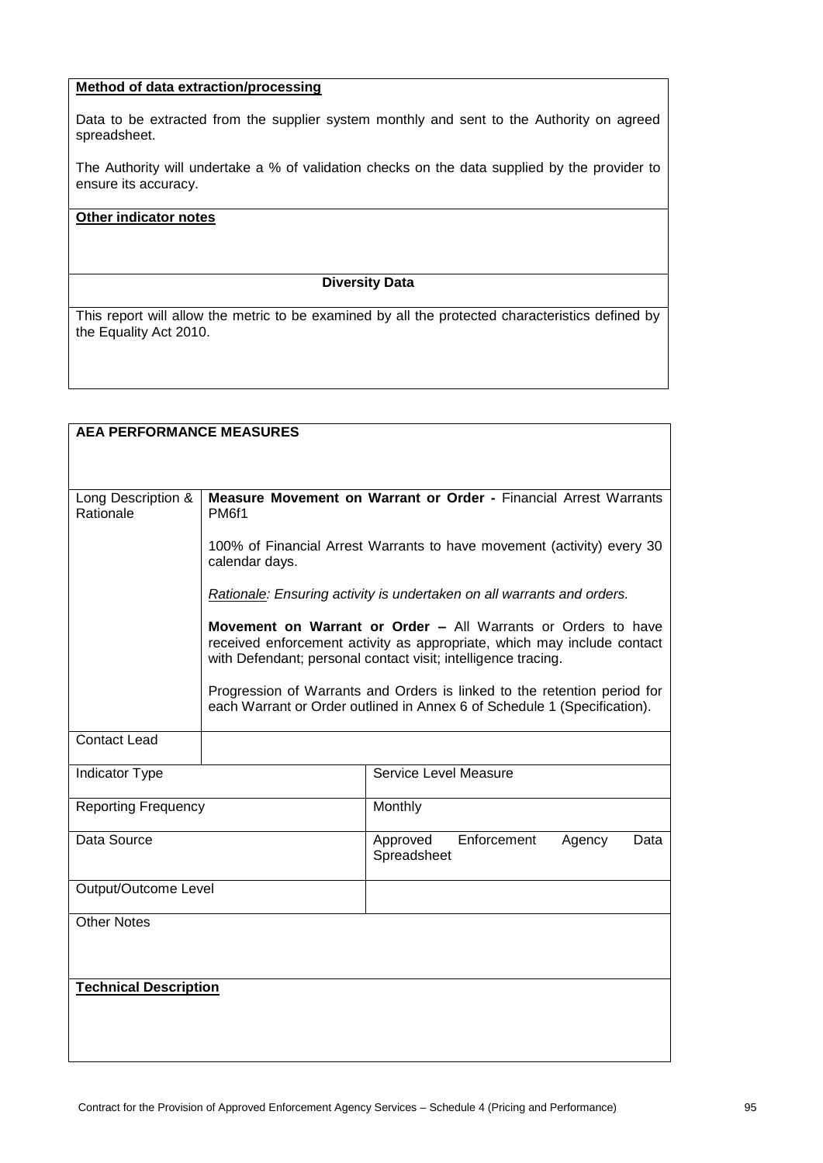# **Method of data extraction/processing**

Data to be extracted from the supplier system monthly and sent to the Authority on agreed spreadsheet.

The Authority will undertake a % of validation checks on the data supplied by the provider to ensure its accuracy.

#### **Other indicator notes**

#### **Diversity Data**

| <b>AEA PERFORMANCE MEASURES</b> |                                                                                                                                                                                                           |                                                                                                                                                      |  |
|---------------------------------|-----------------------------------------------------------------------------------------------------------------------------------------------------------------------------------------------------------|------------------------------------------------------------------------------------------------------------------------------------------------------|--|
|                                 |                                                                                                                                                                                                           |                                                                                                                                                      |  |
| Long Description &<br>Rationale | Measure Movement on Warrant or Order - Financial Arrest Warrants<br>PM6f1                                                                                                                                 |                                                                                                                                                      |  |
|                                 | calendar days.                                                                                                                                                                                            | 100% of Financial Arrest Warrants to have movement (activity) every 30                                                                               |  |
|                                 | Rationale: Ensuring activity is undertaken on all warrants and orders.                                                                                                                                    |                                                                                                                                                      |  |
|                                 | Movement on Warrant or Order - All Warrants or Orders to have<br>received enforcement activity as appropriate, which may include contact<br>with Defendant; personal contact visit; intelligence tracing. |                                                                                                                                                      |  |
|                                 |                                                                                                                                                                                                           | Progression of Warrants and Orders is linked to the retention period for<br>each Warrant or Order outlined in Annex 6 of Schedule 1 (Specification). |  |
| <b>Contact Lead</b>             |                                                                                                                                                                                                           |                                                                                                                                                      |  |
| <b>Indicator Type</b>           |                                                                                                                                                                                                           | Service Level Measure                                                                                                                                |  |
| <b>Reporting Frequency</b>      |                                                                                                                                                                                                           | Monthly                                                                                                                                              |  |
| Data Source                     |                                                                                                                                                                                                           | Approved<br>Enforcement<br>Agency<br>Data<br>Spreadsheet                                                                                             |  |
| Output/Outcome Level            |                                                                                                                                                                                                           |                                                                                                                                                      |  |
| <b>Other Notes</b>              |                                                                                                                                                                                                           |                                                                                                                                                      |  |
| <b>Technical Description</b>    |                                                                                                                                                                                                           |                                                                                                                                                      |  |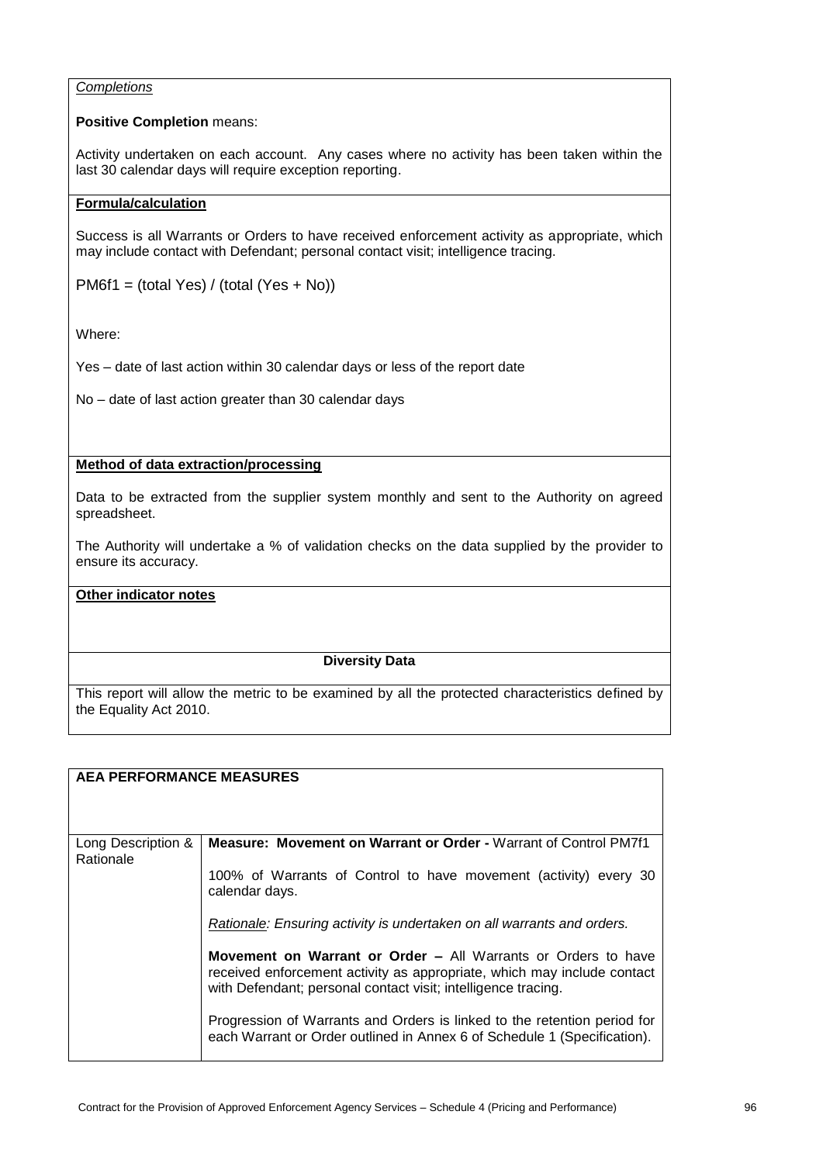## *Completions*

## **Positive Completion** means:

Activity undertaken on each account. Any cases where no activity has been taken within the last 30 calendar days will require exception reporting.

# **Formula/calculation**

Success is all Warrants or Orders to have received enforcement activity as appropriate, which may include contact with Defendant; personal contact visit; intelligence tracing.

PM6f1 = (total Yes) / (total (Yes + No))

Where:

Yes – date of last action within 30 calendar days or less of the report date

No – date of last action greater than 30 calendar days

# **Method of data extraction/processing**

Data to be extracted from the supplier system monthly and sent to the Authority on agreed spreadsheet.

The Authority will undertake a % of validation checks on the data supplied by the provider to ensure its accuracy.

## **Other indicator notes**

# **Diversity Data**

| <b>AEA PERFORMANCE MEASURES</b> |                                                                                                                                                                                                                                                                                                                                                                                                                                             |
|---------------------------------|---------------------------------------------------------------------------------------------------------------------------------------------------------------------------------------------------------------------------------------------------------------------------------------------------------------------------------------------------------------------------------------------------------------------------------------------|
| Long Description &<br>Rationale | <b>Measure: Movement on Warrant or Order - Warrant of Control PM7f1</b><br>100% of Warrants of Control to have movement (activity) every 30<br>calendar days.                                                                                                                                                                                                                                                                               |
|                                 | Rationale: Ensuring activity is undertaken on all warrants and orders.<br>Movement on Warrant or Order - All Warrants or Orders to have<br>received enforcement activity as appropriate, which may include contact<br>with Defendant; personal contact visit; intelligence tracing.<br>Progression of Warrants and Orders is linked to the retention period for<br>each Warrant or Order outlined in Annex 6 of Schedule 1 (Specification). |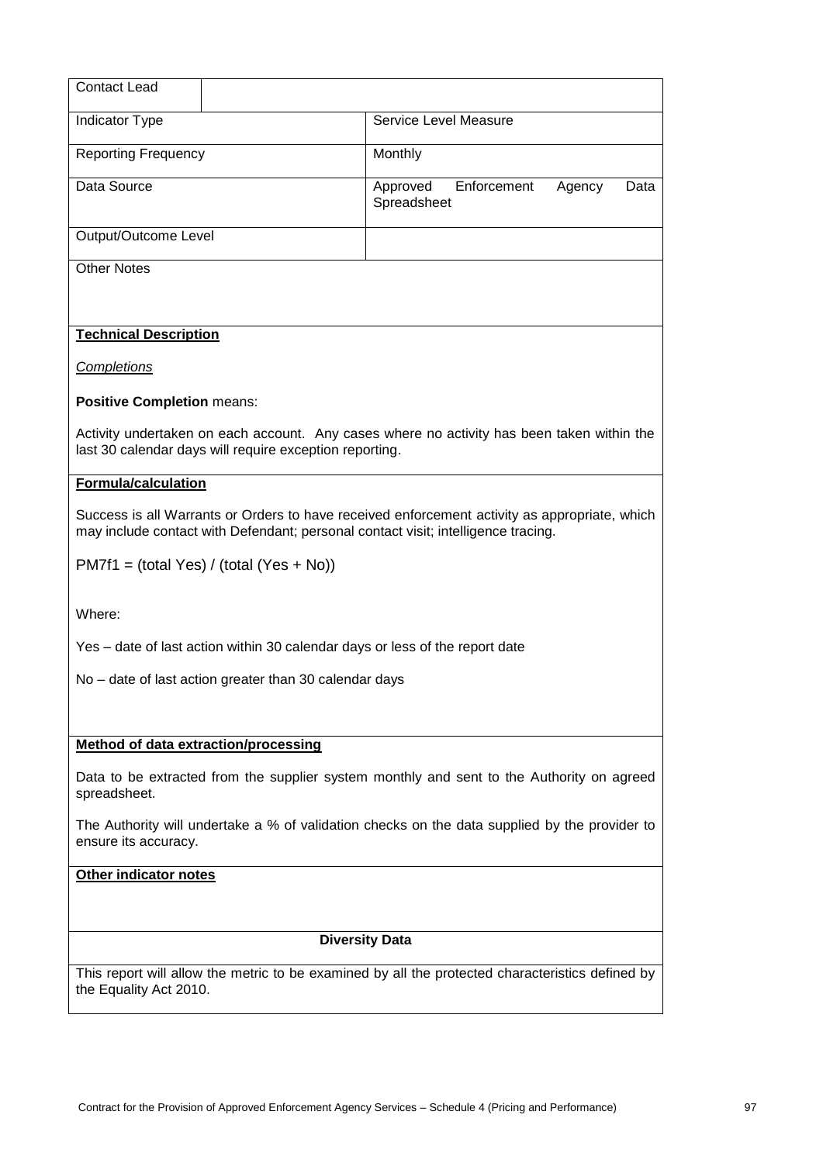| <b>Contact Lead</b>                                                                                                                                                                |                                                                                                                                                       |                         |             |        |      |
|------------------------------------------------------------------------------------------------------------------------------------------------------------------------------------|-------------------------------------------------------------------------------------------------------------------------------------------------------|-------------------------|-------------|--------|------|
| <b>Indicator Type</b>                                                                                                                                                              |                                                                                                                                                       | Service Level Measure   |             |        |      |
| <b>Reporting Frequency</b>                                                                                                                                                         |                                                                                                                                                       | Monthly                 |             |        |      |
| Data Source                                                                                                                                                                        |                                                                                                                                                       | Approved<br>Spreadsheet | Enforcement | Agency | Data |
| Output/Outcome Level                                                                                                                                                               |                                                                                                                                                       |                         |             |        |      |
| <b>Other Notes</b>                                                                                                                                                                 |                                                                                                                                                       |                         |             |        |      |
| <b>Technical Description</b>                                                                                                                                                       |                                                                                                                                                       |                         |             |        |      |
| Completions                                                                                                                                                                        |                                                                                                                                                       |                         |             |        |      |
| <b>Positive Completion means:</b>                                                                                                                                                  |                                                                                                                                                       |                         |             |        |      |
|                                                                                                                                                                                    | Activity undertaken on each account. Any cases where no activity has been taken within the<br>last 30 calendar days will require exception reporting. |                         |             |        |      |
| <b>Formula/calculation</b>                                                                                                                                                         |                                                                                                                                                       |                         |             |        |      |
| Success is all Warrants or Orders to have received enforcement activity as appropriate, which<br>may include contact with Defendant; personal contact visit; intelligence tracing. |                                                                                                                                                       |                         |             |        |      |
|                                                                                                                                                                                    | $PM7f1 = (total Yes) / (total (Yes + No))$                                                                                                            |                         |             |        |      |
| Where:                                                                                                                                                                             |                                                                                                                                                       |                         |             |        |      |
| Yes - date of last action within 30 calendar days or less of the report date                                                                                                       |                                                                                                                                                       |                         |             |        |      |
| No – date of last action greater than 30 calendar days                                                                                                                             |                                                                                                                                                       |                         |             |        |      |
|                                                                                                                                                                                    |                                                                                                                                                       |                         |             |        |      |
| Method of data extraction/processing                                                                                                                                               |                                                                                                                                                       |                         |             |        |      |
| spreadsheet.                                                                                                                                                                       | Data to be extracted from the supplier system monthly and sent to the Authority on agreed                                                             |                         |             |        |      |
| ensure its accuracy.                                                                                                                                                               | The Authority will undertake a % of validation checks on the data supplied by the provider to                                                         |                         |             |        |      |
| Other indicator notes                                                                                                                                                              |                                                                                                                                                       |                         |             |        |      |
|                                                                                                                                                                                    |                                                                                                                                                       |                         |             |        |      |
|                                                                                                                                                                                    |                                                                                                                                                       | <b>Diversity Data</b>   |             |        |      |
| the Equality Act 2010.                                                                                                                                                             | This report will allow the metric to be examined by all the protected characteristics defined by                                                      |                         |             |        |      |
|                                                                                                                                                                                    |                                                                                                                                                       |                         |             |        |      |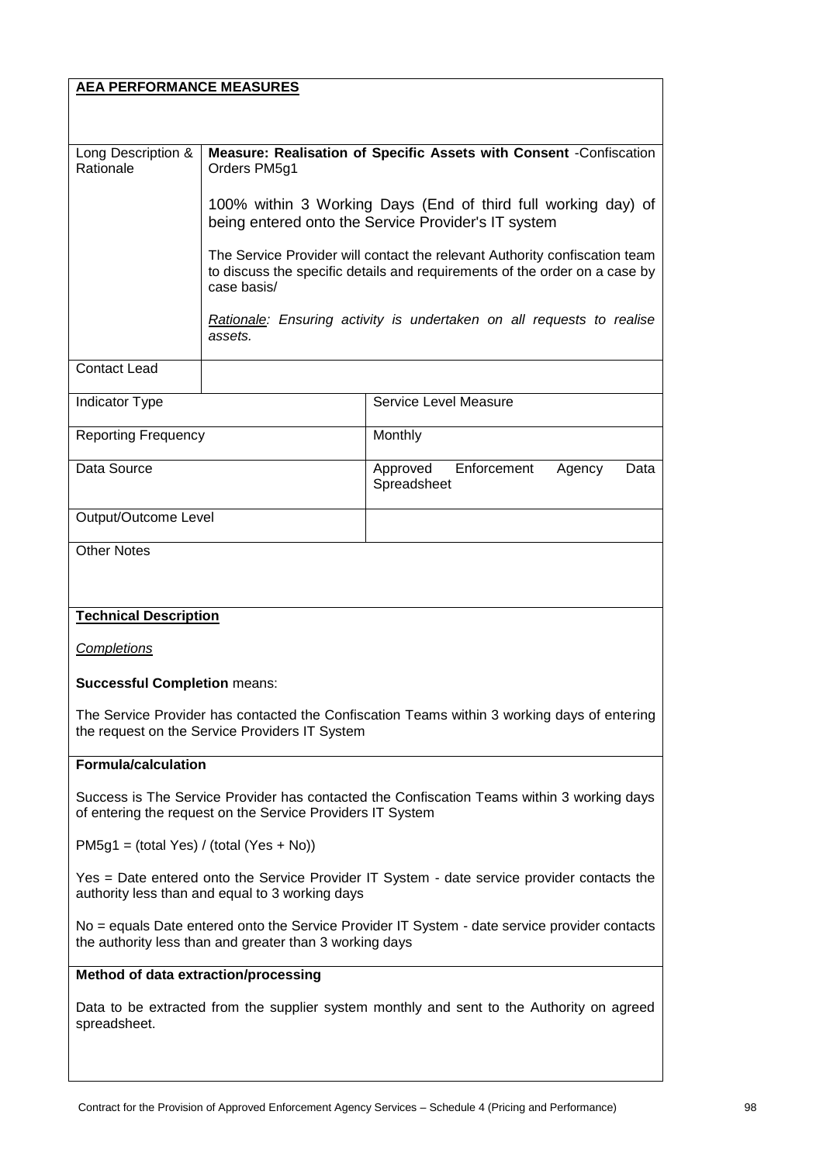| <b>AEA PERFORMANCE MEASURES</b>                                                                                                                          |              |                                                                                                                                                          |  |
|----------------------------------------------------------------------------------------------------------------------------------------------------------|--------------|----------------------------------------------------------------------------------------------------------------------------------------------------------|--|
|                                                                                                                                                          |              |                                                                                                                                                          |  |
| Long Description &                                                                                                                                       |              | Measure: Realisation of Specific Assets with Consent -Confiscation                                                                                       |  |
| Rationale                                                                                                                                                | Orders PM5g1 |                                                                                                                                                          |  |
|                                                                                                                                                          |              | 100% within 3 Working Days (End of third full working day) of<br>being entered onto the Service Provider's IT system                                     |  |
|                                                                                                                                                          | case basis/  | The Service Provider will contact the relevant Authority confiscation team<br>to discuss the specific details and requirements of the order on a case by |  |
|                                                                                                                                                          | assets.      | Rationale: Ensuring activity is undertaken on all requests to realise                                                                                    |  |
| <b>Contact Lead</b>                                                                                                                                      |              |                                                                                                                                                          |  |
| <b>Indicator Type</b>                                                                                                                                    |              | Service Level Measure                                                                                                                                    |  |
| <b>Reporting Frequency</b>                                                                                                                               |              | Monthly                                                                                                                                                  |  |
| Data Source                                                                                                                                              |              | Enforcement<br>Approved<br>Agency<br>Data<br>Spreadsheet                                                                                                 |  |
| Output/Outcome Level                                                                                                                                     |              |                                                                                                                                                          |  |
| <b>Other Notes</b>                                                                                                                                       |              |                                                                                                                                                          |  |
|                                                                                                                                                          |              |                                                                                                                                                          |  |
| <b>Technical Description</b>                                                                                                                             |              |                                                                                                                                                          |  |
| <b>Completions</b>                                                                                                                                       |              |                                                                                                                                                          |  |
| <b>Successful Completion means:</b>                                                                                                                      |              |                                                                                                                                                          |  |
| The Service Provider has contacted the Confiscation Teams within 3 working days of entering<br>the request on the Service Providers IT System            |              |                                                                                                                                                          |  |
| <b>Formula/calculation</b>                                                                                                                               |              |                                                                                                                                                          |  |
| Success is The Service Provider has contacted the Confiscation Teams within 3 working days<br>of entering the request on the Service Providers IT System |              |                                                                                                                                                          |  |
| $PM5g1 = (total Yes) / (total (Yes + No))$                                                                                                               |              |                                                                                                                                                          |  |
| Yes = Date entered onto the Service Provider IT System - date service provider contacts the<br>authority less than and equal to 3 working days           |              |                                                                                                                                                          |  |
| No = equals Date entered onto the Service Provider IT System - date service provider contacts<br>the authority less than and greater than 3 working days |              |                                                                                                                                                          |  |
| Method of data extraction/processing                                                                                                                     |              |                                                                                                                                                          |  |
| Data to be extracted from the supplier system monthly and sent to the Authority on agreed<br>spreadsheet.                                                |              |                                                                                                                                                          |  |
|                                                                                                                                                          |              |                                                                                                                                                          |  |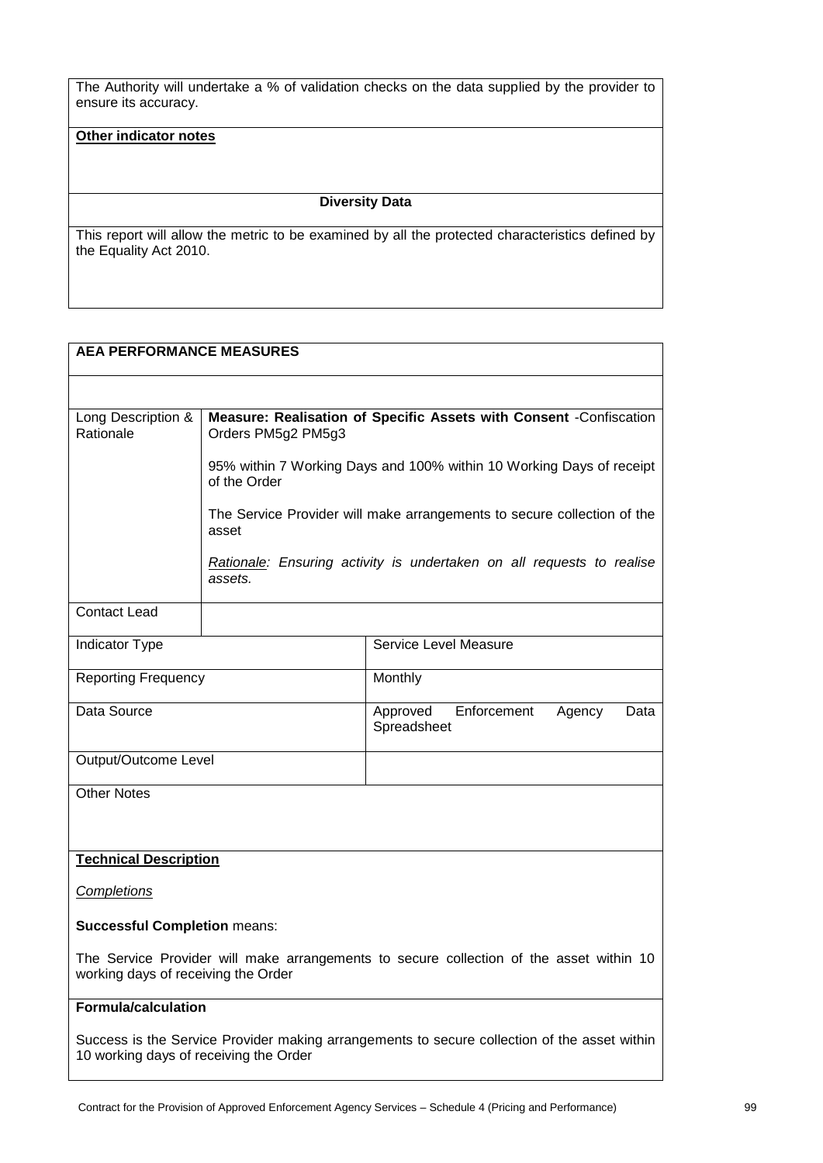The Authority will undertake a % of validation checks on the data supplied by the provider to ensure its accuracy.

## **Other indicator notes**

#### **Diversity Data**

This report will allow the metric to be examined by all the protected characteristics defined by the Equality Act 2010.

# **AEA PERFORMANCE MEASURES**

| Long Description &<br>Rationale                                                                                                        | Measure: Realisation of Specific Assets with Consent -Confiscation<br>Orders PM5g2 PM5g3 |                                                                         |
|----------------------------------------------------------------------------------------------------------------------------------------|------------------------------------------------------------------------------------------|-------------------------------------------------------------------------|
|                                                                                                                                        |                                                                                          |                                                                         |
|                                                                                                                                        | of the Order                                                                             | 95% within 7 Working Days and 100% within 10 Working Days of receipt    |
|                                                                                                                                        | asset                                                                                    | The Service Provider will make arrangements to secure collection of the |
|                                                                                                                                        | assets.                                                                                  | Rationale: Ensuring activity is undertaken on all requests to realise   |
| <b>Contact Lead</b>                                                                                                                    |                                                                                          |                                                                         |
| Indicator Type                                                                                                                         |                                                                                          | Service Level Measure                                                   |
| <b>Reporting Frequency</b>                                                                                                             |                                                                                          | Monthly                                                                 |
| Data Source                                                                                                                            |                                                                                          | Approved<br>Enforcement<br>Agency<br>Data<br>Spreadsheet                |
| Output/Outcome Level                                                                                                                   |                                                                                          |                                                                         |
| <b>Other Notes</b>                                                                                                                     |                                                                                          |                                                                         |
|                                                                                                                                        |                                                                                          |                                                                         |
| <b>Technical Description</b>                                                                                                           |                                                                                          |                                                                         |
| Completions                                                                                                                            |                                                                                          |                                                                         |
| <b>Successful Completion means:</b>                                                                                                    |                                                                                          |                                                                         |
| The Service Provider will make arrangements to secure collection of the asset within 10<br>working days of receiving the Order         |                                                                                          |                                                                         |
| Formula/calculation                                                                                                                    |                                                                                          |                                                                         |
| Success is the Service Provider making arrangements to secure collection of the asset within<br>10 working days of receiving the Order |                                                                                          |                                                                         |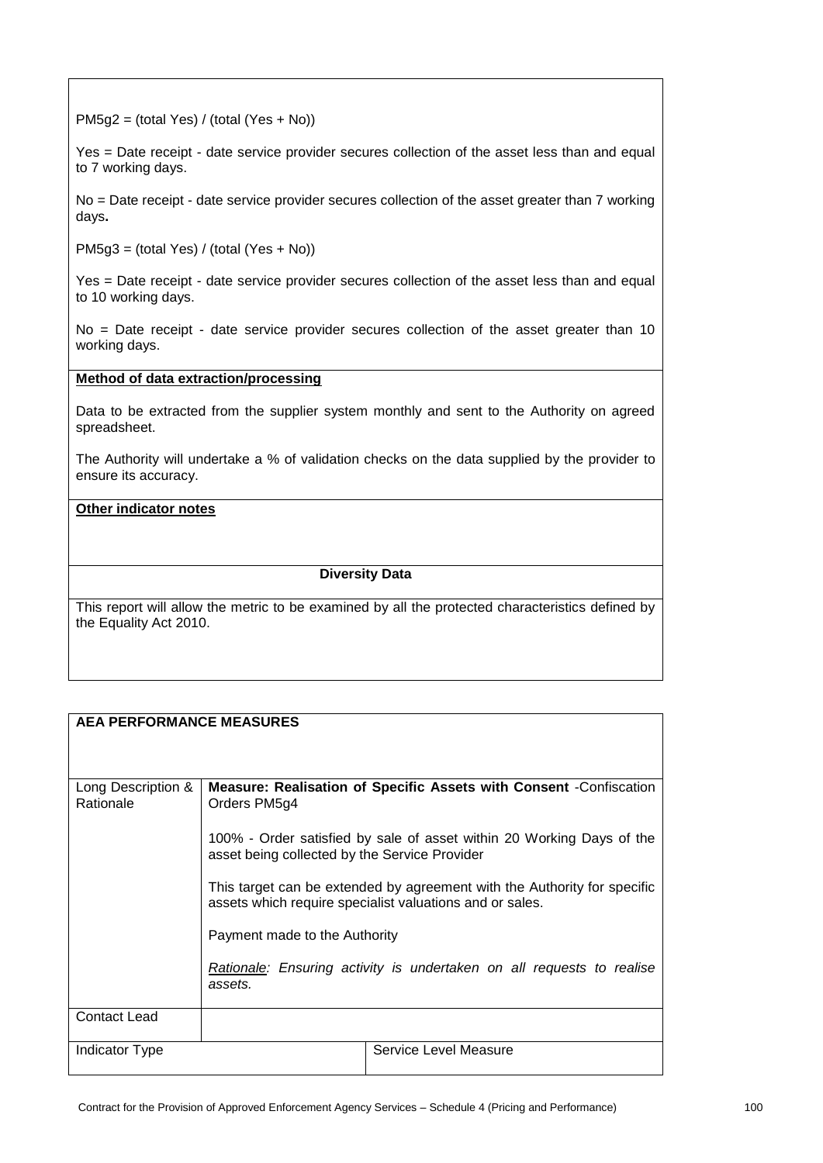PM5g2 = (total Yes) / (total (Yes + No))

Yes = Date receipt - date service provider secures collection of the asset less than and equal to 7 working days.

No = Date receipt - date service provider secures collection of the asset greater than 7 working days**.**

PM5g3 = (total Yes) / (total (Yes + No))

Yes = Date receipt - date service provider secures collection of the asset less than and equal to 10 working days.

No = Date receipt - date service provider secures collection of the asset greater than 10 working days.

#### **Method of data extraction/processing**

Data to be extracted from the supplier system monthly and sent to the Authority on agreed spreadsheet.

The Authority will undertake a % of validation checks on the data supplied by the provider to ensure its accuracy.

# **Other indicator notes**

#### **Diversity Data**

This report will allow the metric to be examined by all the protected characteristics defined by the Equality Act 2010.

## **AEA PERFORMANCE MEASURES**

| Long Description &<br>Rationale | Orders PM5g4                                                                                                                                                          | Measure: Realisation of Specific Assets with Consent -Confiscation    |  |
|---------------------------------|-----------------------------------------------------------------------------------------------------------------------------------------------------------------------|-----------------------------------------------------------------------|--|
|                                 | asset being collected by the Service Provider                                                                                                                         | 100% - Order satisfied by sale of asset within 20 Working Days of the |  |
|                                 | This target can be extended by agreement with the Authority for specific<br>assets which require specialist valuations and or sales.<br>Payment made to the Authority |                                                                       |  |
|                                 |                                                                                                                                                                       |                                                                       |  |
|                                 | assets.                                                                                                                                                               | Rationale: Ensuring activity is undertaken on all requests to realise |  |
| Contact Lead                    |                                                                                                                                                                       |                                                                       |  |
| Indicator Type                  |                                                                                                                                                                       | Service Level Measure                                                 |  |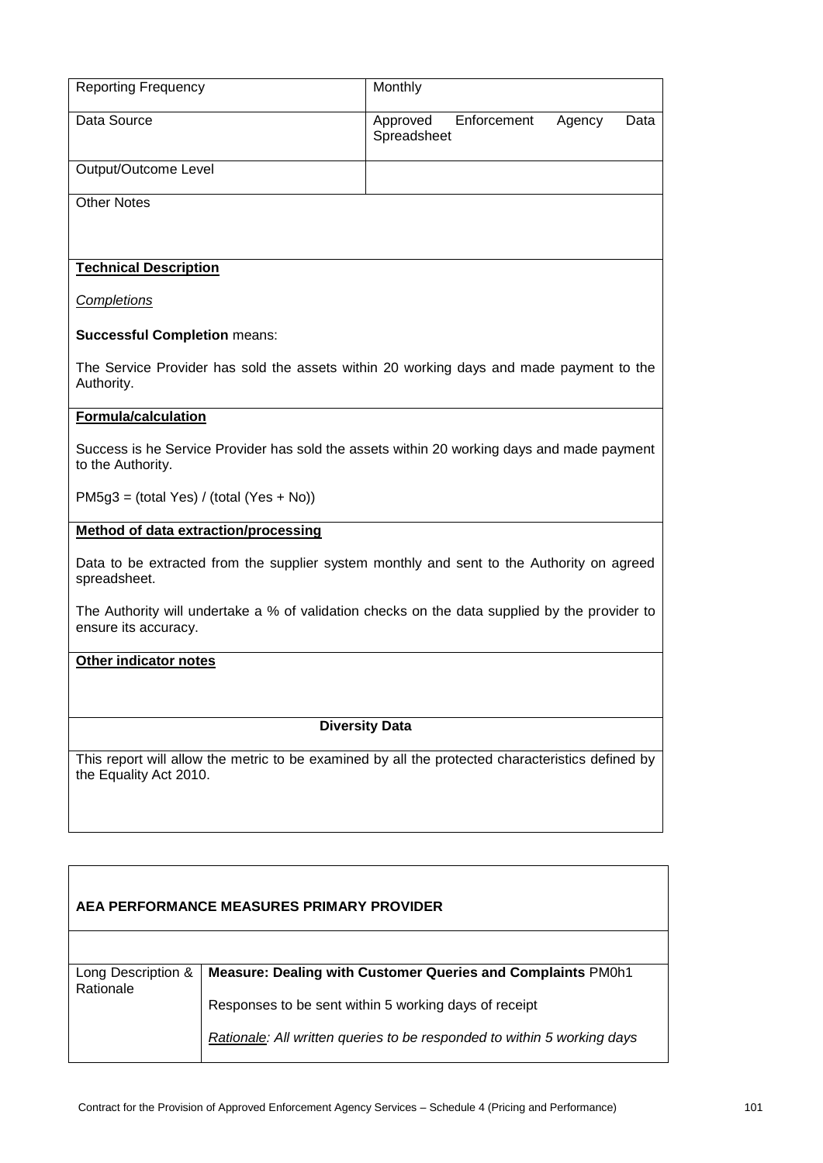| <b>Reporting Frequency</b>                  |                                           | Monthly                                                                                          |                |
|---------------------------------------------|-------------------------------------------|--------------------------------------------------------------------------------------------------|----------------|
| Data Source                                 |                                           | Enforcement<br>Approved<br>Spreadsheet                                                           | Agency<br>Data |
| Output/Outcome Level                        |                                           |                                                                                                  |                |
| <b>Other Notes</b>                          |                                           |                                                                                                  |                |
|                                             |                                           |                                                                                                  |                |
| <b>Technical Description</b>                |                                           |                                                                                                  |                |
| <b>Completions</b>                          |                                           |                                                                                                  |                |
| <b>Successful Completion means:</b>         |                                           |                                                                                                  |                |
| Authority.                                  |                                           | The Service Provider has sold the assets within 20 working days and made payment to the          |                |
| <b>Formula/calculation</b>                  |                                           |                                                                                                  |                |
| to the Authority.                           |                                           | Success is he Service Provider has sold the assets within 20 working days and made payment       |                |
| $PM5g3 = (total Yes) / (total (Yes + No))$  |                                           |                                                                                                  |                |
| <b>Method of data extraction/processing</b> |                                           |                                                                                                  |                |
| spreadsheet.                                |                                           | Data to be extracted from the supplier system monthly and sent to the Authority on agreed        |                |
| ensure its accuracy.                        |                                           | The Authority will undertake a % of validation checks on the data supplied by the provider to    |                |
| Other indicator notes                       |                                           |                                                                                                  |                |
|                                             |                                           |                                                                                                  |                |
|                                             | <b>Diversity Data</b>                     |                                                                                                  |                |
| the Equality Act 2010.                      |                                           | This report will allow the metric to be examined by all the protected characteristics defined by |                |
|                                             |                                           |                                                                                                  |                |
|                                             |                                           |                                                                                                  |                |
|                                             | AEA PERFORMANCE MEASURES PRIMARY PROVIDER |                                                                                                  |                |
|                                             |                                           |                                                                                                  |                |
| Long Description &<br>Rationale             |                                           | Measure: Dealing with Customer Queries and Complaints PM0h1                                      |                |
|                                             |                                           | Responses to be sent within 5 working days of receipt                                            |                |
|                                             |                                           | Rationale: All written queries to be responded to within 5 working days                          |                |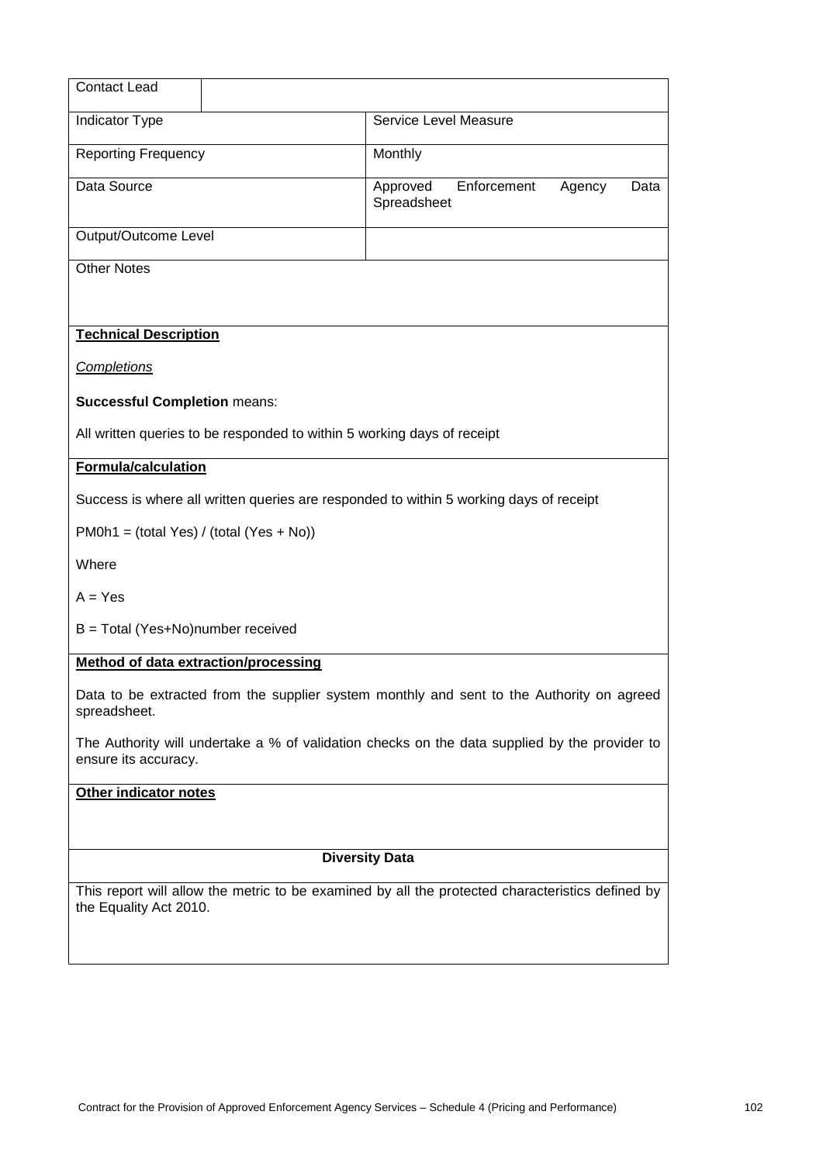| <b>Contact Lead</b>                                                                                                   |                                                                                                  |  |
|-----------------------------------------------------------------------------------------------------------------------|--------------------------------------------------------------------------------------------------|--|
| <b>Indicator Type</b>                                                                                                 | Service Level Measure                                                                            |  |
| <b>Reporting Frequency</b>                                                                                            | Monthly                                                                                          |  |
| Data Source                                                                                                           | Enforcement<br>Approved<br>Agency<br>Data<br>Spreadsheet                                         |  |
| Output/Outcome Level                                                                                                  |                                                                                                  |  |
| <b>Other Notes</b>                                                                                                    |                                                                                                  |  |
|                                                                                                                       |                                                                                                  |  |
| <b>Technical Description</b>                                                                                          |                                                                                                  |  |
| <b>Completions</b>                                                                                                    |                                                                                                  |  |
| <b>Successful Completion means:</b>                                                                                   |                                                                                                  |  |
| All written queries to be responded to within 5 working days of receipt                                               |                                                                                                  |  |
| <b>Formula/calculation</b>                                                                                            |                                                                                                  |  |
|                                                                                                                       | Success is where all written queries are responded to within 5 working days of receipt           |  |
| $PMOh1 = (total Yes) / (total (Yes + No))$                                                                            |                                                                                                  |  |
| Where                                                                                                                 |                                                                                                  |  |
| $A = Yes$                                                                                                             |                                                                                                  |  |
| B = Total (Yes+No)number received                                                                                     |                                                                                                  |  |
| <b>Method of data extraction/processing</b>                                                                           |                                                                                                  |  |
| spreadsheet.                                                                                                          | Data to be extracted from the supplier system monthly and sent to the Authority on agreed        |  |
| The Authority will undertake a % of validation checks on the data supplied by the provider to<br>ensure its accuracy. |                                                                                                  |  |
| Other indicator notes                                                                                                 |                                                                                                  |  |
|                                                                                                                       |                                                                                                  |  |
|                                                                                                                       | <b>Diversity Data</b>                                                                            |  |
|                                                                                                                       | This report will allow the metric to be examined by all the protected characteristics defined by |  |
| the Equality Act 2010.                                                                                                |                                                                                                  |  |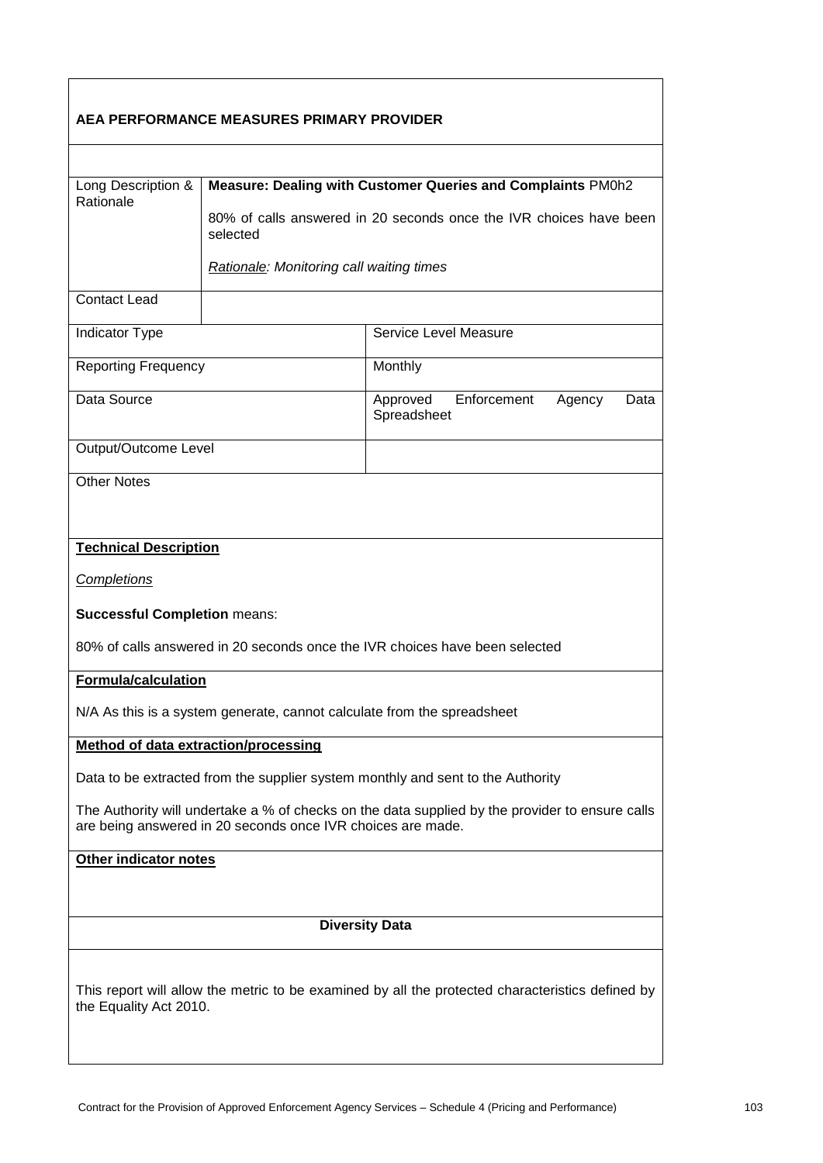| AEA PERFORMANCE MEASURES PRIMARY PROVIDER                                                                                                                      |                                                             |                                                                    |
|----------------------------------------------------------------------------------------------------------------------------------------------------------------|-------------------------------------------------------------|--------------------------------------------------------------------|
|                                                                                                                                                                |                                                             |                                                                    |
| Long Description &<br>Rationale                                                                                                                                | Measure: Dealing with Customer Queries and Complaints PM0h2 |                                                                    |
|                                                                                                                                                                | selected                                                    | 80% of calls answered in 20 seconds once the IVR choices have been |
|                                                                                                                                                                | <b>Rationale:</b> Monitoring call waiting times             |                                                                    |
| <b>Contact Lead</b>                                                                                                                                            |                                                             |                                                                    |
| Indicator Type                                                                                                                                                 |                                                             | Service Level Measure                                              |
| <b>Reporting Frequency</b>                                                                                                                                     |                                                             | Monthly                                                            |
| Data Source                                                                                                                                                    |                                                             | Approved<br>Enforcement<br>Agency<br>Data<br>Spreadsheet           |
| Output/Outcome Level                                                                                                                                           |                                                             |                                                                    |
| <b>Other Notes</b>                                                                                                                                             |                                                             |                                                                    |
|                                                                                                                                                                |                                                             |                                                                    |
| <b>Technical Description</b>                                                                                                                                   |                                                             |                                                                    |
| <b>Completions</b>                                                                                                                                             |                                                             |                                                                    |
| <b>Successful Completion means:</b>                                                                                                                            |                                                             |                                                                    |
| 80% of calls answered in 20 seconds once the IVR choices have been selected                                                                                    |                                                             |                                                                    |
| Formula/calculation                                                                                                                                            |                                                             |                                                                    |
| N/A As this is a system generate, cannot calculate from the spreadsheet                                                                                        |                                                             |                                                                    |
| Method of data extraction/processing                                                                                                                           |                                                             |                                                                    |
| Data to be extracted from the supplier system monthly and sent to the Authority                                                                                |                                                             |                                                                    |
| The Authority will undertake a % of checks on the data supplied by the provider to ensure calls<br>are being answered in 20 seconds once IVR choices are made. |                                                             |                                                                    |
| Other indicator notes                                                                                                                                          |                                                             |                                                                    |
|                                                                                                                                                                |                                                             |                                                                    |
|                                                                                                                                                                |                                                             | <b>Diversity Data</b>                                              |
| This report will allow the metric to be examined by all the protected characteristics defined by<br>the Equality Act 2010.                                     |                                                             |                                                                    |

 $\mathsf{r}$ 

ī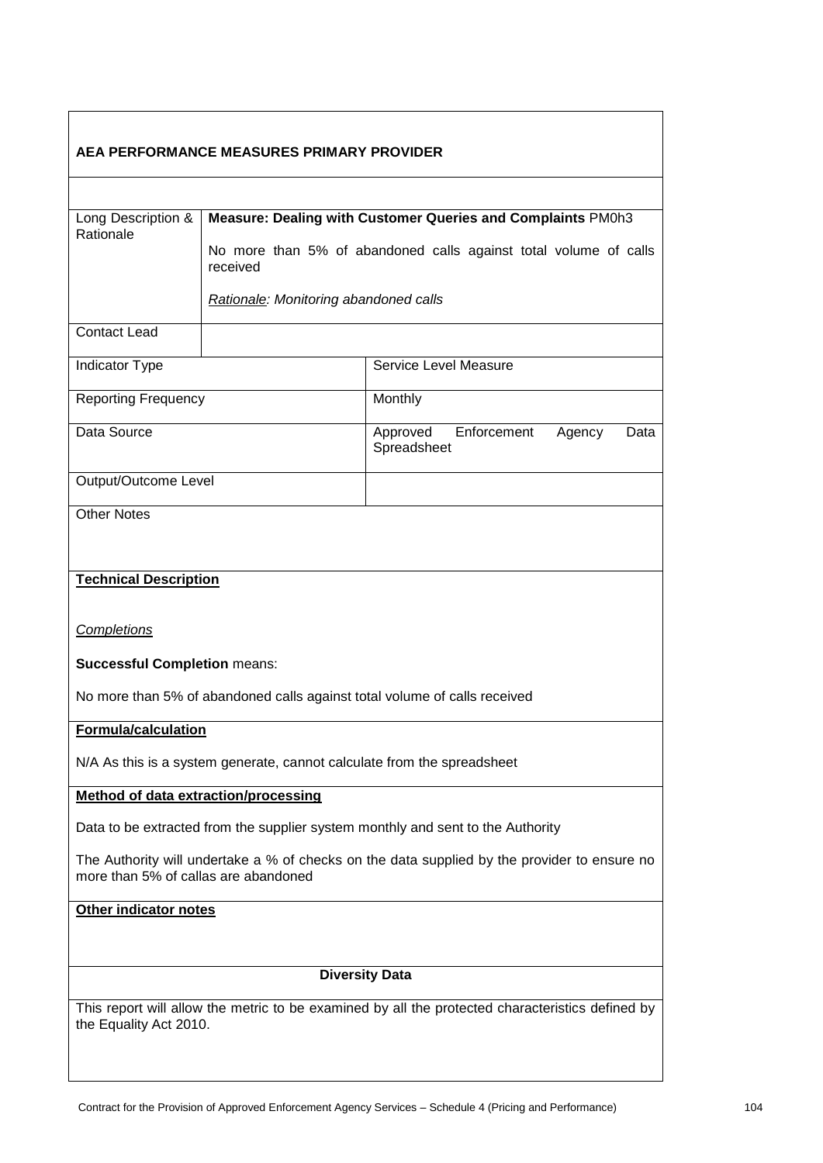| AEA PERFORMANCE MEASURES PRIMARY PROVIDER                                                                                            |                                                                         |                                                                  |  |
|--------------------------------------------------------------------------------------------------------------------------------------|-------------------------------------------------------------------------|------------------------------------------------------------------|--|
|                                                                                                                                      |                                                                         |                                                                  |  |
| Long Description &<br>Rationale                                                                                                      |                                                                         | Measure: Dealing with Customer Queries and Complaints PM0h3      |  |
|                                                                                                                                      | received                                                                | No more than 5% of abandoned calls against total volume of calls |  |
|                                                                                                                                      | Rationale: Monitoring abandoned calls                                   |                                                                  |  |
| <b>Contact Lead</b>                                                                                                                  |                                                                         |                                                                  |  |
| <b>Indicator Type</b>                                                                                                                |                                                                         | Service Level Measure                                            |  |
| <b>Reporting Frequency</b>                                                                                                           |                                                                         | Monthly                                                          |  |
| Data Source                                                                                                                          |                                                                         | Enforcement<br>Approved<br>Agency<br>Data<br>Spreadsheet         |  |
| Output/Outcome Level                                                                                                                 |                                                                         |                                                                  |  |
| <b>Other Notes</b>                                                                                                                   |                                                                         |                                                                  |  |
| <b>Technical Description</b>                                                                                                         |                                                                         |                                                                  |  |
| <b>Completions</b>                                                                                                                   |                                                                         |                                                                  |  |
| <b>Successful Completion means:</b>                                                                                                  |                                                                         |                                                                  |  |
| No more than 5% of abandoned calls against total volume of calls received                                                            |                                                                         |                                                                  |  |
| <b>Formula/calculation</b>                                                                                                           |                                                                         |                                                                  |  |
|                                                                                                                                      | N/A As this is a system generate, cannot calculate from the spreadsheet |                                                                  |  |
| <b>Method of data extraction/processing</b>                                                                                          |                                                                         |                                                                  |  |
| Data to be extracted from the supplier system monthly and sent to the Authority                                                      |                                                                         |                                                                  |  |
| The Authority will undertake a % of checks on the data supplied by the provider to ensure no<br>more than 5% of callas are abandoned |                                                                         |                                                                  |  |
| Other indicator notes                                                                                                                |                                                                         |                                                                  |  |
|                                                                                                                                      |                                                                         |                                                                  |  |
|                                                                                                                                      |                                                                         | <b>Diversity Data</b>                                            |  |
| This report will allow the metric to be examined by all the protected characteristics defined by<br>the Equality Act 2010.           |                                                                         |                                                                  |  |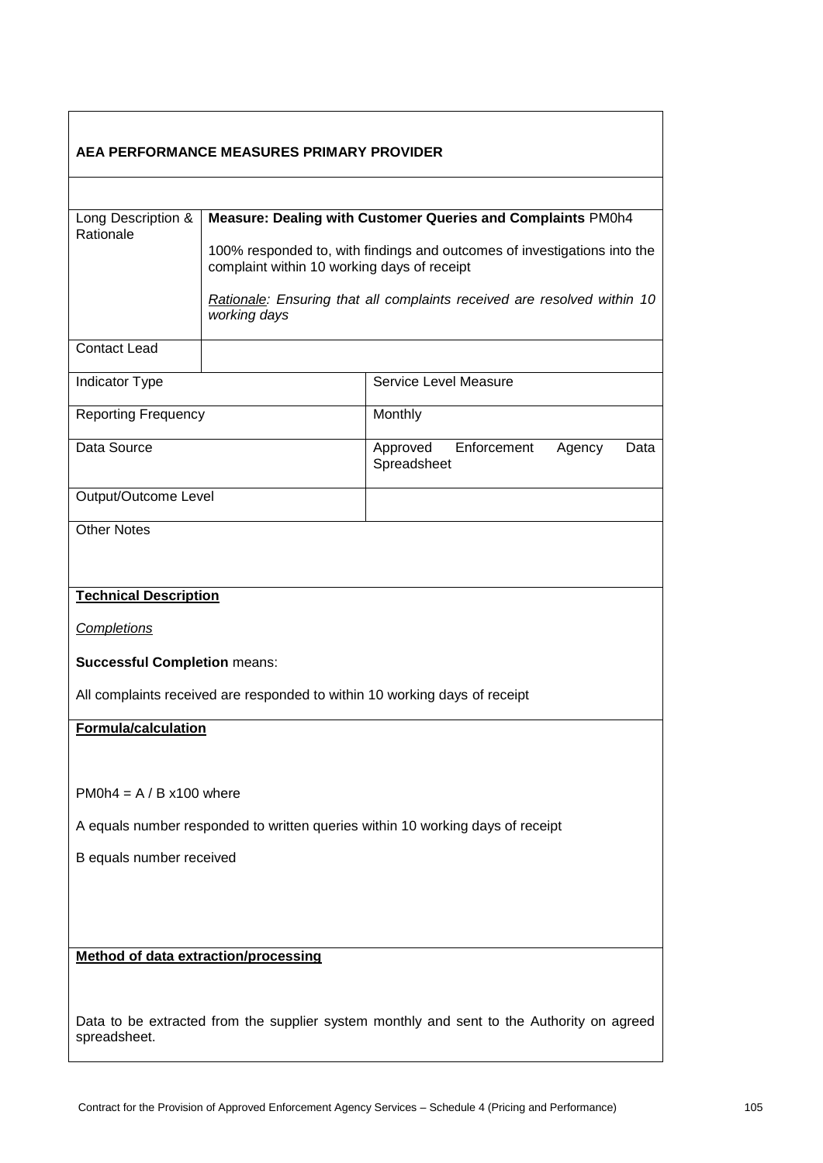| AEA PERFORMANCE MEASURES PRIMARY PROVIDER                                                                 |                                             |                                                                            |  |
|-----------------------------------------------------------------------------------------------------------|---------------------------------------------|----------------------------------------------------------------------------|--|
|                                                                                                           |                                             |                                                                            |  |
| Long Description &<br>Rationale                                                                           |                                             | Measure: Dealing with Customer Queries and Complaints PM0h4                |  |
|                                                                                                           | complaint within 10 working days of receipt | 100% responded to, with findings and outcomes of investigations into the   |  |
|                                                                                                           | working days                                | Rationale: Ensuring that all complaints received are resolved within 10    |  |
| <b>Contact Lead</b>                                                                                       |                                             |                                                                            |  |
| Indicator Type                                                                                            |                                             | Service Level Measure                                                      |  |
| <b>Reporting Frequency</b>                                                                                |                                             | Monthly                                                                    |  |
| Data Source                                                                                               |                                             | Enforcement<br>Approved<br>Agency<br>Data<br>Spreadsheet                   |  |
| Output/Outcome Level                                                                                      |                                             |                                                                            |  |
| <b>Other Notes</b>                                                                                        |                                             |                                                                            |  |
| <b>Technical Description</b>                                                                              |                                             |                                                                            |  |
| <b>Completions</b>                                                                                        |                                             |                                                                            |  |
| <b>Successful Completion means:</b>                                                                       |                                             |                                                                            |  |
|                                                                                                           |                                             | All complaints received are responded to within 10 working days of receipt |  |
| <b>Formula/calculation</b>                                                                                |                                             |                                                                            |  |
|                                                                                                           |                                             |                                                                            |  |
| $PM0h4 = A/B x100$ where                                                                                  |                                             |                                                                            |  |
| A equals number responded to written queries within 10 working days of receipt                            |                                             |                                                                            |  |
| B equals number received                                                                                  |                                             |                                                                            |  |
|                                                                                                           |                                             |                                                                            |  |
|                                                                                                           |                                             |                                                                            |  |
| <b>Method of data extraction/processing</b>                                                               |                                             |                                                                            |  |
|                                                                                                           |                                             |                                                                            |  |
| Data to be extracted from the supplier system monthly and sent to the Authority on agreed<br>spreadsheet. |                                             |                                                                            |  |

 $\mathbf{r}$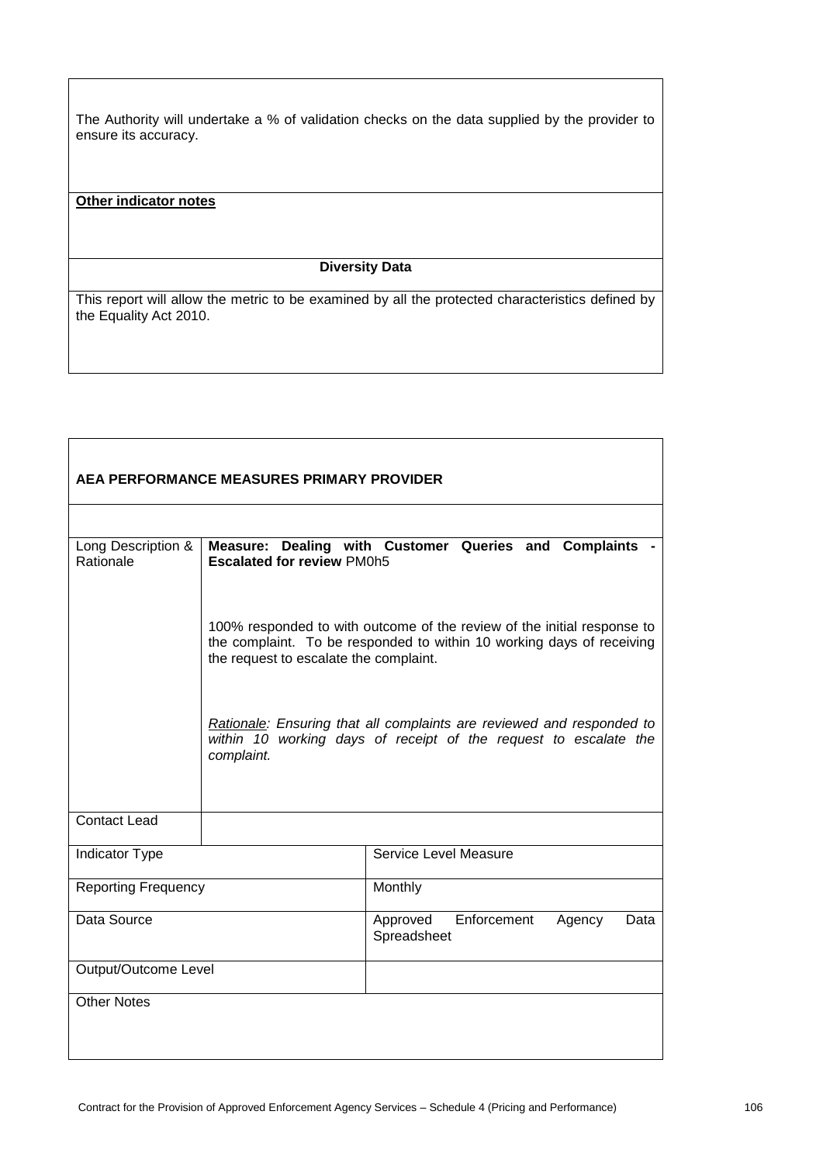The Authority will undertake a % of validation checks on the data supplied by the provider to ensure its accuracy.

#### **Other indicator notes**

## **Diversity Data**

| AEA PERFORMANCE MEASURES PRIMARY PROVIDER |                                        |                                                                                                                                                  |  |
|-------------------------------------------|----------------------------------------|--------------------------------------------------------------------------------------------------------------------------------------------------|--|
|                                           |                                        |                                                                                                                                                  |  |
| Long Description &<br>Rationale           | <b>Escalated for review PM0h5</b>      | Measure: Dealing with Customer Queries and Complaints -                                                                                          |  |
|                                           | the request to escalate the complaint. | 100% responded to with outcome of the review of the initial response to<br>the complaint. To be responded to within 10 working days of receiving |  |
|                                           | complaint.                             | Rationale: Ensuring that all complaints are reviewed and responded to<br>within 10 working days of receipt of the request to escalate the        |  |
| <b>Contact Lead</b>                       |                                        |                                                                                                                                                  |  |
| <b>Indicator Type</b>                     |                                        | Service Level Measure                                                                                                                            |  |
| <b>Reporting Frequency</b>                |                                        | Monthly                                                                                                                                          |  |
| Data Source                               |                                        | Enforcement<br>Approved<br>Data<br>Agency<br>Spreadsheet                                                                                         |  |
| Output/Outcome Level                      |                                        |                                                                                                                                                  |  |
| <b>Other Notes</b>                        |                                        |                                                                                                                                                  |  |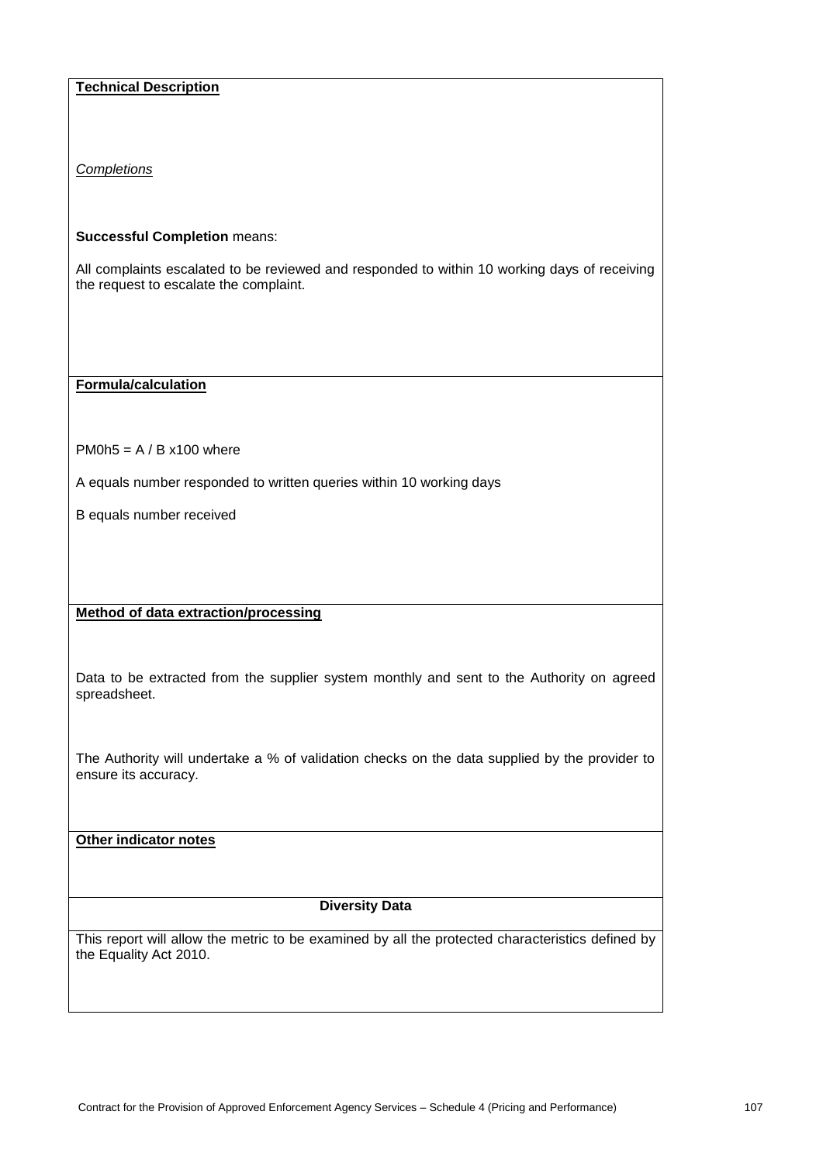# **Technical Description**

*Completions*

## **Successful Completion** means:

All complaints escalated to be reviewed and responded to within 10 working days of receiving the request to escalate the complaint.

**Formula/calculation**

 $PM0h5 = A/Bx100$  where

A equals number responded to written queries within 10 working days

B equals number received

# **Method of data extraction/processing**

Data to be extracted from the supplier system monthly and sent to the Authority on agreed spreadsheet.

The Authority will undertake a % of validation checks on the data supplied by the provider to ensure its accuracy.

**Other indicator notes**

## **Diversity Data**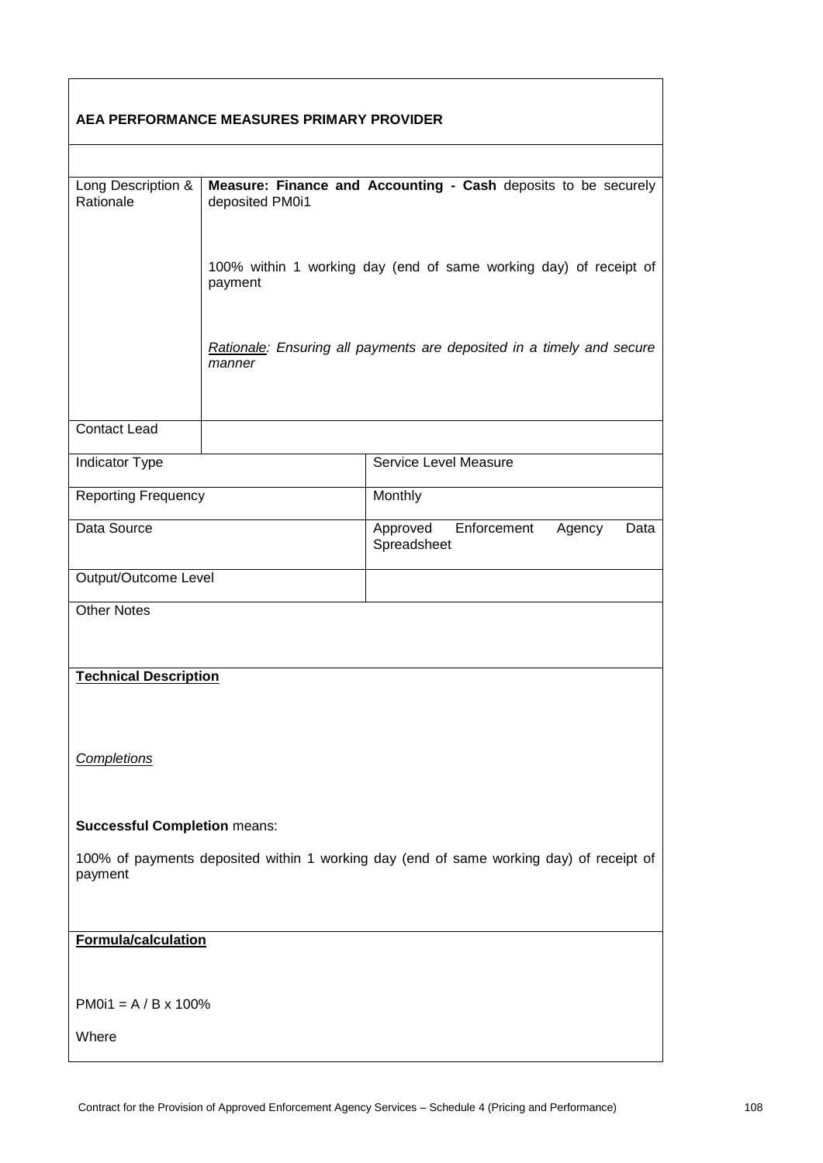| AEA PERFORMANCE MEASURES PRIMARY PROVIDER                                                          |                                                                                   |                                                                       |  |  |
|----------------------------------------------------------------------------------------------------|-----------------------------------------------------------------------------------|-----------------------------------------------------------------------|--|--|
|                                                                                                    |                                                                                   |                                                                       |  |  |
| Long Description &<br>Rationale                                                                    | Measure: Finance and Accounting - Cash deposits to be securely<br>deposited PM0i1 |                                                                       |  |  |
|                                                                                                    | payment                                                                           | 100% within 1 working day (end of same working day) of receipt of     |  |  |
|                                                                                                    | manner                                                                            | Rationale: Ensuring all payments are deposited in a timely and secure |  |  |
| <b>Contact Lead</b>                                                                                |                                                                                   |                                                                       |  |  |
| Indicator Type                                                                                     |                                                                                   | Service Level Measure                                                 |  |  |
| <b>Reporting Frequency</b>                                                                         |                                                                                   | Monthly                                                               |  |  |
| Data Source                                                                                        |                                                                                   | Approved<br>Enforcement<br>Agency<br>Data<br>Spreadsheet              |  |  |
| Output/Outcome Level                                                                               |                                                                                   |                                                                       |  |  |
| <b>Other Notes</b>                                                                                 |                                                                                   |                                                                       |  |  |
| <b>Technical Description</b>                                                                       |                                                                                   |                                                                       |  |  |
| Completions                                                                                        |                                                                                   |                                                                       |  |  |
| <b>Successful Completion means:</b>                                                                |                                                                                   |                                                                       |  |  |
| 100% of payments deposited within 1 working day (end of same working day) of receipt of<br>payment |                                                                                   |                                                                       |  |  |
|                                                                                                    |                                                                                   |                                                                       |  |  |
| <b>Formula/calculation</b>                                                                         |                                                                                   |                                                                       |  |  |
| $PM0i1 = A/B \times 100\%$                                                                         |                                                                                   |                                                                       |  |  |
| Where                                                                                              |                                                                                   |                                                                       |  |  |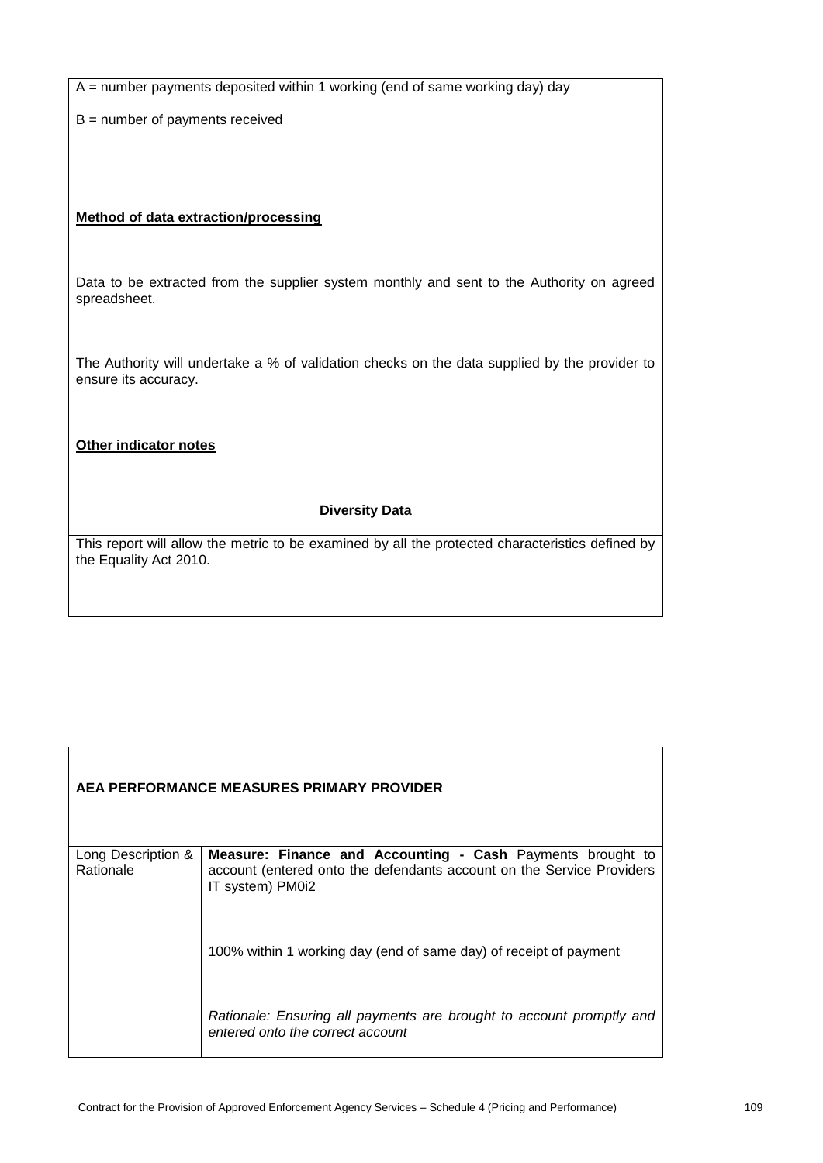$A =$  number payments deposited within 1 working (end of same working day) day

B = number of payments received

#### **Method of data extraction/processing**

Data to be extracted from the supplier system monthly and sent to the Authority on agreed spreadsheet.

The Authority will undertake a % of validation checks on the data supplied by the provider to ensure its accuracy.

**Other indicator notes**

**Diversity Data**

| AEA PERFORMANCE MEASURES PRIMARY PROVIDER |                                                                                                                                                         |  |
|-------------------------------------------|---------------------------------------------------------------------------------------------------------------------------------------------------------|--|
|                                           |                                                                                                                                                         |  |
| Long Description &<br>Rationale           | Measure: Finance and Accounting - Cash Payments brought to<br>account (entered onto the defendants account on the Service Providers<br>IT system) PM0i2 |  |
|                                           | 100% within 1 working day (end of same day) of receipt of payment                                                                                       |  |
|                                           | Rationale: Ensuring all payments are brought to account promptly and<br>entered onto the correct account                                                |  |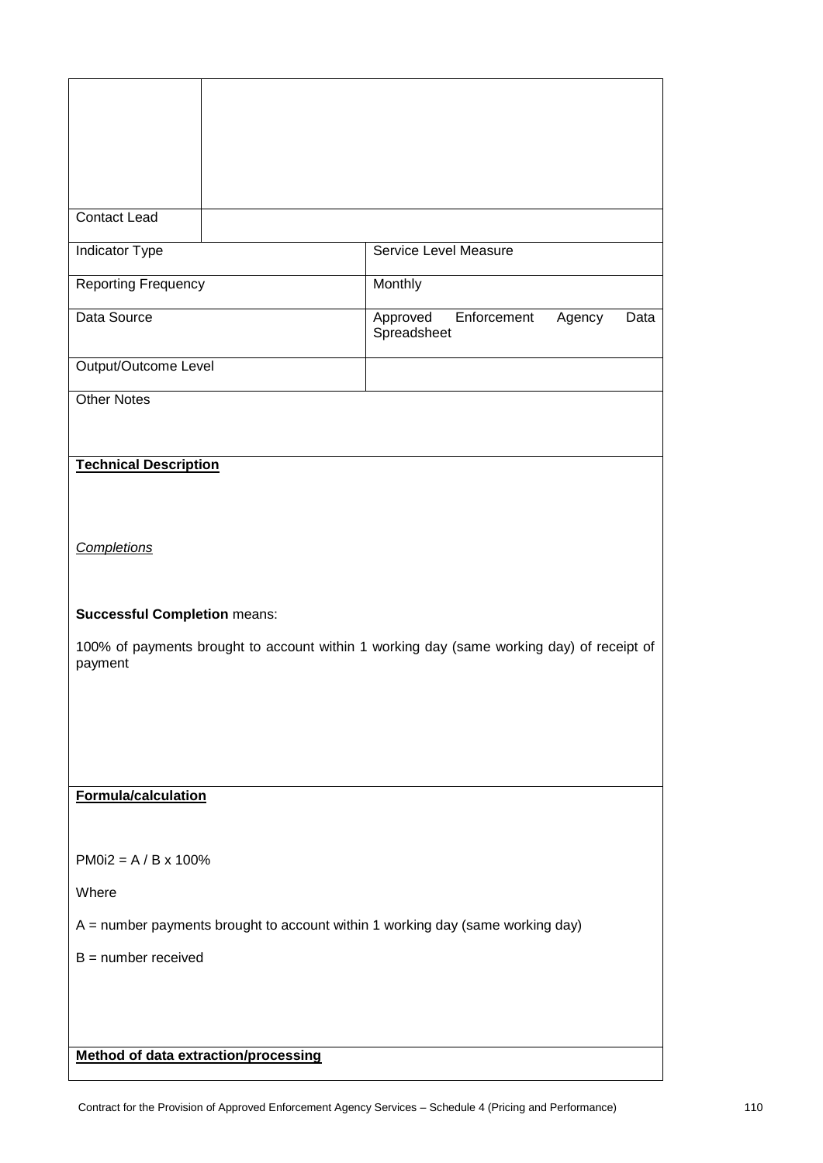| <b>Contact Lead</b>                                                            |                                                                                           |  |
|--------------------------------------------------------------------------------|-------------------------------------------------------------------------------------------|--|
| Indicator Type                                                                 | Service Level Measure                                                                     |  |
| <b>Reporting Frequency</b>                                                     | Monthly                                                                                   |  |
| Data Source                                                                    | Approved<br>Enforcement<br>Agency<br>Data<br>Spreadsheet                                  |  |
| Output/Outcome Level                                                           |                                                                                           |  |
| <b>Other Notes</b>                                                             |                                                                                           |  |
|                                                                                |                                                                                           |  |
| <b>Technical Description</b>                                                   |                                                                                           |  |
|                                                                                |                                                                                           |  |
| <b>Completions</b>                                                             |                                                                                           |  |
|                                                                                |                                                                                           |  |
| <b>Successful Completion means:</b>                                            |                                                                                           |  |
|                                                                                | 100% of payments brought to account within 1 working day (same working day) of receipt of |  |
| payment                                                                        |                                                                                           |  |
|                                                                                |                                                                                           |  |
|                                                                                |                                                                                           |  |
|                                                                                |                                                                                           |  |
| Formula/calculation                                                            |                                                                                           |  |
|                                                                                |                                                                                           |  |
| $PM0i2 = A / B \times 100\%$                                                   |                                                                                           |  |
| Where                                                                          |                                                                                           |  |
| A = number payments brought to account within 1 working day (same working day) |                                                                                           |  |
| $B =$ number received                                                          |                                                                                           |  |
|                                                                                |                                                                                           |  |
|                                                                                |                                                                                           |  |
| <b>Method of data extraction/processing</b>                                    |                                                                                           |  |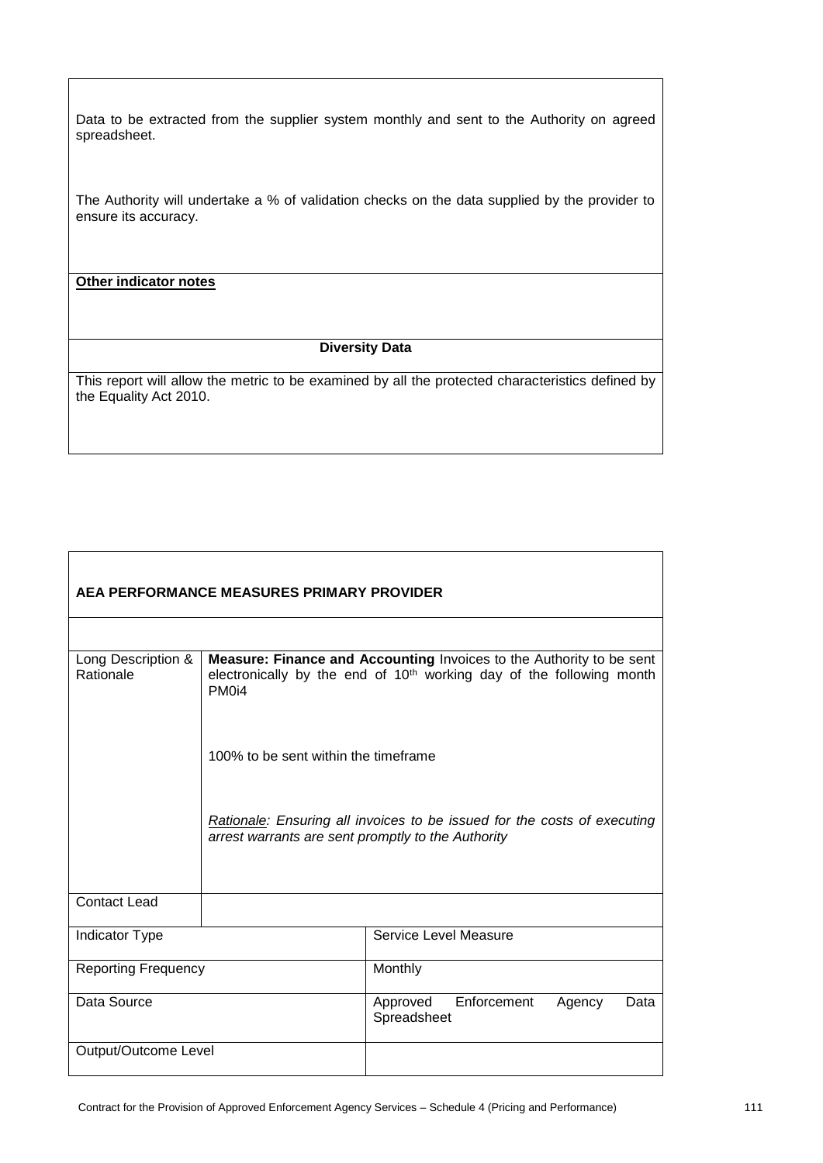Data to be extracted from the supplier system monthly and sent to the Authority on agreed spreadsheet.

The Authority will undertake a % of validation checks on the data supplied by the provider to ensure its accuracy.

# **Other indicator notes**

 $\mathsf{r}$ 

#### **Diversity Data**

| AEA PERFORMANCE MEASURES PRIMARY PROVIDER |                                                                                                                                                                               |                                                                          |  |
|-------------------------------------------|-------------------------------------------------------------------------------------------------------------------------------------------------------------------------------|--------------------------------------------------------------------------|--|
|                                           |                                                                                                                                                                               |                                                                          |  |
| Long Description &<br>Rationale           | Measure: Finance and Accounting Invoices to the Authority to be sent<br>electronically by the end of 10 <sup>th</sup> working day of the following month<br>PM <sub>0i4</sub> |                                                                          |  |
|                                           | 100% to be sent within the timeframe                                                                                                                                          |                                                                          |  |
|                                           | arrest warrants are sent promptly to the Authority                                                                                                                            | Rationale: Ensuring all invoices to be issued for the costs of executing |  |
| <b>Contact Lead</b>                       |                                                                                                                                                                               |                                                                          |  |
| <b>Indicator Type</b>                     |                                                                                                                                                                               | Service Level Measure                                                    |  |
| <b>Reporting Frequency</b>                |                                                                                                                                                                               | Monthly                                                                  |  |
| Data Source                               |                                                                                                                                                                               | Enforcement<br>Approved<br>Agency<br>Data<br>Spreadsheet                 |  |
| Output/Outcome Level                      |                                                                                                                                                                               |                                                                          |  |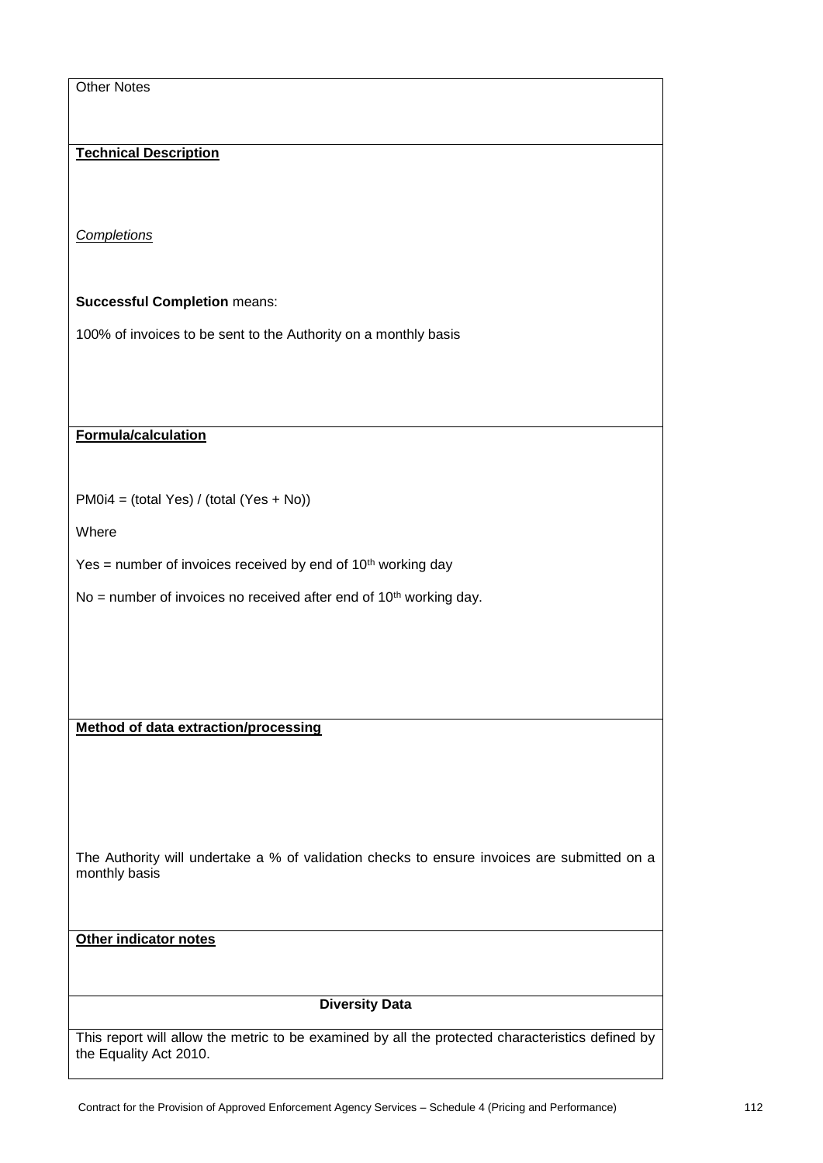| <b>Other Notes</b>                                                                                           |
|--------------------------------------------------------------------------------------------------------------|
|                                                                                                              |
| <b>Technical Description</b>                                                                                 |
|                                                                                                              |
|                                                                                                              |
| Completions                                                                                                  |
|                                                                                                              |
| <b>Successful Completion means:</b>                                                                          |
| 100% of invoices to be sent to the Authority on a monthly basis                                              |
|                                                                                                              |
|                                                                                                              |
|                                                                                                              |
| Formula/calculation                                                                                          |
|                                                                                                              |
| $PM0i4 = (total Yes) / (total (Yes + No))$                                                                   |
| Where                                                                                                        |
| Yes = number of invoices received by end of $10th$ working day                                               |
| No = number of invoices no received after end of 10 <sup>th</sup> working day.                               |
|                                                                                                              |
|                                                                                                              |
|                                                                                                              |
|                                                                                                              |
| <b>Method of data extraction/processing</b>                                                                  |
|                                                                                                              |
|                                                                                                              |
|                                                                                                              |
| The Authority will undertake a % of validation checks to ensure invoices are submitted on a<br>monthly basis |
|                                                                                                              |
|                                                                                                              |
| Other indicator notes                                                                                        |
|                                                                                                              |
| <b>Diversity Data</b>                                                                                        |
| This report will allow the metric to be examined by all the protected characteristics defined by             |

the Equality Act 2010.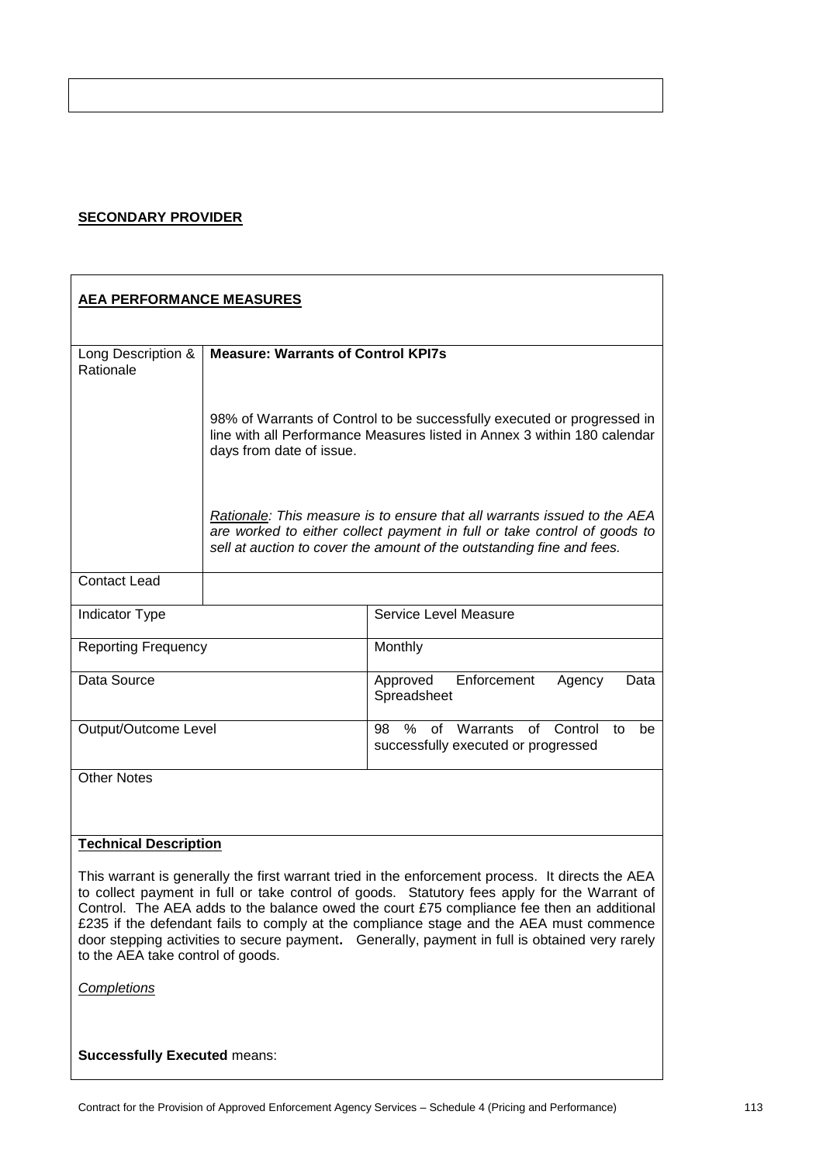#### **SECONDARY PROVIDER**

| <b>AEA PERFORMANCE MEASURES</b>                                                                                                                                                                                                                                                                                                                                                                                                                                                                                                 |                                                                                                                                                                                 |                                                                                                                                                                                                                               |  |
|---------------------------------------------------------------------------------------------------------------------------------------------------------------------------------------------------------------------------------------------------------------------------------------------------------------------------------------------------------------------------------------------------------------------------------------------------------------------------------------------------------------------------------|---------------------------------------------------------------------------------------------------------------------------------------------------------------------------------|-------------------------------------------------------------------------------------------------------------------------------------------------------------------------------------------------------------------------------|--|
| Long Description &<br>Rationale                                                                                                                                                                                                                                                                                                                                                                                                                                                                                                 | <b>Measure: Warrants of Control KPI7s</b>                                                                                                                                       |                                                                                                                                                                                                                               |  |
|                                                                                                                                                                                                                                                                                                                                                                                                                                                                                                                                 | 98% of Warrants of Control to be successfully executed or progressed in<br>line with all Performance Measures listed in Annex 3 within 180 calendar<br>days from date of issue. |                                                                                                                                                                                                                               |  |
|                                                                                                                                                                                                                                                                                                                                                                                                                                                                                                                                 |                                                                                                                                                                                 | Rationale: This measure is to ensure that all warrants issued to the AEA<br>are worked to either collect payment in full or take control of goods to<br>sell at auction to cover the amount of the outstanding fine and fees. |  |
| <b>Contact Lead</b>                                                                                                                                                                                                                                                                                                                                                                                                                                                                                                             |                                                                                                                                                                                 |                                                                                                                                                                                                                               |  |
| Indicator Type                                                                                                                                                                                                                                                                                                                                                                                                                                                                                                                  |                                                                                                                                                                                 | Service Level Measure                                                                                                                                                                                                         |  |
| <b>Reporting Frequency</b>                                                                                                                                                                                                                                                                                                                                                                                                                                                                                                      |                                                                                                                                                                                 | Monthly                                                                                                                                                                                                                       |  |
| Data Source                                                                                                                                                                                                                                                                                                                                                                                                                                                                                                                     |                                                                                                                                                                                 | Approved<br>Enforcement<br>Data<br>Agency<br>Spreadsheet                                                                                                                                                                      |  |
| Output/Outcome Level                                                                                                                                                                                                                                                                                                                                                                                                                                                                                                            |                                                                                                                                                                                 | % of Warrants of<br>Control<br>98<br>to<br>be<br>successfully executed or progressed                                                                                                                                          |  |
| <b>Other Notes</b>                                                                                                                                                                                                                                                                                                                                                                                                                                                                                                              |                                                                                                                                                                                 |                                                                                                                                                                                                                               |  |
| <b>Technical Description</b>                                                                                                                                                                                                                                                                                                                                                                                                                                                                                                    |                                                                                                                                                                                 |                                                                                                                                                                                                                               |  |
| This warrant is generally the first warrant tried in the enforcement process. It directs the AEA<br>to collect payment in full or take control of goods. Statutory fees apply for the Warrant of<br>Control. The AEA adds to the balance owed the court £75 compliance fee then an additional<br>£235 if the defendant fails to comply at the compliance stage and the AEA must commence<br>door stepping activities to secure payment. Generally, payment in full is obtained very rarely<br>to the AEA take control of goods. |                                                                                                                                                                                 |                                                                                                                                                                                                                               |  |
| <b>Completions</b>                                                                                                                                                                                                                                                                                                                                                                                                                                                                                                              |                                                                                                                                                                                 |                                                                                                                                                                                                                               |  |
| <b>Successfully Executed means:</b>                                                                                                                                                                                                                                                                                                                                                                                                                                                                                             |                                                                                                                                                                                 |                                                                                                                                                                                                                               |  |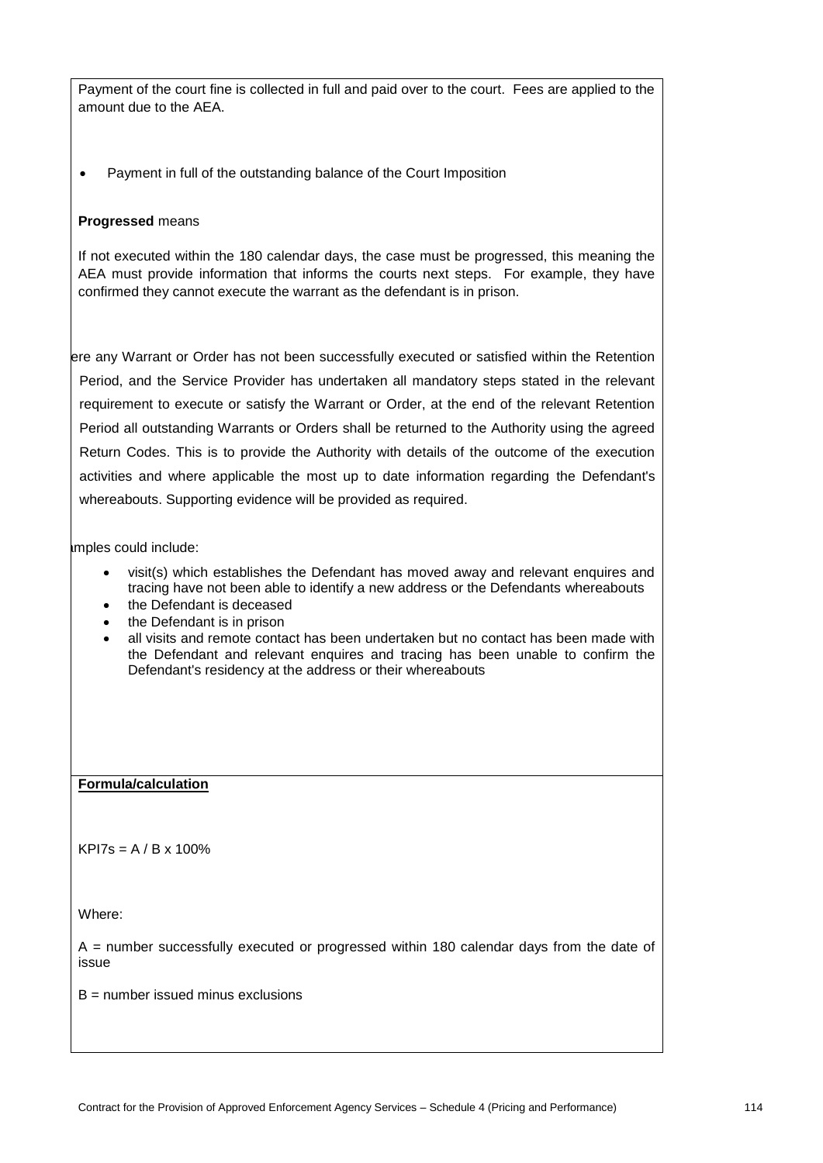Payment of the court fine is collected in full and paid over to the court. Fees are applied to the amount due to the AEA.

• Payment in full of the outstanding balance of the Court Imposition

#### **Progressed** means

If not executed within the 180 calendar days, the case must be progressed, this meaning the AEA must provide information that informs the courts next steps. For example, they have confirmed they cannot execute the warrant as the defendant is in prison.

ere any Warrant or Order has not been successfully executed or satisfied within the Retention Period, and the Service Provider has undertaken all mandatory steps stated in the relevant requirement to execute or satisfy the Warrant or Order, at the end of the relevant Retention Period all outstanding Warrants or Orders shall be returned to the Authority using the agreed Return Codes. This is to provide the Authority with details of the outcome of the execution activities and where applicable the most up to date information regarding the Defendant's whereabouts. Supporting evidence will be provided as required.

amples could include:

- visit(s) which establishes the Defendant has moved away and relevant enquires and tracing have not been able to identify a new address or the Defendants whereabouts
- the Defendant is deceased
- the Defendant is in prison
- all visits and remote contact has been undertaken but no contact has been made with the Defendant and relevant enquires and tracing has been unable to confirm the Defendant's residency at the address or their whereabouts

#### **Formula/calculation**

 $KP$ <sup>17</sup>s = A / B x 100%

Where:

A = number successfully executed or progressed within 180 calendar days from the date of issue

 $B =$  number issued minus exclusions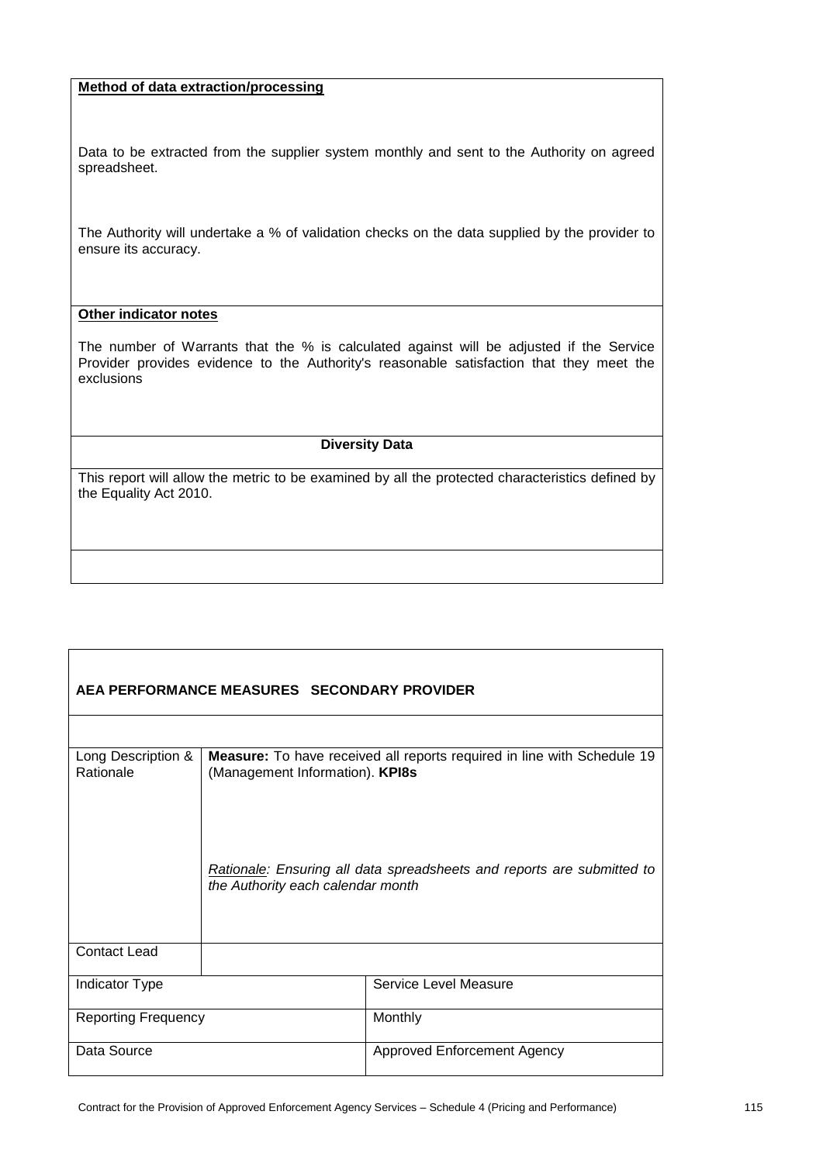### **Method of data extraction/processing**

Data to be extracted from the supplier system monthly and sent to the Authority on agreed spreadsheet.

The Authority will undertake a % of validation checks on the data supplied by the provider to ensure its accuracy.

## **Other indicator notes**

The number of Warrants that the % is calculated against will be adjusted if the Service Provider provides evidence to the Authority's reasonable satisfaction that they meet the exclusions

### **Diversity Data**

| AEA PERFORMANCE MEASURES SECONDARY PROVIDER |                                                                                                                    |                                    |  |
|---------------------------------------------|--------------------------------------------------------------------------------------------------------------------|------------------------------------|--|
|                                             |                                                                                                                    |                                    |  |
| Long Description &<br>Rationale             | Measure: To have received all reports required in line with Schedule 19<br>(Management Information). KPI8s         |                                    |  |
|                                             | <b>Rationale:</b> Ensuring all data spreadsheets and reports are submitted to<br>the Authority each calendar month |                                    |  |
| <b>Contact Lead</b>                         |                                                                                                                    |                                    |  |
| <b>Indicator Type</b>                       |                                                                                                                    | Service Level Measure              |  |
| <b>Reporting Frequency</b>                  |                                                                                                                    | Monthly                            |  |
| Data Source                                 |                                                                                                                    | <b>Approved Enforcement Agency</b> |  |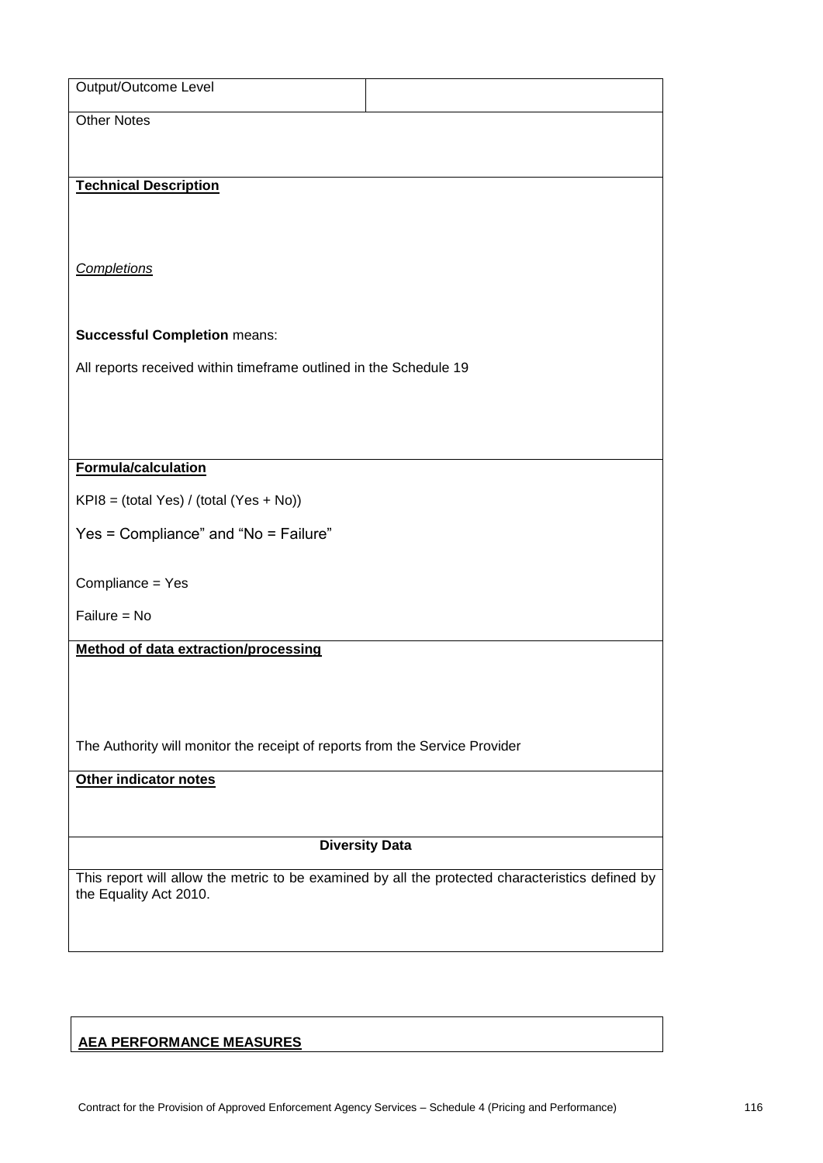| Output/Outcome Level                                                        |                                                                                                  |
|-----------------------------------------------------------------------------|--------------------------------------------------------------------------------------------------|
| <b>Other Notes</b>                                                          |                                                                                                  |
|                                                                             |                                                                                                  |
| <b>Technical Description</b>                                                |                                                                                                  |
|                                                                             |                                                                                                  |
|                                                                             |                                                                                                  |
| <b>Completions</b>                                                          |                                                                                                  |
|                                                                             |                                                                                                  |
| <b>Successful Completion means:</b>                                         |                                                                                                  |
| All reports received within timeframe outlined in the Schedule 19           |                                                                                                  |
|                                                                             |                                                                                                  |
|                                                                             |                                                                                                  |
| Formula/calculation                                                         |                                                                                                  |
| $KP18 = (total Yes) / (total (Yes + No))$                                   |                                                                                                  |
|                                                                             |                                                                                                  |
| Yes = Compliance" and "No = Failure"                                        |                                                                                                  |
| Compliance = Yes                                                            |                                                                                                  |
| Failure = No                                                                |                                                                                                  |
| Method of data extraction/processing                                        |                                                                                                  |
|                                                                             |                                                                                                  |
|                                                                             |                                                                                                  |
| The Authority will monitor the receipt of reports from the Service Provider |                                                                                                  |
|                                                                             |                                                                                                  |
| Other indicator notes                                                       |                                                                                                  |
|                                                                             |                                                                                                  |
| <b>Diversity Data</b>                                                       |                                                                                                  |
| the Equality Act 2010.                                                      | This report will allow the metric to be examined by all the protected characteristics defined by |
|                                                                             |                                                                                                  |
|                                                                             |                                                                                                  |
|                                                                             |                                                                                                  |

# **AEA PERFORMANCE MEASURES**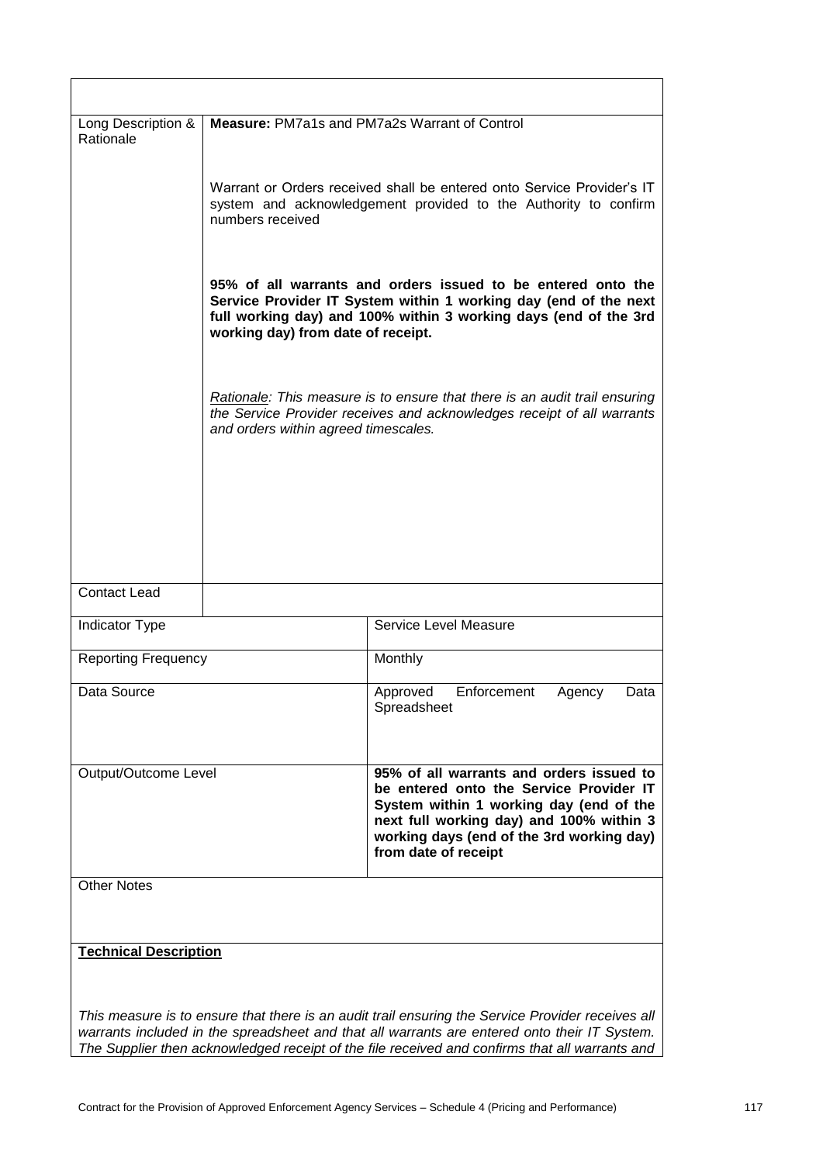| Long Description &<br>Rationale |                                                                                                                                                                                                                                                                                                                                                                                                                                                                                                                                                                                                             | Measure: PM7a1s and PM7a2s Warrant of Control                                                                                                                                                                                                                                                       |
|---------------------------------|-------------------------------------------------------------------------------------------------------------------------------------------------------------------------------------------------------------------------------------------------------------------------------------------------------------------------------------------------------------------------------------------------------------------------------------------------------------------------------------------------------------------------------------------------------------------------------------------------------------|-----------------------------------------------------------------------------------------------------------------------------------------------------------------------------------------------------------------------------------------------------------------------------------------------------|
|                                 | Warrant or Orders received shall be entered onto Service Provider's IT<br>system and acknowledgement provided to the Authority to confirm<br>numbers received<br>95% of all warrants and orders issued to be entered onto the<br>Service Provider IT System within 1 working day (end of the next<br>full working day) and 100% within 3 working days (end of the 3rd<br>working day) from date of receipt.<br>Rationale: This measure is to ensure that there is an audit trail ensuring<br>the Service Provider receives and acknowledges receipt of all warrants<br>and orders within agreed timescales. |                                                                                                                                                                                                                                                                                                     |
|                                 |                                                                                                                                                                                                                                                                                                                                                                                                                                                                                                                                                                                                             |                                                                                                                                                                                                                                                                                                     |
|                                 |                                                                                                                                                                                                                                                                                                                                                                                                                                                                                                                                                                                                             |                                                                                                                                                                                                                                                                                                     |
| <b>Contact Lead</b>             |                                                                                                                                                                                                                                                                                                                                                                                                                                                                                                                                                                                                             |                                                                                                                                                                                                                                                                                                     |
| Indicator Type                  |                                                                                                                                                                                                                                                                                                                                                                                                                                                                                                                                                                                                             | Service Level Measure                                                                                                                                                                                                                                                                               |
| <b>Reporting Frequency</b>      |                                                                                                                                                                                                                                                                                                                                                                                                                                                                                                                                                                                                             | Monthly                                                                                                                                                                                                                                                                                             |
| Data Source                     |                                                                                                                                                                                                                                                                                                                                                                                                                                                                                                                                                                                                             | Enforcement<br>Approved<br>Agency<br>Data<br>Spreadsheet                                                                                                                                                                                                                                            |
| Output/Outcome Level            |                                                                                                                                                                                                                                                                                                                                                                                                                                                                                                                                                                                                             | 95% of all warrants and orders issued to<br>be entered onto the Service Provider IT<br>System within 1 working day (end of the<br>next full working day) and 100% within 3<br>working days (end of the 3rd working day)<br>from date of receipt                                                     |
| <b>Other Notes</b>              |                                                                                                                                                                                                                                                                                                                                                                                                                                                                                                                                                                                                             |                                                                                                                                                                                                                                                                                                     |
| <b>Technical Description</b>    |                                                                                                                                                                                                                                                                                                                                                                                                                                                                                                                                                                                                             |                                                                                                                                                                                                                                                                                                     |
|                                 |                                                                                                                                                                                                                                                                                                                                                                                                                                                                                                                                                                                                             |                                                                                                                                                                                                                                                                                                     |
|                                 |                                                                                                                                                                                                                                                                                                                                                                                                                                                                                                                                                                                                             | This measure is to ensure that there is an audit trail ensuring the Service Provider receives all<br>warrants included in the spreadsheet and that all warrants are entered onto their IT System.<br>The Supplier then acknowledged receipt of the file received and confirms that all warrants and |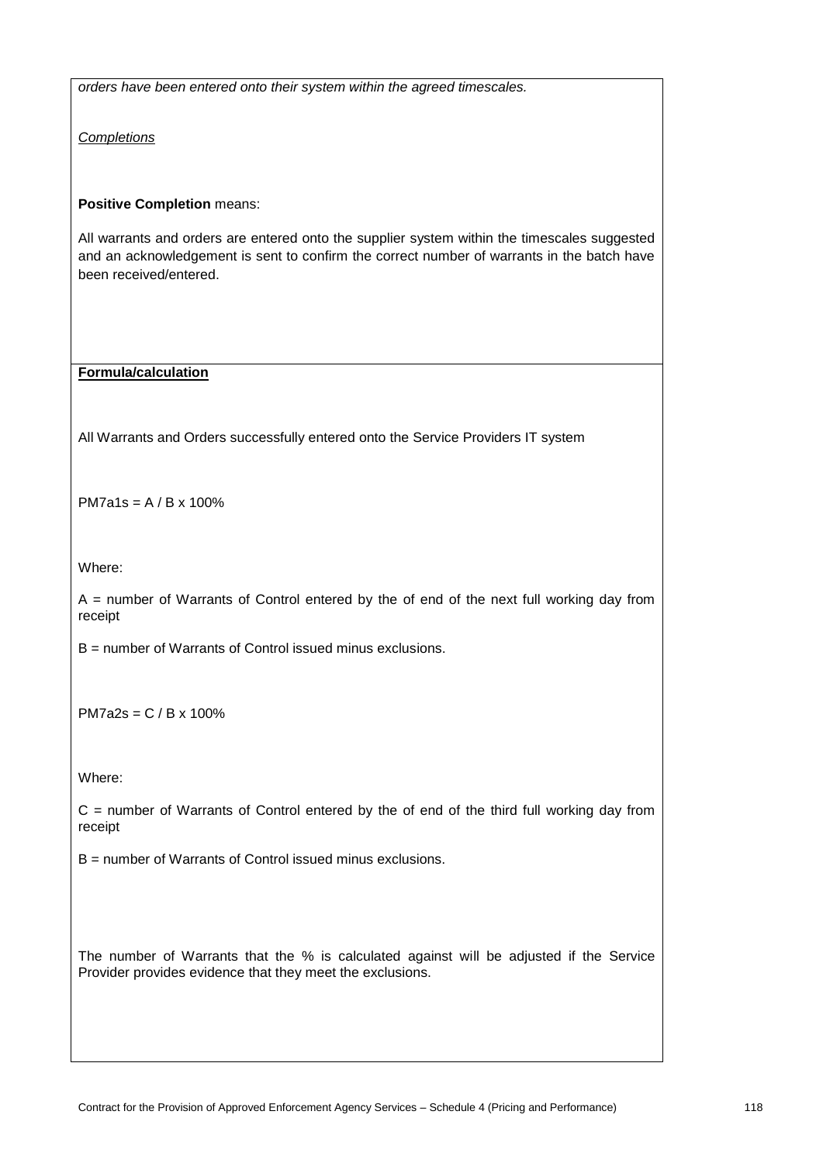*orders have been entered onto their system within the agreed timescales.*

*Completions*

**Positive Completion** means:

All warrants and orders are entered onto the supplier system within the timescales suggested and an acknowledgement is sent to confirm the correct number of warrants in the batch have been received/entered.

**Formula/calculation**

All Warrants and Orders successfully entered onto the Service Providers IT system

PM7a1s = A / B x 100%

Where:

 $A =$  number of Warrants of Control entered by the of end of the next full working day from receipt

B = number of Warrants of Control issued minus exclusions.

PM7a2s = C / B x 100%

Where:

 $C =$  number of Warrants of Control entered by the of end of the third full working day from receipt

B = number of Warrants of Control issued minus exclusions.

The number of Warrants that the % is calculated against will be adjusted if the Service Provider provides evidence that they meet the exclusions.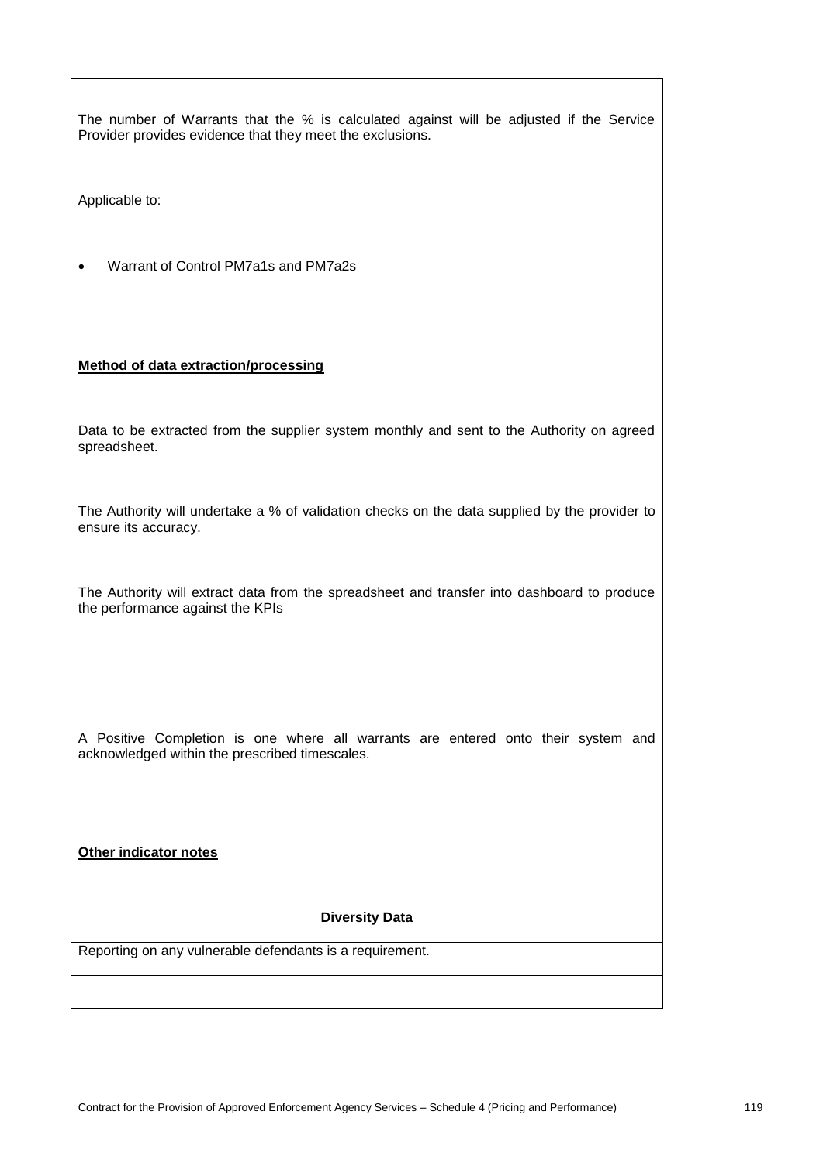| The number of Warrants that the % is calculated against will be adjusted if the Service<br>Provider provides evidence that they meet the exclusions. |  |  |
|------------------------------------------------------------------------------------------------------------------------------------------------------|--|--|
| Applicable to:                                                                                                                                       |  |  |
| Warrant of Control PM7a1s and PM7a2s                                                                                                                 |  |  |
| Method of data extraction/processing                                                                                                                 |  |  |
| Data to be extracted from the supplier system monthly and sent to the Authority on agreed<br>spreadsheet.                                            |  |  |
| The Authority will undertake a % of validation checks on the data supplied by the provider to<br>ensure its accuracy.                                |  |  |
| The Authority will extract data from the spreadsheet and transfer into dashboard to produce<br>the performance against the KPIs                      |  |  |
| A Positive Completion is one where all warrants are entered onto their system and<br>acknowledged within the prescribed timescales.                  |  |  |
| Other indicator notes                                                                                                                                |  |  |
|                                                                                                                                                      |  |  |
| <b>Diversity Data</b>                                                                                                                                |  |  |
| Reporting on any vulnerable defendants is a requirement.                                                                                             |  |  |
|                                                                                                                                                      |  |  |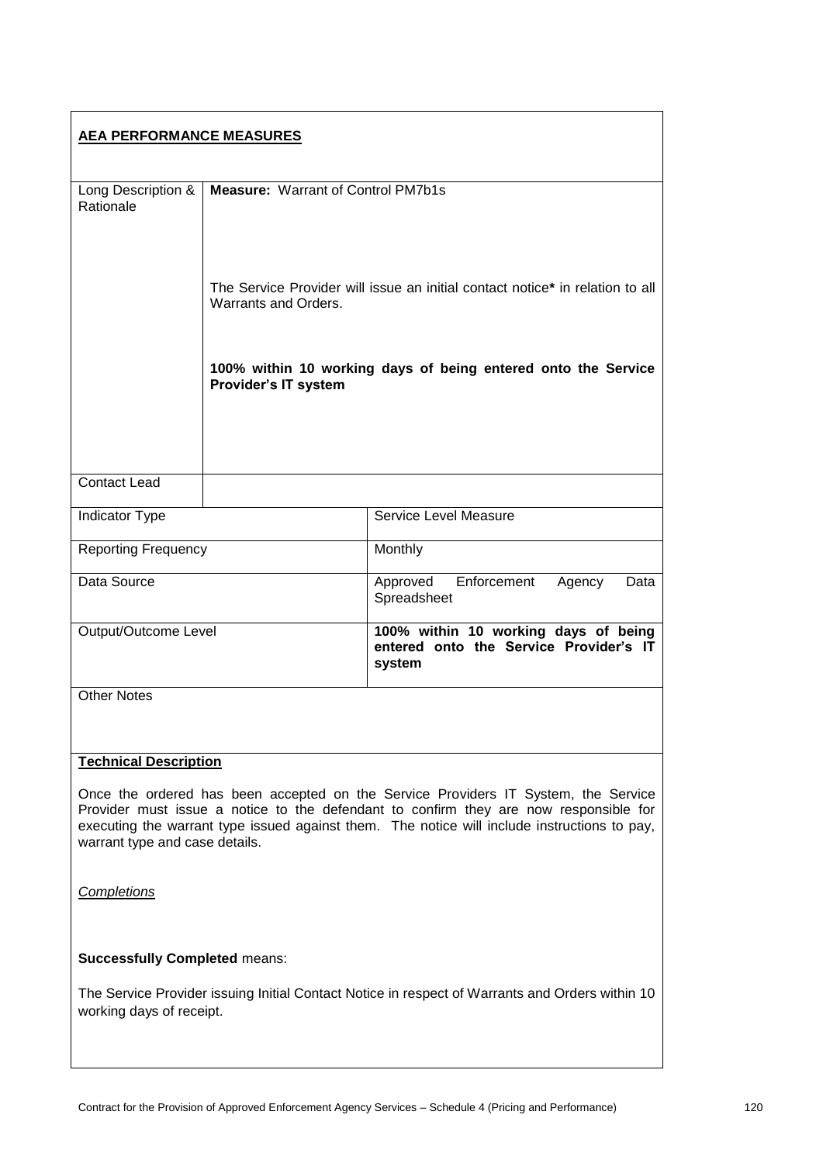| <b>AEA PERFORMANCE MEASURES</b>                                                                                                                                                                                                                                                                               |                                                                                                       |                                                                                          |  |
|---------------------------------------------------------------------------------------------------------------------------------------------------------------------------------------------------------------------------------------------------------------------------------------------------------------|-------------------------------------------------------------------------------------------------------|------------------------------------------------------------------------------------------|--|
|                                                                                                                                                                                                                                                                                                               |                                                                                                       |                                                                                          |  |
| Long Description &<br>Rationale                                                                                                                                                                                                                                                                               | <b>Measure: Warrant of Control PM7b1s</b>                                                             |                                                                                          |  |
|                                                                                                                                                                                                                                                                                                               | The Service Provider will issue an initial contact notice* in relation to all<br>Warrants and Orders. |                                                                                          |  |
|                                                                                                                                                                                                                                                                                                               | Provider's IT system                                                                                  | 100% within 10 working days of being entered onto the Service                            |  |
|                                                                                                                                                                                                                                                                                                               |                                                                                                       |                                                                                          |  |
| <b>Contact Lead</b>                                                                                                                                                                                                                                                                                           |                                                                                                       |                                                                                          |  |
| Indicator Type                                                                                                                                                                                                                                                                                                |                                                                                                       | Service Level Measure                                                                    |  |
| <b>Reporting Frequency</b>                                                                                                                                                                                                                                                                                    |                                                                                                       | Monthly                                                                                  |  |
| Data Source                                                                                                                                                                                                                                                                                                   |                                                                                                       | Enforcement<br>Approved<br>Agency<br>Data<br>Spreadsheet                                 |  |
| Output/Outcome Level                                                                                                                                                                                                                                                                                          |                                                                                                       | 100% within 10 working days of being<br>entered onto the Service Provider's IT<br>system |  |
| <b>Other Notes</b>                                                                                                                                                                                                                                                                                            |                                                                                                       |                                                                                          |  |
|                                                                                                                                                                                                                                                                                                               |                                                                                                       |                                                                                          |  |
| <b>Technical Description</b>                                                                                                                                                                                                                                                                                  |                                                                                                       |                                                                                          |  |
| Once the ordered has been accepted on the Service Providers IT System, the Service<br>Provider must issue a notice to the defendant to confirm they are now responsible for<br>executing the warrant type issued against them. The notice will include instructions to pay,<br>warrant type and case details. |                                                                                                       |                                                                                          |  |
| <b>Completions</b>                                                                                                                                                                                                                                                                                            |                                                                                                       |                                                                                          |  |
| <b>Successfully Completed means:</b>                                                                                                                                                                                                                                                                          |                                                                                                       |                                                                                          |  |
| The Service Provider issuing Initial Contact Notice in respect of Warrants and Orders within 10<br>working days of receipt.                                                                                                                                                                                   |                                                                                                       |                                                                                          |  |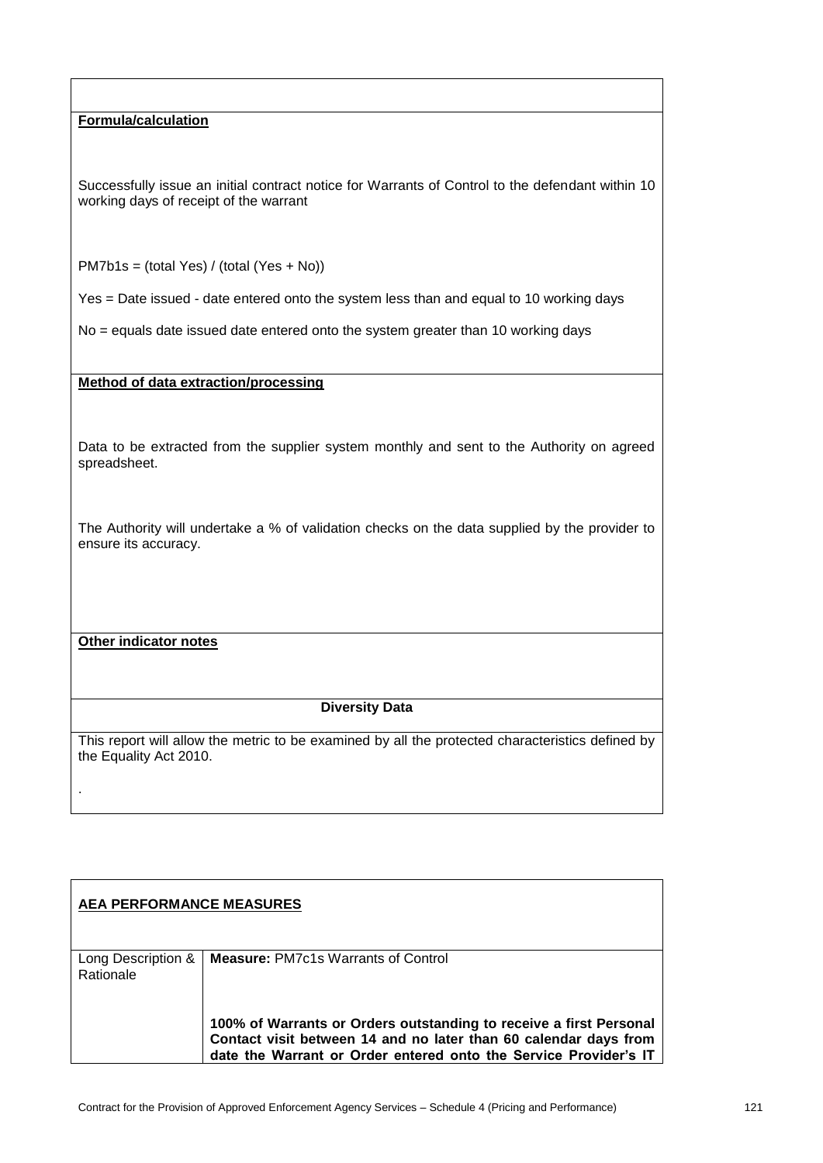**Formula/calculation**

Successfully issue an initial contract notice for Warrants of Control to the defendant within 10 working days of receipt of the warrant

PM7b1s = (total Yes) / (total (Yes + No))

Yes = Date issued - date entered onto the system less than and equal to 10 working days

No = equals date issued date entered onto the system greater than 10 working days

**Method of data extraction/processing**

Data to be extracted from the supplier system monthly and sent to the Authority on agreed spreadsheet.

The Authority will undertake a % of validation checks on the data supplied by the provider to ensure its accuracy.

**Other indicator notes**

.

#### **Diversity Data**

| <b>AEA PERFORMANCE MEASURES</b> |                                                                                                                                                                                                            |  |
|---------------------------------|------------------------------------------------------------------------------------------------------------------------------------------------------------------------------------------------------------|--|
| Long Description &<br>Rationale | <b>Measure: PM7c1s Warrants of Control</b>                                                                                                                                                                 |  |
|                                 |                                                                                                                                                                                                            |  |
|                                 | 100% of Warrants or Orders outstanding to receive a first Personal<br>Contact visit between 14 and no later than 60 calendar days from<br>date the Warrant or Order entered onto the Service Provider's IT |  |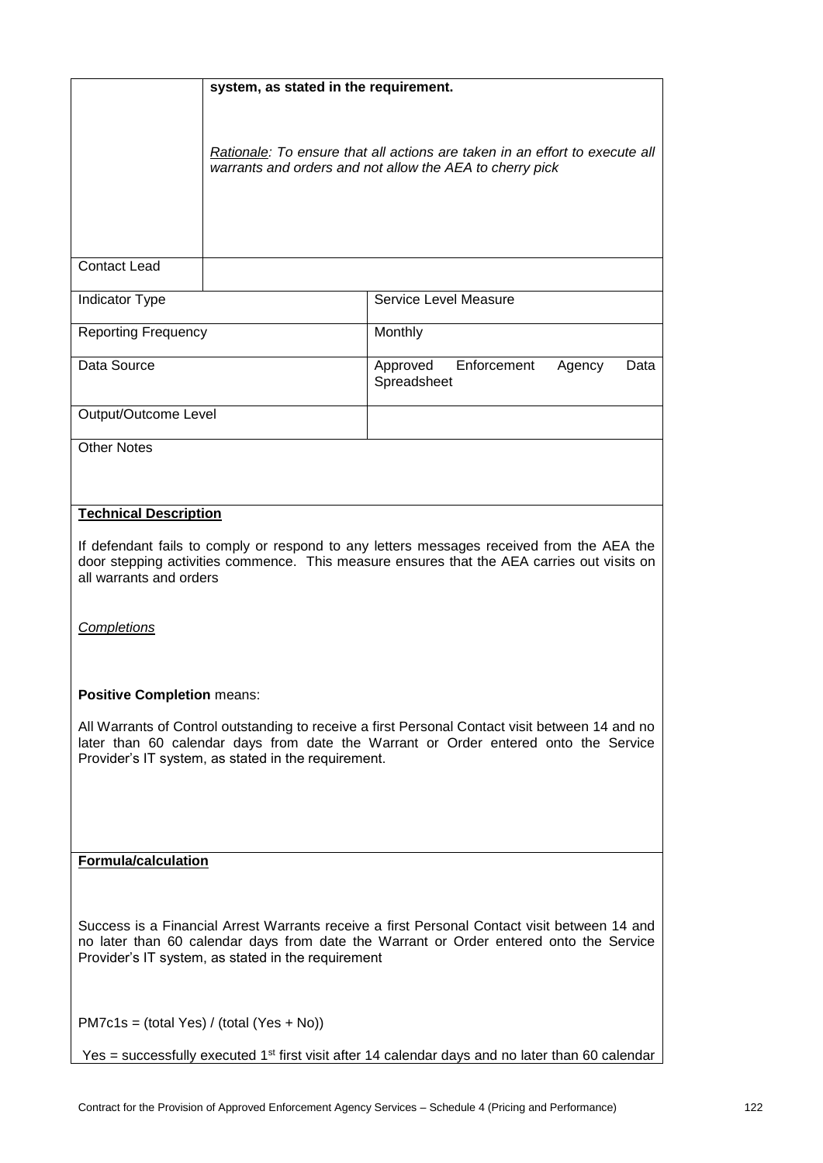| system, as stated in the requirement.                                                                                                                                                                                                         |                                                                                                                                         |                                                          |  |
|-----------------------------------------------------------------------------------------------------------------------------------------------------------------------------------------------------------------------------------------------|-----------------------------------------------------------------------------------------------------------------------------------------|----------------------------------------------------------|--|
|                                                                                                                                                                                                                                               | Rationale: To ensure that all actions are taken in an effort to execute all<br>warrants and orders and not allow the AEA to cherry pick |                                                          |  |
| <b>Contact Lead</b>                                                                                                                                                                                                                           |                                                                                                                                         |                                                          |  |
|                                                                                                                                                                                                                                               |                                                                                                                                         |                                                          |  |
| Indicator Type                                                                                                                                                                                                                                |                                                                                                                                         | Service Level Measure                                    |  |
| <b>Reporting Frequency</b>                                                                                                                                                                                                                    |                                                                                                                                         | Monthly                                                  |  |
| Data Source                                                                                                                                                                                                                                   |                                                                                                                                         | Enforcement<br>Approved<br>Agency<br>Data<br>Spreadsheet |  |
| Output/Outcome Level                                                                                                                                                                                                                          |                                                                                                                                         |                                                          |  |
| <b>Other Notes</b>                                                                                                                                                                                                                            |                                                                                                                                         |                                                          |  |
|                                                                                                                                                                                                                                               |                                                                                                                                         |                                                          |  |
| <b>Technical Description</b>                                                                                                                                                                                                                  |                                                                                                                                         |                                                          |  |
| If defendant fails to comply or respond to any letters messages received from the AEA the<br>door stepping activities commence. This measure ensures that the AEA carries out visits on<br>all warrants and orders                            |                                                                                                                                         |                                                          |  |
| Completions                                                                                                                                                                                                                                   |                                                                                                                                         |                                                          |  |
| <b>Positive Completion means:</b>                                                                                                                                                                                                             |                                                                                                                                         |                                                          |  |
| All Warrants of Control outstanding to receive a first Personal Contact visit between 14 and no<br>later than 60 calendar days from date the Warrant or Order entered onto the Service<br>Provider's IT system, as stated in the requirement. |                                                                                                                                         |                                                          |  |
| Formula/calculation                                                                                                                                                                                                                           |                                                                                                                                         |                                                          |  |
| Success is a Financial Arrest Warrants receive a first Personal Contact visit between 14 and<br>no later than 60 calendar days from date the Warrant or Order entered onto the Service<br>Provider's IT system, as stated in the requirement  |                                                                                                                                         |                                                          |  |
| $PM7c1s = (total Yes) / (total (Yes + No))$                                                                                                                                                                                                   |                                                                                                                                         |                                                          |  |
| Yes = successfully executed 1 <sup>st</sup> first visit after 14 calendar days and no later than 60 calendar                                                                                                                                  |                                                                                                                                         |                                                          |  |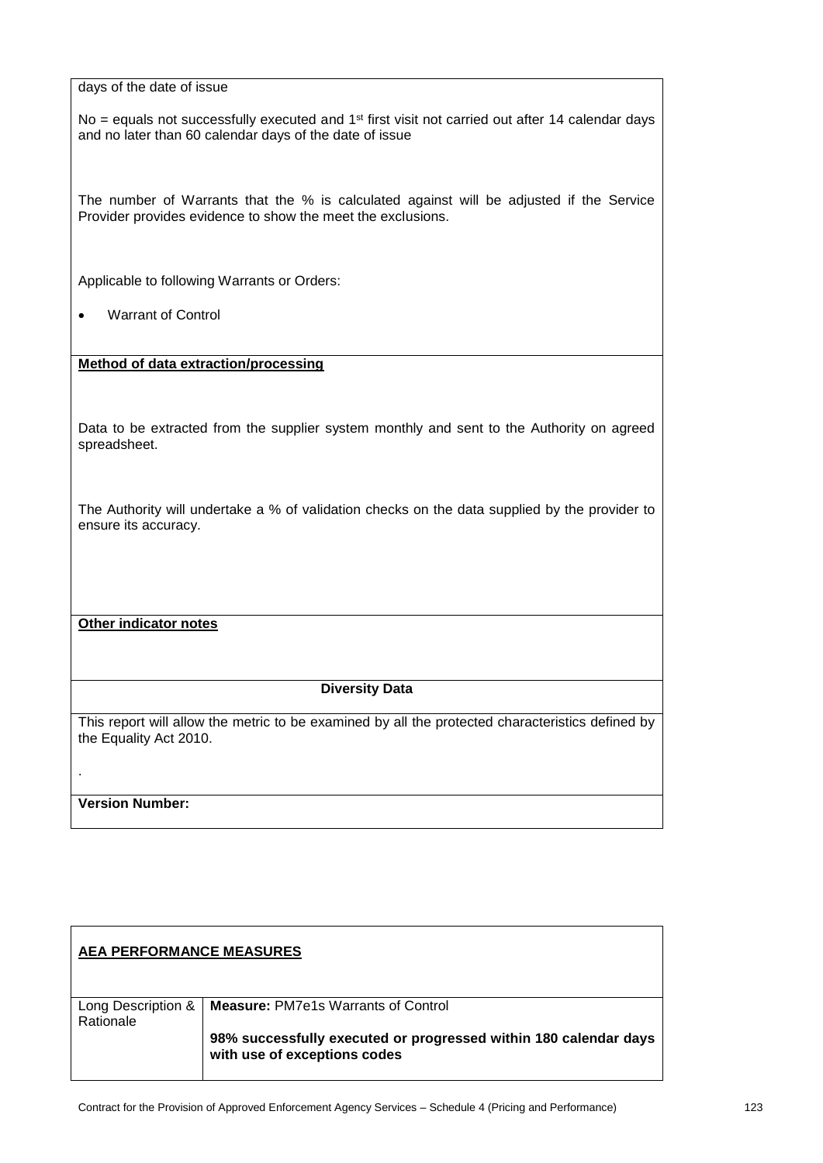No = equals not successfully executed and  $1<sup>st</sup>$  first visit not carried out after 14 calendar days and no later than 60 calendar days of the date of issue

The number of Warrants that the % is calculated against will be adjusted if the Service Provider provides evidence to show the meet the exclusions.

Applicable to following Warrants or Orders:

• Warrant of Control

**Method of data extraction/processing**

Data to be extracted from the supplier system monthly and sent to the Authority on agreed spreadsheet.

The Authority will undertake a % of validation checks on the data supplied by the provider to ensure its accuracy.

**Other indicator notes**

#### **Diversity Data**

This report will allow the metric to be examined by all the protected characteristics defined by the Equality Act 2010.

#### **Version Number:**

.

| <b>AEA PERFORMANCE MEASURES</b> |                                                                                                  |
|---------------------------------|--------------------------------------------------------------------------------------------------|
| Long Description &<br>Rationale | <b>Measure: PM7e1s Warrants of Control</b>                                                       |
|                                 | 98% successfully executed or progressed within 180 calendar days<br>with use of exceptions codes |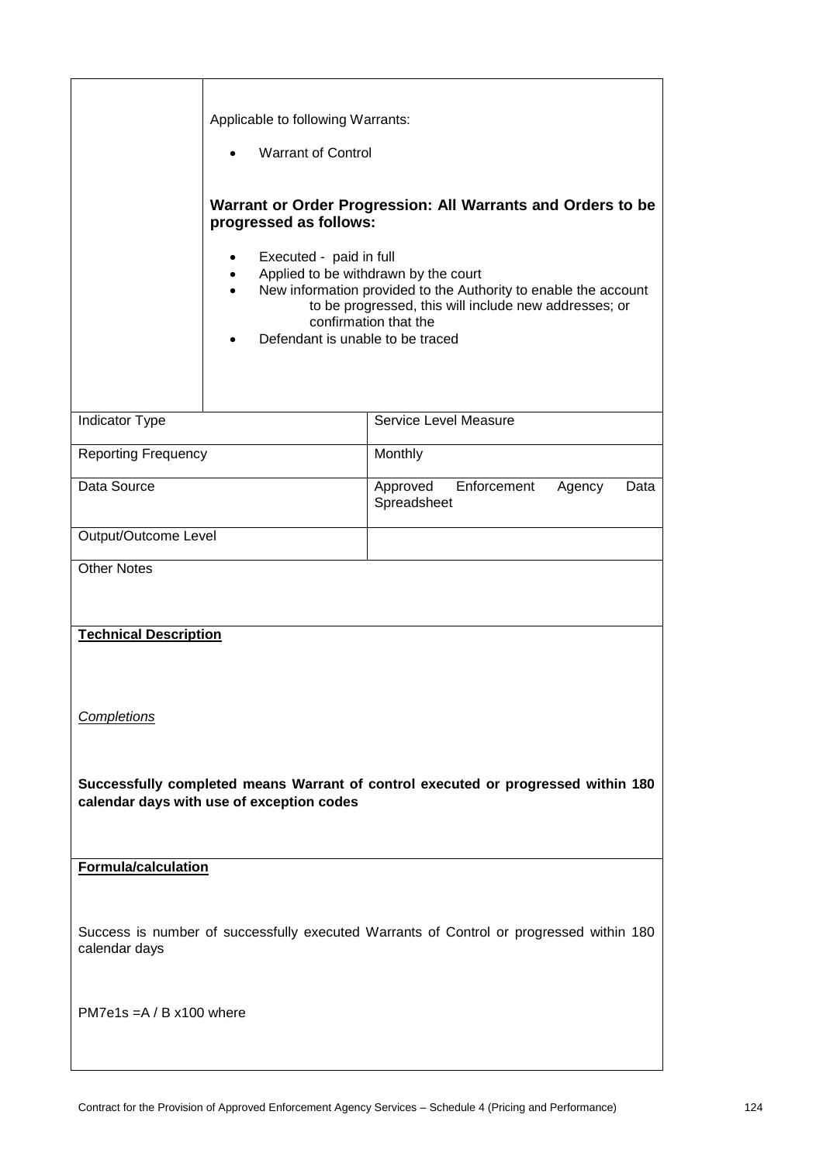|                                                                                                                                | Applicable to following Warrants:<br><b>Warrant of Control</b><br>٠<br>progressed as follows:<br>Executed - paid in full<br>$\bullet$<br>$\bullet$<br>$\bullet$<br>Defendant is unable to be traced | Warrant or Order Progression: All Warrants and Orders to be<br>Applied to be withdrawn by the court<br>New information provided to the Authority to enable the account<br>to be progressed, this will include new addresses; or<br>confirmation that the |
|--------------------------------------------------------------------------------------------------------------------------------|-----------------------------------------------------------------------------------------------------------------------------------------------------------------------------------------------------|----------------------------------------------------------------------------------------------------------------------------------------------------------------------------------------------------------------------------------------------------------|
| Indicator Type                                                                                                                 |                                                                                                                                                                                                     | Service Level Measure                                                                                                                                                                                                                                    |
| <b>Reporting Frequency</b>                                                                                                     |                                                                                                                                                                                                     | Monthly                                                                                                                                                                                                                                                  |
| Data Source                                                                                                                    |                                                                                                                                                                                                     | Enforcement<br>Approved<br>Agency<br>Data<br>Spreadsheet                                                                                                                                                                                                 |
| Output/Outcome Level                                                                                                           |                                                                                                                                                                                                     |                                                                                                                                                                                                                                                          |
| <b>Other Notes</b>                                                                                                             |                                                                                                                                                                                                     |                                                                                                                                                                                                                                                          |
| <b>Technical Description</b><br><b>Completions</b>                                                                             |                                                                                                                                                                                                     |                                                                                                                                                                                                                                                          |
| Successfully completed means Warrant of control executed or progressed within 180<br>calendar days with use of exception codes |                                                                                                                                                                                                     |                                                                                                                                                                                                                                                          |
| <b>Formula/calculation</b>                                                                                                     |                                                                                                                                                                                                     |                                                                                                                                                                                                                                                          |
| Success is number of successfully executed Warrants of Control or progressed within 180<br>calendar days                       |                                                                                                                                                                                                     |                                                                                                                                                                                                                                                          |
| PM7e1s = $A / B x 100$ where                                                                                                   |                                                                                                                                                                                                     |                                                                                                                                                                                                                                                          |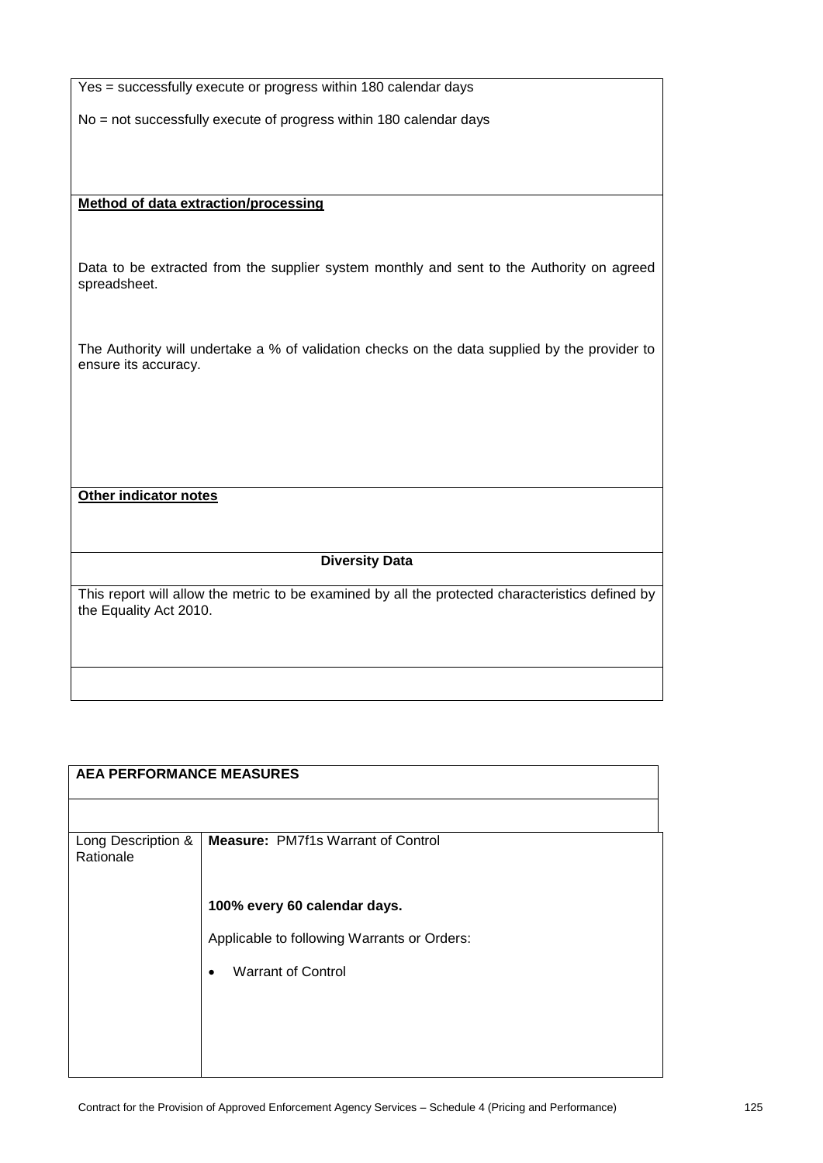| Yes = successfully execute or progress within 180 calendar days                                                       |
|-----------------------------------------------------------------------------------------------------------------------|
| No = not successfully execute of progress within 180 calendar days                                                    |
|                                                                                                                       |
|                                                                                                                       |
| <b>Method of data extraction/processing</b>                                                                           |
|                                                                                                                       |
|                                                                                                                       |
| Data to be extracted from the supplier system monthly and sent to the Authority on agreed<br>spreadsheet.             |
|                                                                                                                       |
|                                                                                                                       |
| The Authority will undertake a % of validation checks on the data supplied by the provider to<br>ensure its accuracy. |
|                                                                                                                       |
|                                                                                                                       |
|                                                                                                                       |
|                                                                                                                       |
| <b>Other indicator notes</b>                                                                                          |
|                                                                                                                       |
|                                                                                                                       |
| <b>Diversity Data</b>                                                                                                 |
| This report will allow the metric to be examined by all the protected characteristics defined by                      |
| the Equality Act 2010.                                                                                                |
|                                                                                                                       |
|                                                                                                                       |
|                                                                                                                       |
|                                                                                                                       |

| <b>Measure: PM7f1s Warrant of Control</b>   |
|---------------------------------------------|
|                                             |
| 100% every 60 calendar days.                |
| Applicable to following Warrants or Orders: |
|                                             |
|                                             |
|                                             |
|                                             |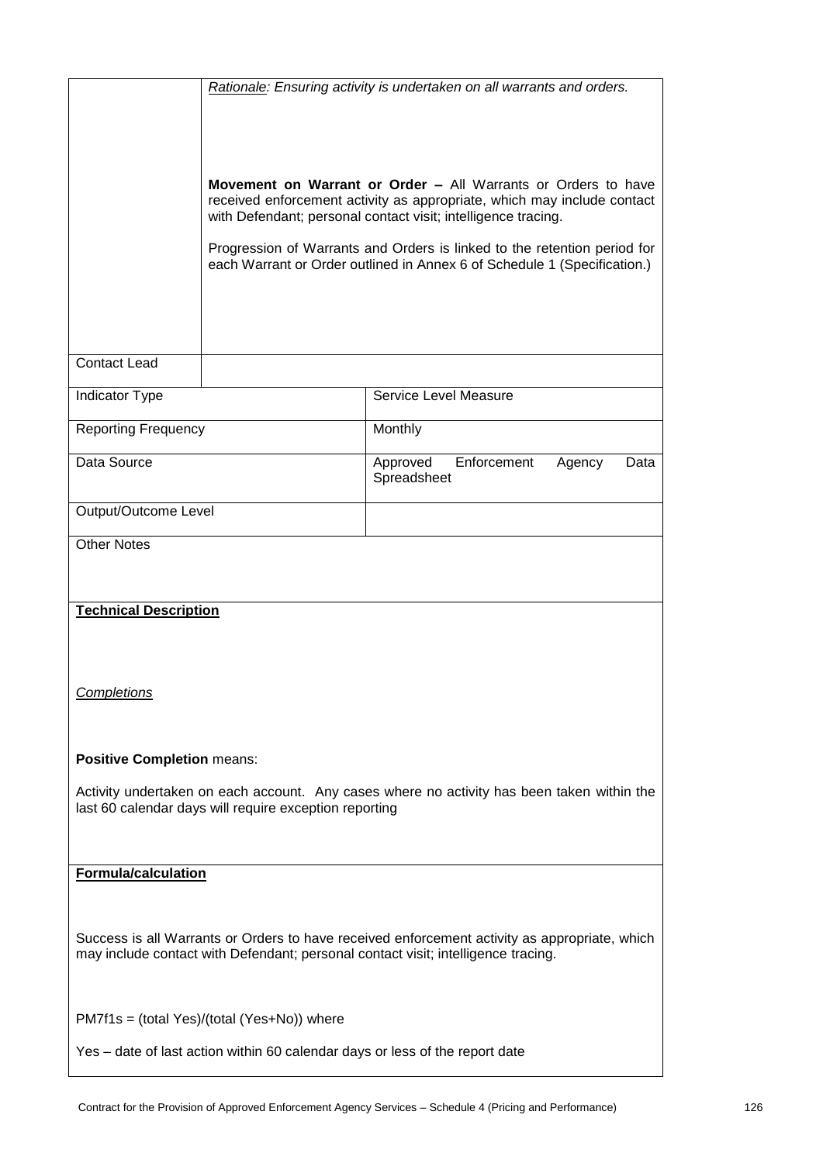|                                                                                                                                                                                    | Rationale: Ensuring activity is undertaken on all warrants and orders.                                                                                                                                                                                                                                                                                                   |                                                          |  |
|------------------------------------------------------------------------------------------------------------------------------------------------------------------------------------|--------------------------------------------------------------------------------------------------------------------------------------------------------------------------------------------------------------------------------------------------------------------------------------------------------------------------------------------------------------------------|----------------------------------------------------------|--|
|                                                                                                                                                                                    | <b>Movement on Warrant or Order – All Warrants or Orders to have</b><br>received enforcement activity as appropriate, which may include contact<br>with Defendant; personal contact visit; intelligence tracing.<br>Progression of Warrants and Orders is linked to the retention period for<br>each Warrant or Order outlined in Annex 6 of Schedule 1 (Specification.) |                                                          |  |
| <b>Contact Lead</b>                                                                                                                                                                |                                                                                                                                                                                                                                                                                                                                                                          |                                                          |  |
| <b>Indicator Type</b>                                                                                                                                                              |                                                                                                                                                                                                                                                                                                                                                                          | Service Level Measure                                    |  |
| <b>Reporting Frequency</b>                                                                                                                                                         |                                                                                                                                                                                                                                                                                                                                                                          | Monthly                                                  |  |
| Data Source                                                                                                                                                                        |                                                                                                                                                                                                                                                                                                                                                                          | Approved<br>Enforcement<br>Agency<br>Data<br>Spreadsheet |  |
| Output/Outcome Level                                                                                                                                                               |                                                                                                                                                                                                                                                                                                                                                                          |                                                          |  |
| <b>Other Notes</b>                                                                                                                                                                 |                                                                                                                                                                                                                                                                                                                                                                          |                                                          |  |
| <b>Technical Description</b>                                                                                                                                                       |                                                                                                                                                                                                                                                                                                                                                                          |                                                          |  |
| <b>Completions</b>                                                                                                                                                                 |                                                                                                                                                                                                                                                                                                                                                                          |                                                          |  |
| <b>Positive Completion means:</b>                                                                                                                                                  |                                                                                                                                                                                                                                                                                                                                                                          |                                                          |  |
| Activity undertaken on each account. Any cases where no activity has been taken within the<br>last 60 calendar days will require exception reporting                               |                                                                                                                                                                                                                                                                                                                                                                          |                                                          |  |
| <b>Formula/calculation</b>                                                                                                                                                         |                                                                                                                                                                                                                                                                                                                                                                          |                                                          |  |
| Success is all Warrants or Orders to have received enforcement activity as appropriate, which<br>may include contact with Defendant; personal contact visit; intelligence tracing. |                                                                                                                                                                                                                                                                                                                                                                          |                                                          |  |
|                                                                                                                                                                                    | PM7f1s = (total Yes)/(total (Yes+No)) where                                                                                                                                                                                                                                                                                                                              |                                                          |  |
| Yes - date of last action within 60 calendar days or less of the report date                                                                                                       |                                                                                                                                                                                                                                                                                                                                                                          |                                                          |  |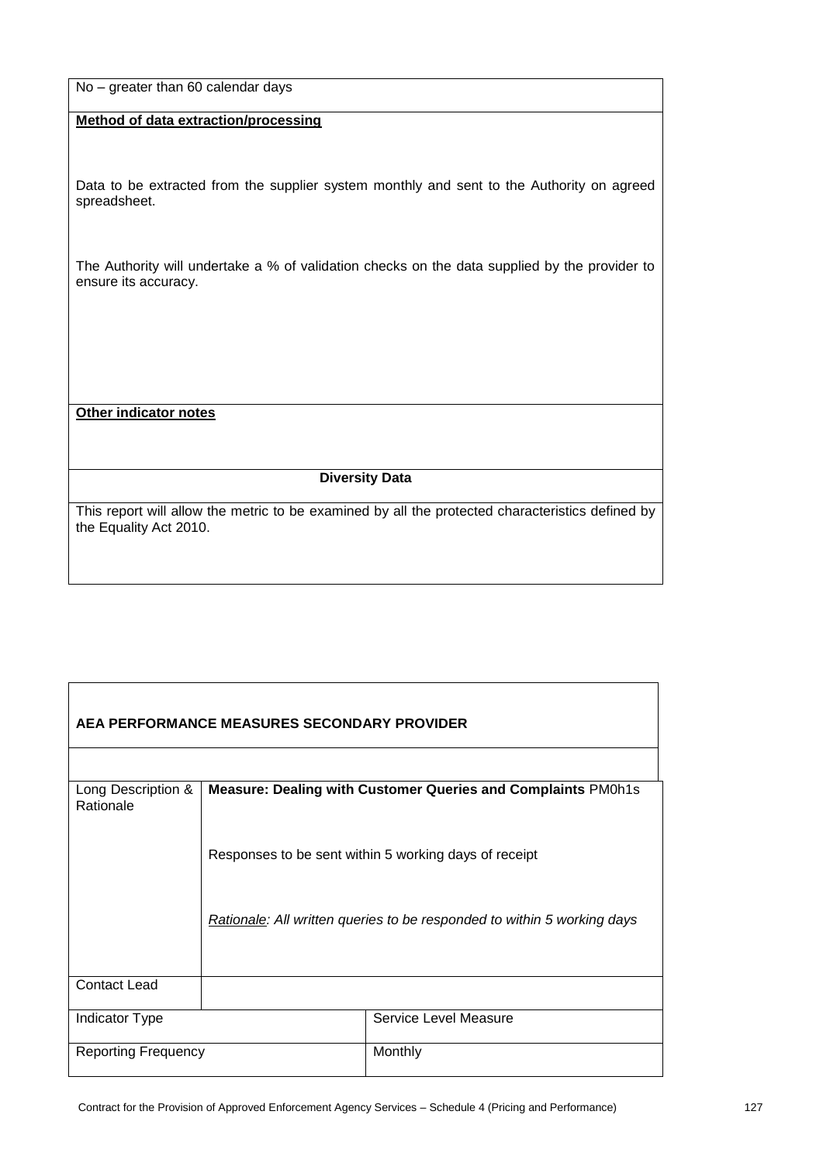| No - greater than 60 calendar days |  |  |  |
|------------------------------------|--|--|--|
|------------------------------------|--|--|--|

#### **Method of data extraction/processing**

Data to be extracted from the supplier system monthly and sent to the Authority on agreed spreadsheet.

The Authority will undertake a % of validation checks on the data supplied by the provider to ensure its accuracy.

**Other indicator notes**

 $\mathsf{r}$ 

#### **Diversity Data**

This report will allow the metric to be examined by all the protected characteristics defined by the Equality Act 2010.

| AEA PERFORMANCE MEASURES SECONDARY PROVIDER |                                                              |                                                                         |  |
|---------------------------------------------|--------------------------------------------------------------|-------------------------------------------------------------------------|--|
|                                             |                                                              |                                                                         |  |
| Long Description &<br>Rationale             | Measure: Dealing with Customer Queries and Complaints PM0h1s |                                                                         |  |
|                                             |                                                              | Responses to be sent within 5 working days of receipt                   |  |
|                                             |                                                              | Rationale: All written queries to be responded to within 5 working days |  |
| <b>Contact Lead</b>                         |                                                              |                                                                         |  |
| <b>Indicator Type</b>                       |                                                              | Service Level Measure                                                   |  |
| <b>Reporting Frequency</b>                  |                                                              | Monthly                                                                 |  |

٦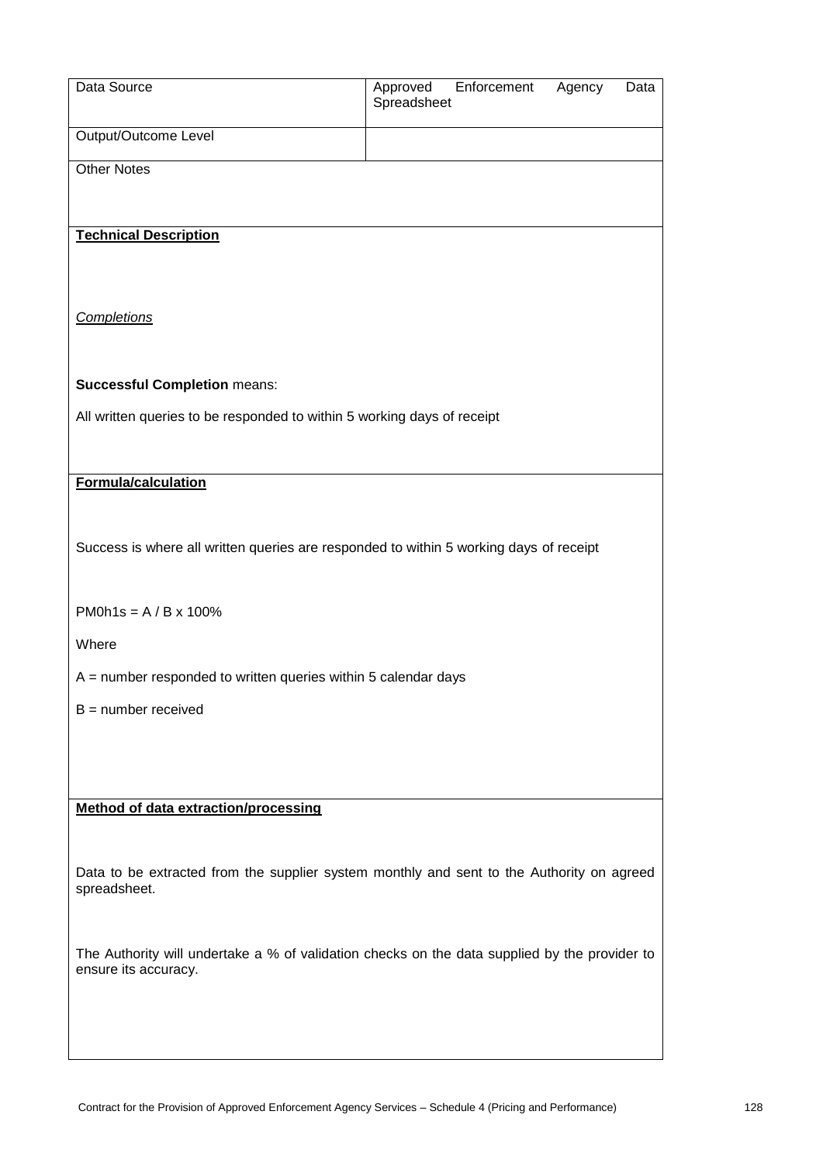| Data Source                                                                                               | Approved<br>Spreadsheet | Enforcement | Agency | Data |
|-----------------------------------------------------------------------------------------------------------|-------------------------|-------------|--------|------|
| Output/Outcome Level                                                                                      |                         |             |        |      |
| <b>Other Notes</b>                                                                                        |                         |             |        |      |
|                                                                                                           |                         |             |        |      |
| <b>Technical Description</b>                                                                              |                         |             |        |      |
|                                                                                                           |                         |             |        |      |
|                                                                                                           |                         |             |        |      |
| <b>Completions</b>                                                                                        |                         |             |        |      |
|                                                                                                           |                         |             |        |      |
| <b>Successful Completion means:</b>                                                                       |                         |             |        |      |
| All written queries to be responded to within 5 working days of receipt                                   |                         |             |        |      |
| Formula/calculation                                                                                       |                         |             |        |      |
|                                                                                                           |                         |             |        |      |
| Success is where all written queries are responded to within 5 working days of receipt                    |                         |             |        |      |
|                                                                                                           |                         |             |        |      |
| PM0h1s = $A / B x 100%$                                                                                   |                         |             |        |      |
| Where                                                                                                     |                         |             |        |      |
| $A =$ number responded to written queries within 5 calendar days                                          |                         |             |        |      |
| $B =$ number received                                                                                     |                         |             |        |      |
|                                                                                                           |                         |             |        |      |
|                                                                                                           |                         |             |        |      |
| <b>Method of data extraction/processing</b>                                                               |                         |             |        |      |
|                                                                                                           |                         |             |        |      |
| Data to be extracted from the supplier system monthly and sent to the Authority on agreed<br>spreadsheet. |                         |             |        |      |
|                                                                                                           |                         |             |        |      |
| The Authority will undertake a % of validation checks on the data supplied by the provider to             |                         |             |        |      |
| ensure its accuracy.                                                                                      |                         |             |        |      |
|                                                                                                           |                         |             |        |      |
|                                                                                                           |                         |             |        |      |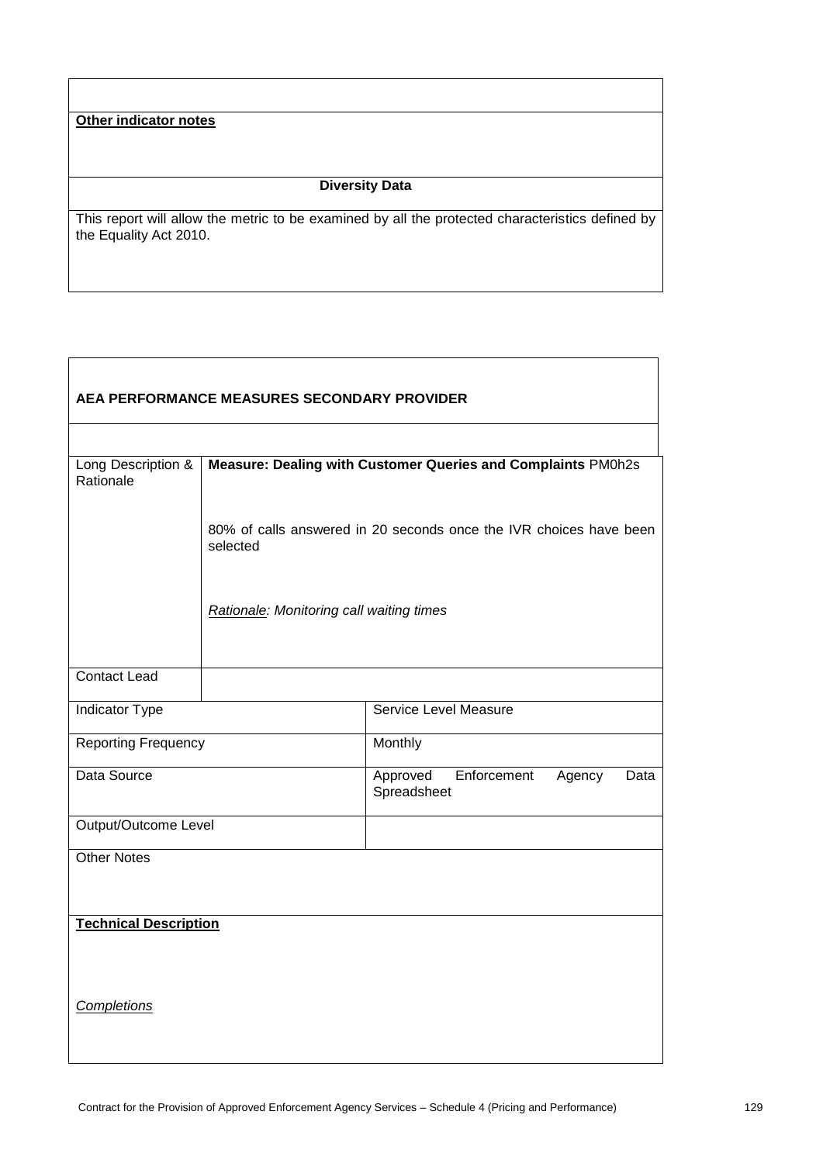# **Other indicator notes**

 $\overline{\Gamma}$ 

### **Diversity Data**

This report will allow the metric to be examined by all the protected characteristics defined by the Equality Act 2010.

| AEA PERFORMANCE MEASURES SECONDARY PROVIDER |                                                                                |                                                          |  |
|---------------------------------------------|--------------------------------------------------------------------------------|----------------------------------------------------------|--|
|                                             |                                                                                |                                                          |  |
| Long Description &<br>Rationale             | Measure: Dealing with Customer Queries and Complaints PM0h2s                   |                                                          |  |
|                                             | 80% of calls answered in 20 seconds once the IVR choices have been<br>selected |                                                          |  |
|                                             | Rationale: Monitoring call waiting times                                       |                                                          |  |
| <b>Contact Lead</b>                         |                                                                                |                                                          |  |
| Indicator Type                              |                                                                                | Service Level Measure                                    |  |
| <b>Reporting Frequency</b>                  |                                                                                | Monthly                                                  |  |
| Data Source                                 |                                                                                | Enforcement<br>Approved<br>Agency<br>Data<br>Spreadsheet |  |
| Output/Outcome Level                        |                                                                                |                                                          |  |
| <b>Other Notes</b>                          |                                                                                |                                                          |  |
| <b>Technical Description</b>                |                                                                                |                                                          |  |
| <b>Completions</b>                          |                                                                                |                                                          |  |

┑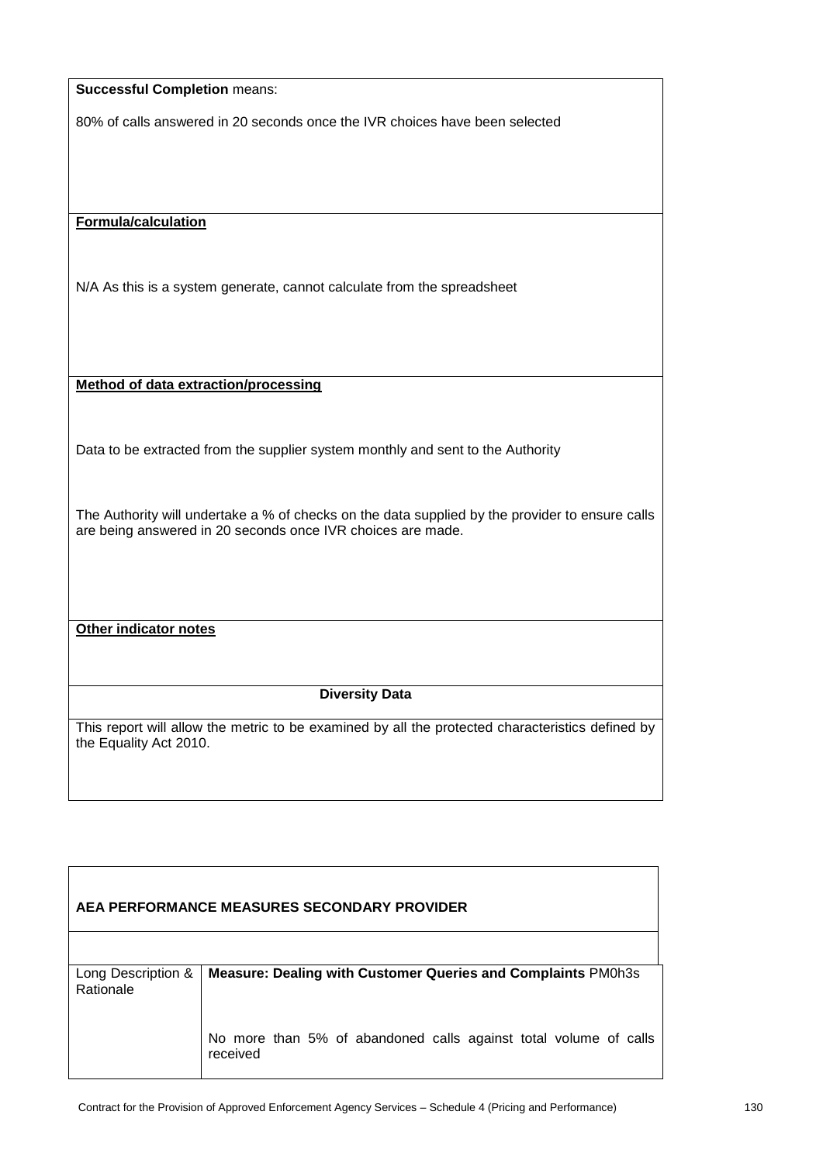| <b>Successful Completion means:</b>                                                                                                                            |
|----------------------------------------------------------------------------------------------------------------------------------------------------------------|
| 80% of calls answered in 20 seconds once the IVR choices have been selected                                                                                    |
|                                                                                                                                                                |
|                                                                                                                                                                |
|                                                                                                                                                                |
| <b>Formula/calculation</b>                                                                                                                                     |
|                                                                                                                                                                |
| N/A As this is a system generate, cannot calculate from the spreadsheet                                                                                        |
|                                                                                                                                                                |
|                                                                                                                                                                |
|                                                                                                                                                                |
| <b>Method of data extraction/processing</b>                                                                                                                    |
|                                                                                                                                                                |
| Data to be extracted from the supplier system monthly and sent to the Authority                                                                                |
|                                                                                                                                                                |
|                                                                                                                                                                |
| The Authority will undertake a % of checks on the data supplied by the provider to ensure calls<br>are being answered in 20 seconds once IVR choices are made. |
|                                                                                                                                                                |
|                                                                                                                                                                |
|                                                                                                                                                                |
| Other indicator notes                                                                                                                                          |
|                                                                                                                                                                |
|                                                                                                                                                                |
| <b>Diversity Data</b>                                                                                                                                          |
| This report will allow the metric to be examined by all the protected characteristics defined by                                                               |
| the Equality Act 2010.                                                                                                                                         |
|                                                                                                                                                                |
|                                                                                                                                                                |

| AEA PERFORMANCE MEASURES SECONDARY PROVIDER |                                                                              |  |
|---------------------------------------------|------------------------------------------------------------------------------|--|
|                                             |                                                                              |  |
| Long Description &<br>Rationale             | <b>Measure: Dealing with Customer Queries and Complaints PM0h3s</b>          |  |
|                                             | No more than 5% of abandoned calls against total volume of calls<br>received |  |

 $\sqrt{ }$ 

٦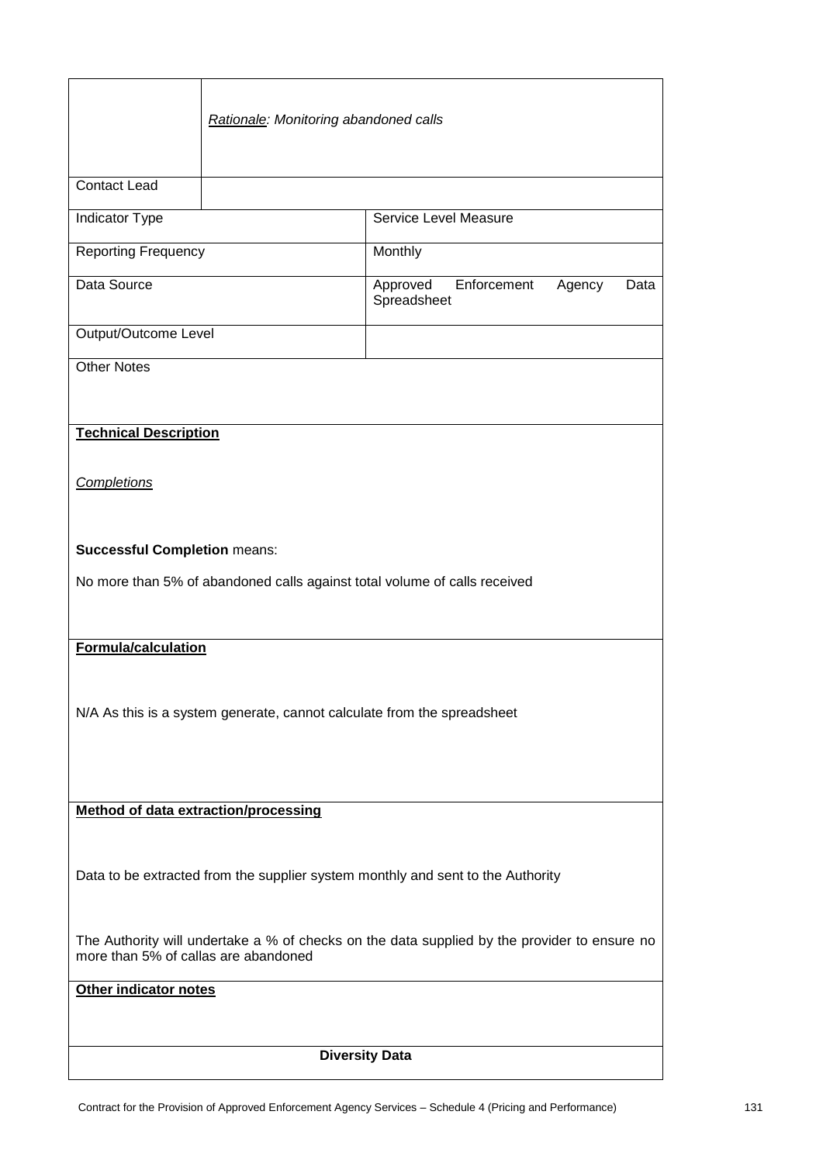|                                                                                                                                      | Rationale: Monitoring abandoned calls |                                        |                |
|--------------------------------------------------------------------------------------------------------------------------------------|---------------------------------------|----------------------------------------|----------------|
| <b>Contact Lead</b>                                                                                                                  |                                       |                                        |                |
| <b>Indicator Type</b>                                                                                                                |                                       | Service Level Measure                  |                |
| <b>Reporting Frequency</b>                                                                                                           |                                       | Monthly                                |                |
| Data Source                                                                                                                          |                                       | Enforcement<br>Approved<br>Spreadsheet | Agency<br>Data |
| Output/Outcome Level                                                                                                                 |                                       |                                        |                |
| <b>Other Notes</b>                                                                                                                   |                                       |                                        |                |
|                                                                                                                                      |                                       |                                        |                |
| <b>Technical Description</b>                                                                                                         |                                       |                                        |                |
| Completions                                                                                                                          |                                       |                                        |                |
| <b>Successful Completion means:</b><br>No more than 5% of abandoned calls against total volume of calls received                     |                                       |                                        |                |
|                                                                                                                                      |                                       |                                        |                |
| <b>Formula/calculation</b>                                                                                                           |                                       |                                        |                |
| N/A As this is a system generate, cannot calculate from the spreadsheet                                                              |                                       |                                        |                |
| Method of data extraction/processing                                                                                                 |                                       |                                        |                |
|                                                                                                                                      |                                       |                                        |                |
| Data to be extracted from the supplier system monthly and sent to the Authority                                                      |                                       |                                        |                |
| The Authority will undertake a % of checks on the data supplied by the provider to ensure no<br>more than 5% of callas are abandoned |                                       |                                        |                |
| Other indicator notes                                                                                                                |                                       |                                        |                |
|                                                                                                                                      |                                       |                                        |                |
| <b>Diversity Data</b>                                                                                                                |                                       |                                        |                |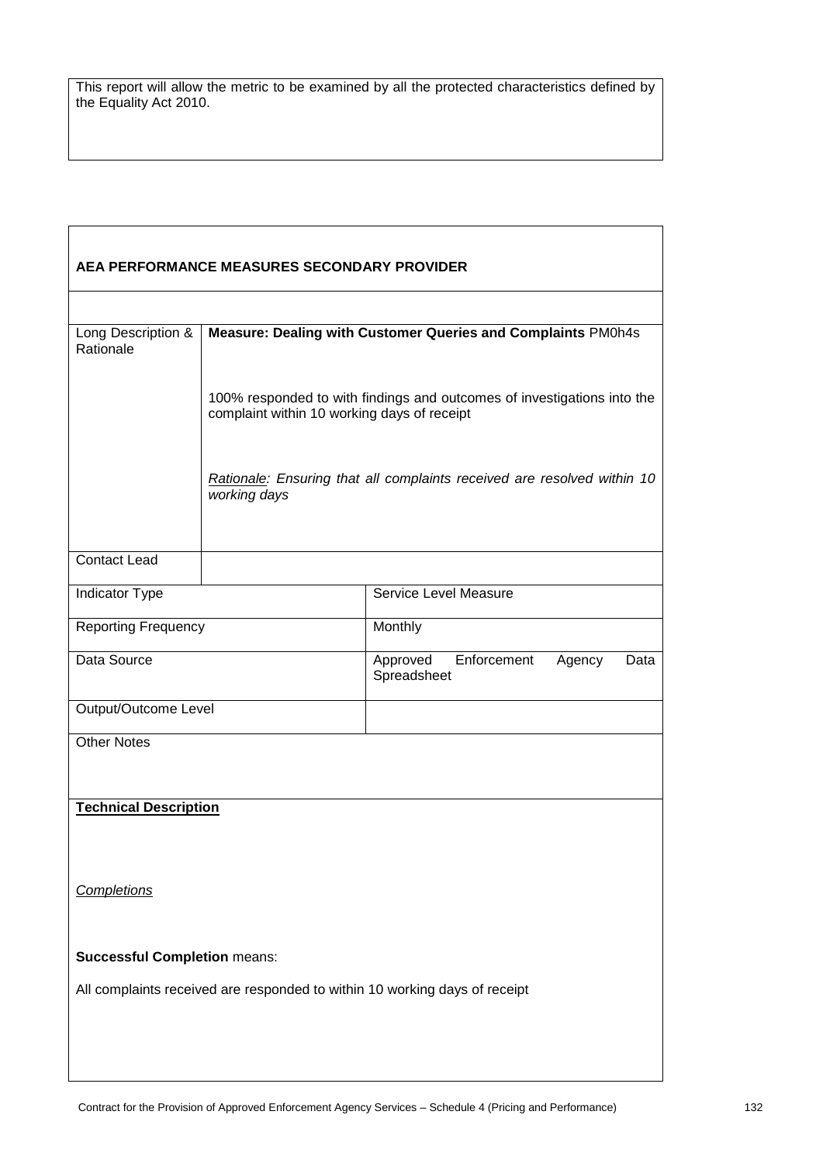| AEA PERFORMANCE MEASURES SECONDARY PROVIDER                                |                                                                                                                        |                                                                         |                |
|----------------------------------------------------------------------------|------------------------------------------------------------------------------------------------------------------------|-------------------------------------------------------------------------|----------------|
|                                                                            |                                                                                                                        |                                                                         |                |
| Long Description &<br>Rationale                                            | Measure: Dealing with Customer Queries and Complaints PM0h4s                                                           |                                                                         |                |
|                                                                            | 100% responded to with findings and outcomes of investigations into the<br>complaint within 10 working days of receipt |                                                                         |                |
|                                                                            | working days                                                                                                           | Rationale: Ensuring that all complaints received are resolved within 10 |                |
| <b>Contact Lead</b>                                                        |                                                                                                                        |                                                                         |                |
| Indicator Type                                                             |                                                                                                                        | Service Level Measure                                                   |                |
| <b>Reporting Frequency</b>                                                 |                                                                                                                        | Monthly                                                                 |                |
| Data Source                                                                |                                                                                                                        | Enforcement<br>Approved<br>Spreadsheet                                  | Agency<br>Data |
| Output/Outcome Level                                                       |                                                                                                                        |                                                                         |                |
| <b>Other Notes</b>                                                         |                                                                                                                        |                                                                         |                |
| <b>Technical Description</b>                                               |                                                                                                                        |                                                                         |                |
| Completions                                                                |                                                                                                                        |                                                                         |                |
| <b>Successful Completion means:</b>                                        |                                                                                                                        |                                                                         |                |
| All complaints received are responded to within 10 working days of receipt |                                                                                                                        |                                                                         |                |
|                                                                            |                                                                                                                        |                                                                         |                |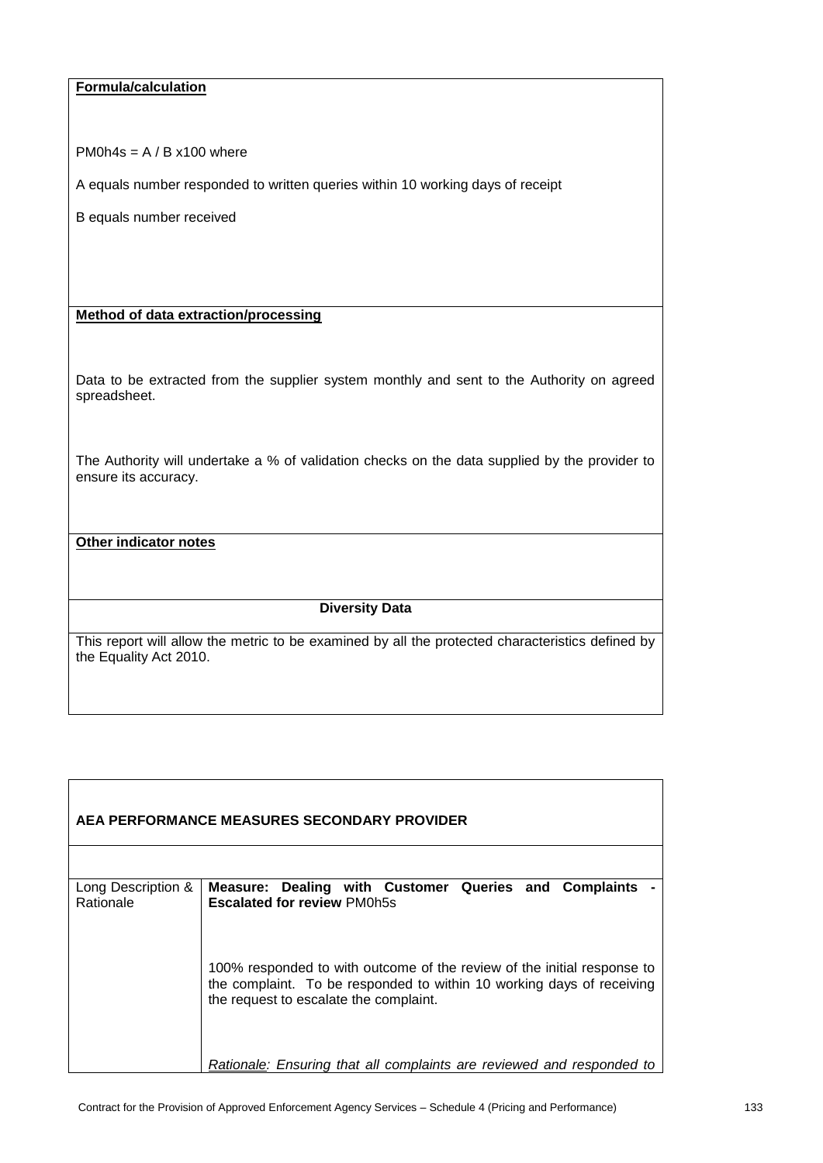### **Formula/calculation**

PM0h4s =  $A / B x 100$  where

A equals number responded to written queries within 10 working days of receipt

B equals number received

#### **Method of data extraction/processing**

Data to be extracted from the supplier system monthly and sent to the Authority on agreed spreadsheet.

The Authority will undertake a % of validation checks on the data supplied by the provider to ensure its accuracy.

### **Other indicator notes**

#### **Diversity Data**

| AEA PERFORMANCE MEASURES SECONDARY PROVIDER |                                                                                                                                                                                            |  |  |
|---------------------------------------------|--------------------------------------------------------------------------------------------------------------------------------------------------------------------------------------------|--|--|
| Long Description &<br>Rationale             | Measure: Dealing with Customer Queries and Complaints<br><b>Escalated for review PM0h5s</b>                                                                                                |  |  |
|                                             |                                                                                                                                                                                            |  |  |
|                                             | 100% responded to with outcome of the review of the initial response to<br>the complaint. To be responded to within 10 working days of receiving<br>the request to escalate the complaint. |  |  |
|                                             | Rationale: Ensuring that all complaints are reviewed and responded to                                                                                                                      |  |  |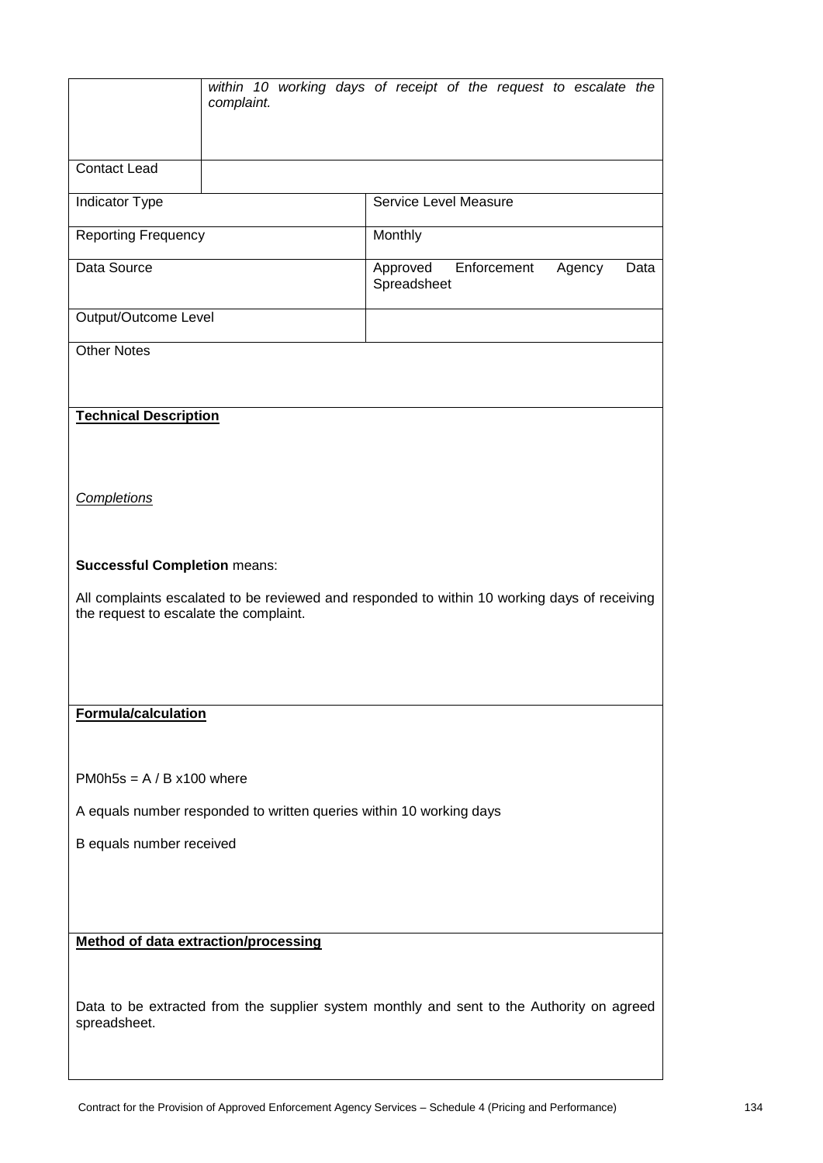|                                                                                                                                                                               | complaint. | within 10 working days of receipt of the request to escalate the                          |  |
|-------------------------------------------------------------------------------------------------------------------------------------------------------------------------------|------------|-------------------------------------------------------------------------------------------|--|
| <b>Contact Lead</b>                                                                                                                                                           |            |                                                                                           |  |
| Indicator Type                                                                                                                                                                |            | Service Level Measure                                                                     |  |
| <b>Reporting Frequency</b>                                                                                                                                                    |            | Monthly                                                                                   |  |
| Data Source                                                                                                                                                                   |            | Approved<br>Enforcement<br>Agency<br>Data<br>Spreadsheet                                  |  |
| Output/Outcome Level                                                                                                                                                          |            |                                                                                           |  |
| <b>Other Notes</b>                                                                                                                                                            |            |                                                                                           |  |
| <b>Technical Description</b><br><b>Completions</b>                                                                                                                            |            |                                                                                           |  |
| <b>Successful Completion means:</b><br>All complaints escalated to be reviewed and responded to within 10 working days of receiving<br>the request to escalate the complaint. |            |                                                                                           |  |
| Formula/calculation<br>PM0h5s = $A / B x100$ where<br>A equals number responded to written queries within 10 working days<br>B equals number received                         |            |                                                                                           |  |
| <b>Method of data extraction/processing</b><br>spreadsheet.                                                                                                                   |            | Data to be extracted from the supplier system monthly and sent to the Authority on agreed |  |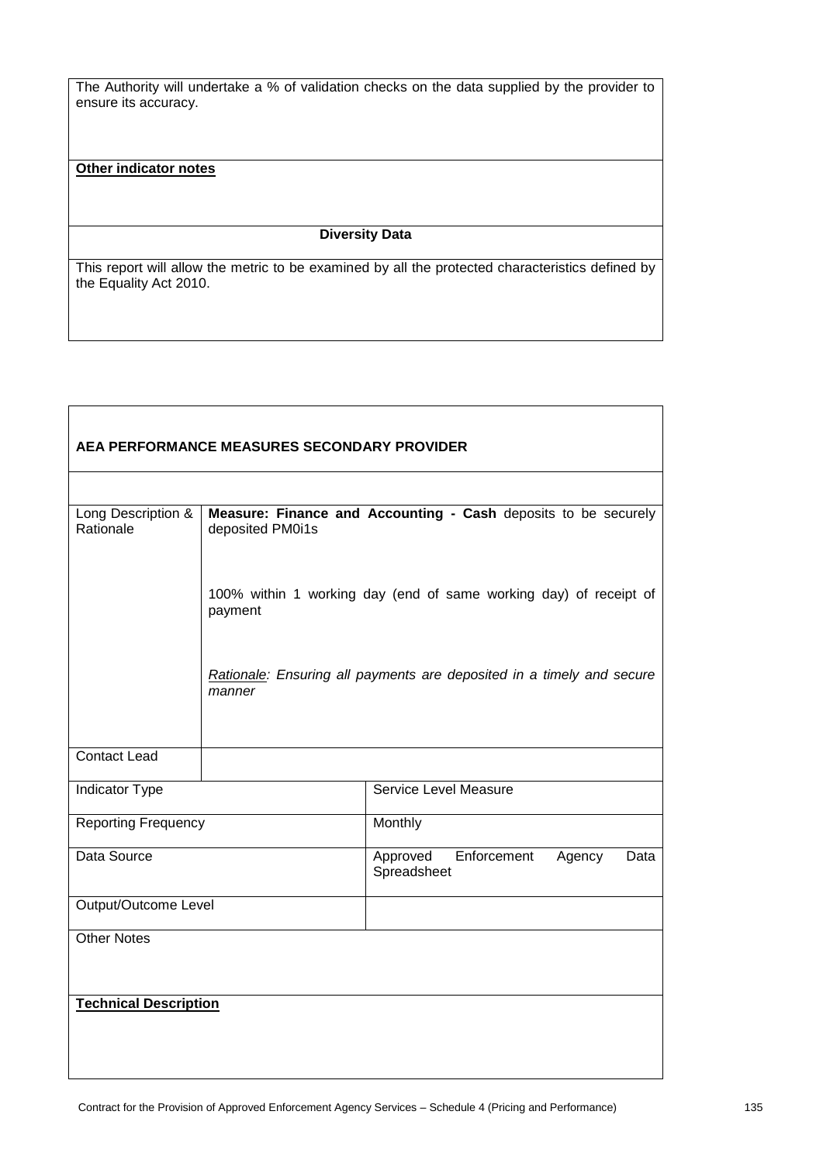The Authority will undertake a % of validation checks on the data supplied by the provider to ensure its accuracy.

### **Other indicator notes**

### **Diversity Data**

| AEA PERFORMANCE MEASURES SECONDARY PROVIDER |                  |                                                                       |  |
|---------------------------------------------|------------------|-----------------------------------------------------------------------|--|
|                                             |                  |                                                                       |  |
| Long Description &<br>Rationale             | deposited PM0i1s | Measure: Finance and Accounting - Cash deposits to be securely        |  |
|                                             | payment          | 100% within 1 working day (end of same working day) of receipt of     |  |
|                                             | manner           | Rationale: Ensuring all payments are deposited in a timely and secure |  |
| <b>Contact Lead</b>                         |                  |                                                                       |  |
| Indicator Type                              |                  | <b>Service Level Measure</b>                                          |  |
| <b>Reporting Frequency</b>                  |                  | Monthly                                                               |  |
| Data Source                                 |                  | Enforcement<br>Approved<br>Agency<br>Data<br>Spreadsheet              |  |
| <b>Output/Outcome Level</b>                 |                  |                                                                       |  |
| <b>Other Notes</b>                          |                  |                                                                       |  |
| <b>Technical Description</b>                |                  |                                                                       |  |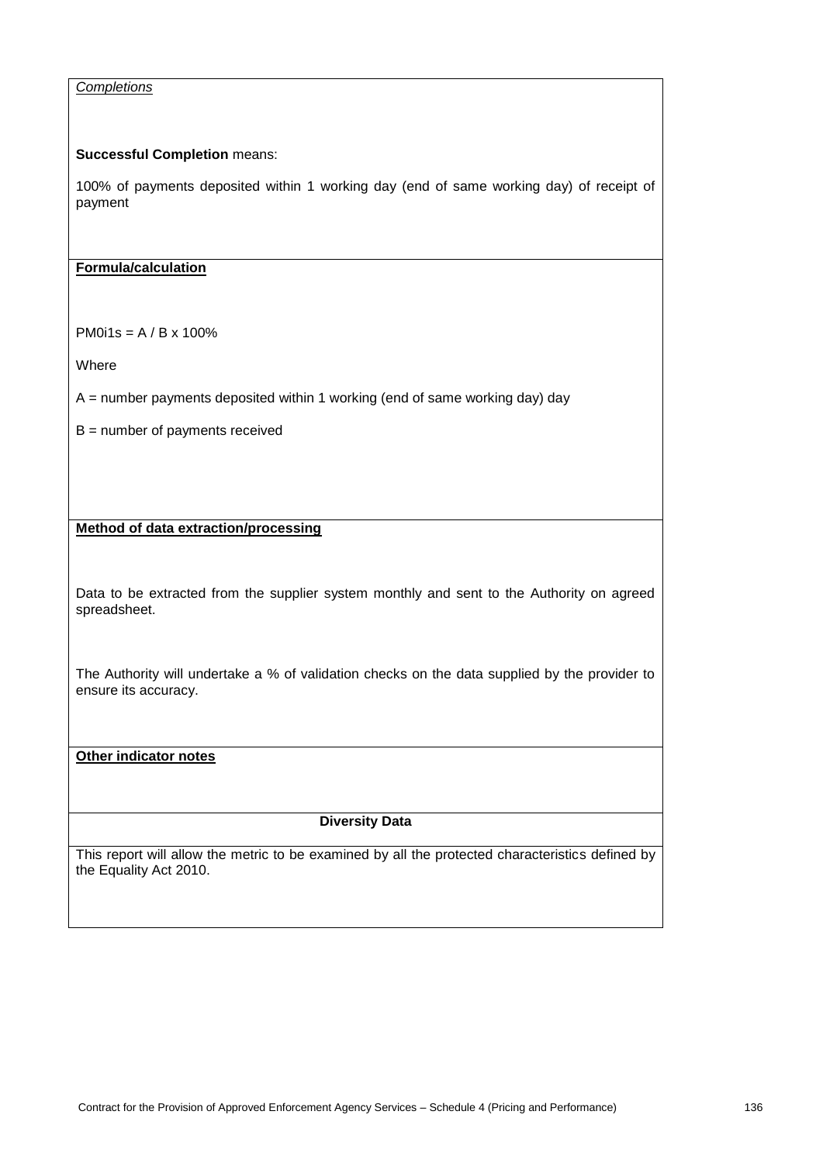### *Completions*

#### **Successful Completion** means:

100% of payments deposited within 1 working day (end of same working day) of receipt of payment

#### **Formula/calculation**

PM0i1s = A / B x 100%

Where

 $A =$  number payments deposited within 1 working (end of same working day) day

B = number of payments received

### **Method of data extraction/processing**

Data to be extracted from the supplier system monthly and sent to the Authority on agreed spreadsheet.

The Authority will undertake a % of validation checks on the data supplied by the provider to ensure its accuracy.

#### **Other indicator notes**

# **Diversity Data**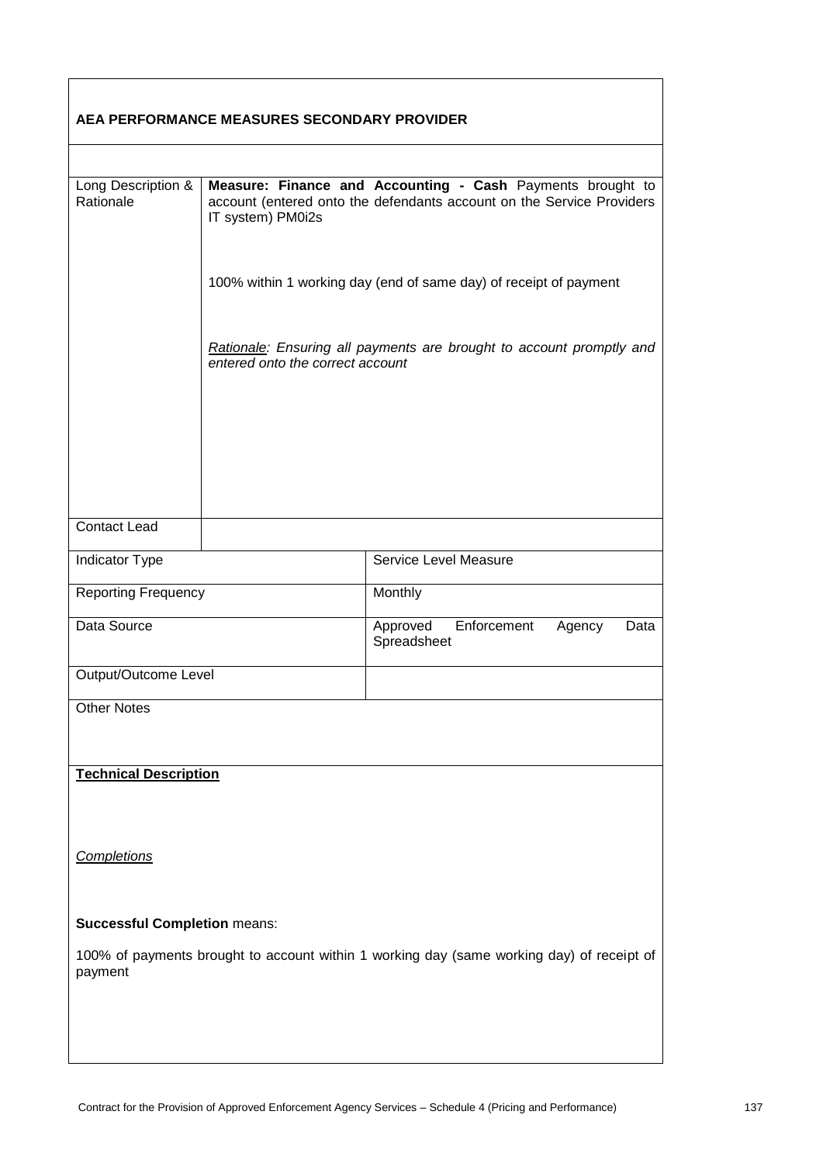| AEA PERFORMANCE MEASURES SECONDARY PROVIDER |                                                                                                                                                          |                                                                                           |  |
|---------------------------------------------|----------------------------------------------------------------------------------------------------------------------------------------------------------|-------------------------------------------------------------------------------------------|--|
|                                             |                                                                                                                                                          |                                                                                           |  |
| Long Description &<br>Rationale             | Measure: Finance and Accounting - Cash Payments brought to<br>account (entered onto the defendants account on the Service Providers<br>IT system) PM0i2s |                                                                                           |  |
|                                             | 100% within 1 working day (end of same day) of receipt of payment                                                                                        |                                                                                           |  |
|                                             | Rationale: Ensuring all payments are brought to account promptly and<br>entered onto the correct account                                                 |                                                                                           |  |
|                                             |                                                                                                                                                          |                                                                                           |  |
|                                             |                                                                                                                                                          |                                                                                           |  |
| <b>Contact Lead</b>                         |                                                                                                                                                          |                                                                                           |  |
| Indicator Type                              |                                                                                                                                                          | Service Level Measure                                                                     |  |
| <b>Reporting Frequency</b>                  |                                                                                                                                                          | Monthly                                                                                   |  |
| Data Source                                 |                                                                                                                                                          | Enforcement<br>Approved<br>Agency<br>Data<br>Spreadsheet                                  |  |
| Output/Outcome Level                        |                                                                                                                                                          |                                                                                           |  |
| <b>Other Notes</b>                          |                                                                                                                                                          |                                                                                           |  |
| <b>Technical Description</b>                |                                                                                                                                                          |                                                                                           |  |
| Completions                                 |                                                                                                                                                          |                                                                                           |  |
|                                             |                                                                                                                                                          |                                                                                           |  |
| <b>Successful Completion means:</b>         |                                                                                                                                                          |                                                                                           |  |
| payment                                     |                                                                                                                                                          | 100% of payments brought to account within 1 working day (same working day) of receipt of |  |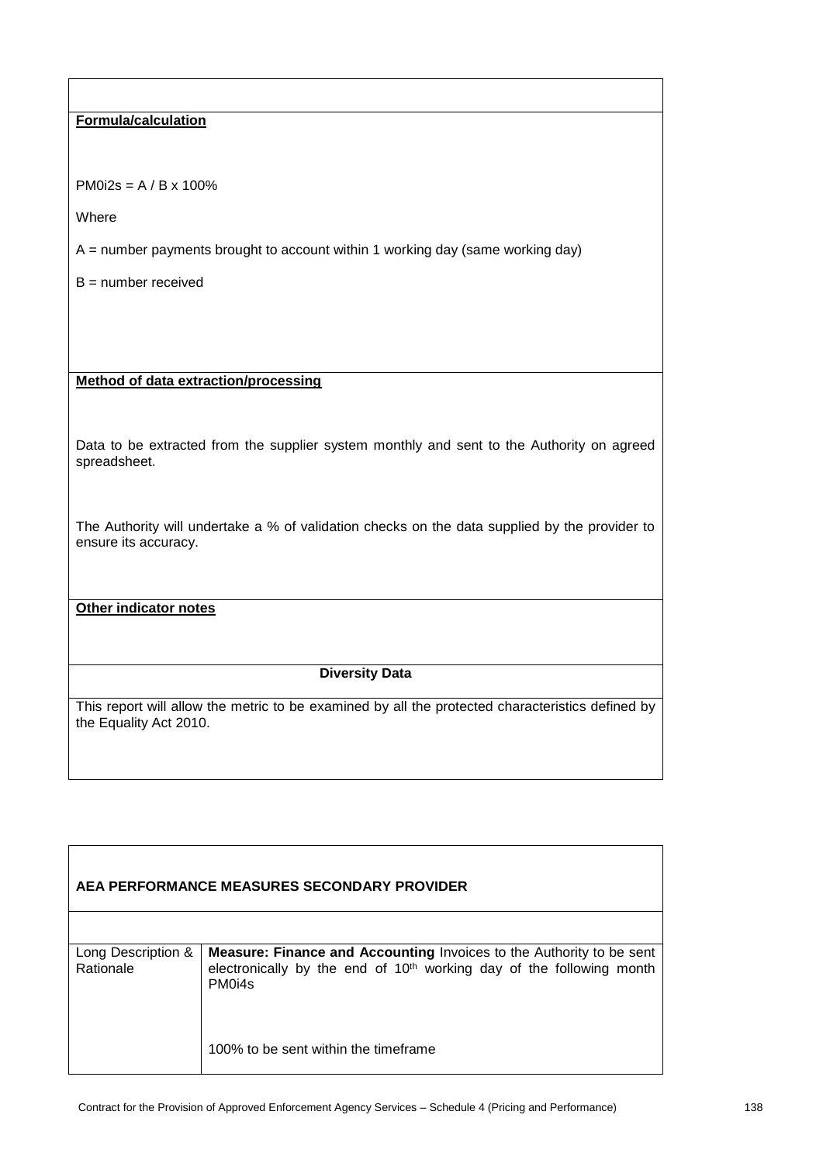### **Formula/calculation**

PM0i2s = A / B x 100%

Where

 $A =$  number payments brought to account within 1 working day (same working day)

B = number received

**Method of data extraction/processing**

Data to be extracted from the supplier system monthly and sent to the Authority on agreed spreadsheet.

The Authority will undertake a % of validation checks on the data supplied by the provider to ensure its accuracy.

**Other indicator notes**

#### **Diversity Data**

| AEA PERFORMANCE MEASURES SECONDARY PROVIDER |                                                                                                                                                                                       |  |  |
|---------------------------------------------|---------------------------------------------------------------------------------------------------------------------------------------------------------------------------------------|--|--|
|                                             |                                                                                                                                                                                       |  |  |
| Long Description &<br>Rationale             | <b>Measure: Finance and Accounting Invoices to the Authority to be sent</b><br>electronically by the end of 10 <sup>th</sup> working day of the following month<br>PM <sub>0i4s</sub> |  |  |
|                                             | 100% to be sent within the timeframe                                                                                                                                                  |  |  |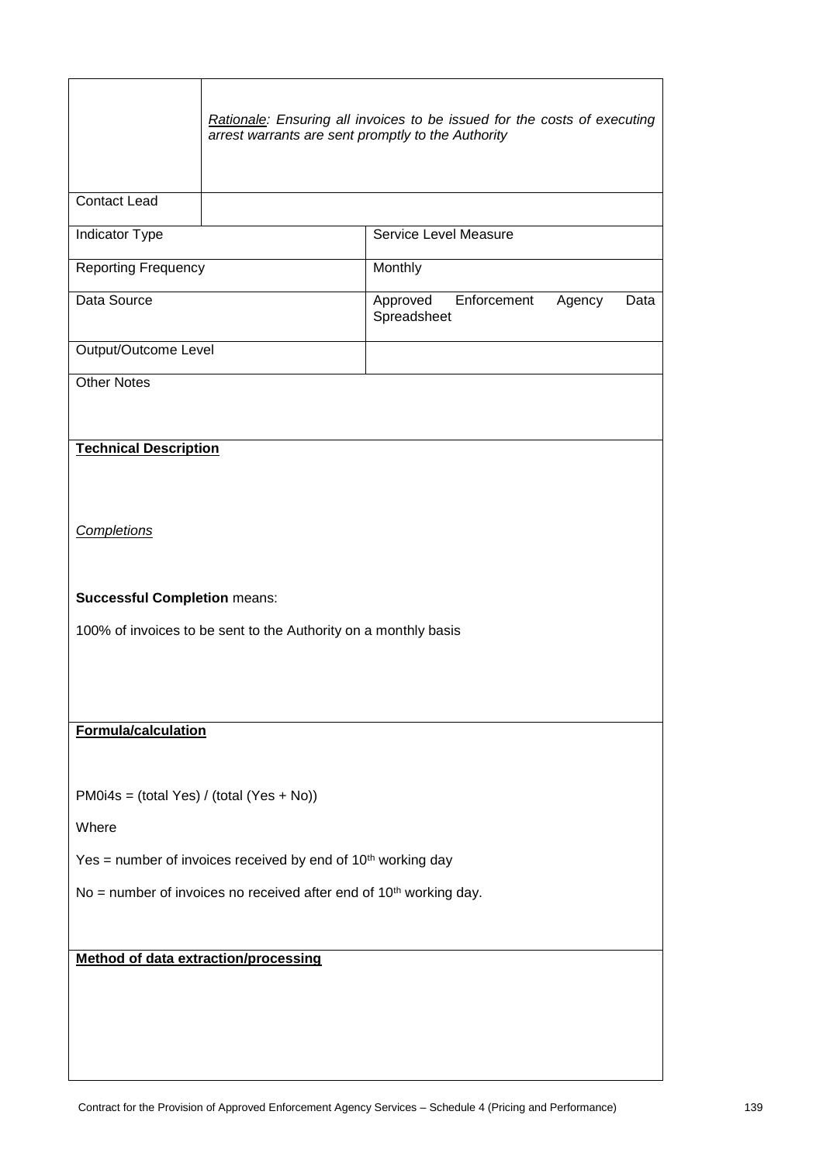|                                                                                                                              | arrest warrants are sent promptly to the Authority | Rationale: Ensuring all invoices to be issued for the costs of executing |        |      |
|------------------------------------------------------------------------------------------------------------------------------|----------------------------------------------------|--------------------------------------------------------------------------|--------|------|
| <b>Contact Lead</b>                                                                                                          |                                                    |                                                                          |        |      |
| Indicator Type                                                                                                               |                                                    | Service Level Measure                                                    |        |      |
| <b>Reporting Frequency</b>                                                                                                   |                                                    | Monthly                                                                  |        |      |
| Data Source                                                                                                                  |                                                    | Enforcement<br>Approved<br>Spreadsheet                                   | Agency | Data |
| Output/Outcome Level                                                                                                         |                                                    |                                                                          |        |      |
| <b>Other Notes</b>                                                                                                           |                                                    |                                                                          |        |      |
| <b>Technical Description</b>                                                                                                 |                                                    |                                                                          |        |      |
| <b>Completions</b><br><b>Successful Completion means:</b><br>100% of invoices to be sent to the Authority on a monthly basis |                                                    |                                                                          |        |      |
| <b>Formula/calculation</b>                                                                                                   |                                                    |                                                                          |        |      |
| $PM0i4s = (total Yes) / (total (Yes + No))$<br>Where                                                                         |                                                    |                                                                          |        |      |
| Yes = number of invoices received by end of $10th$ working day                                                               |                                                    |                                                                          |        |      |
| No = number of invoices no received after end of $10th$ working day.                                                         |                                                    |                                                                          |        |      |
| <b>Method of data extraction/processing</b>                                                                                  |                                                    |                                                                          |        |      |
|                                                                                                                              |                                                    |                                                                          |        |      |

H